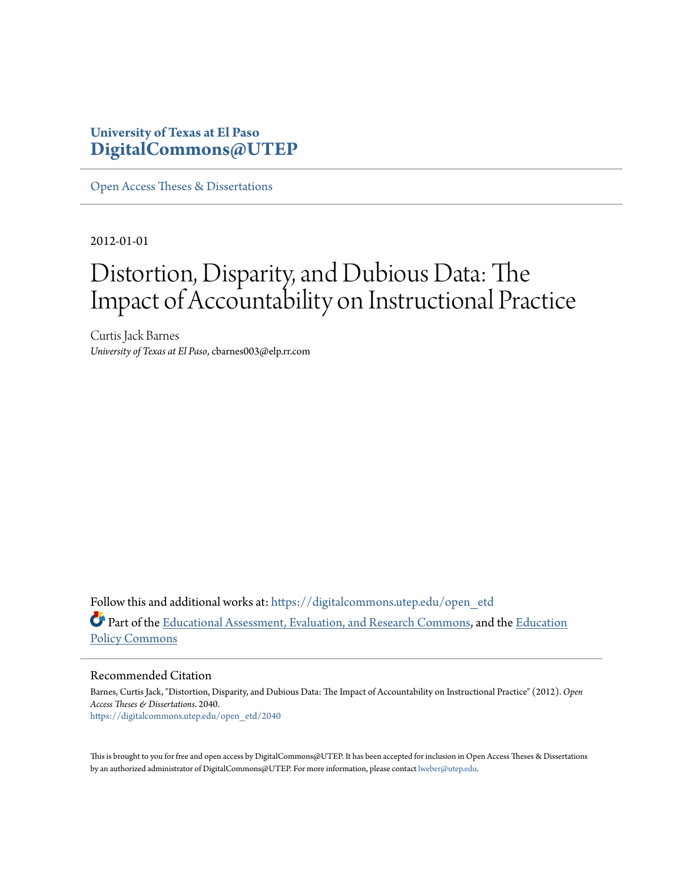# **University of Texas at El Paso [DigitalCommons@UTEP](https://digitalcommons.utep.edu/?utm_source=digitalcommons.utep.edu%2Fopen_etd%2F2040&utm_medium=PDF&utm_campaign=PDFCoverPages)**

[Open Access Theses & Dissertations](https://digitalcommons.utep.edu/open_etd?utm_source=digitalcommons.utep.edu%2Fopen_etd%2F2040&utm_medium=PDF&utm_campaign=PDFCoverPages)

2012-01-01

# Distortion, Disparity, and Dubious Data: The Impact of Accountability on Instructional Practice

Curtis Jack Barnes *University of Texas at El Paso*, cbarnes003@elp.rr.com

Follow this and additional works at: [https://digitalcommons.utep.edu/open\\_etd](https://digitalcommons.utep.edu/open_etd?utm_source=digitalcommons.utep.edu%2Fopen_etd%2F2040&utm_medium=PDF&utm_campaign=PDFCoverPages) Part of the [Educational Assessment, Evaluation, and Research Commons,](http://network.bepress.com/hgg/discipline/796?utm_source=digitalcommons.utep.edu%2Fopen_etd%2F2040&utm_medium=PDF&utm_campaign=PDFCoverPages) and the [Education](http://network.bepress.com/hgg/discipline/1026?utm_source=digitalcommons.utep.edu%2Fopen_etd%2F2040&utm_medium=PDF&utm_campaign=PDFCoverPages) [Policy Commons](http://network.bepress.com/hgg/discipline/1026?utm_source=digitalcommons.utep.edu%2Fopen_etd%2F2040&utm_medium=PDF&utm_campaign=PDFCoverPages)

#### Recommended Citation

Barnes, Curtis Jack, "Distortion, Disparity, and Dubious Data: The Impact of Accountability on Instructional Practice" (2012). *Open Access Theses & Dissertations*. 2040. [https://digitalcommons.utep.edu/open\\_etd/2040](https://digitalcommons.utep.edu/open_etd/2040?utm_source=digitalcommons.utep.edu%2Fopen_etd%2F2040&utm_medium=PDF&utm_campaign=PDFCoverPages)

This is brought to you for free and open access by DigitalCommons@UTEP. It has been accepted for inclusion in Open Access Theses & Dissertations by an authorized administrator of DigitalCommons@UTEP. For more information, please contact [lweber@utep.edu.](mailto:lweber@utep.edu)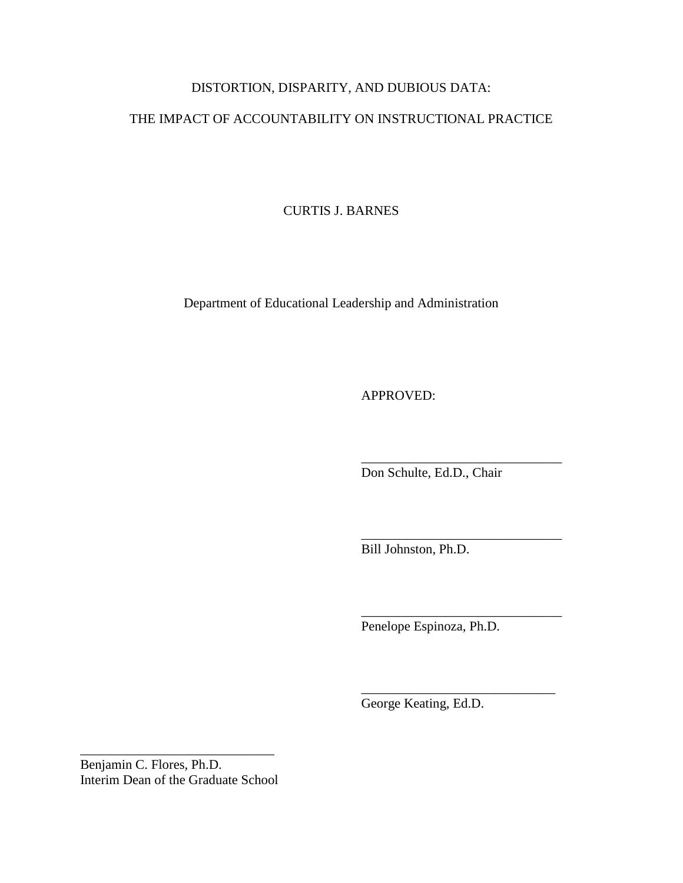## DISTORTION, DISPARITY, AND DUBIOUS DATA:

### THE IMPACT OF ACCOUNTABILITY ON INSTRUCTIONAL PRACTICE

CURTIS J. BARNES

Department of Educational Leadership and Administration

APPROVED:

\_\_\_\_\_\_\_\_\_\_\_\_\_\_\_\_\_\_\_\_\_\_\_\_\_\_\_\_\_\_ Don Schulte, Ed.D., Chair

\_\_\_\_\_\_\_\_\_\_\_\_\_\_\_\_\_\_\_\_\_\_\_\_\_\_\_\_\_\_

\_\_\_\_\_\_\_\_\_\_\_\_\_\_\_\_\_\_\_\_\_\_\_\_\_\_\_\_\_\_

\_\_\_\_\_\_\_\_\_\_\_\_\_\_\_\_\_\_\_\_\_\_\_\_\_\_\_\_\_

Bill Johnston, Ph.D.

Penelope Espinoza, Ph.D.

George Keating, Ed.D.

Benjamin C. Flores, Ph.D. Interim Dean of the Graduate School

\_\_\_\_\_\_\_\_\_\_\_\_\_\_\_\_\_\_\_\_\_\_\_\_\_\_\_\_\_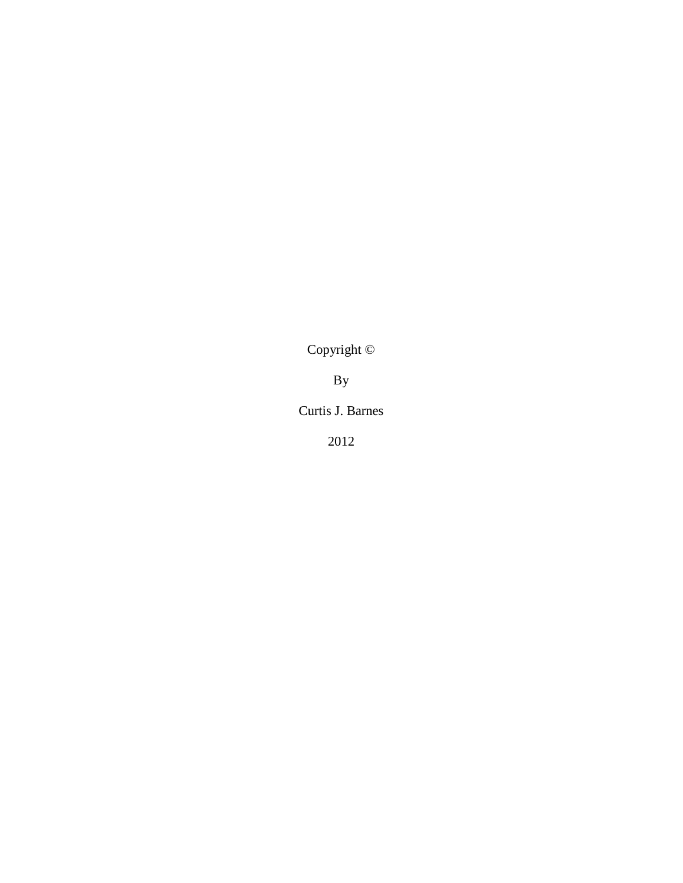Copyright ©

By

Curtis J. Barnes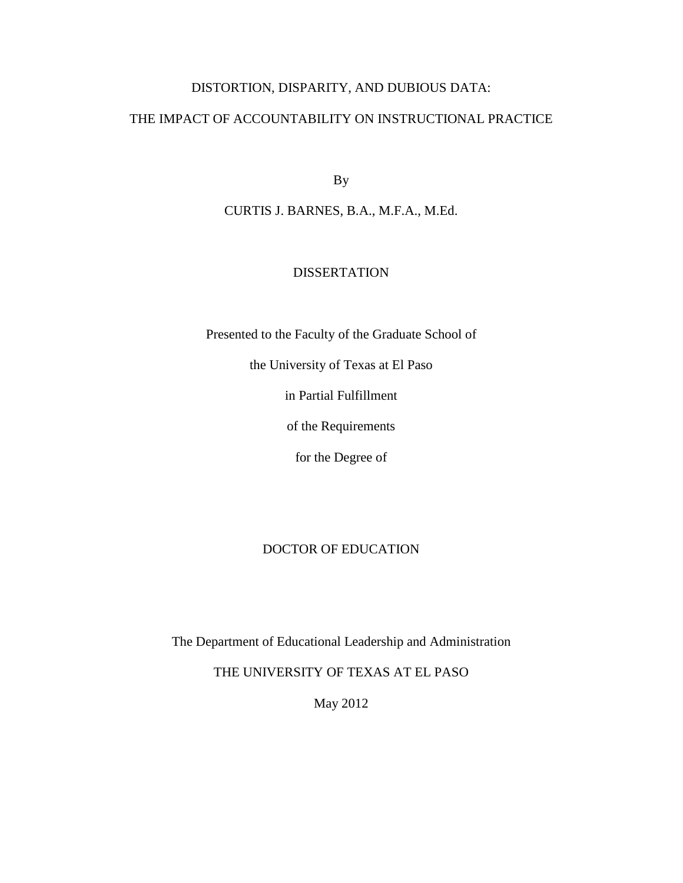### DISTORTION, DISPARITY, AND DUBIOUS DATA:

### THE IMPACT OF ACCOUNTABILITY ON INSTRUCTIONAL PRACTICE

By

CURTIS J. BARNES, B.A., M.F.A., M.Ed.

### DISSERTATION

Presented to the Faculty of the Graduate School of

the University of Texas at El Paso

in Partial Fulfillment

of the Requirements

for the Degree of

### DOCTOR OF EDUCATION

The Department of Educational Leadership and Administration

THE UNIVERSITY OF TEXAS AT EL PASO

May 2012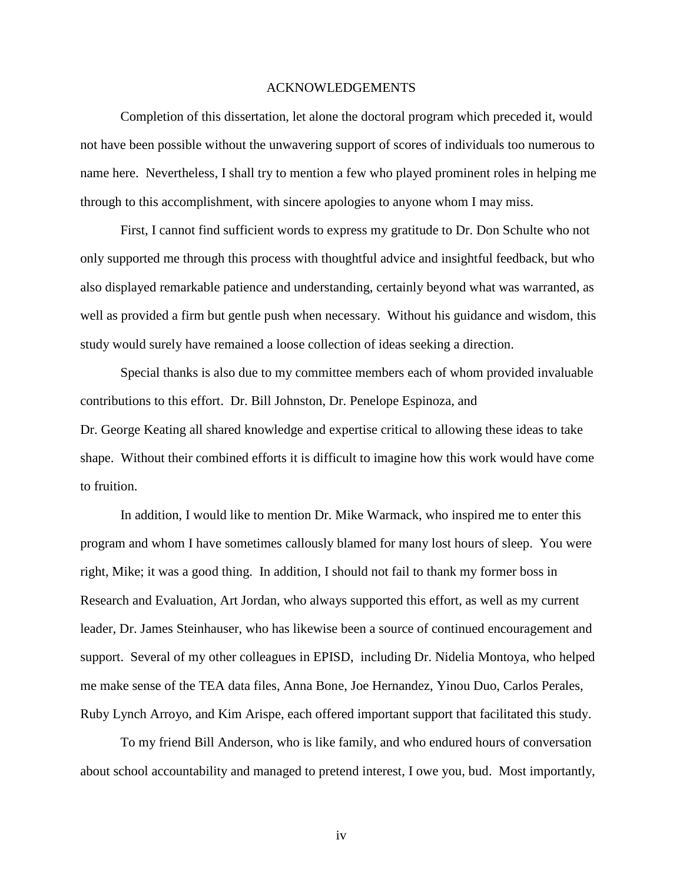#### ACKNOWLEDGEMENTS

Completion of this dissertation, let alone the doctoral program which preceded it, would not have been possible without the unwavering support of scores of individuals too numerous to name here. Nevertheless, I shall try to mention a few who played prominent roles in helping me through to this accomplishment, with sincere apologies to anyone whom I may miss.

First, I cannot find sufficient words to express my gratitude to Dr. Don Schulte who not only supported me through this process with thoughtful advice and insightful feedback, but who also displayed remarkable patience and understanding, certainly beyond what was warranted, as well as provided a firm but gentle push when necessary. Without his guidance and wisdom, this study would surely have remained a loose collection of ideas seeking a direction.

Special thanks is also due to my committee members each of whom provided invaluable contributions to this effort. Dr. Bill Johnston, Dr. Penelope Espinoza, and Dr. George Keating all shared knowledge and expertise critical to allowing these ideas to take shape. Without their combined efforts it is difficult to imagine how this work would have come to fruition.

In addition, I would like to mention Dr. Mike Warmack, who inspired me to enter this program and whom I have sometimes callously blamed for many lost hours of sleep. You were right, Mike; it was a good thing. In addition, I should not fail to thank my former boss in Research and Evaluation, Art Jordan, who always supported this effort, as well as my current leader, Dr. James Steinhauser, who has likewise been a source of continued encouragement and support. Several of my other colleagues in EPISD, including Dr. Nidelia Montoya, who helped me make sense of the TEA data files, Anna Bone, Joe Hernandez, Yinou Duo, Carlos Perales, Ruby Lynch Arroyo, and Kim Arispe, each offered important support that facilitated this study.

To my friend Bill Anderson, who is like family, and who endured hours of conversation about school accountability and managed to pretend interest, I owe you, bud. Most importantly,

iv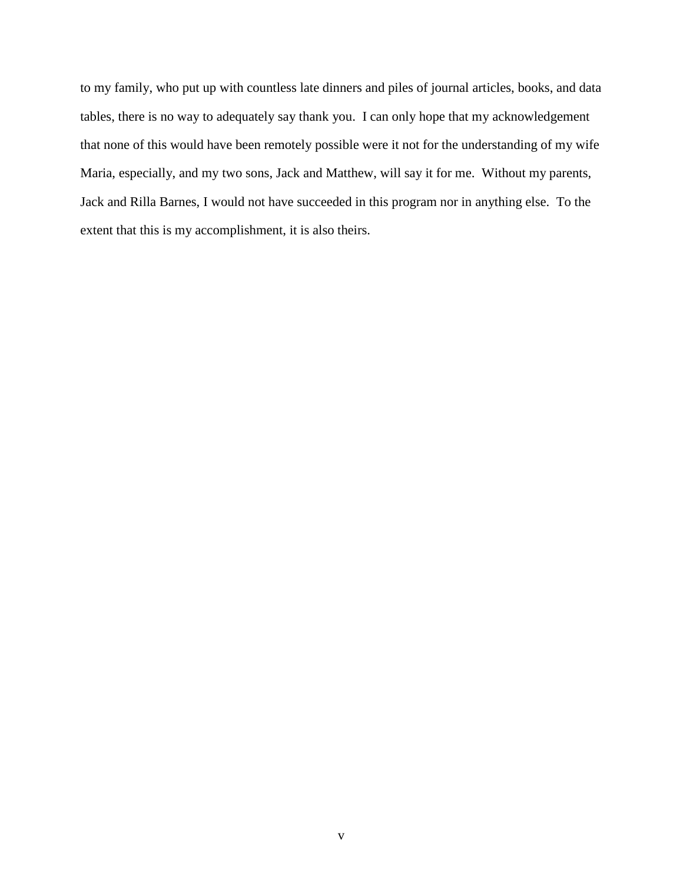to my family, who put up with countless late dinners and piles of journal articles, books, and data tables, there is no way to adequately say thank you. I can only hope that my acknowledgement that none of this would have been remotely possible were it not for the understanding of my wife Maria, especially, and my two sons, Jack and Matthew, will say it for me. Without my parents, Jack and Rilla Barnes, I would not have succeeded in this program nor in anything else. To the extent that this is my accomplishment, it is also theirs.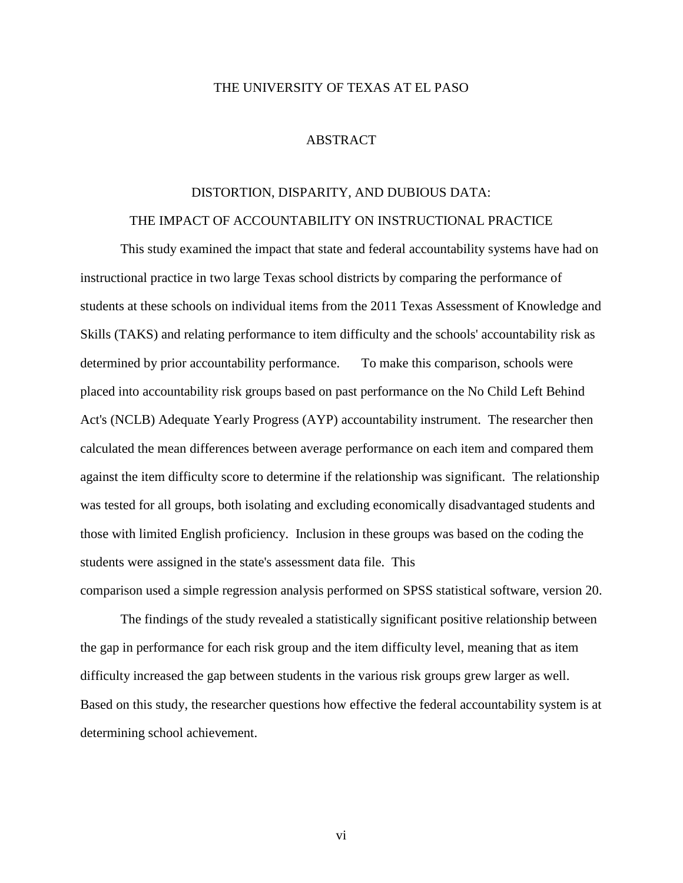### THE UNIVERSITY OF TEXAS AT EL PASO

#### ABSTRACT

# DISTORTION, DISPARITY, AND DUBIOUS DATA: THE IMPACT OF ACCOUNTABILITY ON INSTRUCTIONAL PRACTICE

This study examined the impact that state and federal accountability systems have had on instructional practice in two large Texas school districts by comparing the performance of students at these schools on individual items from the 2011 Texas Assessment of Knowledge and Skills (TAKS) and relating performance to item difficulty and the schools' accountability risk as determined by prior accountability performance. To make this comparison, schools were placed into accountability risk groups based on past performance on the No Child Left Behind Act's (NCLB) Adequate Yearly Progress (AYP) accountability instrument. The researcher then calculated the mean differences between average performance on each item and compared them against the item difficulty score to determine if the relationship was significant. The relationship was tested for all groups, both isolating and excluding economically disadvantaged students and those with limited English proficiency. Inclusion in these groups was based on the coding the students were assigned in the state's assessment data file. This comparison used a simple regression analysis performed on SPSS statistical software, version 20.

The findings of the study revealed a statistically significant positive relationship between the gap in performance for each risk group and the item difficulty level, meaning that as item difficulty increased the gap between students in the various risk groups grew larger as well. Based on this study, the researcher questions how effective the federal accountability system is at determining school achievement.

vi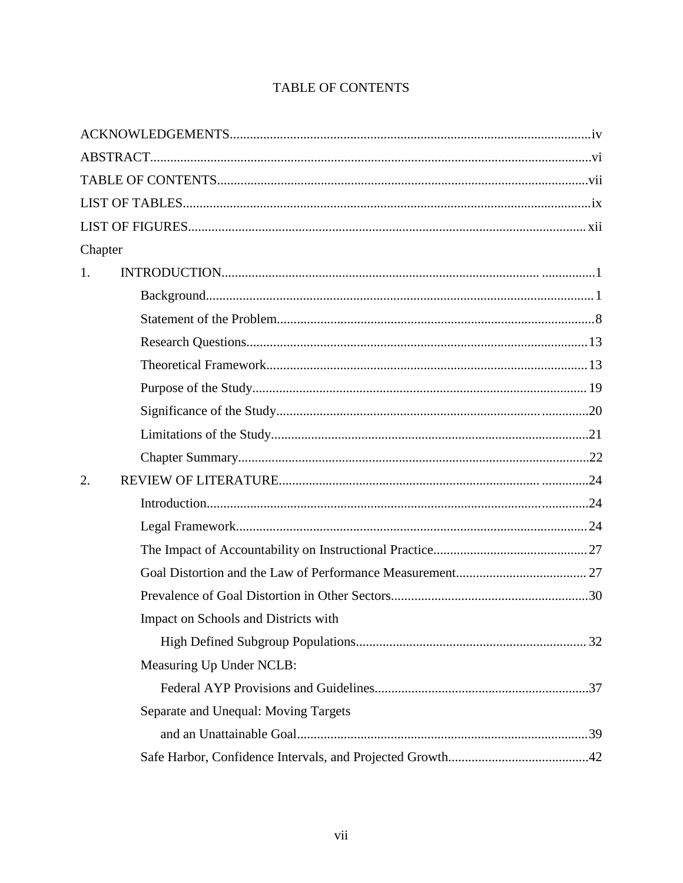| Chapter |                                      |  |
|---------|--------------------------------------|--|
| 1.      |                                      |  |
|         |                                      |  |
|         |                                      |  |
|         |                                      |  |
|         |                                      |  |
|         |                                      |  |
|         |                                      |  |
|         |                                      |  |
|         |                                      |  |
| 2.      |                                      |  |
|         |                                      |  |
|         |                                      |  |
|         |                                      |  |
|         |                                      |  |
|         |                                      |  |
|         | Impact on Schools and Districts with |  |
|         |                                      |  |
|         | Measuring Up Under NCLB:             |  |
|         |                                      |  |
|         | Separate and Unequal: Moving Targets |  |
|         |                                      |  |
|         |                                      |  |

# **TABLE OF CONTENTS**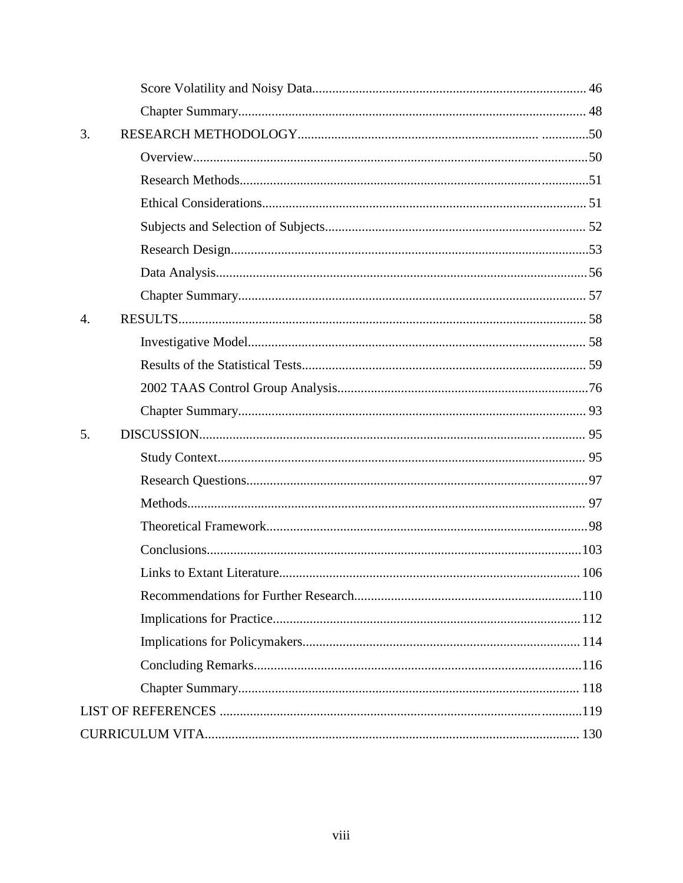| 3.               |  |
|------------------|--|
|                  |  |
|                  |  |
|                  |  |
|                  |  |
|                  |  |
|                  |  |
|                  |  |
| $\overline{4}$ . |  |
|                  |  |
|                  |  |
|                  |  |
|                  |  |
| 5.               |  |
|                  |  |
|                  |  |
|                  |  |
|                  |  |
|                  |  |
|                  |  |
|                  |  |
|                  |  |
|                  |  |
|                  |  |
|                  |  |
|                  |  |
|                  |  |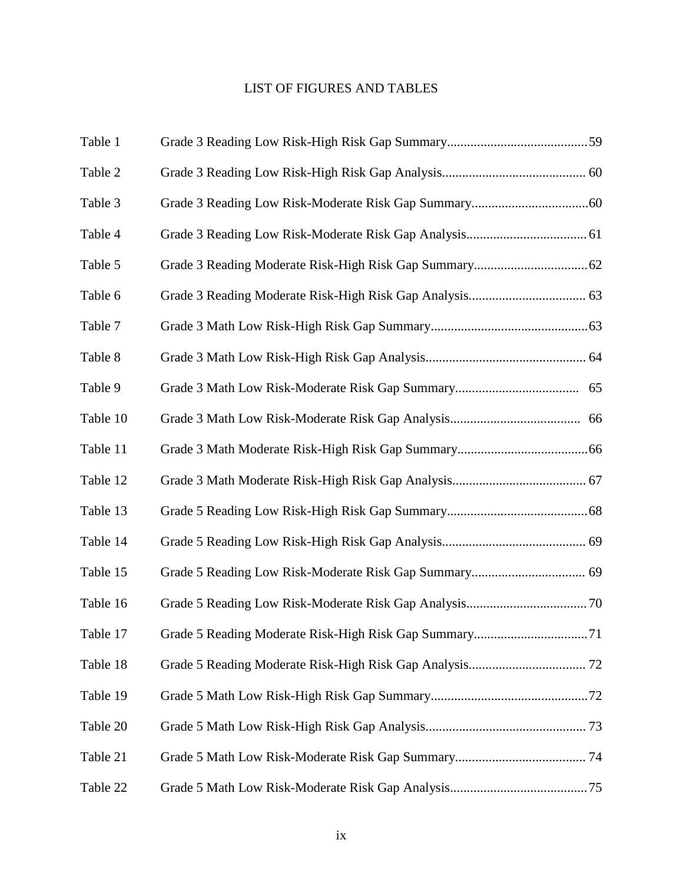# LIST OF FIGURES AND TABLES

| Table 1  |  |
|----------|--|
| Table 2  |  |
| Table 3  |  |
| Table 4  |  |
| Table 5  |  |
| Table 6  |  |
| Table 7  |  |
| Table 8  |  |
| Table 9  |  |
| Table 10 |  |
| Table 11 |  |
| Table 12 |  |
| Table 13 |  |
| Table 14 |  |
| Table 15 |  |
| Table 16 |  |
| Table 17 |  |
| Table 18 |  |
| Table 19 |  |
| Table 20 |  |
| Table 21 |  |
| Table 22 |  |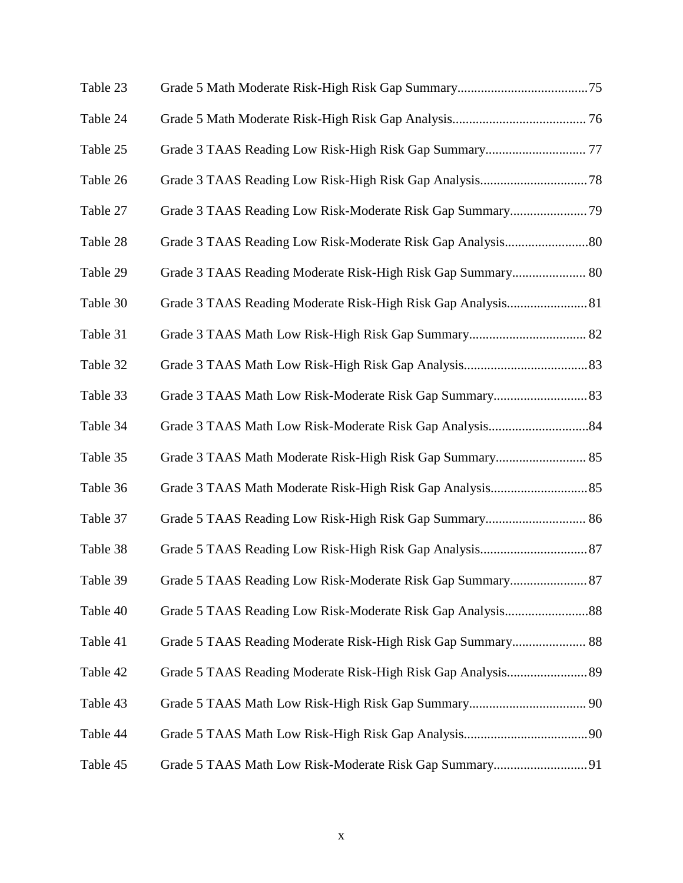| Table 23 |                                                              |  |
|----------|--------------------------------------------------------------|--|
| Table 24 |                                                              |  |
| Table 25 |                                                              |  |
| Table 26 |                                                              |  |
| Table 27 |                                                              |  |
| Table 28 |                                                              |  |
| Table 29 | Grade 3 TAAS Reading Moderate Risk-High Risk Gap Summary 80  |  |
| Table 30 | Grade 3 TAAS Reading Moderate Risk-High Risk Gap Analysis 81 |  |
| Table 31 |                                                              |  |
| Table 32 |                                                              |  |
| Table 33 |                                                              |  |
| Table 34 |                                                              |  |
| Table 35 |                                                              |  |
| Table 36 |                                                              |  |
| Table 37 |                                                              |  |
| Table 38 |                                                              |  |
| Table 39 | Grade 5 TAAS Reading Low Risk-Moderate Risk Gap Summary 87   |  |
| Table 40 |                                                              |  |
| Table 41 |                                                              |  |
| Table 42 |                                                              |  |
| Table 43 |                                                              |  |
| Table 44 |                                                              |  |
| Table 45 |                                                              |  |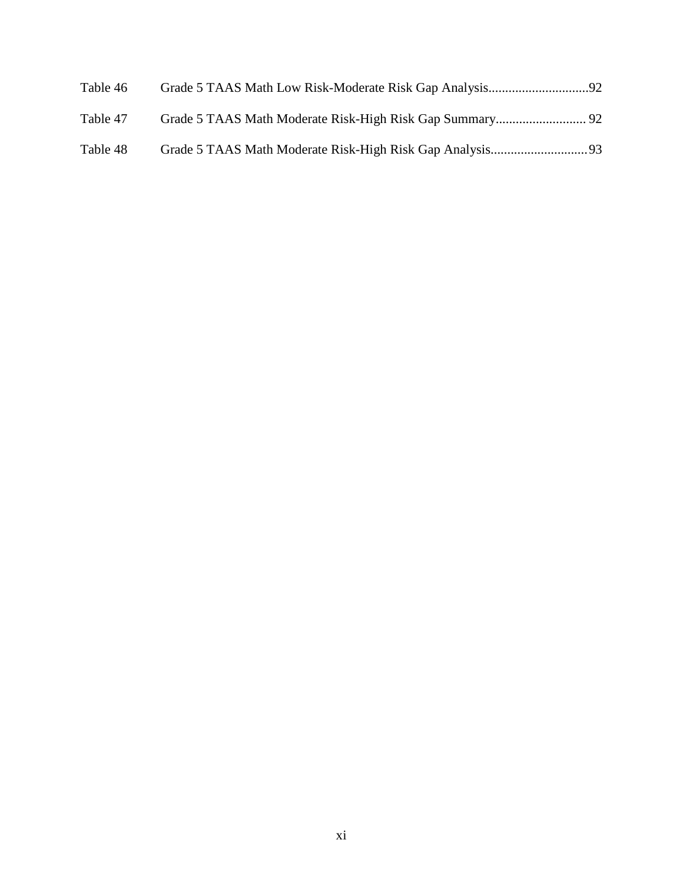| Table 46 |  |
|----------|--|
| Table 47 |  |
| Table 48 |  |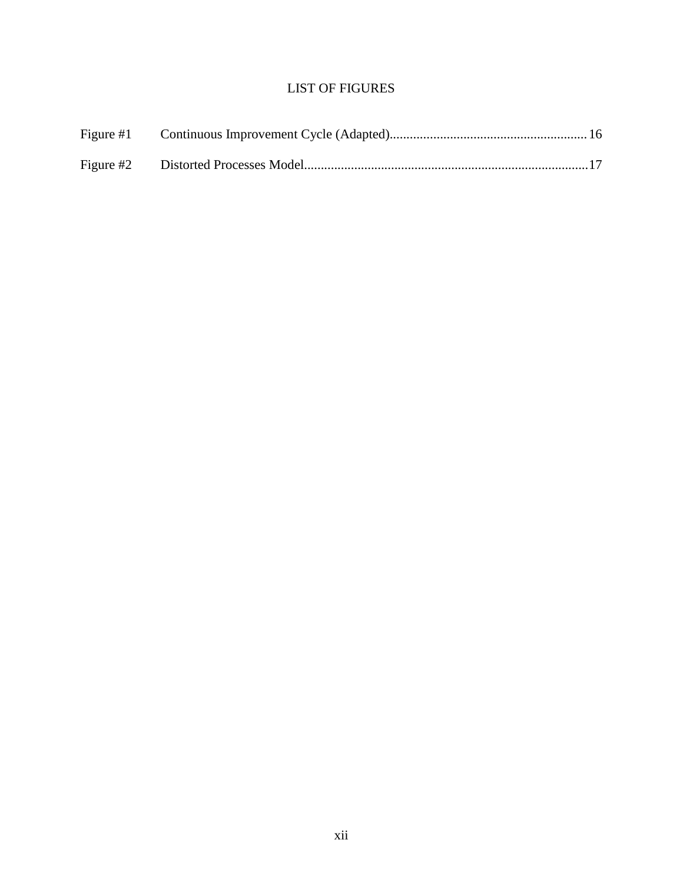# LIST OF FIGURES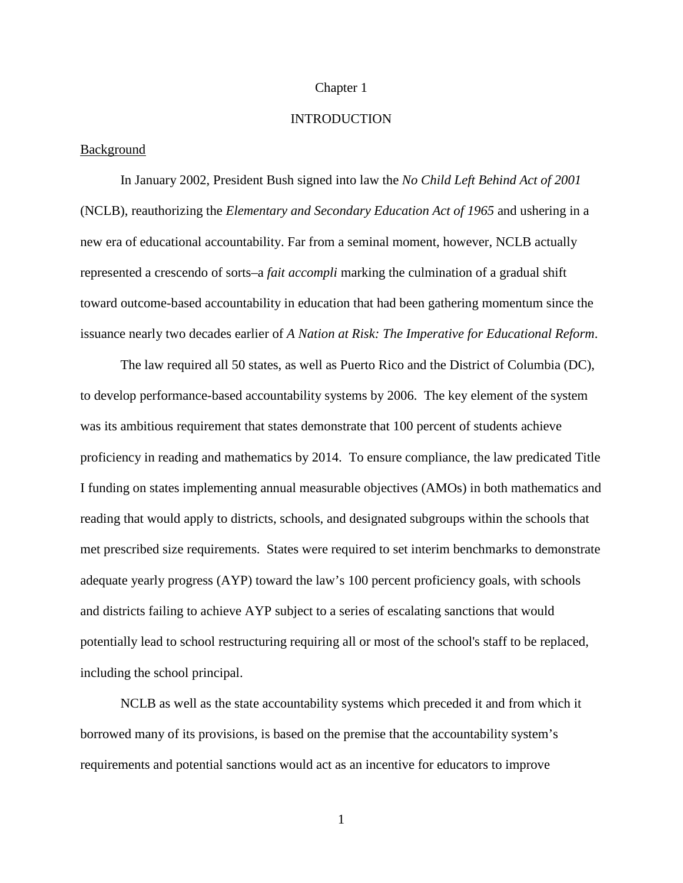### Chapter 1

### **INTRODUCTION**

### Background

In January 2002, President Bush signed into law the *No Child Left Behind Act of 2001*  (NCLB), reauthorizing the *Elementary and Secondary Education Act of 1965* and ushering in a new era of educational accountability. Far from a seminal moment, however, NCLB actually represented a crescendo of sorts–a *fait accompli* marking the culmination of a gradual shift toward outcome-based accountability in education that had been gathering momentum since the issuance nearly two decades earlier of *A Nation at Risk: The Imperative for Educational Reform*.

The law required all 50 states, as well as Puerto Rico and the District of Columbia (DC), to develop performance-based accountability systems by 2006. The key element of the system was its ambitious requirement that states demonstrate that 100 percent of students achieve proficiency in reading and mathematics by 2014. To ensure compliance, the law predicated Title I funding on states implementing annual measurable objectives (AMOs) in both mathematics and reading that would apply to districts, schools, and designated subgroups within the schools that met prescribed size requirements. States were required to set interim benchmarks to demonstrate adequate yearly progress (AYP) toward the law's 100 percent proficiency goals, with schools and districts failing to achieve AYP subject to a series of escalating sanctions that would potentially lead to school restructuring requiring all or most of the school's staff to be replaced, including the school principal.

NCLB as well as the state accountability systems which preceded it and from which it borrowed many of its provisions, is based on the premise that the accountability system's requirements and potential sanctions would act as an incentive for educators to improve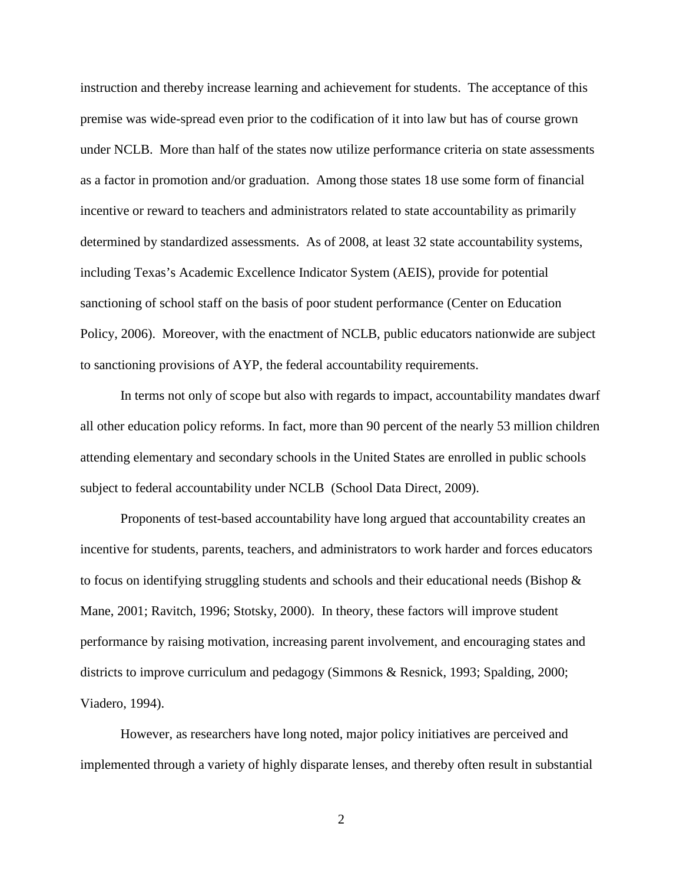instruction and thereby increase learning and achievement for students. The acceptance of this premise was wide-spread even prior to the codification of it into law but has of course grown under NCLB. More than half of the states now utilize performance criteria on state assessments as a factor in promotion and/or graduation. Among those states 18 use some form of financial incentive or reward to teachers and administrators related to state accountability as primarily determined by standardized assessments. As of 2008, at least 32 state accountability systems, including Texas's Academic Excellence Indicator System (AEIS), provide for potential sanctioning of school staff on the basis of poor student performance (Center on Education Policy, 2006). Moreover, with the enactment of NCLB, public educators nationwide are subject to sanctioning provisions of AYP, the federal accountability requirements.

In terms not only of scope but also with regards to impact, accountability mandates dwarf all other education policy reforms. In fact, more than 90 percent of the nearly 53 million children attending elementary and secondary schools in the United States are enrolled in public schools subject to federal accountability under NCLB (School Data Direct, 2009).

Proponents of test-based accountability have long argued that accountability creates an incentive for students, parents, teachers, and administrators to work harder and forces educators to focus on identifying struggling students and schools and their educational needs (Bishop  $\&$ Mane, 2001; Ravitch, 1996; Stotsky, 2000). In theory, these factors will improve student performance by raising motivation, increasing parent involvement, and encouraging states and districts to improve curriculum and pedagogy (Simmons & Resnick, 1993; Spalding, 2000; Viadero, 1994).

However, as researchers have long noted, major policy initiatives are perceived and implemented through a variety of highly disparate lenses, and thereby often result in substantial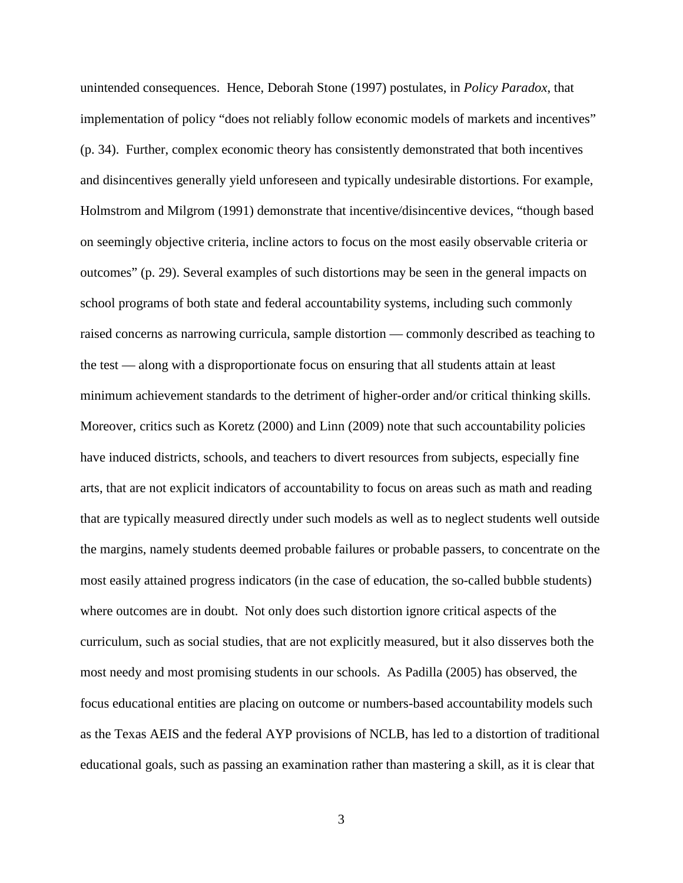unintended consequences. Hence, Deborah Stone (1997) postulates, in *Policy Paradox*, that implementation of policy "does not reliably follow economic models of markets and incentives" (p. 34). Further, complex economic theory has consistently demonstrated that both incentives and disincentives generally yield unforeseen and typically undesirable distortions. For example, Holmstrom and Milgrom (1991) demonstrate that incentive/disincentive devices, "though based on seemingly objective criteria, incline actors to focus on the most easily observable criteria or outcomes" (p. 29). Several examples of such distortions may be seen in the general impacts on school programs of both state and federal accountability systems, including such commonly raised concerns as narrowing curricula, sample distortion — commonly described as teaching to the test — along with a disproportionate focus on ensuring that all students attain at least minimum achievement standards to the detriment of higher-order and/or critical thinking skills. Moreover, critics such as Koretz (2000) and Linn (2009) note that such accountability policies have induced districts, schools, and teachers to divert resources from subjects, especially fine arts, that are not explicit indicators of accountability to focus on areas such as math and reading that are typically measured directly under such models as well as to neglect students well outside the margins, namely students deemed probable failures or probable passers, to concentrate on the most easily attained progress indicators (in the case of education, the so-called bubble students) where outcomes are in doubt. Not only does such distortion ignore critical aspects of the curriculum, such as social studies, that are not explicitly measured, but it also disserves both the most needy and most promising students in our schools. As Padilla (2005) has observed, the focus educational entities are placing on outcome or numbers-based accountability models such as the Texas AEIS and the federal AYP provisions of NCLB, has led to a distortion of traditional educational goals, such as passing an examination rather than mastering a skill, as it is clear that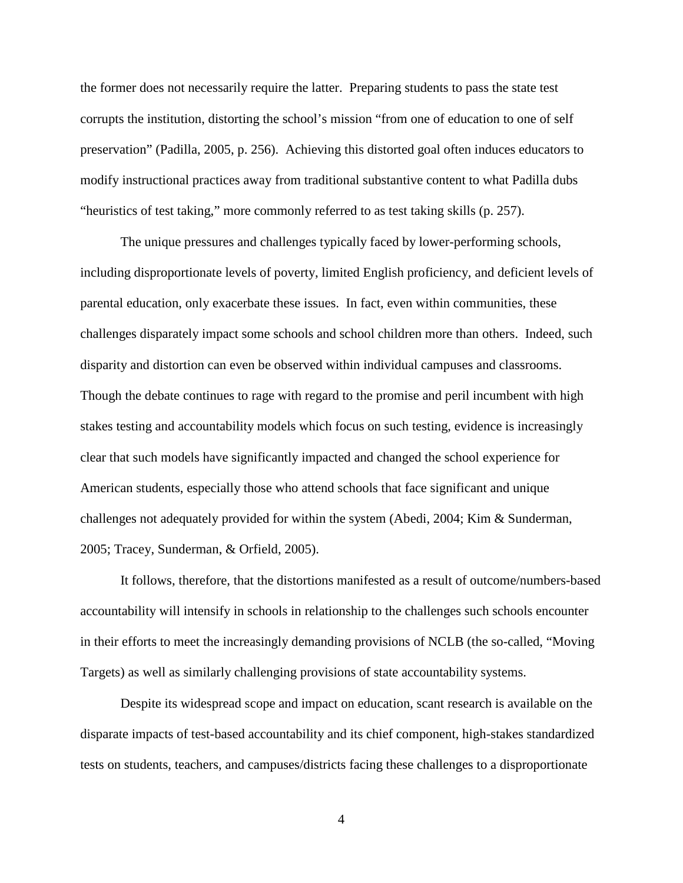the former does not necessarily require the latter. Preparing students to pass the state test corrupts the institution, distorting the school's mission "from one of education to one of self preservation" (Padilla, 2005, p. 256). Achieving this distorted goal often induces educators to modify instructional practices away from traditional substantive content to what Padilla dubs "heuristics of test taking," more commonly referred to as test taking skills (p. 257).

The unique pressures and challenges typically faced by lower-performing schools, including disproportionate levels of poverty, limited English proficiency, and deficient levels of parental education, only exacerbate these issues. In fact, even within communities, these challenges disparately impact some schools and school children more than others. Indeed, such disparity and distortion can even be observed within individual campuses and classrooms. Though the debate continues to rage with regard to the promise and peril incumbent with high stakes testing and accountability models which focus on such testing, evidence is increasingly clear that such models have significantly impacted and changed the school experience for American students, especially those who attend schools that face significant and unique challenges not adequately provided for within the system (Abedi, 2004; Kim & Sunderman, 2005; Tracey, Sunderman, & Orfield, 2005).

It follows, therefore, that the distortions manifested as a result of outcome/numbers-based accountability will intensify in schools in relationship to the challenges such schools encounter in their efforts to meet the increasingly demanding provisions of NCLB (the so-called, "Moving Targets) as well as similarly challenging provisions of state accountability systems.

Despite its widespread scope and impact on education, scant research is available on the disparate impacts of test-based accountability and its chief component, high-stakes standardized tests on students, teachers, and campuses/districts facing these challenges to a disproportionate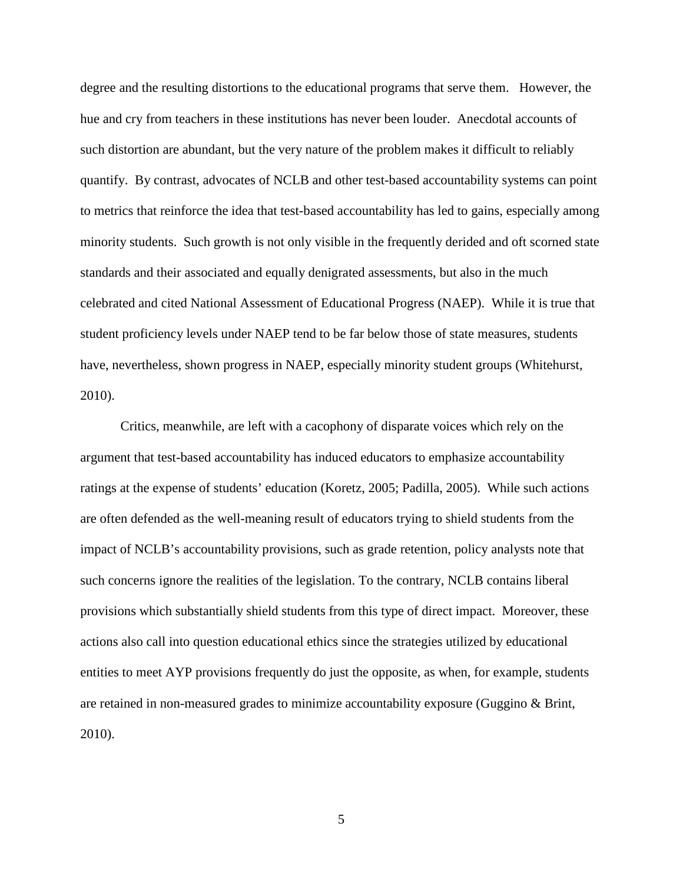degree and the resulting distortions to the educational programs that serve them. However, the hue and cry from teachers in these institutions has never been louder. Anecdotal accounts of such distortion are abundant, but the very nature of the problem makes it difficult to reliably quantify. By contrast, advocates of NCLB and other test-based accountability systems can point to metrics that reinforce the idea that test-based accountability has led to gains, especially among minority students. Such growth is not only visible in the frequently derided and oft scorned state standards and their associated and equally denigrated assessments, but also in the much celebrated and cited National Assessment of Educational Progress (NAEP). While it is true that student proficiency levels under NAEP tend to be far below those of state measures, students have, nevertheless, shown progress in NAEP, especially minority student groups (Whitehurst, 2010).

Critics, meanwhile, are left with a cacophony of disparate voices which rely on the argument that test-based accountability has induced educators to emphasize accountability ratings at the expense of students' education (Koretz, 2005; Padilla, 2005). While such actions are often defended as the well-meaning result of educators trying to shield students from the impact of NCLB's accountability provisions, such as grade retention, policy analysts note that such concerns ignore the realities of the legislation. To the contrary, NCLB contains liberal provisions which substantially shield students from this type of direct impact. Moreover, these actions also call into question educational ethics since the strategies utilized by educational entities to meet AYP provisions frequently do just the opposite, as when, for example, students are retained in non-measured grades to minimize accountability exposure (Guggino & Brint, 2010).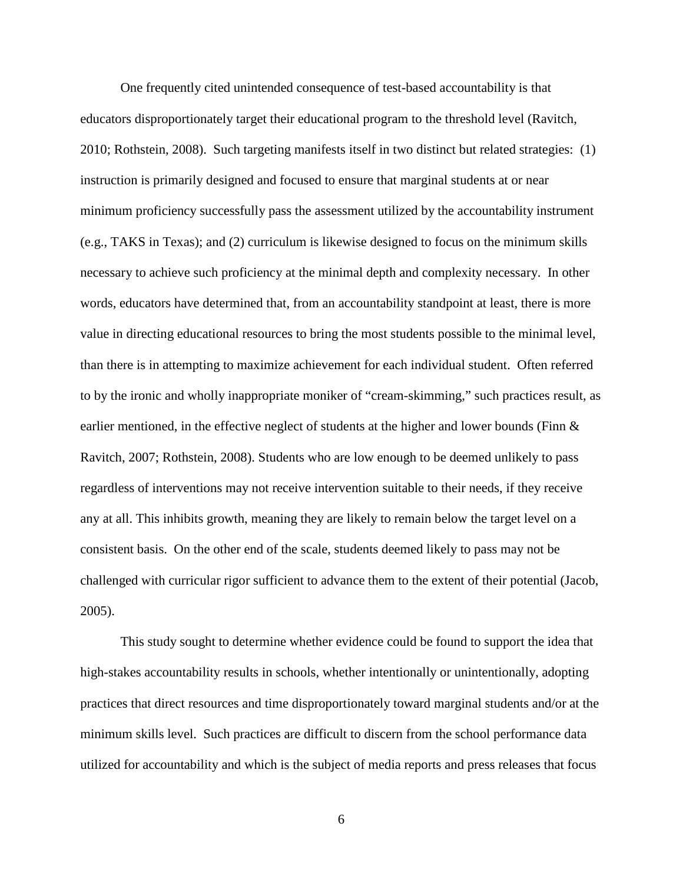One frequently cited unintended consequence of test-based accountability is that educators disproportionately target their educational program to the threshold level (Ravitch, 2010; Rothstein, 2008). Such targeting manifests itself in two distinct but related strategies: (1) instruction is primarily designed and focused to ensure that marginal students at or near minimum proficiency successfully pass the assessment utilized by the accountability instrument (e.g., TAKS in Texas); and (2) curriculum is likewise designed to focus on the minimum skills necessary to achieve such proficiency at the minimal depth and complexity necessary. In other words, educators have determined that, from an accountability standpoint at least, there is more value in directing educational resources to bring the most students possible to the minimal level, than there is in attempting to maximize achievement for each individual student. Often referred to by the ironic and wholly inappropriate moniker of "cream-skimming," such practices result, as earlier mentioned, in the effective neglect of students at the higher and lower bounds (Finn & Ravitch, 2007; Rothstein, 2008). Students who are low enough to be deemed unlikely to pass regardless of interventions may not receive intervention suitable to their needs, if they receive any at all. This inhibits growth, meaning they are likely to remain below the target level on a consistent basis. On the other end of the scale, students deemed likely to pass may not be challenged with curricular rigor sufficient to advance them to the extent of their potential (Jacob, 2005).

This study sought to determine whether evidence could be found to support the idea that high-stakes accountability results in schools, whether intentionally or unintentionally, adopting practices that direct resources and time disproportionately toward marginal students and/or at the minimum skills level. Such practices are difficult to discern from the school performance data utilized for accountability and which is the subject of media reports and press releases that focus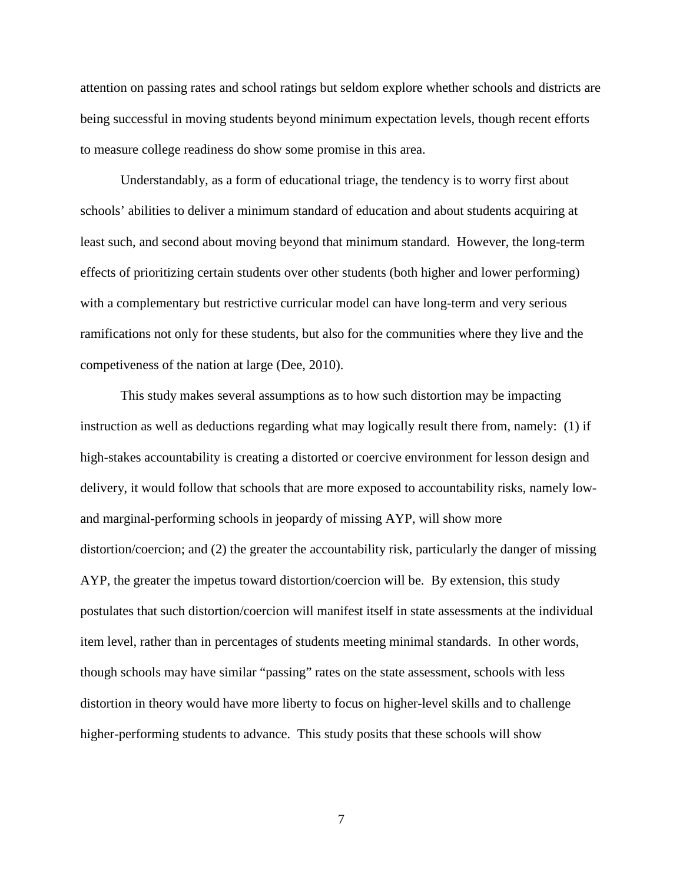attention on passing rates and school ratings but seldom explore whether schools and districts are being successful in moving students beyond minimum expectation levels, though recent efforts to measure college readiness do show some promise in this area.

Understandably, as a form of educational triage, the tendency is to worry first about schools' abilities to deliver a minimum standard of education and about students acquiring at least such, and second about moving beyond that minimum standard. However, the long-term effects of prioritizing certain students over other students (both higher and lower performing) with a complementary but restrictive curricular model can have long-term and very serious ramifications not only for these students, but also for the communities where they live and the competiveness of the nation at large (Dee, 2010).

This study makes several assumptions as to how such distortion may be impacting instruction as well as deductions regarding what may logically result there from, namely: (1) if high-stakes accountability is creating a distorted or coercive environment for lesson design and delivery, it would follow that schools that are more exposed to accountability risks, namely lowand marginal-performing schools in jeopardy of missing AYP, will show more distortion/coercion; and (2) the greater the accountability risk, particularly the danger of missing AYP, the greater the impetus toward distortion/coercion will be. By extension, this study postulates that such distortion/coercion will manifest itself in state assessments at the individual item level, rather than in percentages of students meeting minimal standards. In other words, though schools may have similar "passing" rates on the state assessment, schools with less distortion in theory would have more liberty to focus on higher-level skills and to challenge higher-performing students to advance. This study posits that these schools will show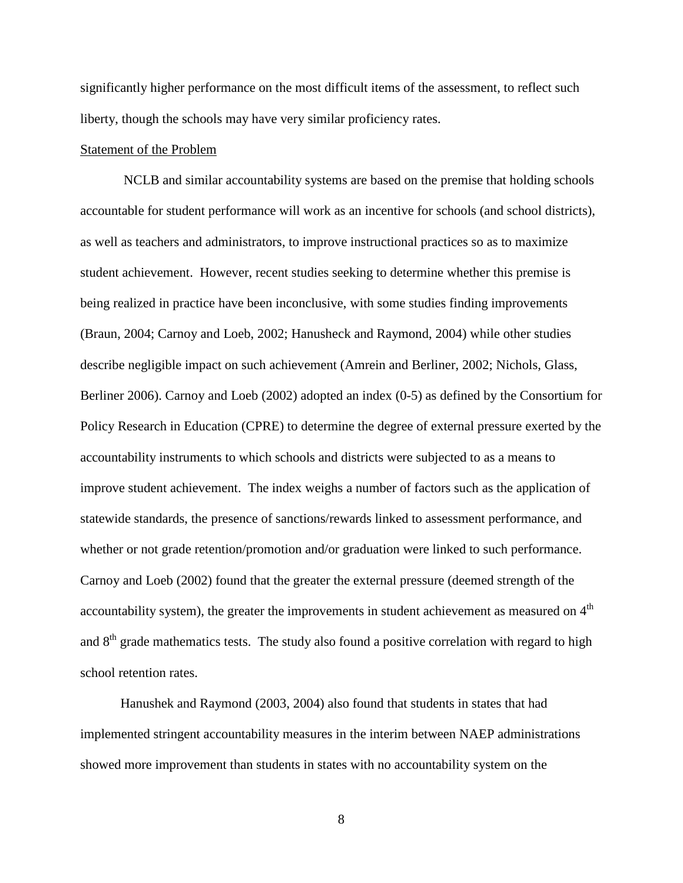significantly higher performance on the most difficult items of the assessment, to reflect such liberty, though the schools may have very similar proficiency rates.

### Statement of the Problem

NCLB and similar accountability systems are based on the premise that holding schools accountable for student performance will work as an incentive for schools (and school districts), as well as teachers and administrators, to improve instructional practices so as to maximize student achievement. However, recent studies seeking to determine whether this premise is being realized in practice have been inconclusive, with some studies finding improvements (Braun, 2004; Carnoy and Loeb, 2002; Hanusheck and Raymond, 2004) while other studies describe negligible impact on such achievement (Amrein and Berliner, 2002; Nichols, Glass, Berliner 2006). Carnoy and Loeb (2002) adopted an index (0-5) as defined by the Consortium for Policy Research in Education (CPRE) to determine the degree of external pressure exerted by the accountability instruments to which schools and districts were subjected to as a means to improve student achievement. The index weighs a number of factors such as the application of statewide standards, the presence of sanctions/rewards linked to assessment performance, and whether or not grade retention/promotion and/or graduation were linked to such performance. Carnoy and Loeb (2002) found that the greater the external pressure (deemed strength of the accountability system), the greater the improvements in student achievement as measured on  $4<sup>th</sup>$ and  $8<sup>th</sup>$  grade mathematics tests. The study also found a positive correlation with regard to high school retention rates.

Hanushek and Raymond (2003, 2004) also found that students in states that had implemented stringent accountability measures in the interim between NAEP administrations showed more improvement than students in states with no accountability system on the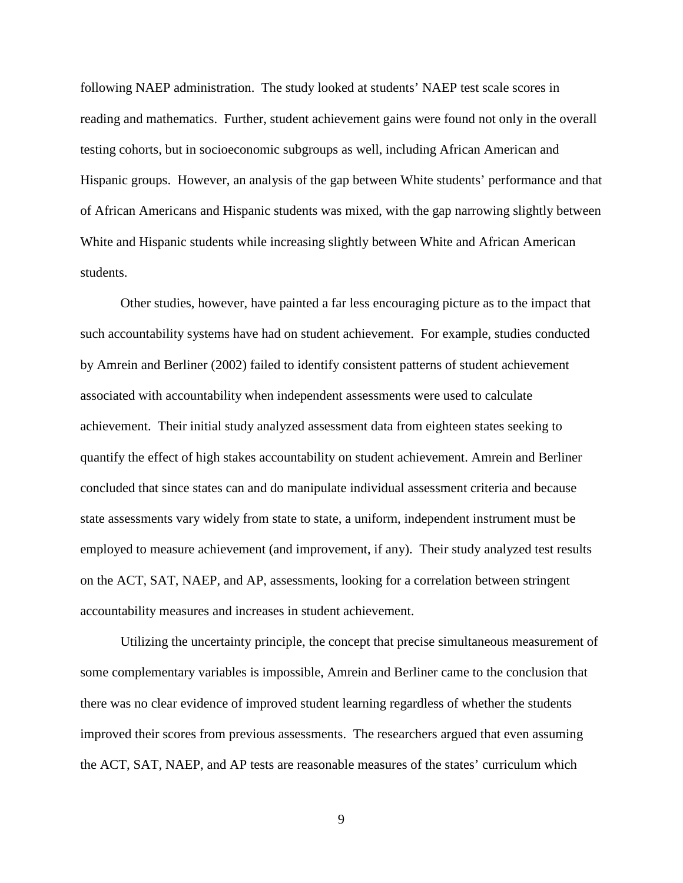following NAEP administration. The study looked at students' NAEP test scale scores in reading and mathematics. Further, student achievement gains were found not only in the overall testing cohorts, but in socioeconomic subgroups as well, including African American and Hispanic groups. However, an analysis of the gap between White students' performance and that of African Americans and Hispanic students was mixed, with the gap narrowing slightly between White and Hispanic students while increasing slightly between White and African American students.

Other studies, however, have painted a far less encouraging picture as to the impact that such accountability systems have had on student achievement. For example, studies conducted by Amrein and Berliner (2002) failed to identify consistent patterns of student achievement associated with accountability when independent assessments were used to calculate achievement. Their initial study analyzed assessment data from eighteen states seeking to quantify the effect of high stakes accountability on student achievement. Amrein and Berliner concluded that since states can and do manipulate individual assessment criteria and because state assessments vary widely from state to state, a uniform, independent instrument must be employed to measure achievement (and improvement, if any). Their study analyzed test results on the ACT, SAT, NAEP, and AP, assessments, looking for a correlation between stringent accountability measures and increases in student achievement.

Utilizing the uncertainty principle, the concept that precise simultaneous measurement of some complementary variables is impossible, Amrein and Berliner came to the conclusion that there was no clear evidence of improved student learning regardless of whether the students improved their scores from previous assessments. The researchers argued that even assuming the ACT, SAT, NAEP, and AP tests are reasonable measures of the states' curriculum which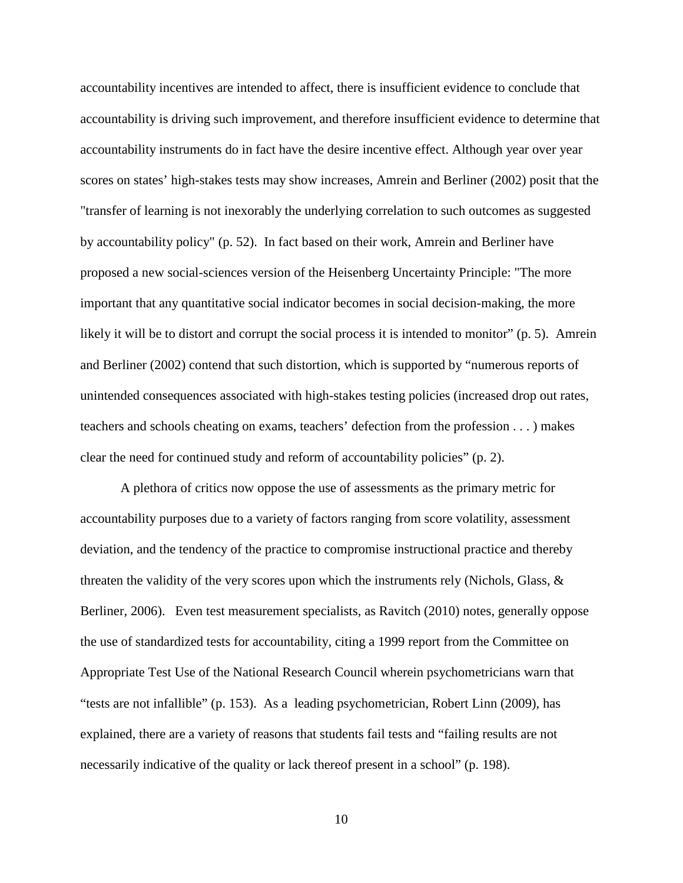accountability incentives are intended to affect, there is insufficient evidence to conclude that accountability is driving such improvement, and therefore insufficient evidence to determine that accountability instruments do in fact have the desire incentive effect. Although year over year scores on states' high-stakes tests may show increases, Amrein and Berliner (2002) posit that the "transfer of learning is not inexorably the underlying correlation to such outcomes as suggested by accountability policy" (p. 52). In fact based on their work, Amrein and Berliner have proposed a new social-sciences version of the Heisenberg Uncertainty Principle: "The more important that any quantitative social indicator becomes in social decision-making, the more likely it will be to distort and corrupt the social process it is intended to monitor" (p. 5). Amrein and Berliner (2002) contend that such distortion, which is supported by "numerous reports of unintended consequences associated with high-stakes testing policies (increased drop out rates, teachers and schools cheating on exams, teachers' defection from the profession . . . ) makes clear the need for continued study and reform of accountability policies" (p. 2).

A plethora of critics now oppose the use of assessments as the primary metric for accountability purposes due to a variety of factors ranging from score volatility, assessment deviation, and the tendency of the practice to compromise instructional practice and thereby threaten the validity of the very scores upon which the instruments rely (Nichols, Glass,  $\&$ Berliner, 2006). Even test measurement specialists, as Ravitch (2010) notes, generally oppose the use of standardized tests for accountability, citing a 1999 report from the Committee on Appropriate Test Use of the National Research Council wherein psychometricians warn that "tests are not infallible" (p. 153). As a leading psychometrician, Robert Linn (2009), has explained, there are a variety of reasons that students fail tests and "failing results are not necessarily indicative of the quality or lack thereof present in a school" (p. 198).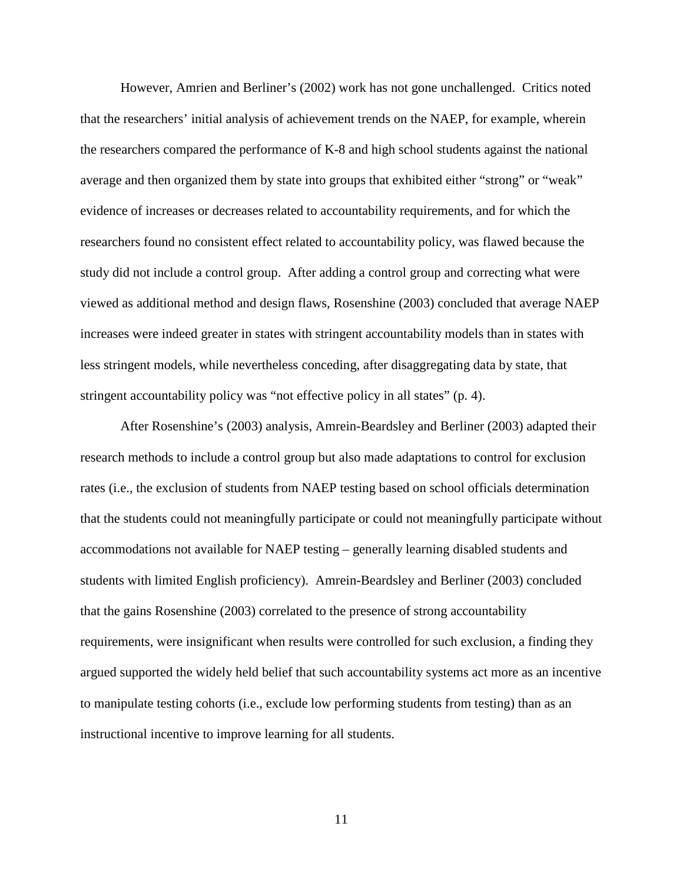However, Amrien and Berliner's (2002) work has not gone unchallenged. Critics noted that the researchers' initial analysis of achievement trends on the NAEP, for example, wherein the researchers compared the performance of K-8 and high school students against the national average and then organized them by state into groups that exhibited either "strong" or "weak" evidence of increases or decreases related to accountability requirements, and for which the researchers found no consistent effect related to accountability policy, was flawed because the study did not include a control group. After adding a control group and correcting what were viewed as additional method and design flaws, Rosenshine (2003) concluded that average NAEP increases were indeed greater in states with stringent accountability models than in states with less stringent models, while nevertheless conceding, after disaggregating data by state, that stringent accountability policy was "not effective policy in all states" (p. 4).

After Rosenshine's (2003) analysis, Amrein-Beardsley and Berliner (2003) adapted their research methods to include a control group but also made adaptations to control for exclusion rates (i.e., the exclusion of students from NAEP testing based on school officials determination that the students could not meaningfully participate or could not meaningfully participate without accommodations not available for NAEP testing – generally learning disabled students and students with limited English proficiency). Amrein-Beardsley and Berliner (2003) concluded that the gains Rosenshine (2003) correlated to the presence of strong accountability requirements, were insignificant when results were controlled for such exclusion, a finding they argued supported the widely held belief that such accountability systems act more as an incentive to manipulate testing cohorts (i.e., exclude low performing students from testing) than as an instructional incentive to improve learning for all students.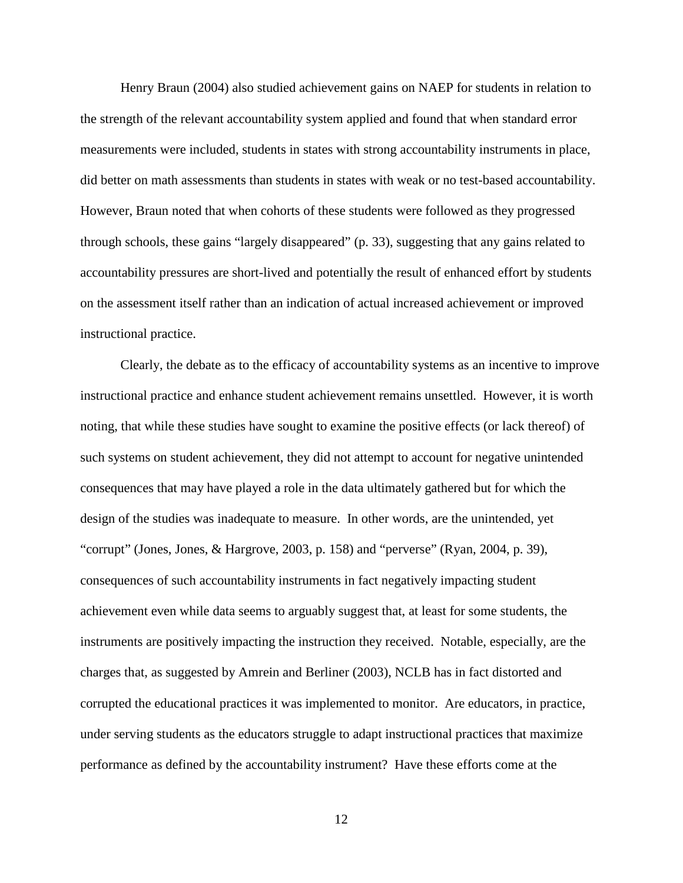Henry Braun (2004) also studied achievement gains on NAEP for students in relation to the strength of the relevant accountability system applied and found that when standard error measurements were included, students in states with strong accountability instruments in place, did better on math assessments than students in states with weak or no test-based accountability. However, Braun noted that when cohorts of these students were followed as they progressed through schools, these gains "largely disappeared" (p. 33), suggesting that any gains related to accountability pressures are short-lived and potentially the result of enhanced effort by students on the assessment itself rather than an indication of actual increased achievement or improved instructional practice.

Clearly, the debate as to the efficacy of accountability systems as an incentive to improve instructional practice and enhance student achievement remains unsettled. However, it is worth noting, that while these studies have sought to examine the positive effects (or lack thereof) of such systems on student achievement, they did not attempt to account for negative unintended consequences that may have played a role in the data ultimately gathered but for which the design of the studies was inadequate to measure. In other words, are the unintended, yet "corrupt" (Jones, Jones, & Hargrove, 2003, p. 158) and "perverse" (Ryan, 2004, p. 39), consequences of such accountability instruments in fact negatively impacting student achievement even while data seems to arguably suggest that, at least for some students, the instruments are positively impacting the instruction they received. Notable, especially, are the charges that, as suggested by Amrein and Berliner (2003), NCLB has in fact distorted and corrupted the educational practices it was implemented to monitor. Are educators, in practice, under serving students as the educators struggle to adapt instructional practices that maximize performance as defined by the accountability instrument? Have these efforts come at the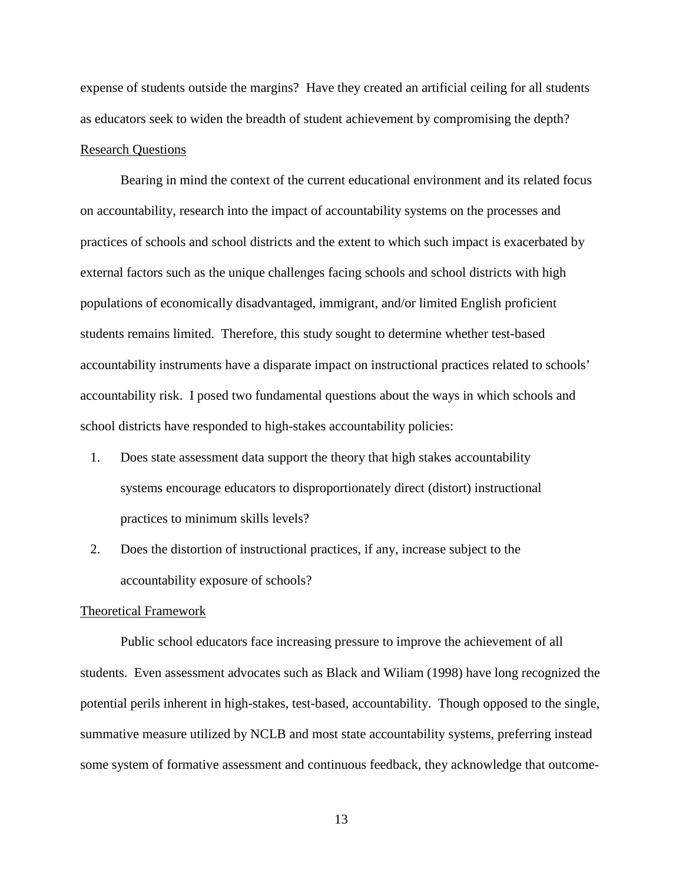expense of students outside the margins? Have they created an artificial ceiling for all students as educators seek to widen the breadth of student achievement by compromising the depth? Research Questions

Bearing in mind the context of the current educational environment and its related focus on accountability, research into the impact of accountability systems on the processes and practices of schools and school districts and the extent to which such impact is exacerbated by external factors such as the unique challenges facing schools and school districts with high populations of economically disadvantaged, immigrant, and/or limited English proficient students remains limited. Therefore, this study sought to determine whether test-based accountability instruments have a disparate impact on instructional practices related to schools' accountability risk. I posed two fundamental questions about the ways in which schools and school districts have responded to high-stakes accountability policies:

- 1. Does state assessment data support the theory that high stakes accountability systems encourage educators to disproportionately direct (distort) instructional practices to minimum skills levels?
- 2. Does the distortion of instructional practices, if any, increase subject to the accountability exposure of schools?

### Theoretical Framework

Public school educators face increasing pressure to improve the achievement of all students. Even assessment advocates such as Black and Wiliam (1998) have long recognized the potential perils inherent in high-stakes, test-based, accountability. Though opposed to the single, summative measure utilized by NCLB and most state accountability systems, preferring instead some system of formative assessment and continuous feedback, they acknowledge that outcome-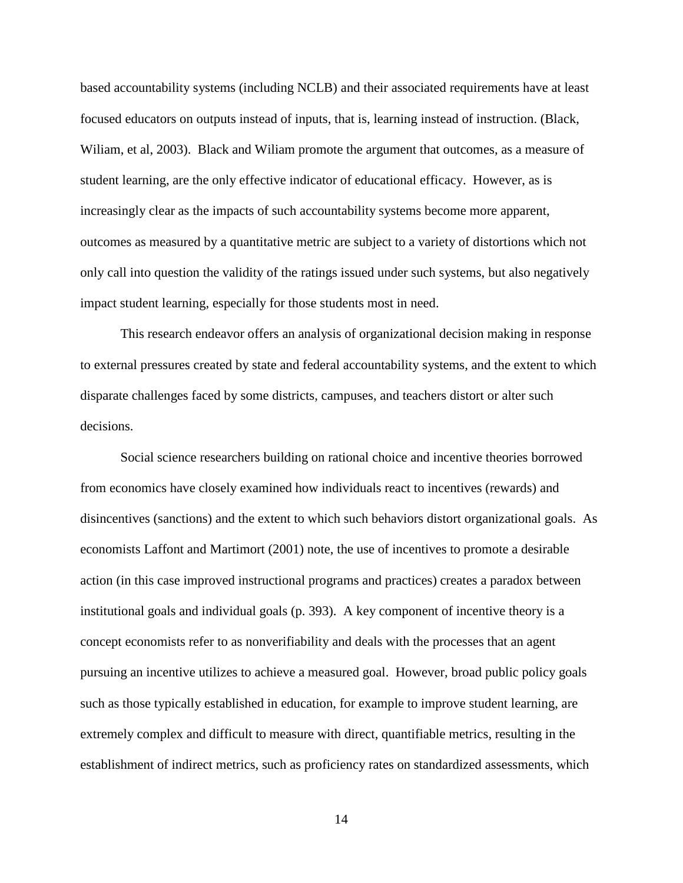based accountability systems (including NCLB) and their associated requirements have at least focused educators on outputs instead of inputs, that is, learning instead of instruction. (Black, Wiliam, et al, 2003). Black and Wiliam promote the argument that outcomes, as a measure of student learning, are the only effective indicator of educational efficacy. However, as is increasingly clear as the impacts of such accountability systems become more apparent, outcomes as measured by a quantitative metric are subject to a variety of distortions which not only call into question the validity of the ratings issued under such systems, but also negatively impact student learning, especially for those students most in need.

This research endeavor offers an analysis of organizational decision making in response to external pressures created by state and federal accountability systems, and the extent to which disparate challenges faced by some districts, campuses, and teachers distort or alter such decisions.

Social science researchers building on rational choice and incentive theories borrowed from economics have closely examined how individuals react to incentives (rewards) and disincentives (sanctions) and the extent to which such behaviors distort organizational goals. As economists Laffont and Martimort (2001) note, the use of incentives to promote a desirable action (in this case improved instructional programs and practices) creates a paradox between institutional goals and individual goals (p. 393). A key component of incentive theory is a concept economists refer to as nonverifiability and deals with the processes that an agent pursuing an incentive utilizes to achieve a measured goal. However, broad public policy goals such as those typically established in education, for example to improve student learning, are extremely complex and difficult to measure with direct, quantifiable metrics, resulting in the establishment of indirect metrics, such as proficiency rates on standardized assessments, which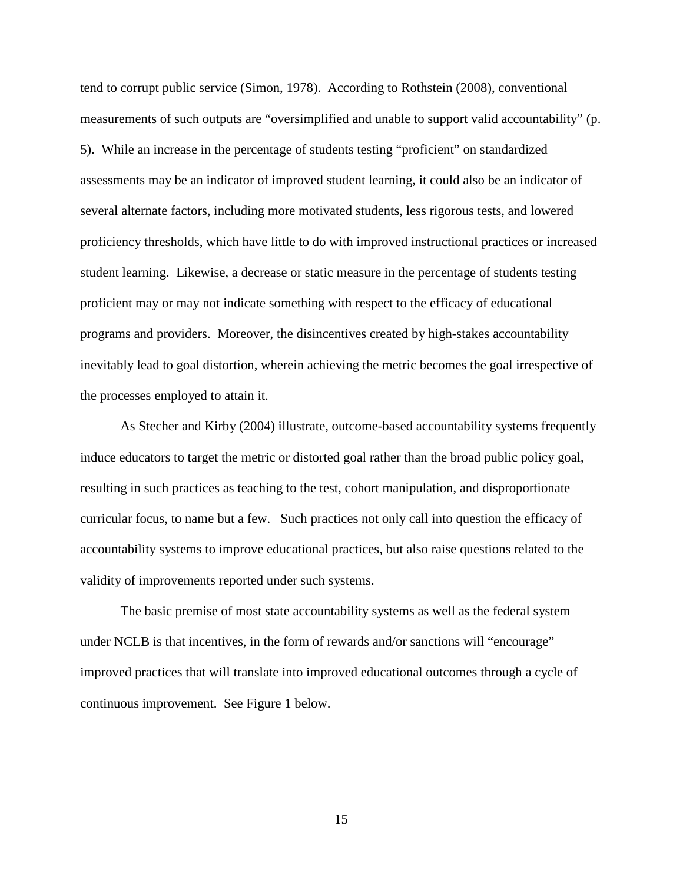tend to corrupt public service (Simon, 1978). According to Rothstein (2008), conventional measurements of such outputs are "oversimplified and unable to support valid accountability" (p. 5). While an increase in the percentage of students testing "proficient" on standardized assessments may be an indicator of improved student learning, it could also be an indicator of several alternate factors, including more motivated students, less rigorous tests, and lowered proficiency thresholds, which have little to do with improved instructional practices or increased student learning. Likewise, a decrease or static measure in the percentage of students testing proficient may or may not indicate something with respect to the efficacy of educational programs and providers. Moreover, the disincentives created by high-stakes accountability inevitably lead to goal distortion, wherein achieving the metric becomes the goal irrespective of the processes employed to attain it.

As Stecher and Kirby (2004) illustrate, outcome-based accountability systems frequently induce educators to target the metric or distorted goal rather than the broad public policy goal, resulting in such practices as teaching to the test, cohort manipulation, and disproportionate curricular focus, to name but a few. Such practices not only call into question the efficacy of accountability systems to improve educational practices, but also raise questions related to the validity of improvements reported under such systems.

The basic premise of most state accountability systems as well as the federal system under NCLB is that incentives, in the form of rewards and/or sanctions will "encourage" improved practices that will translate into improved educational outcomes through a cycle of continuous improvement. See Figure 1 below.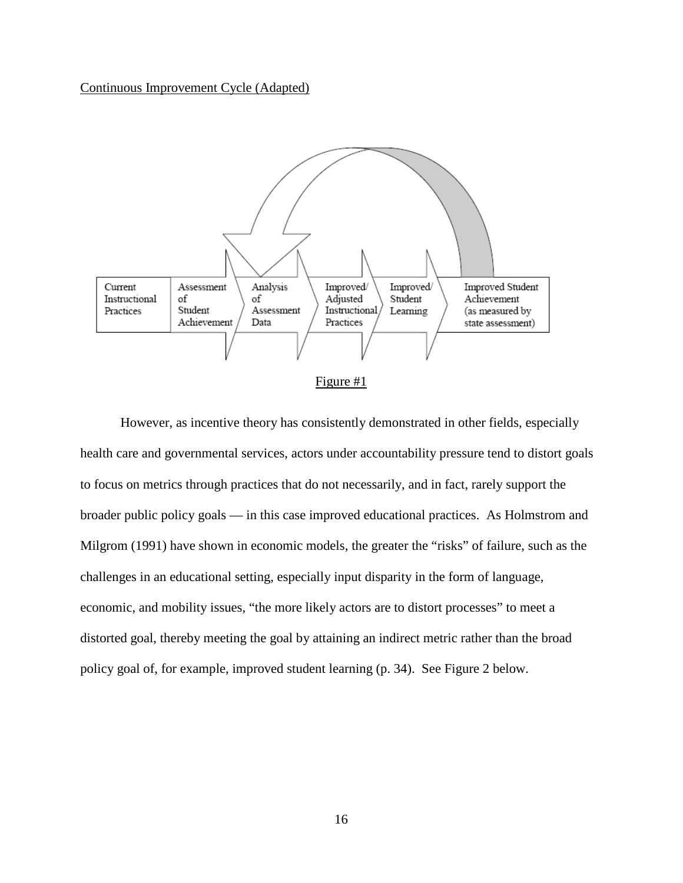### Continuous Improvement Cycle (Adapted)



Figure #1

However, as incentive theory has consistently demonstrated in other fields, especially health care and governmental services, actors under accountability pressure tend to distort goals to focus on metrics through practices that do not necessarily, and in fact, rarely support the broader public policy goals — in this case improved educational practices. As Holmstrom and Milgrom (1991) have shown in economic models, the greater the "risks" of failure, such as the challenges in an educational setting, especially input disparity in the form of language, economic, and mobility issues, "the more likely actors are to distort processes" to meet a distorted goal, thereby meeting the goal by attaining an indirect metric rather than the broad policy goal of, for example, improved student learning (p. 34). See Figure 2 below.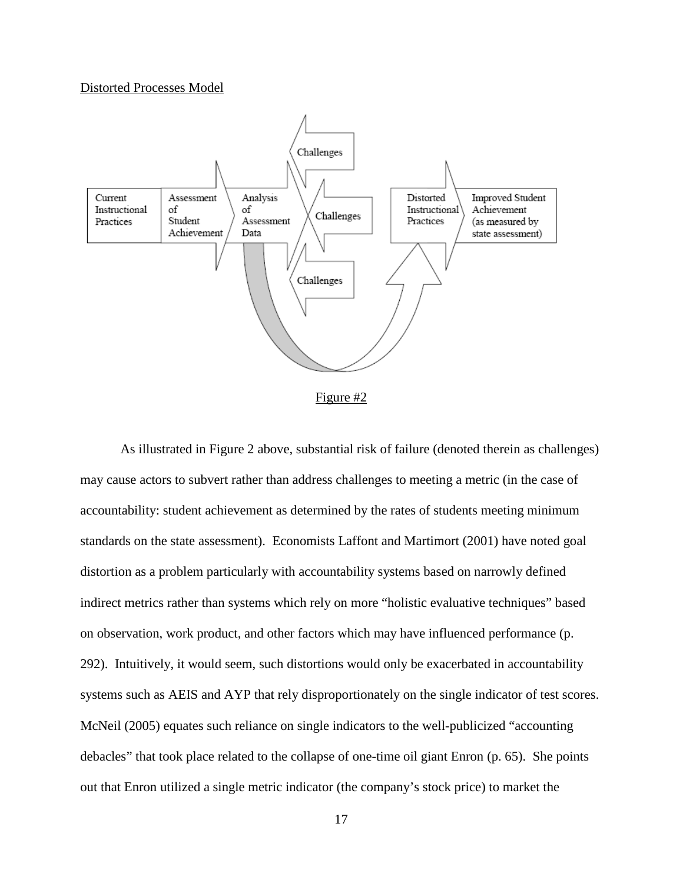#### Distorted Processes Model



Figure #2

As illustrated in Figure 2 above, substantial risk of failure (denoted therein as challenges) may cause actors to subvert rather than address challenges to meeting a metric (in the case of accountability: student achievement as determined by the rates of students meeting minimum standards on the state assessment). Economists Laffont and Martimort (2001) have noted goal distortion as a problem particularly with accountability systems based on narrowly defined indirect metrics rather than systems which rely on more "holistic evaluative techniques" based on observation, work product, and other factors which may have influenced performance (p. 292). Intuitively, it would seem, such distortions would only be exacerbated in accountability systems such as AEIS and AYP that rely disproportionately on the single indicator of test scores. McNeil (2005) equates such reliance on single indicators to the well-publicized "accounting debacles" that took place related to the collapse of one-time oil giant Enron (p. 65). She points out that Enron utilized a single metric indicator (the company's stock price) to market the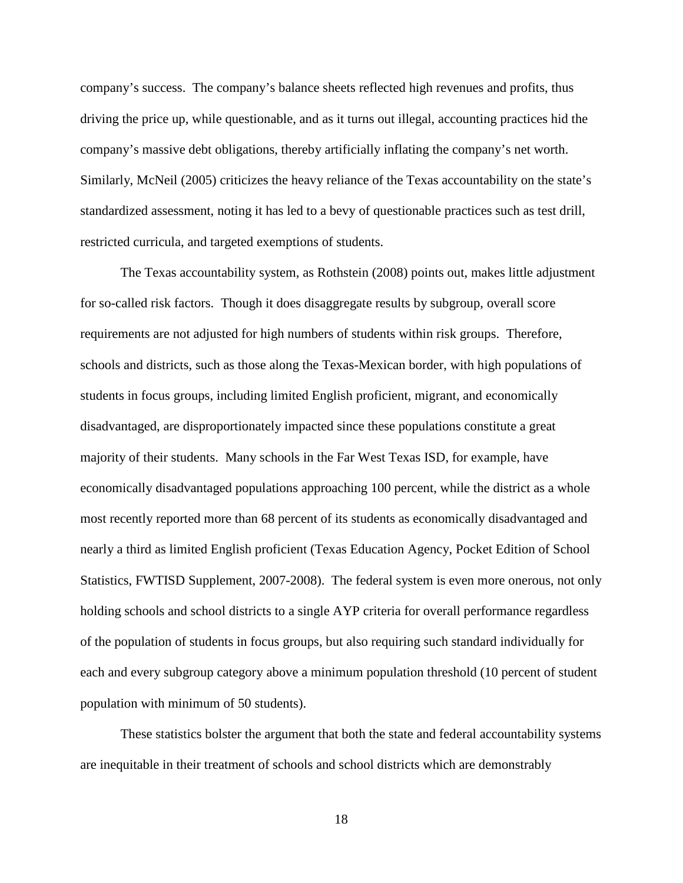company's success. The company's balance sheets reflected high revenues and profits, thus driving the price up, while questionable, and as it turns out illegal, accounting practices hid the company's massive debt obligations, thereby artificially inflating the company's net worth. Similarly, McNeil (2005) criticizes the heavy reliance of the Texas accountability on the state's standardized assessment, noting it has led to a bevy of questionable practices such as test drill, restricted curricula, and targeted exemptions of students.

The Texas accountability system, as Rothstein (2008) points out, makes little adjustment for so-called risk factors. Though it does disaggregate results by subgroup, overall score requirements are not adjusted for high numbers of students within risk groups. Therefore, schools and districts, such as those along the Texas-Mexican border, with high populations of students in focus groups, including limited English proficient, migrant, and economically disadvantaged, are disproportionately impacted since these populations constitute a great majority of their students. Many schools in the Far West Texas ISD, for example, have economically disadvantaged populations approaching 100 percent, while the district as a whole most recently reported more than 68 percent of its students as economically disadvantaged and nearly a third as limited English proficient (Texas Education Agency, Pocket Edition of School Statistics, FWTISD Supplement, 2007-2008). The federal system is even more onerous, not only holding schools and school districts to a single AYP criteria for overall performance regardless of the population of students in focus groups, but also requiring such standard individually for each and every subgroup category above a minimum population threshold (10 percent of student population with minimum of 50 students).

These statistics bolster the argument that both the state and federal accountability systems are inequitable in their treatment of schools and school districts which are demonstrably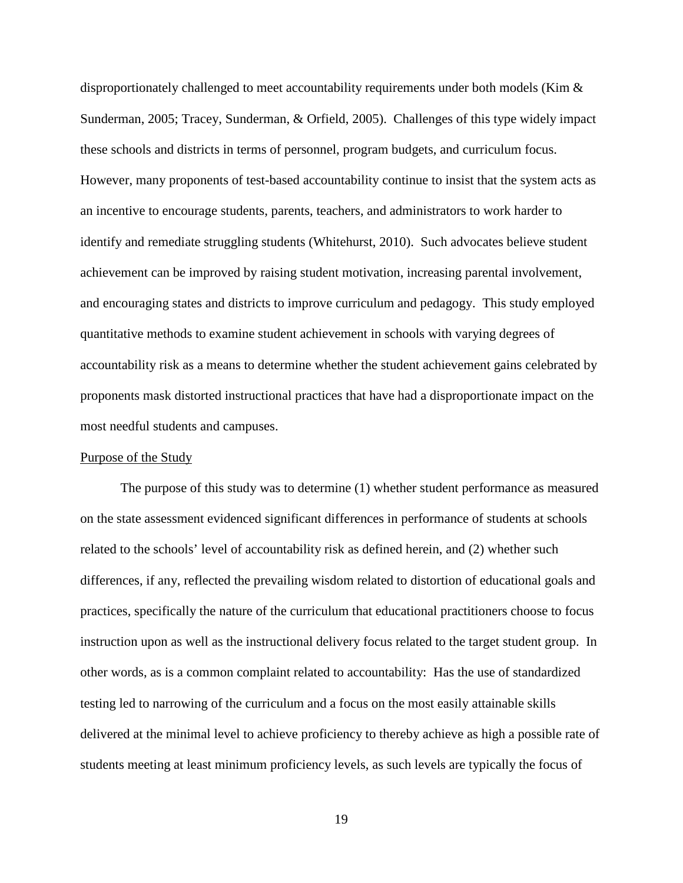disproportionately challenged to meet accountability requirements under both models (Kim & Sunderman, 2005; Tracey, Sunderman, & Orfield, 2005). Challenges of this type widely impact these schools and districts in terms of personnel, program budgets, and curriculum focus. However, many proponents of test-based accountability continue to insist that the system acts as an incentive to encourage students, parents, teachers, and administrators to work harder to identify and remediate struggling students (Whitehurst, 2010). Such advocates believe student achievement can be improved by raising student motivation, increasing parental involvement, and encouraging states and districts to improve curriculum and pedagogy. This study employed quantitative methods to examine student achievement in schools with varying degrees of accountability risk as a means to determine whether the student achievement gains celebrated by proponents mask distorted instructional practices that have had a disproportionate impact on the most needful students and campuses.

### Purpose of the Study

The purpose of this study was to determine (1) whether student performance as measured on the state assessment evidenced significant differences in performance of students at schools related to the schools' level of accountability risk as defined herein, and (2) whether such differences, if any, reflected the prevailing wisdom related to distortion of educational goals and practices, specifically the nature of the curriculum that educational practitioners choose to focus instruction upon as well as the instructional delivery focus related to the target student group. In other words, as is a common complaint related to accountability: Has the use of standardized testing led to narrowing of the curriculum and a focus on the most easily attainable skills delivered at the minimal level to achieve proficiency to thereby achieve as high a possible rate of students meeting at least minimum proficiency levels, as such levels are typically the focus of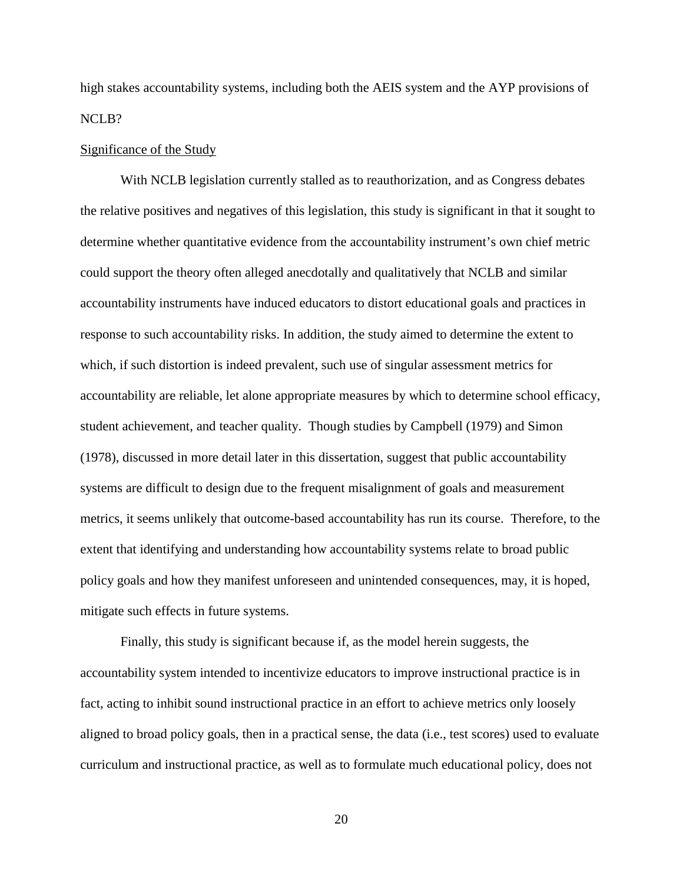high stakes accountability systems, including both the AEIS system and the AYP provisions of NCLB?

### Significance of the Study

With NCLB legislation currently stalled as to reauthorization, and as Congress debates the relative positives and negatives of this legislation, this study is significant in that it sought to determine whether quantitative evidence from the accountability instrument's own chief metric could support the theory often alleged anecdotally and qualitatively that NCLB and similar accountability instruments have induced educators to distort educational goals and practices in response to such accountability risks. In addition, the study aimed to determine the extent to which, if such distortion is indeed prevalent, such use of singular assessment metrics for accountability are reliable, let alone appropriate measures by which to determine school efficacy, student achievement, and teacher quality. Though studies by Campbell (1979) and Simon (1978), discussed in more detail later in this dissertation, suggest that public accountability systems are difficult to design due to the frequent misalignment of goals and measurement metrics, it seems unlikely that outcome-based accountability has run its course. Therefore, to the extent that identifying and understanding how accountability systems relate to broad public policy goals and how they manifest unforeseen and unintended consequences, may, it is hoped, mitigate such effects in future systems.

Finally, this study is significant because if, as the model herein suggests, the accountability system intended to incentivize educators to improve instructional practice is in fact, acting to inhibit sound instructional practice in an effort to achieve metrics only loosely aligned to broad policy goals, then in a practical sense, the data (i.e., test scores) used to evaluate curriculum and instructional practice, as well as to formulate much educational policy, does not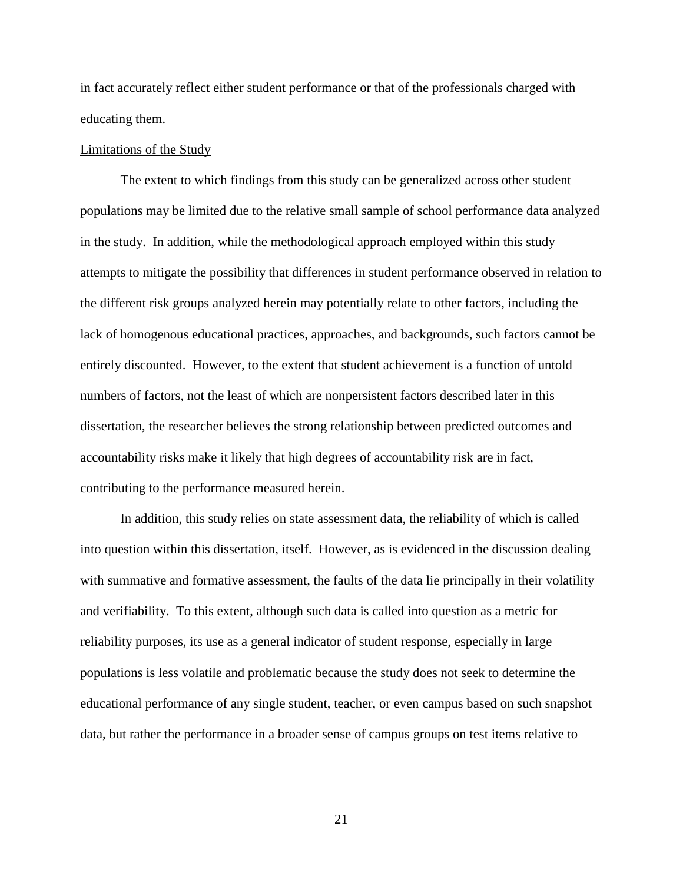in fact accurately reflect either student performance or that of the professionals charged with educating them.

### Limitations of the Study

The extent to which findings from this study can be generalized across other student populations may be limited due to the relative small sample of school performance data analyzed in the study. In addition, while the methodological approach employed within this study attempts to mitigate the possibility that differences in student performance observed in relation to the different risk groups analyzed herein may potentially relate to other factors, including the lack of homogenous educational practices, approaches, and backgrounds, such factors cannot be entirely discounted. However, to the extent that student achievement is a function of untold numbers of factors, not the least of which are nonpersistent factors described later in this dissertation, the researcher believes the strong relationship between predicted outcomes and accountability risks make it likely that high degrees of accountability risk are in fact, contributing to the performance measured herein.

In addition, this study relies on state assessment data, the reliability of which is called into question within this dissertation, itself. However, as is evidenced in the discussion dealing with summative and formative assessment, the faults of the data lie principally in their volatility and verifiability. To this extent, although such data is called into question as a metric for reliability purposes, its use as a general indicator of student response, especially in large populations is less volatile and problematic because the study does not seek to determine the educational performance of any single student, teacher, or even campus based on such snapshot data, but rather the performance in a broader sense of campus groups on test items relative to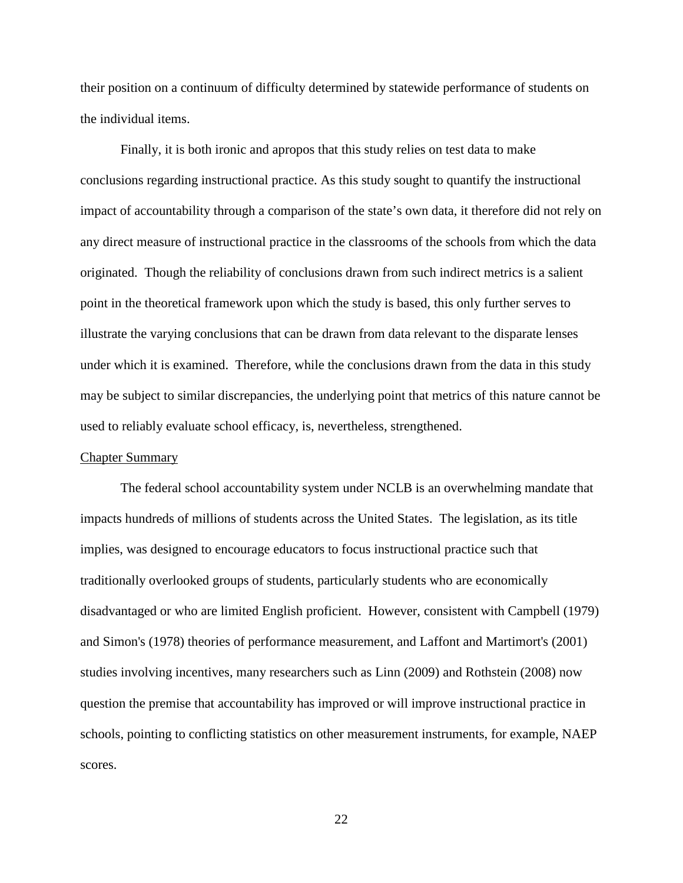their position on a continuum of difficulty determined by statewide performance of students on the individual items.

Finally, it is both ironic and apropos that this study relies on test data to make conclusions regarding instructional practice. As this study sought to quantify the instructional impact of accountability through a comparison of the state's own data, it therefore did not rely on any direct measure of instructional practice in the classrooms of the schools from which the data originated. Though the reliability of conclusions drawn from such indirect metrics is a salient point in the theoretical framework upon which the study is based, this only further serves to illustrate the varying conclusions that can be drawn from data relevant to the disparate lenses under which it is examined. Therefore, while the conclusions drawn from the data in this study may be subject to similar discrepancies, the underlying point that metrics of this nature cannot be used to reliably evaluate school efficacy, is, nevertheless, strengthened.

### Chapter Summary

The federal school accountability system under NCLB is an overwhelming mandate that impacts hundreds of millions of students across the United States. The legislation, as its title implies, was designed to encourage educators to focus instructional practice such that traditionally overlooked groups of students, particularly students who are economically disadvantaged or who are limited English proficient. However, consistent with Campbell (1979) and Simon's (1978) theories of performance measurement, and Laffont and Martimort's (2001) studies involving incentives, many researchers such as Linn (2009) and Rothstein (2008) now question the premise that accountability has improved or will improve instructional practice in schools, pointing to conflicting statistics on other measurement instruments, for example, NAEP scores.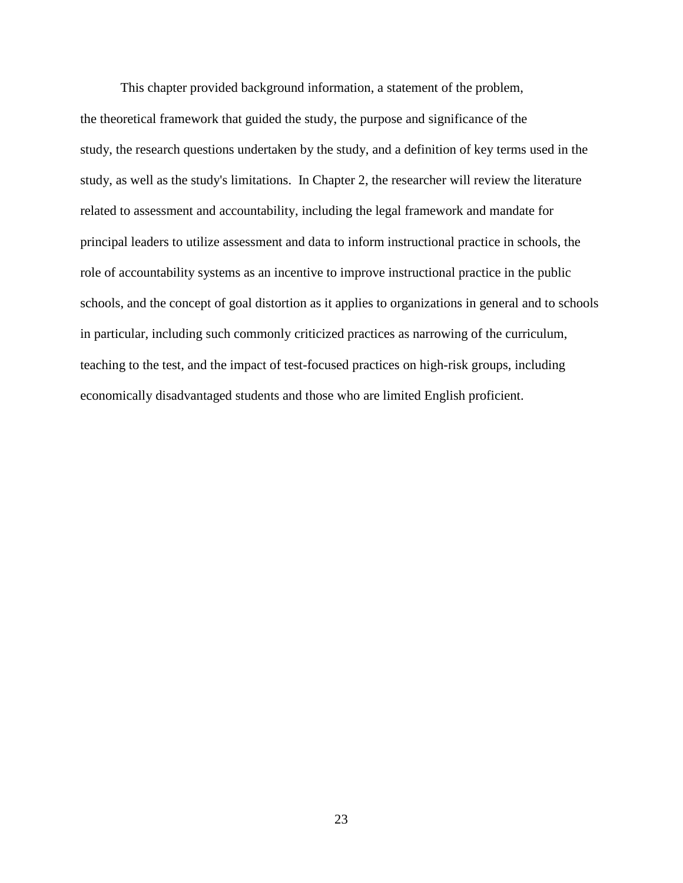This chapter provided background information, a statement of the problem, the theoretical framework that guided the study, the purpose and significance of the study, the research questions undertaken by the study, and a definition of key terms used in the study, as well as the study's limitations. In Chapter 2, the researcher will review the literature related to assessment and accountability, including the legal framework and mandate for principal leaders to utilize assessment and data to inform instructional practice in schools, the role of accountability systems as an incentive to improve instructional practice in the public schools, and the concept of goal distortion as it applies to organizations in general and to schools in particular, including such commonly criticized practices as narrowing of the curriculum, teaching to the test, and the impact of test-focused practices on high-risk groups, including economically disadvantaged students and those who are limited English proficient.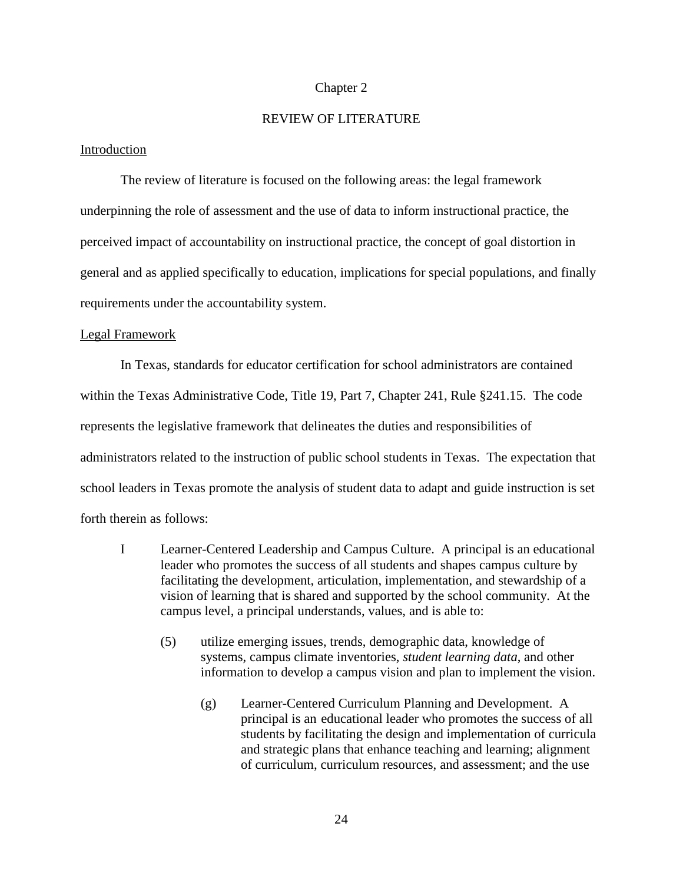### Chapter 2

## REVIEW OF LITERATURE

## Introduction

The review of literature is focused on the following areas: the legal framework underpinning the role of assessment and the use of data to inform instructional practice, the perceived impact of accountability on instructional practice, the concept of goal distortion in general and as applied specifically to education, implications for special populations, and finally requirements under the accountability system.

### Legal Framework

In Texas, standards for educator certification for school administrators are contained within the Texas Administrative Code, Title 19, Part 7, Chapter 241, Rule §241.15. The code represents the legislative framework that delineates the duties and responsibilities of administrators related to the instruction of public school students in Texas. The expectation that school leaders in Texas promote the analysis of student data to adapt and guide instruction is set forth therein as follows:

- I Learner-Centered Leadership and Campus Culture. A principal is an educational leader who promotes the success of all students and shapes campus culture by facilitating the development, articulation, implementation, and stewardship of a vision of learning that is shared and supported by the school community. At the campus level, a principal understands, values, and is able to:
	- (5) utilize emerging issues, trends, demographic data, knowledge of systems, campus climate inventories, *student learning data*, and other information to develop a campus vision and plan to implement the vision.
		- (g) Learner-Centered Curriculum Planning and Development. A principal is an educational leader who promotes the success of all students by facilitating the design and implementation of curricula and strategic plans that enhance teaching and learning; alignment of curriculum, curriculum resources, and assessment; and the use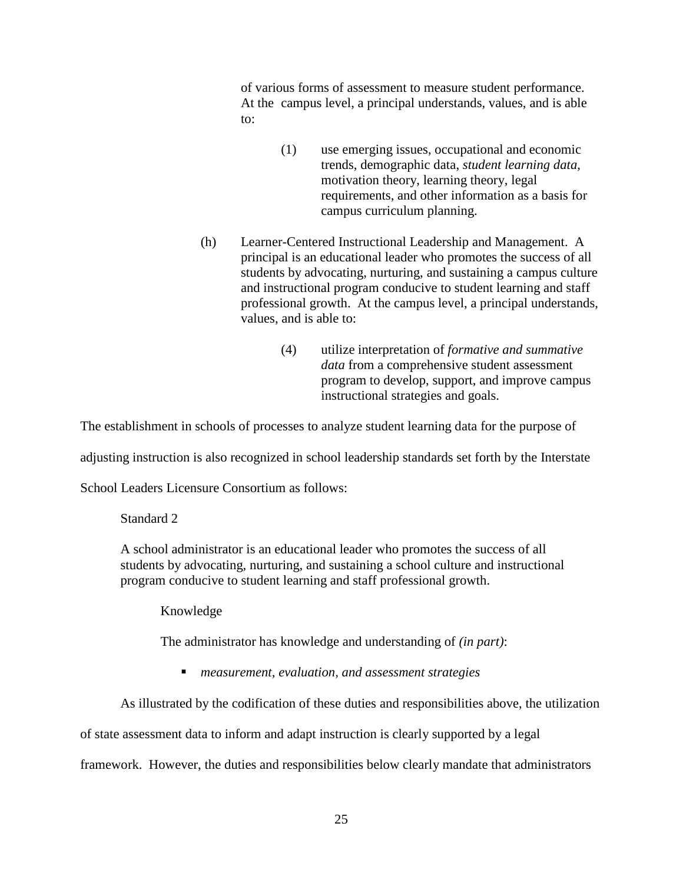of various forms of assessment to measure student performance. At the campus level, a principal understands, values, and is able to:

- (1) use emerging issues, occupational and economic trends, demographic data, *student learning data*, motivation theory, learning theory, legal requirements, and other information as a basis for campus curriculum planning.
- (h) Learner-Centered Instructional Leadership and Management. A principal is an educational leader who promotes the success of all students by advocating, nurturing, and sustaining a campus culture and instructional program conducive to student learning and staff professional growth. At the campus level, a principal understands, values, and is able to:
	- (4) utilize interpretation of *formative and summative data* from a comprehensive student assessment program to develop, support, and improve campus instructional strategies and goals.

The establishment in schools of processes to analyze student learning data for the purpose of

adjusting instruction is also recognized in school leadership standards set forth by the Interstate

School Leaders Licensure Consortium as follows:

## Standard 2

A school administrator is an educational leader who promotes the success of all students by advocating, nurturing, and sustaining a school culture and instructional program conducive to student learning and staff professional growth.

Knowledge

The administrator has knowledge and understanding of *(in part)*:

*measurement, evaluation, and assessment strategies*

As illustrated by the codification of these duties and responsibilities above, the utilization

of state assessment data to inform and adapt instruction is clearly supported by a legal

framework. However, the duties and responsibilities below clearly mandate that administrators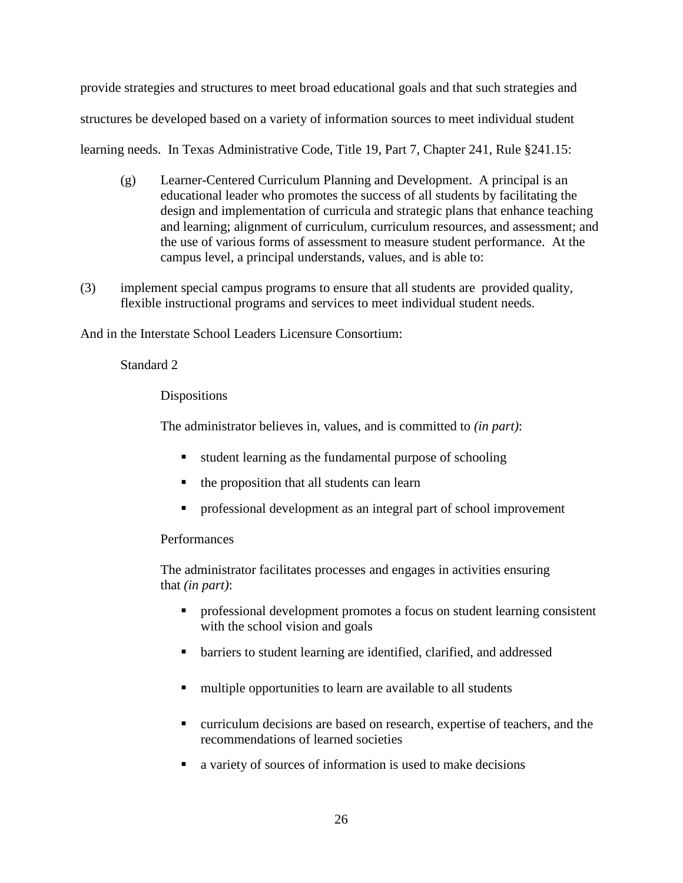provide strategies and structures to meet broad educational goals and that such strategies and structures be developed based on a variety of information sources to meet individual student learning needs. In Texas Administrative Code, Title 19, Part 7, Chapter 241, Rule §241.15:

- (g) Learner-Centered Curriculum Planning and Development. A principal is an educational leader who promotes the success of all students by facilitating the design and implementation of curricula and strategic plans that enhance teaching and learning; alignment of curriculum, curriculum resources, and assessment; and the use of various forms of assessment to measure student performance. At the campus level, a principal understands, values, and is able to:
- (3) implement special campus programs to ensure that all students are provided quality, flexible instructional programs and services to meet individual student needs.

And in the Interstate School Leaders Licensure Consortium:

Standard 2

Dispositions

The administrator believes in, values, and is committed to *(in part)*:

- student learning as the fundamental purpose of schooling
- the proposition that all students can learn
- professional development as an integral part of school improvement

# Performances

The administrator facilitates processes and engages in activities ensuring that *(in part)*:

- **PEDREGISTER 1** professional development promotes a focus on student learning consistent with the school vision and goals
- barriers to student learning are identified, clarified, and addressed
- multiple opportunities to learn are available to all students
- curriculum decisions are based on research, expertise of teachers, and the recommendations of learned societies
- a variety of sources of information is used to make decisions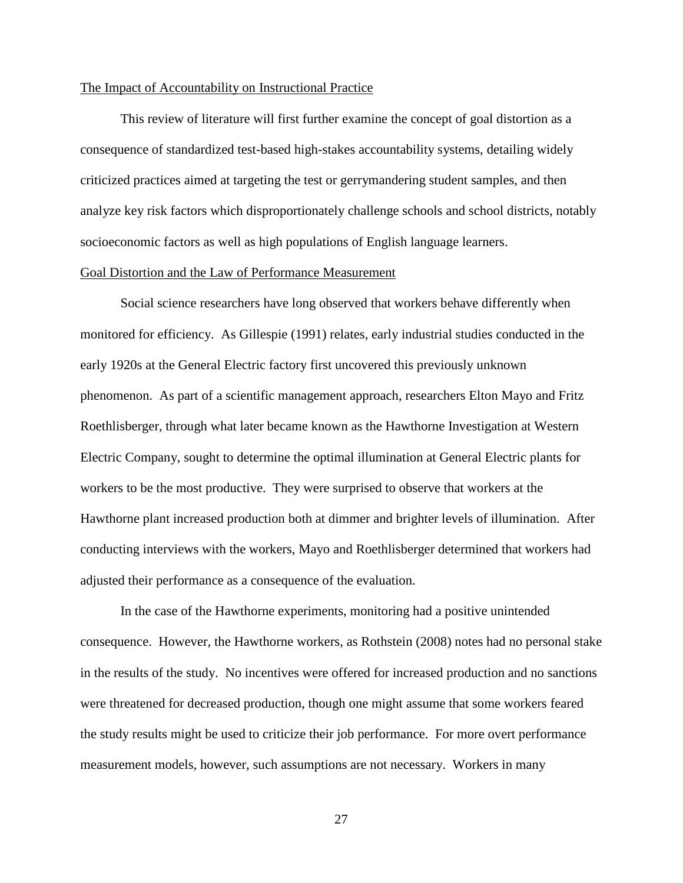### The Impact of Accountability on Instructional Practice

This review of literature will first further examine the concept of goal distortion as a consequence of standardized test-based high-stakes accountability systems, detailing widely criticized practices aimed at targeting the test or gerrymandering student samples, and then analyze key risk factors which disproportionately challenge schools and school districts, notably socioeconomic factors as well as high populations of English language learners.

## Goal Distortion and the Law of Performance Measurement

Social science researchers have long observed that workers behave differently when monitored for efficiency. As Gillespie (1991) relates, early industrial studies conducted in the early 1920s at the General Electric factory first uncovered this previously unknown phenomenon. As part of a scientific management approach, researchers Elton Mayo and Fritz Roethlisberger, through what later became known as the Hawthorne Investigation at Western Electric Company, sought to determine the optimal illumination at General Electric plants for workers to be the most productive. They were surprised to observe that workers at the Hawthorne plant increased production both at dimmer and brighter levels of illumination. After conducting interviews with the workers, Mayo and Roethlisberger determined that workers had adjusted their performance as a consequence of the evaluation.

In the case of the Hawthorne experiments, monitoring had a positive unintended consequence. However, the Hawthorne workers, as Rothstein (2008) notes had no personal stake in the results of the study. No incentives were offered for increased production and no sanctions were threatened for decreased production, though one might assume that some workers feared the study results might be used to criticize their job performance. For more overt performance measurement models, however, such assumptions are not necessary. Workers in many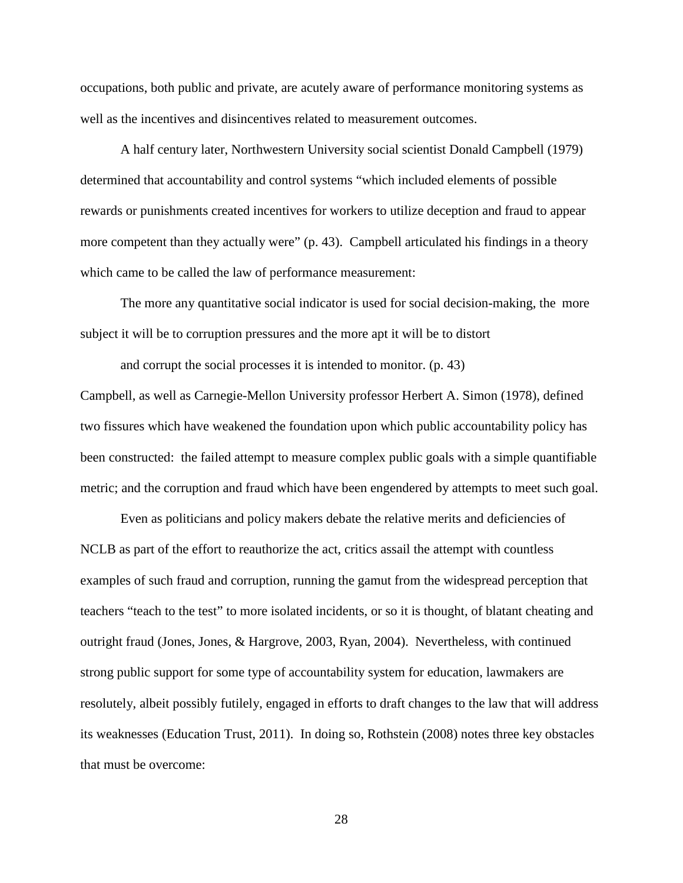occupations, both public and private, are acutely aware of performance monitoring systems as well as the incentives and disincentives related to measurement outcomes.

A half century later, Northwestern University social scientist Donald Campbell (1979) determined that accountability and control systems "which included elements of possible rewards or punishments created incentives for workers to utilize deception and fraud to appear more competent than they actually were" (p. 43). Campbell articulated his findings in a theory which came to be called the law of performance measurement:

The more any quantitative social indicator is used for social decision-making, the more subject it will be to corruption pressures and the more apt it will be to distort

and corrupt the social processes it is intended to monitor. (p. 43) Campbell, as well as Carnegie-Mellon University professor Herbert A. Simon (1978), defined two fissures which have weakened the foundation upon which public accountability policy has been constructed: the failed attempt to measure complex public goals with a simple quantifiable metric; and the corruption and fraud which have been engendered by attempts to meet such goal.

Even as politicians and policy makers debate the relative merits and deficiencies of NCLB as part of the effort to reauthorize the act, critics assail the attempt with countless examples of such fraud and corruption, running the gamut from the widespread perception that teachers "teach to the test" to more isolated incidents, or so it is thought, of blatant cheating and outright fraud (Jones, Jones, & Hargrove, 2003, Ryan, 2004). Nevertheless, with continued strong public support for some type of accountability system for education, lawmakers are resolutely, albeit possibly futilely, engaged in efforts to draft changes to the law that will address its weaknesses (Education Trust, 2011). In doing so, Rothstein (2008) notes three key obstacles that must be overcome: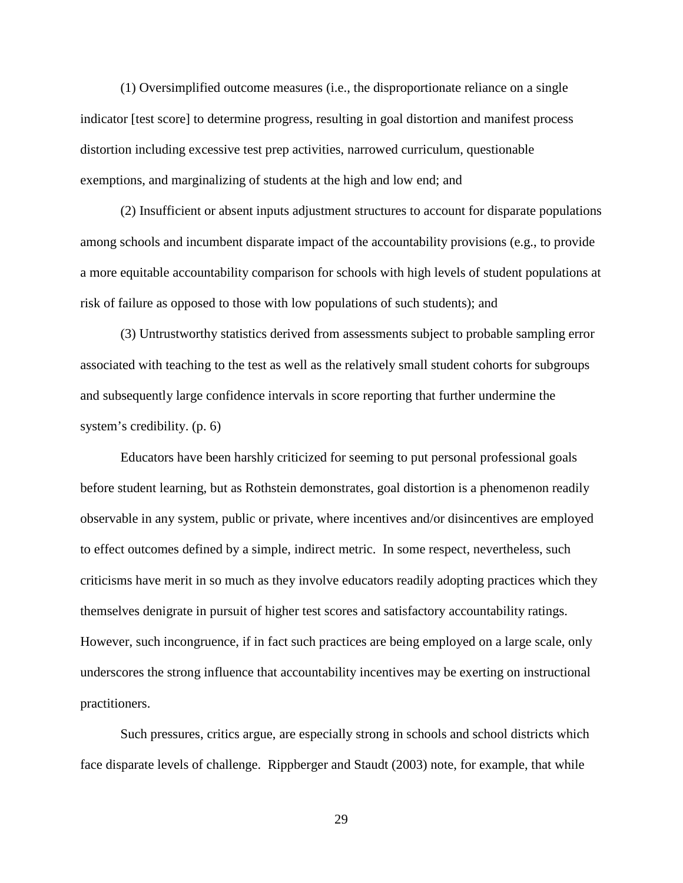(1) Oversimplified outcome measures (i.e., the disproportionate reliance on a single indicator [test score] to determine progress, resulting in goal distortion and manifest process distortion including excessive test prep activities, narrowed curriculum, questionable exemptions, and marginalizing of students at the high and low end; and

(2) Insufficient or absent inputs adjustment structures to account for disparate populations among schools and incumbent disparate impact of the accountability provisions (e.g., to provide a more equitable accountability comparison for schools with high levels of student populations at risk of failure as opposed to those with low populations of such students); and

(3) Untrustworthy statistics derived from assessments subject to probable sampling error associated with teaching to the test as well as the relatively small student cohorts for subgroups and subsequently large confidence intervals in score reporting that further undermine the system's credibility. (p. 6)

Educators have been harshly criticized for seeming to put personal professional goals before student learning, but as Rothstein demonstrates, goal distortion is a phenomenon readily observable in any system, public or private, where incentives and/or disincentives are employed to effect outcomes defined by a simple, indirect metric. In some respect, nevertheless, such criticisms have merit in so much as they involve educators readily adopting practices which they themselves denigrate in pursuit of higher test scores and satisfactory accountability ratings. However, such incongruence, if in fact such practices are being employed on a large scale, only underscores the strong influence that accountability incentives may be exerting on instructional practitioners.

Such pressures, critics argue, are especially strong in schools and school districts which face disparate levels of challenge. Rippberger and Staudt (2003) note, for example, that while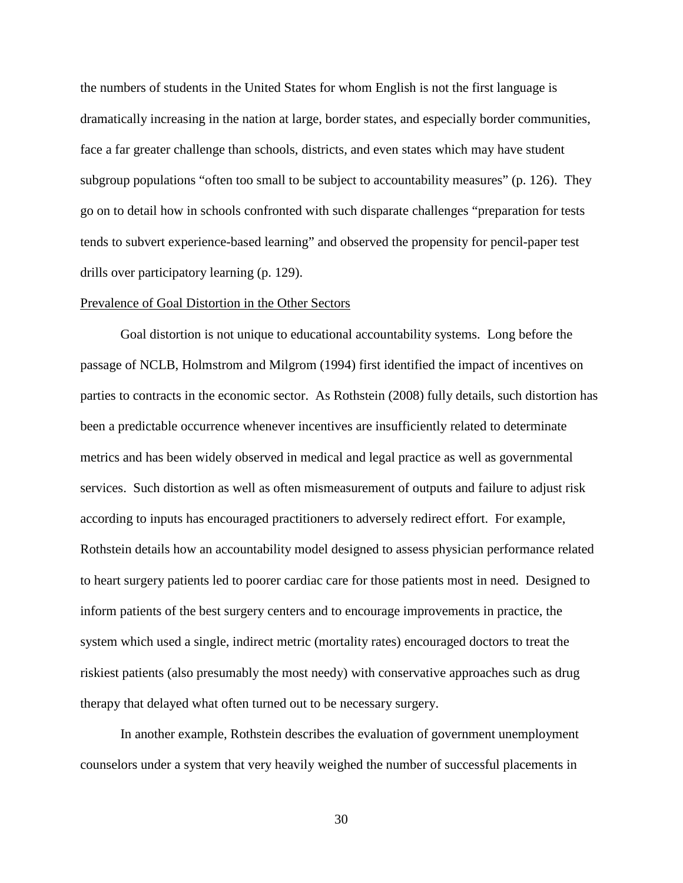the numbers of students in the United States for whom English is not the first language is dramatically increasing in the nation at large, border states, and especially border communities, face a far greater challenge than schools, districts, and even states which may have student subgroup populations "often too small to be subject to accountability measures" (p. 126). They go on to detail how in schools confronted with such disparate challenges "preparation for tests tends to subvert experience-based learning" and observed the propensity for pencil-paper test drills over participatory learning (p. 129).

#### Prevalence of Goal Distortion in the Other Sectors

Goal distortion is not unique to educational accountability systems. Long before the passage of NCLB, Holmstrom and Milgrom (1994) first identified the impact of incentives on parties to contracts in the economic sector. As Rothstein (2008) fully details, such distortion has been a predictable occurrence whenever incentives are insufficiently related to determinate metrics and has been widely observed in medical and legal practice as well as governmental services. Such distortion as well as often mismeasurement of outputs and failure to adjust risk according to inputs has encouraged practitioners to adversely redirect effort. For example, Rothstein details how an accountability model designed to assess physician performance related to heart surgery patients led to poorer cardiac care for those patients most in need. Designed to inform patients of the best surgery centers and to encourage improvements in practice, the system which used a single, indirect metric (mortality rates) encouraged doctors to treat the riskiest patients (also presumably the most needy) with conservative approaches such as drug therapy that delayed what often turned out to be necessary surgery.

In another example, Rothstein describes the evaluation of government unemployment counselors under a system that very heavily weighed the number of successful placements in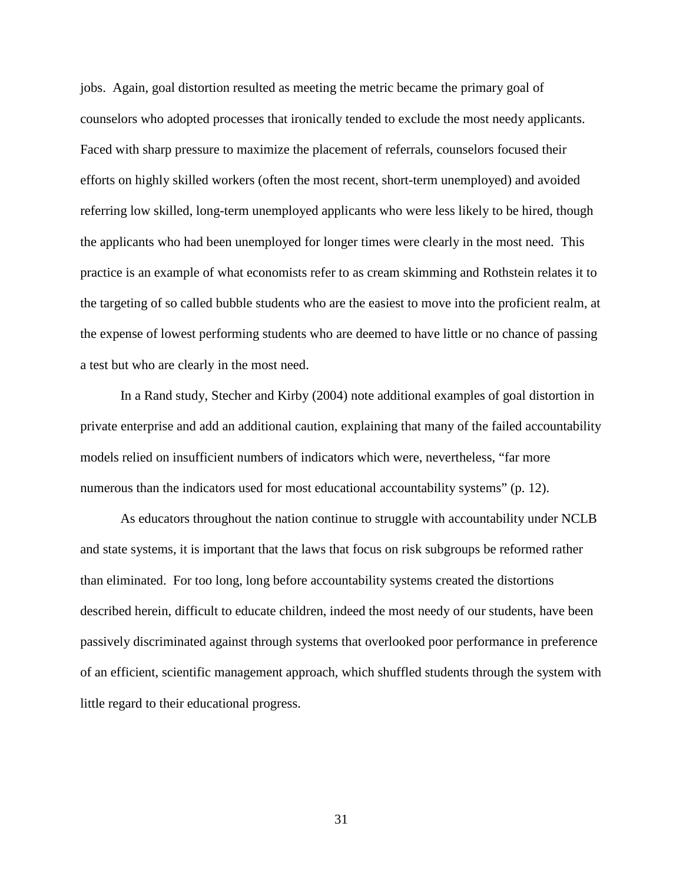jobs. Again, goal distortion resulted as meeting the metric became the primary goal of counselors who adopted processes that ironically tended to exclude the most needy applicants. Faced with sharp pressure to maximize the placement of referrals, counselors focused their efforts on highly skilled workers (often the most recent, short-term unemployed) and avoided referring low skilled, long-term unemployed applicants who were less likely to be hired, though the applicants who had been unemployed for longer times were clearly in the most need. This practice is an example of what economists refer to as cream skimming and Rothstein relates it to the targeting of so called bubble students who are the easiest to move into the proficient realm, at the expense of lowest performing students who are deemed to have little or no chance of passing a test but who are clearly in the most need.

In a Rand study, Stecher and Kirby (2004) note additional examples of goal distortion in private enterprise and add an additional caution, explaining that many of the failed accountability models relied on insufficient numbers of indicators which were, nevertheless, "far more numerous than the indicators used for most educational accountability systems" (p. 12).

As educators throughout the nation continue to struggle with accountability under NCLB and state systems, it is important that the laws that focus on risk subgroups be reformed rather than eliminated. For too long, long before accountability systems created the distortions described herein, difficult to educate children, indeed the most needy of our students, have been passively discriminated against through systems that overlooked poor performance in preference of an efficient, scientific management approach, which shuffled students through the system with little regard to their educational progress.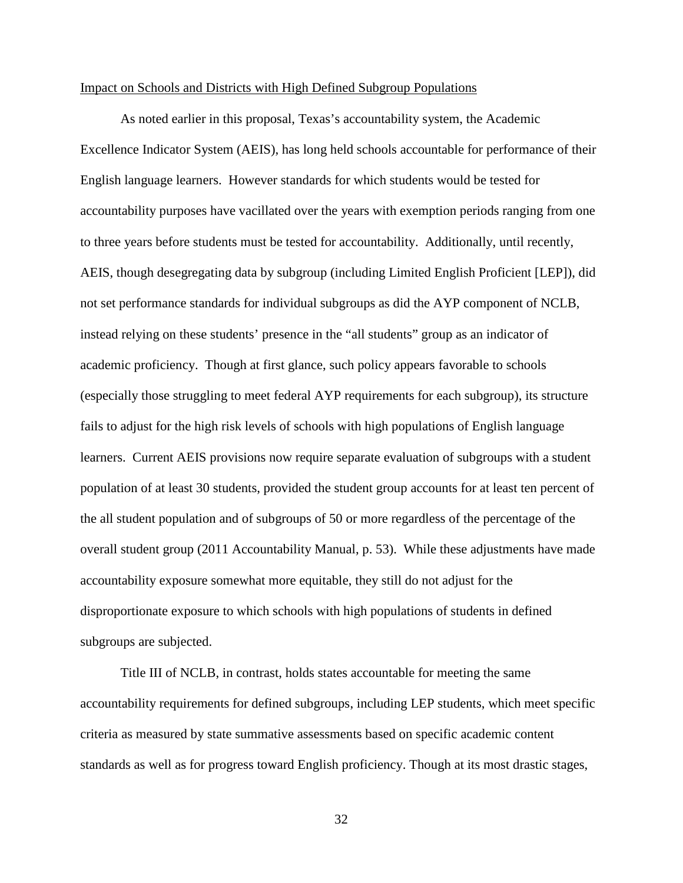#### Impact on Schools and Districts with High Defined Subgroup Populations

As noted earlier in this proposal, Texas's accountability system, the Academic Excellence Indicator System (AEIS), has long held schools accountable for performance of their English language learners. However standards for which students would be tested for accountability purposes have vacillated over the years with exemption periods ranging from one to three years before students must be tested for accountability. Additionally, until recently, AEIS, though desegregating data by subgroup (including Limited English Proficient [LEP]), did not set performance standards for individual subgroups as did the AYP component of NCLB, instead relying on these students' presence in the "all students" group as an indicator of academic proficiency. Though at first glance, such policy appears favorable to schools (especially those struggling to meet federal AYP requirements for each subgroup), its structure fails to adjust for the high risk levels of schools with high populations of English language learners. Current AEIS provisions now require separate evaluation of subgroups with a student population of at least 30 students, provided the student group accounts for at least ten percent of the all student population and of subgroups of 50 or more regardless of the percentage of the overall student group (2011 Accountability Manual, p. 53). While these adjustments have made accountability exposure somewhat more equitable, they still do not adjust for the disproportionate exposure to which schools with high populations of students in defined subgroups are subjected.

Title III of NCLB, in contrast, holds states accountable for meeting the same accountability requirements for defined subgroups, including LEP students, which meet specific criteria as measured by state summative assessments based on specific academic content standards as well as for progress toward English proficiency. Though at its most drastic stages,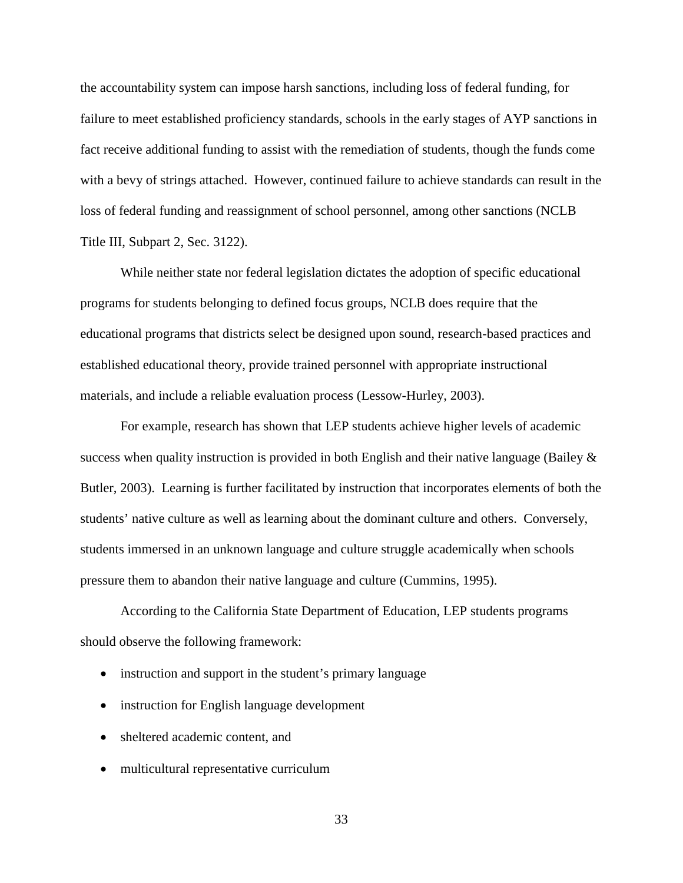the accountability system can impose harsh sanctions, including loss of federal funding, for failure to meet established proficiency standards, schools in the early stages of AYP sanctions in fact receive additional funding to assist with the remediation of students, though the funds come with a bevy of strings attached. However, continued failure to achieve standards can result in the loss of federal funding and reassignment of school personnel, among other sanctions (NCLB Title III, Subpart 2, Sec. 3122).

While neither state nor federal legislation dictates the adoption of specific educational programs for students belonging to defined focus groups, NCLB does require that the educational programs that districts select be designed upon sound, research-based practices and established educational theory, provide trained personnel with appropriate instructional materials, and include a reliable evaluation process (Lessow-Hurley, 2003).

For example, research has shown that LEP students achieve higher levels of academic success when quality instruction is provided in both English and their native language (Bailey  $\&$ Butler, 2003). Learning is further facilitated by instruction that incorporates elements of both the students' native culture as well as learning about the dominant culture and others. Conversely, students immersed in an unknown language and culture struggle academically when schools pressure them to abandon their native language and culture (Cummins, 1995).

According to the California State Department of Education, LEP students programs should observe the following framework:

- instruction and support in the student's primary language
- instruction for English language development
- sheltered academic content, and
- multicultural representative curriculum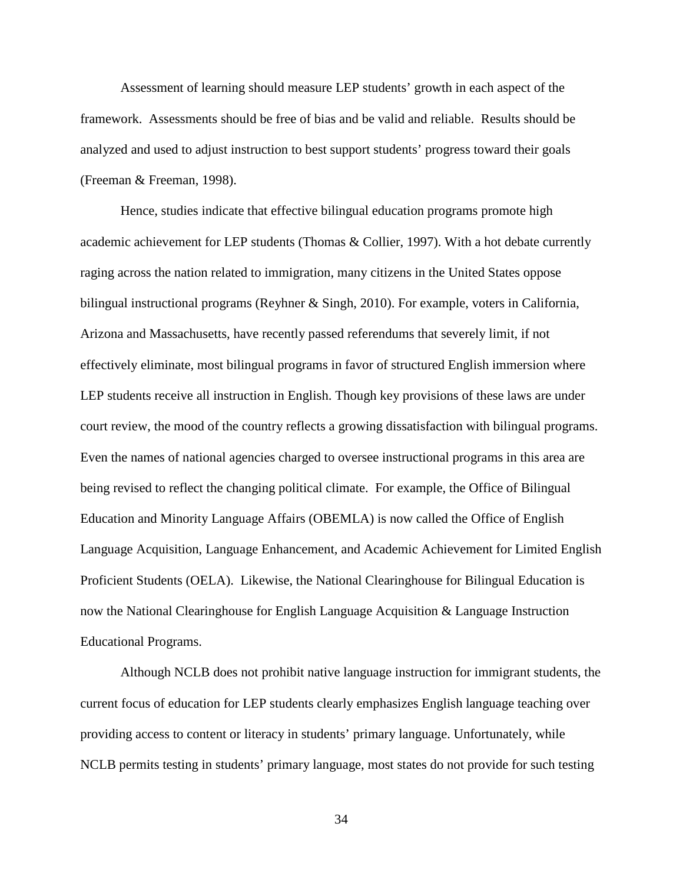Assessment of learning should measure LEP students' growth in each aspect of the framework. Assessments should be free of bias and be valid and reliable. Results should be analyzed and used to adjust instruction to best support students' progress toward their goals (Freeman & Freeman, 1998).

Hence, studies indicate that effective bilingual education programs promote high academic achievement for LEP students (Thomas & Collier, 1997). With a hot debate currently raging across the nation related to immigration, many citizens in the United States oppose bilingual instructional programs (Reyhner & Singh, 2010). For example, voters in California, Arizona and Massachusetts, have recently passed referendums that severely limit, if not effectively eliminate, most bilingual programs in favor of structured English immersion where LEP students receive all instruction in English. Though key provisions of these laws are under court review, the mood of the country reflects a growing dissatisfaction with bilingual programs. Even the names of national agencies charged to oversee instructional programs in this area are being revised to reflect the changing political climate. For example, the Office of Bilingual Education and Minority Language Affairs (OBEMLA) is now called the Office of English Language Acquisition, Language Enhancement, and Academic Achievement for Limited English Proficient Students (OELA). Likewise, the National Clearinghouse for Bilingual Education is now the National Clearinghouse for English Language Acquisition & Language Instruction Educational Programs.

Although NCLB does not prohibit native language instruction for immigrant students, the current focus of education for LEP students clearly emphasizes English language teaching over providing access to content or literacy in students' primary language. Unfortunately, while NCLB permits testing in students' primary language, most states do not provide for such testing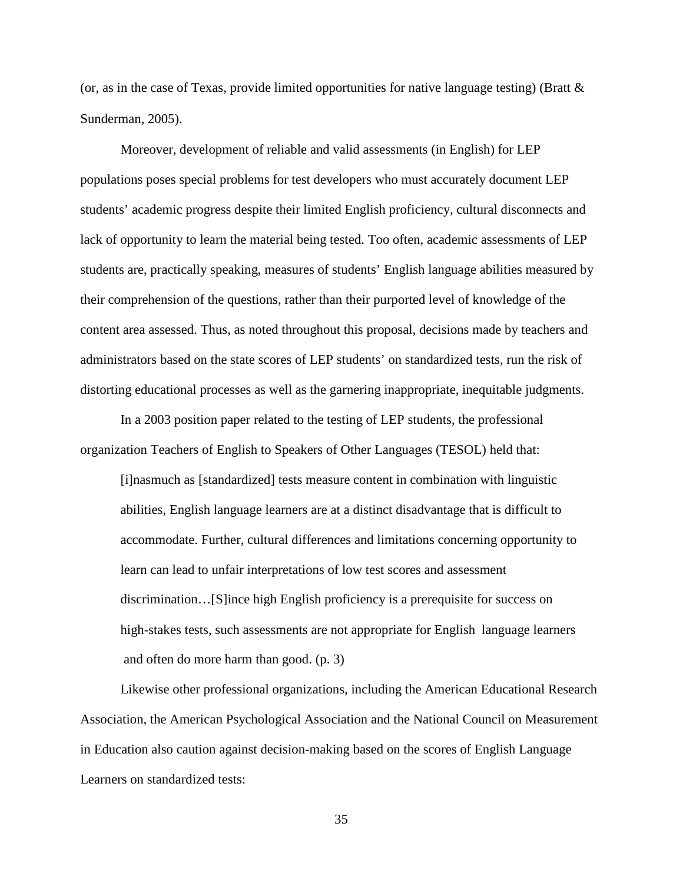(or, as in the case of Texas, provide limited opportunities for native language testing) (Bratt  $\&$ Sunderman, 2005).

Moreover, development of reliable and valid assessments (in English) for LEP populations poses special problems for test developers who must accurately document LEP students' academic progress despite their limited English proficiency, cultural disconnects and lack of opportunity to learn the material being tested. Too often, academic assessments of LEP students are, practically speaking, measures of students' English language abilities measured by their comprehension of the questions, rather than their purported level of knowledge of the content area assessed. Thus, as noted throughout this proposal, decisions made by teachers and administrators based on the state scores of LEP students' on standardized tests, run the risk of distorting educational processes as well as the garnering inappropriate, inequitable judgments.

In a 2003 position paper related to the testing of LEP students, the professional organization Teachers of English to Speakers of Other Languages (TESOL) held that:

[i]nasmuch as [standardized] tests measure content in combination with linguistic abilities, English language learners are at a distinct disadvantage that is difficult to accommodate. Further, cultural differences and limitations concerning opportunity to learn can lead to unfair interpretations of low test scores and assessment discrimination…[S]ince high English proficiency is a prerequisite for success on high-stakes tests, such assessments are not appropriate for English language learners and often do more harm than good. (p. 3)

Likewise other professional organizations, including the American Educational Research Association, the American Psychological Association and the National Council on Measurement in Education also caution against decision-making based on the scores of English Language Learners on standardized tests: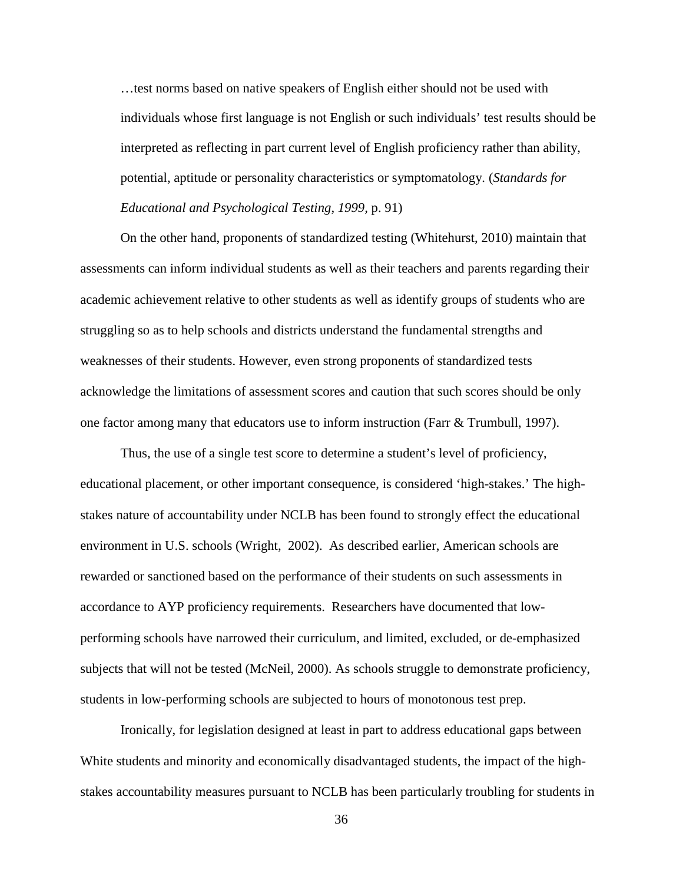…test norms based on native speakers of English either should not be used with individuals whose first language is not English or such individuals' test results should be interpreted as reflecting in part current level of English proficiency rather than ability, potential, aptitude or personality characteristics or symptomatology. (*Standards for Educational and Psychological Testing, 1999,* p. 91)

On the other hand, proponents of standardized testing (Whitehurst, 2010) maintain that assessments can inform individual students as well as their teachers and parents regarding their academic achievement relative to other students as well as identify groups of students who are struggling so as to help schools and districts understand the fundamental strengths and weaknesses of their students. However, even strong proponents of standardized tests acknowledge the limitations of assessment scores and caution that such scores should be only one factor among many that educators use to inform instruction (Farr & Trumbull, 1997).

Thus, the use of a single test score to determine a student's level of proficiency, educational placement, or other important consequence, is considered 'high-stakes.' The highstakes nature of accountability under NCLB has been found to strongly effect the educational environment in U.S. schools (Wright, 2002). As described earlier, American schools are rewarded or sanctioned based on the performance of their students on such assessments in accordance to AYP proficiency requirements. Researchers have documented that lowperforming schools have narrowed their curriculum, and limited, excluded, or de-emphasized subjects that will not be tested (McNeil, 2000). As schools struggle to demonstrate proficiency, students in low-performing schools are subjected to hours of monotonous test prep.

Ironically, for legislation designed at least in part to address educational gaps between White students and minority and economically disadvantaged students, the impact of the highstakes accountability measures pursuant to NCLB has been particularly troubling for students in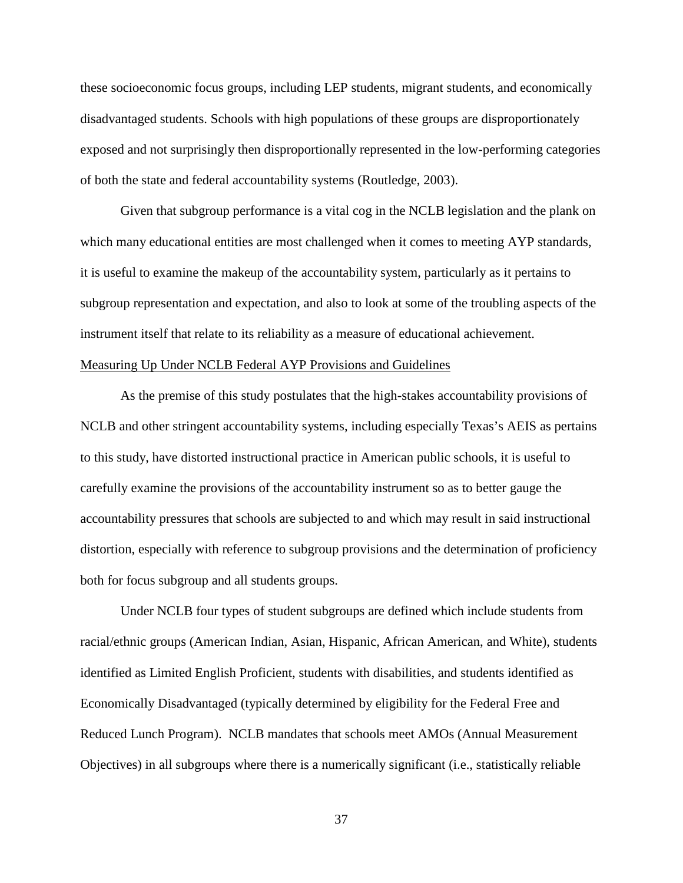these socioeconomic focus groups, including LEP students, migrant students, and economically disadvantaged students. Schools with high populations of these groups are disproportionately exposed and not surprisingly then disproportionally represented in the low-performing categories of both the state and federal accountability systems (Routledge, 2003).

Given that subgroup performance is a vital cog in the NCLB legislation and the plank on which many educational entities are most challenged when it comes to meeting AYP standards, it is useful to examine the makeup of the accountability system, particularly as it pertains to subgroup representation and expectation, and also to look at some of the troubling aspects of the instrument itself that relate to its reliability as a measure of educational achievement. Measuring Up Under NCLB Federal AYP Provisions and Guidelines

As the premise of this study postulates that the high-stakes accountability provisions of NCLB and other stringent accountability systems, including especially Texas's AEIS as pertains to this study, have distorted instructional practice in American public schools, it is useful to carefully examine the provisions of the accountability instrument so as to better gauge the accountability pressures that schools are subjected to and which may result in said instructional distortion, especially with reference to subgroup provisions and the determination of proficiency both for focus subgroup and all students groups.

Under NCLB four types of student subgroups are defined which include students from racial/ethnic groups (American Indian, Asian, Hispanic, African American, and White), students identified as Limited English Proficient, students with disabilities, and students identified as Economically Disadvantaged (typically determined by eligibility for the Federal Free and Reduced Lunch Program). NCLB mandates that schools meet AMOs (Annual Measurement Objectives) in all subgroups where there is a numerically significant (i.e., statistically reliable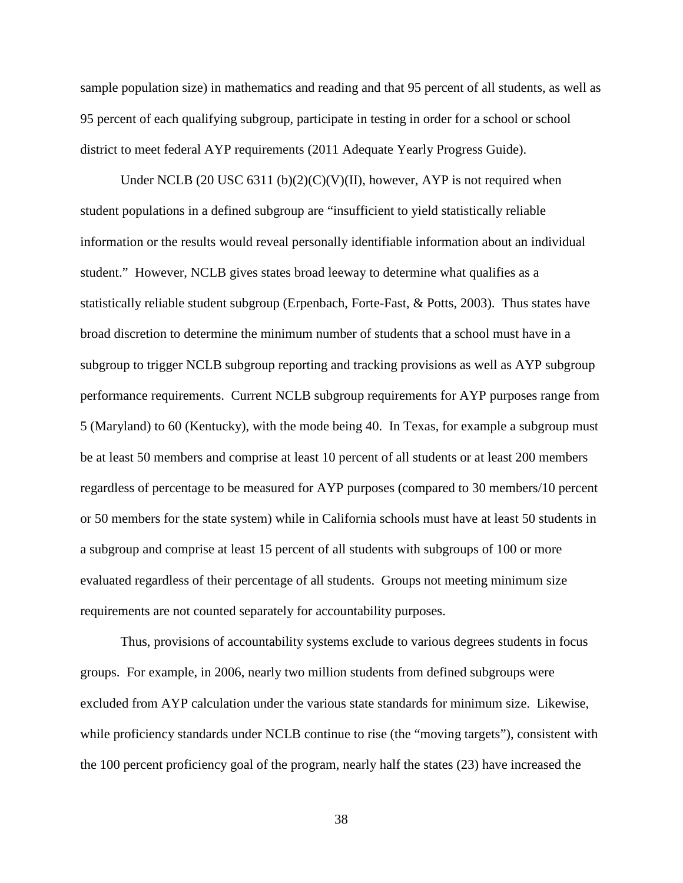sample population size) in mathematics and reading and that 95 percent of all students, as well as 95 percent of each qualifying subgroup, participate in testing in order for a school or school district to meet federal AYP requirements (2011 Adequate Yearly Progress Guide).

Under NCLB (20 USC 6311 (b)(2)(C)(V)(II), however, AYP is not required when student populations in a defined subgroup are "insufficient to yield statistically reliable information or the results would reveal personally identifiable information about an individual student." However, NCLB gives states broad leeway to determine what qualifies as a statistically reliable student subgroup (Erpenbach, Forte-Fast, & Potts, 2003). Thus states have broad discretion to determine the minimum number of students that a school must have in a subgroup to trigger NCLB subgroup reporting and tracking provisions as well as AYP subgroup performance requirements. Current NCLB subgroup requirements for AYP purposes range from 5 (Maryland) to 60 (Kentucky), with the mode being 40. In Texas, for example a subgroup must be at least 50 members and comprise at least 10 percent of all students or at least 200 members regardless of percentage to be measured for AYP purposes (compared to 30 members/10 percent or 50 members for the state system) while in California schools must have at least 50 students in a subgroup and comprise at least 15 percent of all students with subgroups of 100 or more evaluated regardless of their percentage of all students. Groups not meeting minimum size requirements are not counted separately for accountability purposes.

Thus, provisions of accountability systems exclude to various degrees students in focus groups. For example, in 2006, nearly two million students from defined subgroups were excluded from AYP calculation under the various state standards for minimum size. Likewise, while proficiency standards under NCLB continue to rise (the "moving targets"), consistent with the 100 percent proficiency goal of the program, nearly half the states (23) have increased the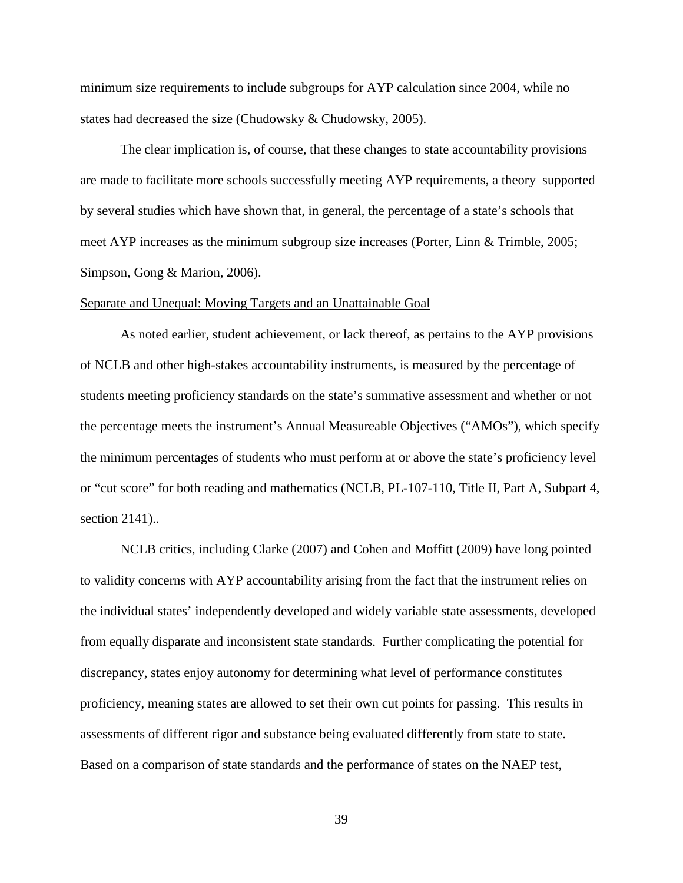minimum size requirements to include subgroups for AYP calculation since 2004, while no states had decreased the size (Chudowsky & Chudowsky, 2005).

The clear implication is, of course, that these changes to state accountability provisions are made to facilitate more schools successfully meeting AYP requirements, a theory supported by several studies which have shown that, in general, the percentage of a state's schools that meet AYP increases as the minimum subgroup size increases (Porter, Linn & Trimble, 2005; Simpson, Gong & Marion, 2006).

### Separate and Unequal: Moving Targets and an Unattainable Goal

As noted earlier, student achievement, or lack thereof, as pertains to the AYP provisions of NCLB and other high-stakes accountability instruments, is measured by the percentage of students meeting proficiency standards on the state's summative assessment and whether or not the percentage meets the instrument's Annual Measureable Objectives ("AMOs"), which specify the minimum percentages of students who must perform at or above the state's proficiency level or "cut score" for both reading and mathematics (NCLB, PL-107-110, Title II, Part A, Subpart 4, section 2141)..

NCLB critics, including Clarke (2007) and Cohen and Moffitt (2009) have long pointed to validity concerns with AYP accountability arising from the fact that the instrument relies on the individual states' independently developed and widely variable state assessments, developed from equally disparate and inconsistent state standards. Further complicating the potential for discrepancy, states enjoy autonomy for determining what level of performance constitutes proficiency, meaning states are allowed to set their own cut points for passing. This results in assessments of different rigor and substance being evaluated differently from state to state. Based on a comparison of state standards and the performance of states on the NAEP test,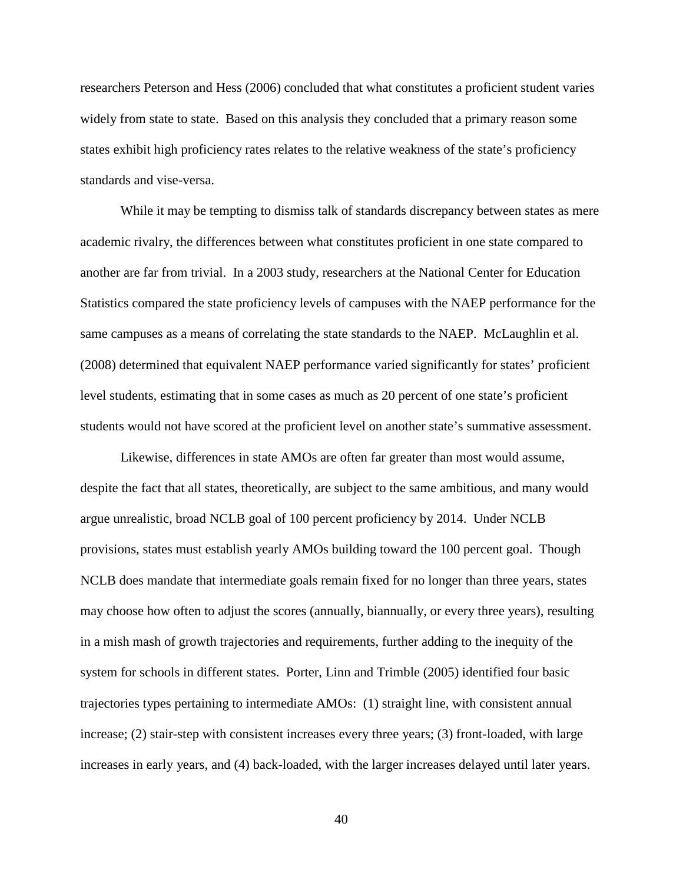researchers Peterson and Hess (2006) concluded that what constitutes a proficient student varies widely from state to state. Based on this analysis they concluded that a primary reason some states exhibit high proficiency rates relates to the relative weakness of the state's proficiency standards and vise-versa.

While it may be tempting to dismiss talk of standards discrepancy between states as mere academic rivalry, the differences between what constitutes proficient in one state compared to another are far from trivial. In a 2003 study, researchers at the National Center for Education Statistics compared the state proficiency levels of campuses with the NAEP performance for the same campuses as a means of correlating the state standards to the NAEP. McLaughlin et al. (2008) determined that equivalent NAEP performance varied significantly for states' proficient level students, estimating that in some cases as much as 20 percent of one state's proficient students would not have scored at the proficient level on another state's summative assessment.

Likewise, differences in state AMOs are often far greater than most would assume, despite the fact that all states, theoretically, are subject to the same ambitious, and many would argue unrealistic, broad NCLB goal of 100 percent proficiency by 2014. Under NCLB provisions, states must establish yearly AMOs building toward the 100 percent goal. Though NCLB does mandate that intermediate goals remain fixed for no longer than three years, states may choose how often to adjust the scores (annually, biannually, or every three years), resulting in a mish mash of growth trajectories and requirements, further adding to the inequity of the system for schools in different states. Porter, Linn and Trimble (2005) identified four basic trajectories types pertaining to intermediate AMOs: (1) straight line, with consistent annual increase; (2) stair-step with consistent increases every three years; (3) front-loaded, with large increases in early years, and (4) back-loaded, with the larger increases delayed until later years.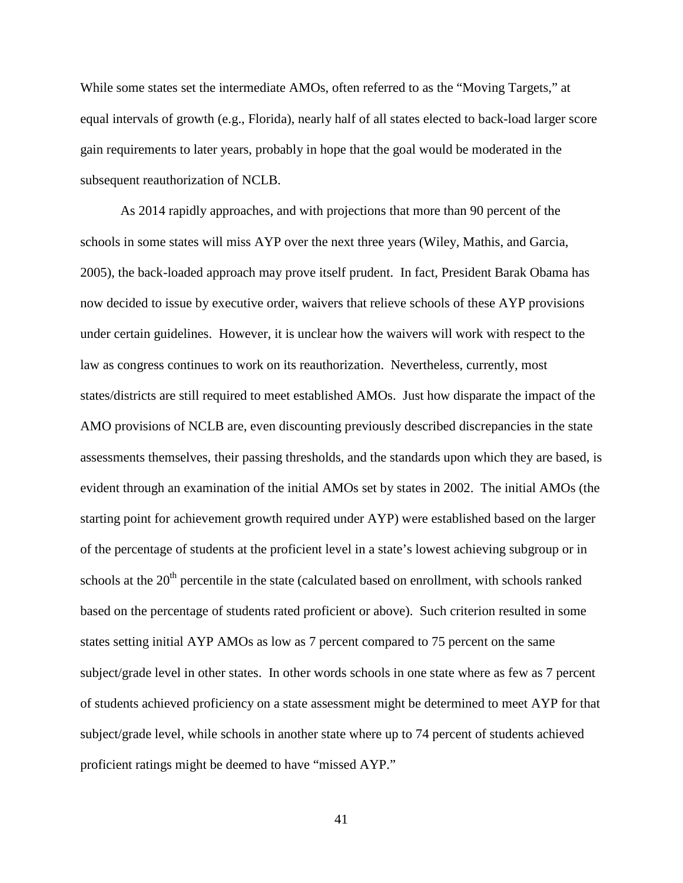While some states set the intermediate AMOs, often referred to as the "Moving Targets," at equal intervals of growth (e.g., Florida), nearly half of all states elected to back-load larger score gain requirements to later years, probably in hope that the goal would be moderated in the subsequent reauthorization of NCLB.

As 2014 rapidly approaches, and with projections that more than 90 percent of the schools in some states will miss AYP over the next three years (Wiley, Mathis, and Garcia, 2005), the back-loaded approach may prove itself prudent. In fact, President Barak Obama has now decided to issue by executive order, waivers that relieve schools of these AYP provisions under certain guidelines. However, it is unclear how the waivers will work with respect to the law as congress continues to work on its reauthorization. Nevertheless, currently, most states/districts are still required to meet established AMOs. Just how disparate the impact of the AMO provisions of NCLB are, even discounting previously described discrepancies in the state assessments themselves, their passing thresholds, and the standards upon which they are based, is evident through an examination of the initial AMOs set by states in 2002. The initial AMOs (the starting point for achievement growth required under AYP) were established based on the larger of the percentage of students at the proficient level in a state's lowest achieving subgroup or in schools at the 20<sup>th</sup> percentile in the state (calculated based on enrollment, with schools ranked based on the percentage of students rated proficient or above). Such criterion resulted in some states setting initial AYP AMOs as low as 7 percent compared to 75 percent on the same subject/grade level in other states. In other words schools in one state where as few as 7 percent of students achieved proficiency on a state assessment might be determined to meet AYP for that subject/grade level, while schools in another state where up to 74 percent of students achieved proficient ratings might be deemed to have "missed AYP."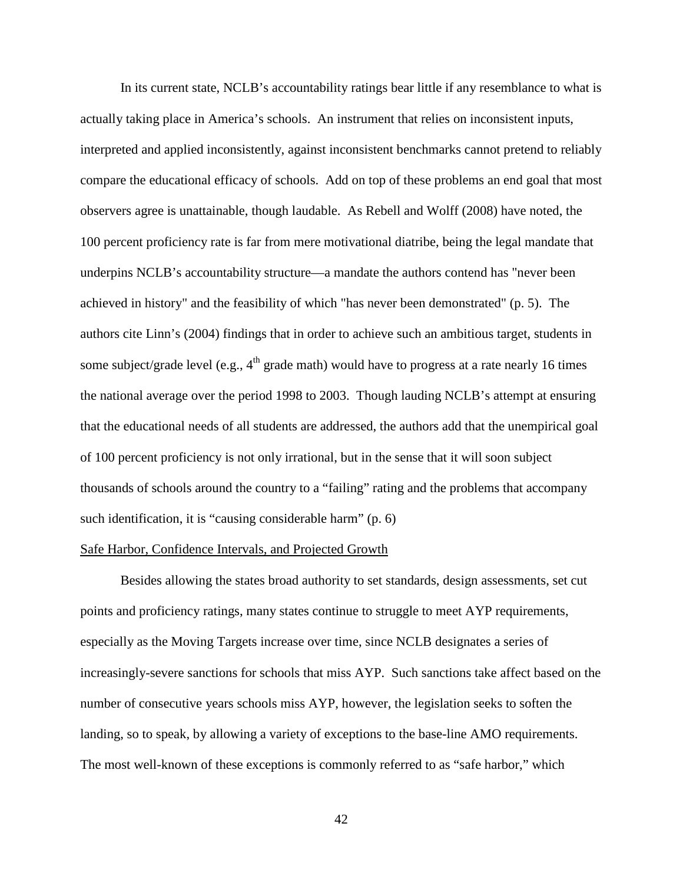In its current state, NCLB's accountability ratings bear little if any resemblance to what is actually taking place in America's schools. An instrument that relies on inconsistent inputs, interpreted and applied inconsistently, against inconsistent benchmarks cannot pretend to reliably compare the educational efficacy of schools. Add on top of these problems an end goal that most observers agree is unattainable, though laudable. As Rebell and Wolff (2008) have noted, the 100 percent proficiency rate is far from mere motivational diatribe, being the legal mandate that underpins NCLB's accountability structure—a mandate the authors contend has "never been achieved in history" and the feasibility of which "has never been demonstrated" (p. 5). The authors cite Linn's (2004) findings that in order to achieve such an ambitious target, students in some subject/grade level (e.g.,  $4<sup>th</sup>$  grade math) would have to progress at a rate nearly 16 times the national average over the period 1998 to 2003. Though lauding NCLB's attempt at ensuring that the educational needs of all students are addressed, the authors add that the unempirical goal of 100 percent proficiency is not only irrational, but in the sense that it will soon subject thousands of schools around the country to a "failing" rating and the problems that accompany such identification, it is "causing considerable harm" (p. 6)

## Safe Harbor, Confidence Intervals, and Projected Growth

Besides allowing the states broad authority to set standards, design assessments, set cut points and proficiency ratings, many states continue to struggle to meet AYP requirements, especially as the Moving Targets increase over time, since NCLB designates a series of increasingly-severe sanctions for schools that miss AYP. Such sanctions take affect based on the number of consecutive years schools miss AYP, however, the legislation seeks to soften the landing, so to speak, by allowing a variety of exceptions to the base-line AMO requirements. The most well-known of these exceptions is commonly referred to as "safe harbor," which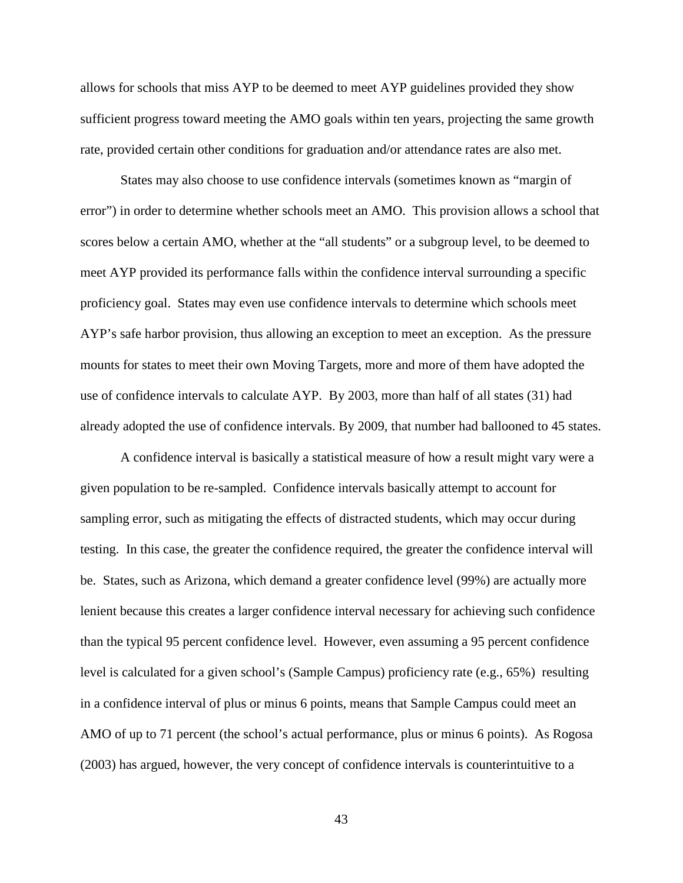allows for schools that miss AYP to be deemed to meet AYP guidelines provided they show sufficient progress toward meeting the AMO goals within ten years, projecting the same growth rate, provided certain other conditions for graduation and/or attendance rates are also met.

States may also choose to use confidence intervals (sometimes known as "margin of error") in order to determine whether schools meet an AMO. This provision allows a school that scores below a certain AMO, whether at the "all students" or a subgroup level, to be deemed to meet AYP provided its performance falls within the confidence interval surrounding a specific proficiency goal. States may even use confidence intervals to determine which schools meet AYP's safe harbor provision, thus allowing an exception to meet an exception. As the pressure mounts for states to meet their own Moving Targets, more and more of them have adopted the use of confidence intervals to calculate AYP. By 2003, more than half of all states (31) had already adopted the use of confidence intervals. By 2009, that number had ballooned to 45 states.

A confidence interval is basically a statistical measure of how a result might vary were a given population to be re-sampled. Confidence intervals basically attempt to account for sampling error, such as mitigating the effects of distracted students, which may occur during testing. In this case, the greater the confidence required, the greater the confidence interval will be. States, such as Arizona, which demand a greater confidence level (99%) are actually more lenient because this creates a larger confidence interval necessary for achieving such confidence than the typical 95 percent confidence level. However, even assuming a 95 percent confidence level is calculated for a given school's (Sample Campus) proficiency rate (e.g., 65%) resulting in a confidence interval of plus or minus 6 points, means that Sample Campus could meet an AMO of up to 71 percent (the school's actual performance, plus or minus 6 points). As Rogosa (2003) has argued, however, the very concept of confidence intervals is counterintuitive to a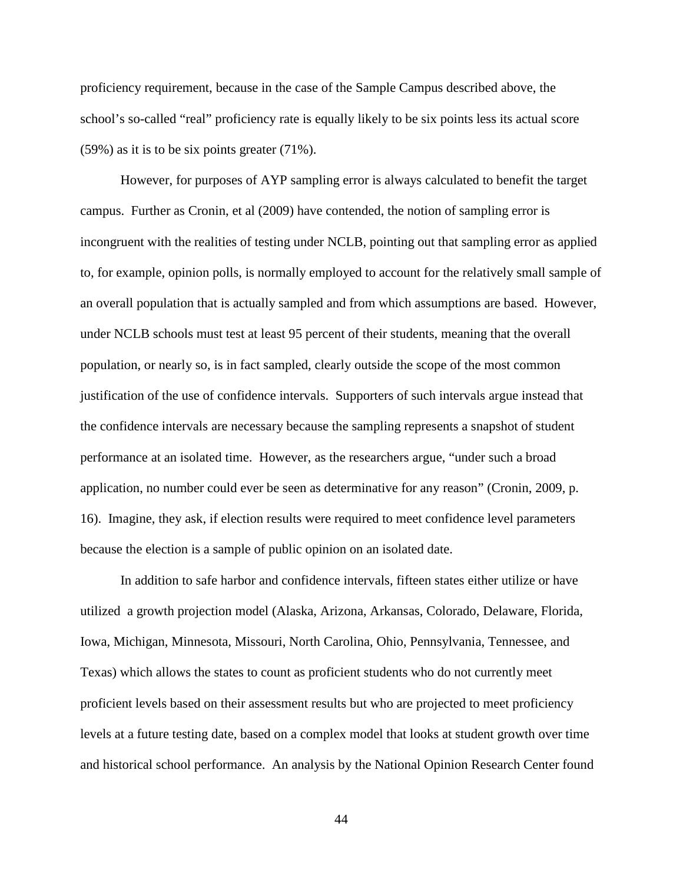proficiency requirement, because in the case of the Sample Campus described above, the school's so-called "real" proficiency rate is equally likely to be six points less its actual score (59%) as it is to be six points greater (71%).

However, for purposes of AYP sampling error is always calculated to benefit the target campus. Further as Cronin, et al (2009) have contended, the notion of sampling error is incongruent with the realities of testing under NCLB, pointing out that sampling error as applied to, for example, opinion polls, is normally employed to account for the relatively small sample of an overall population that is actually sampled and from which assumptions are based. However, under NCLB schools must test at least 95 percent of their students, meaning that the overall population, or nearly so, is in fact sampled, clearly outside the scope of the most common justification of the use of confidence intervals. Supporters of such intervals argue instead that the confidence intervals are necessary because the sampling represents a snapshot of student performance at an isolated time. However, as the researchers argue, "under such a broad application, no number could ever be seen as determinative for any reason" (Cronin, 2009, p. 16). Imagine, they ask, if election results were required to meet confidence level parameters because the election is a sample of public opinion on an isolated date.

In addition to safe harbor and confidence intervals, fifteen states either utilize or have utilized a growth projection model (Alaska, Arizona, Arkansas, Colorado, Delaware, Florida, Iowa, Michigan, Minnesota, Missouri, North Carolina, Ohio, Pennsylvania, Tennessee, and Texas) which allows the states to count as proficient students who do not currently meet proficient levels based on their assessment results but who are projected to meet proficiency levels at a future testing date, based on a complex model that looks at student growth over time and historical school performance. An analysis by the National Opinion Research Center found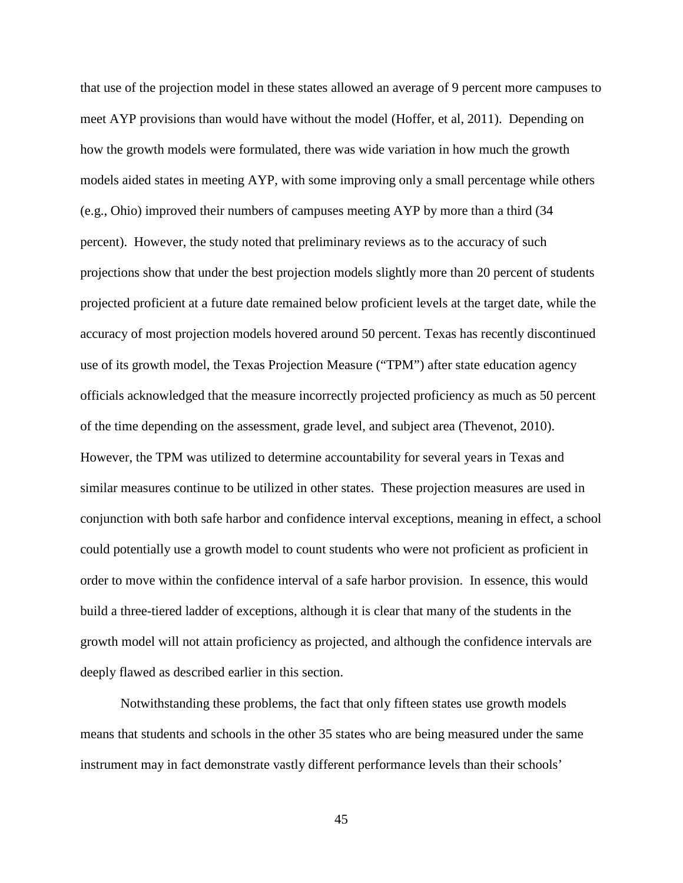that use of the projection model in these states allowed an average of 9 percent more campuses to meet AYP provisions than would have without the model (Hoffer, et al, 2011). Depending on how the growth models were formulated, there was wide variation in how much the growth models aided states in meeting AYP, with some improving only a small percentage while others (e.g., Ohio) improved their numbers of campuses meeting AYP by more than a third (34 percent). However, the study noted that preliminary reviews as to the accuracy of such projections show that under the best projection models slightly more than 20 percent of students projected proficient at a future date remained below proficient levels at the target date, while the accuracy of most projection models hovered around 50 percent. Texas has recently discontinued use of its growth model, the Texas Projection Measure ("TPM") after state education agency officials acknowledged that the measure incorrectly projected proficiency as much as 50 percent of the time depending on the assessment, grade level, and subject area (Thevenot, 2010). However, the TPM was utilized to determine accountability for several years in Texas and similar measures continue to be utilized in other states. These projection measures are used in conjunction with both safe harbor and confidence interval exceptions, meaning in effect, a school could potentially use a growth model to count students who were not proficient as proficient in order to move within the confidence interval of a safe harbor provision. In essence, this would build a three-tiered ladder of exceptions, although it is clear that many of the students in the growth model will not attain proficiency as projected, and although the confidence intervals are deeply flawed as described earlier in this section.

Notwithstanding these problems, the fact that only fifteen states use growth models means that students and schools in the other 35 states who are being measured under the same instrument may in fact demonstrate vastly different performance levels than their schools'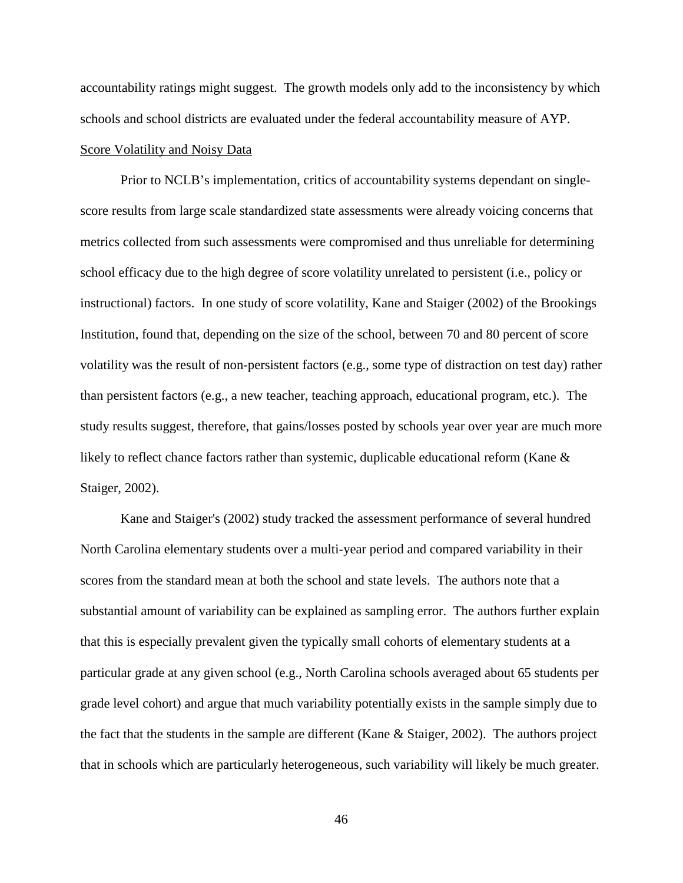accountability ratings might suggest. The growth models only add to the inconsistency by which schools and school districts are evaluated under the federal accountability measure of AYP.

## Score Volatility and Noisy Data

Prior to NCLB's implementation, critics of accountability systems dependant on singlescore results from large scale standardized state assessments were already voicing concerns that metrics collected from such assessments were compromised and thus unreliable for determining school efficacy due to the high degree of score volatility unrelated to persistent (i.e., policy or instructional) factors. In one study of score volatility, Kane and Staiger (2002) of the Brookings Institution, found that, depending on the size of the school, between 70 and 80 percent of score volatility was the result of non-persistent factors (e.g., some type of distraction on test day) rather than persistent factors (e.g., a new teacher, teaching approach, educational program, etc.). The study results suggest, therefore, that gains/losses posted by schools year over year are much more likely to reflect chance factors rather than systemic, duplicable educational reform (Kane & Staiger, 2002).

Kane and Staiger's (2002) study tracked the assessment performance of several hundred North Carolina elementary students over a multi-year period and compared variability in their scores from the standard mean at both the school and state levels. The authors note that a substantial amount of variability can be explained as sampling error. The authors further explain that this is especially prevalent given the typically small cohorts of elementary students at a particular grade at any given school (e.g., North Carolina schools averaged about 65 students per grade level cohort) and argue that much variability potentially exists in the sample simply due to the fact that the students in the sample are different (Kane & Staiger, 2002). The authors project that in schools which are particularly heterogeneous, such variability will likely be much greater.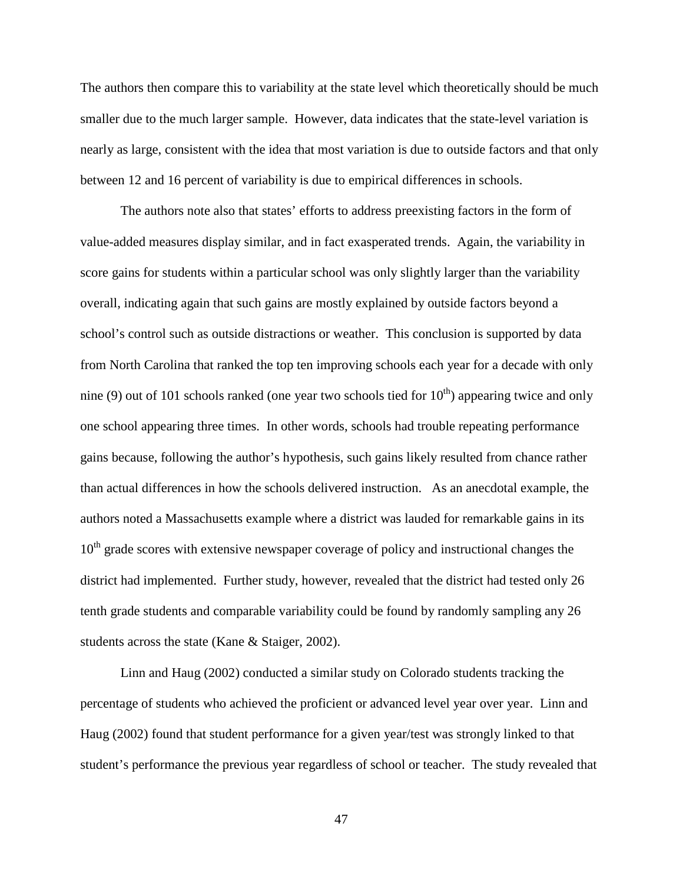The authors then compare this to variability at the state level which theoretically should be much smaller due to the much larger sample. However, data indicates that the state-level variation is nearly as large, consistent with the idea that most variation is due to outside factors and that only between 12 and 16 percent of variability is due to empirical differences in schools.

The authors note also that states' efforts to address preexisting factors in the form of value-added measures display similar, and in fact exasperated trends. Again, the variability in score gains for students within a particular school was only slightly larger than the variability overall, indicating again that such gains are mostly explained by outside factors beyond a school's control such as outside distractions or weather. This conclusion is supported by data from North Carolina that ranked the top ten improving schools each year for a decade with only nine (9) out of 101 schools ranked (one year two schools tied for  $10<sup>th</sup>$ ) appearing twice and only one school appearing three times. In other words, schools had trouble repeating performance gains because, following the author's hypothesis, such gains likely resulted from chance rather than actual differences in how the schools delivered instruction. As an anecdotal example, the authors noted a Massachusetts example where a district was lauded for remarkable gains in its 10<sup>th</sup> grade scores with extensive newspaper coverage of policy and instructional changes the district had implemented. Further study, however, revealed that the district had tested only 26 tenth grade students and comparable variability could be found by randomly sampling any 26 students across the state (Kane & Staiger, 2002).

Linn and Haug (2002) conducted a similar study on Colorado students tracking the percentage of students who achieved the proficient or advanced level year over year. Linn and Haug (2002) found that student performance for a given year/test was strongly linked to that student's performance the previous year regardless of school or teacher. The study revealed that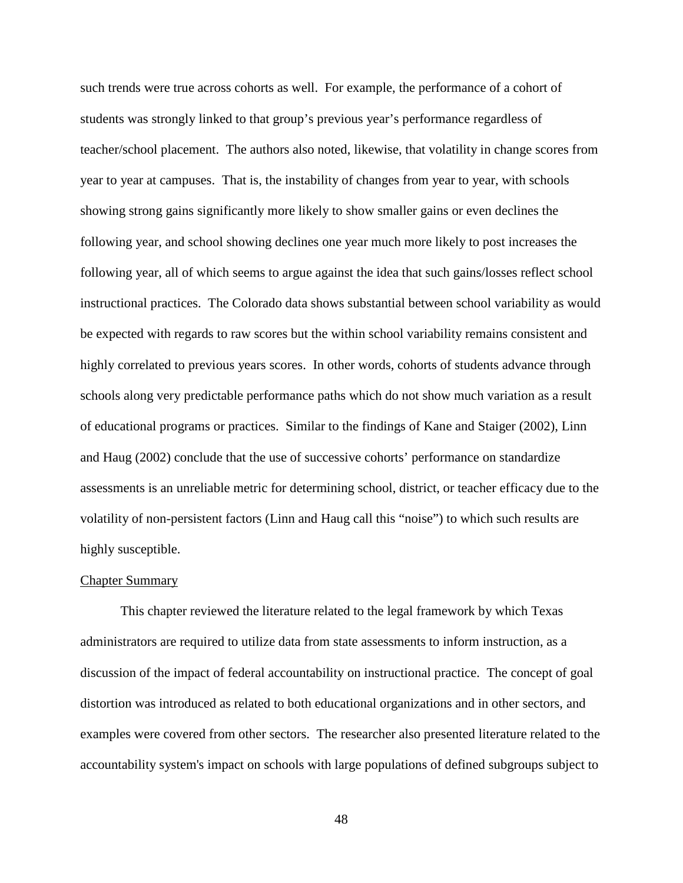such trends were true across cohorts as well. For example, the performance of a cohort of students was strongly linked to that group's previous year's performance regardless of teacher/school placement. The authors also noted, likewise, that volatility in change scores from year to year at campuses. That is, the instability of changes from year to year, with schools showing strong gains significantly more likely to show smaller gains or even declines the following year, and school showing declines one year much more likely to post increases the following year, all of which seems to argue against the idea that such gains/losses reflect school instructional practices. The Colorado data shows substantial between school variability as would be expected with regards to raw scores but the within school variability remains consistent and highly correlated to previous years scores. In other words, cohorts of students advance through schools along very predictable performance paths which do not show much variation as a result of educational programs or practices. Similar to the findings of Kane and Staiger (2002), Linn and Haug (2002) conclude that the use of successive cohorts' performance on standardize assessments is an unreliable metric for determining school, district, or teacher efficacy due to the volatility of non-persistent factors (Linn and Haug call this "noise") to which such results are highly susceptible.

### Chapter Summary

This chapter reviewed the literature related to the legal framework by which Texas administrators are required to utilize data from state assessments to inform instruction, as a discussion of the impact of federal accountability on instructional practice. The concept of goal distortion was introduced as related to both educational organizations and in other sectors, and examples were covered from other sectors. The researcher also presented literature related to the accountability system's impact on schools with large populations of defined subgroups subject to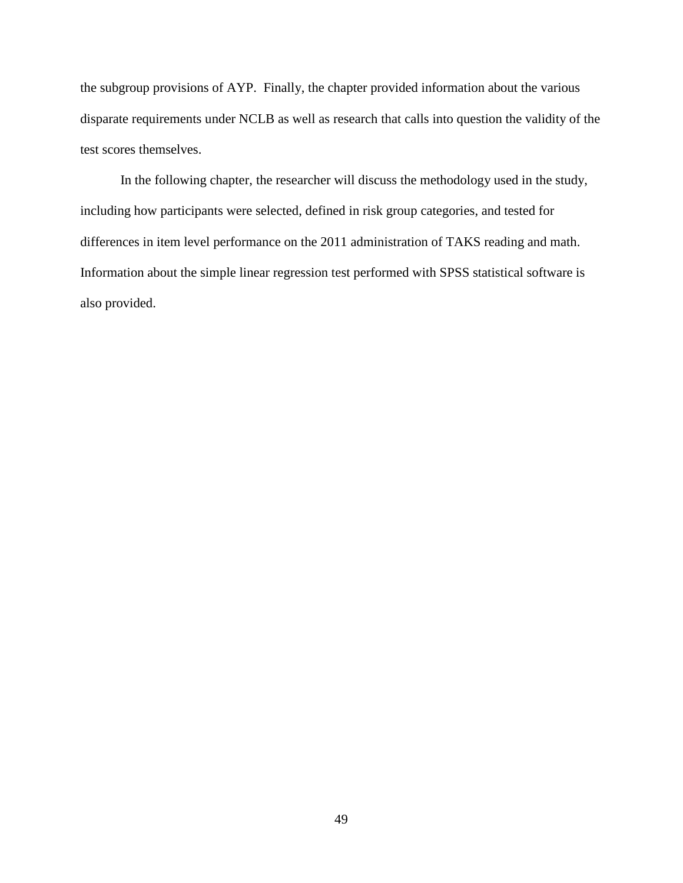the subgroup provisions of AYP. Finally, the chapter provided information about the various disparate requirements under NCLB as well as research that calls into question the validity of the test scores themselves.

In the following chapter, the researcher will discuss the methodology used in the study, including how participants were selected, defined in risk group categories, and tested for differences in item level performance on the 2011 administration of TAKS reading and math. Information about the simple linear regression test performed with SPSS statistical software is also provided.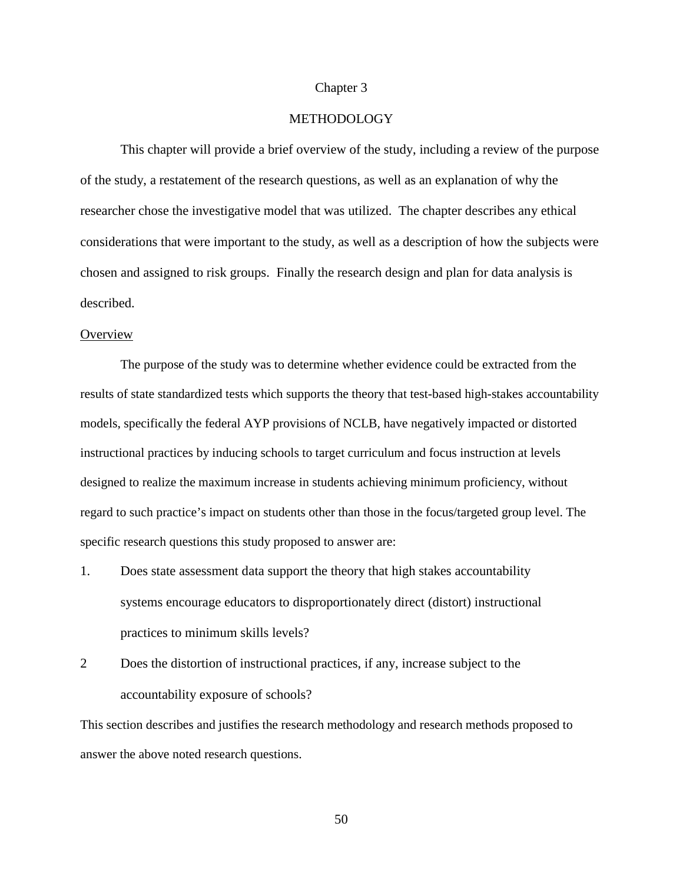## Chapter 3

## METHODOLOGY

This chapter will provide a brief overview of the study, including a review of the purpose of the study, a restatement of the research questions, as well as an explanation of why the researcher chose the investigative model that was utilized. The chapter describes any ethical considerations that were important to the study, as well as a description of how the subjects were chosen and assigned to risk groups. Finally the research design and plan for data analysis is described.

### **Overview**

The purpose of the study was to determine whether evidence could be extracted from the results of state standardized tests which supports the theory that test-based high-stakes accountability models, specifically the federal AYP provisions of NCLB, have negatively impacted or distorted instructional practices by inducing schools to target curriculum and focus instruction at levels designed to realize the maximum increase in students achieving minimum proficiency, without regard to such practice's impact on students other than those in the focus/targeted group level. The specific research questions this study proposed to answer are:

- 1. Does state assessment data support the theory that high stakes accountability systems encourage educators to disproportionately direct (distort) instructional practices to minimum skills levels?
- 2 Does the distortion of instructional practices, if any, increase subject to the accountability exposure of schools?

This section describes and justifies the research methodology and research methods proposed to answer the above noted research questions.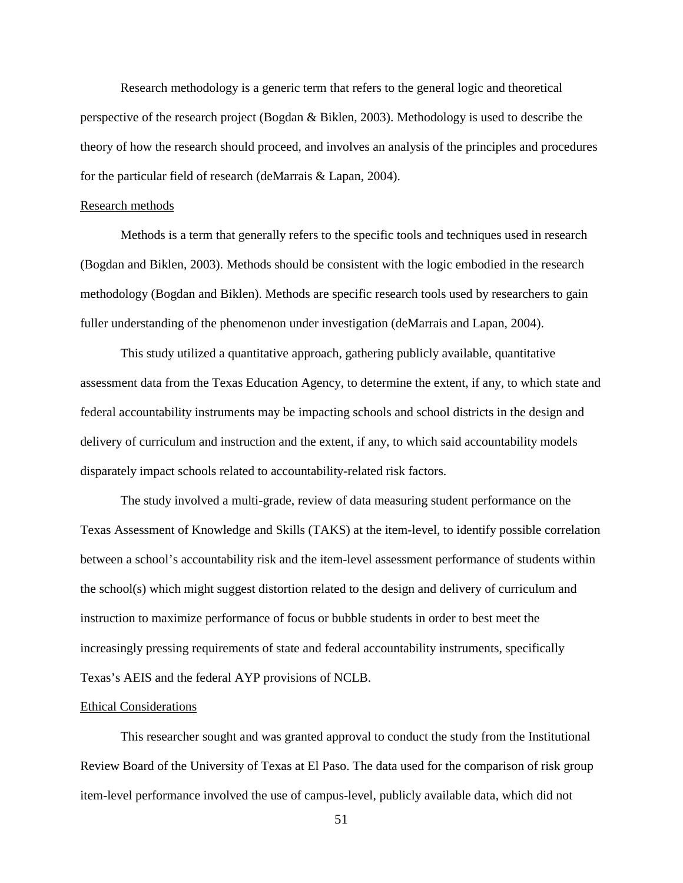Research methodology is a generic term that refers to the general logic and theoretical perspective of the research project (Bogdan & Biklen, 2003). Methodology is used to describe the theory of how the research should proceed, and involves an analysis of the principles and procedures for the particular field of research (deMarrais & Lapan, 2004).

#### Research methods

Methods is a term that generally refers to the specific tools and techniques used in research (Bogdan and Biklen, 2003). Methods should be consistent with the logic embodied in the research methodology (Bogdan and Biklen). Methods are specific research tools used by researchers to gain fuller understanding of the phenomenon under investigation (deMarrais and Lapan, 2004).

This study utilized a quantitative approach, gathering publicly available, quantitative assessment data from the Texas Education Agency, to determine the extent, if any, to which state and federal accountability instruments may be impacting schools and school districts in the design and delivery of curriculum and instruction and the extent, if any, to which said accountability models disparately impact schools related to accountability-related risk factors.

The study involved a multi-grade, review of data measuring student performance on the Texas Assessment of Knowledge and Skills (TAKS) at the item-level, to identify possible correlation between a school's accountability risk and the item-level assessment performance of students within the school(s) which might suggest distortion related to the design and delivery of curriculum and instruction to maximize performance of focus or bubble students in order to best meet the increasingly pressing requirements of state and federal accountability instruments, specifically Texas's AEIS and the federal AYP provisions of NCLB.

### Ethical Considerations

This researcher sought and was granted approval to conduct the study from the Institutional Review Board of the University of Texas at El Paso. The data used for the comparison of risk group item-level performance involved the use of campus-level, publicly available data, which did not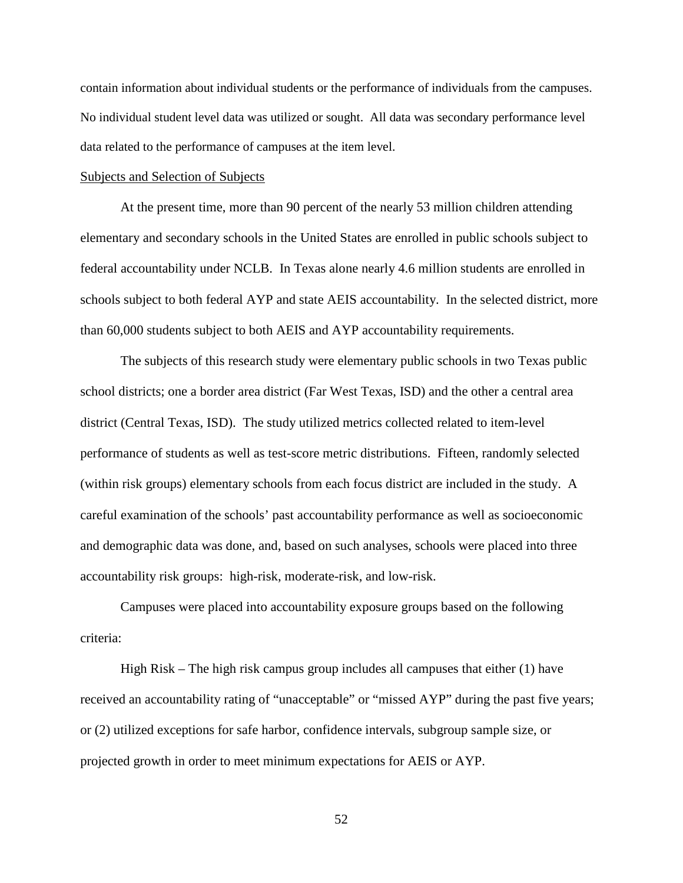contain information about individual students or the performance of individuals from the campuses. No individual student level data was utilized or sought. All data was secondary performance level data related to the performance of campuses at the item level.

### Subjects and Selection of Subjects

At the present time, more than 90 percent of the nearly 53 million children attending elementary and secondary schools in the United States are enrolled in public schools subject to federal accountability under NCLB. In Texas alone nearly 4.6 million students are enrolled in schools subject to both federal AYP and state AEIS accountability. In the selected district, more than 60,000 students subject to both AEIS and AYP accountability requirements.

The subjects of this research study were elementary public schools in two Texas public school districts; one a border area district (Far West Texas, ISD) and the other a central area district (Central Texas, ISD). The study utilized metrics collected related to item-level performance of students as well as test-score metric distributions. Fifteen, randomly selected (within risk groups) elementary schools from each focus district are included in the study. A careful examination of the schools' past accountability performance as well as socioeconomic and demographic data was done, and, based on such analyses, schools were placed into three accountability risk groups: high-risk, moderate-risk, and low-risk.

Campuses were placed into accountability exposure groups based on the following criteria:

High Risk – The high risk campus group includes all campuses that either  $(1)$  have received an accountability rating of "unacceptable" or "missed AYP" during the past five years; or (2) utilized exceptions for safe harbor, confidence intervals, subgroup sample size, or projected growth in order to meet minimum expectations for AEIS or AYP.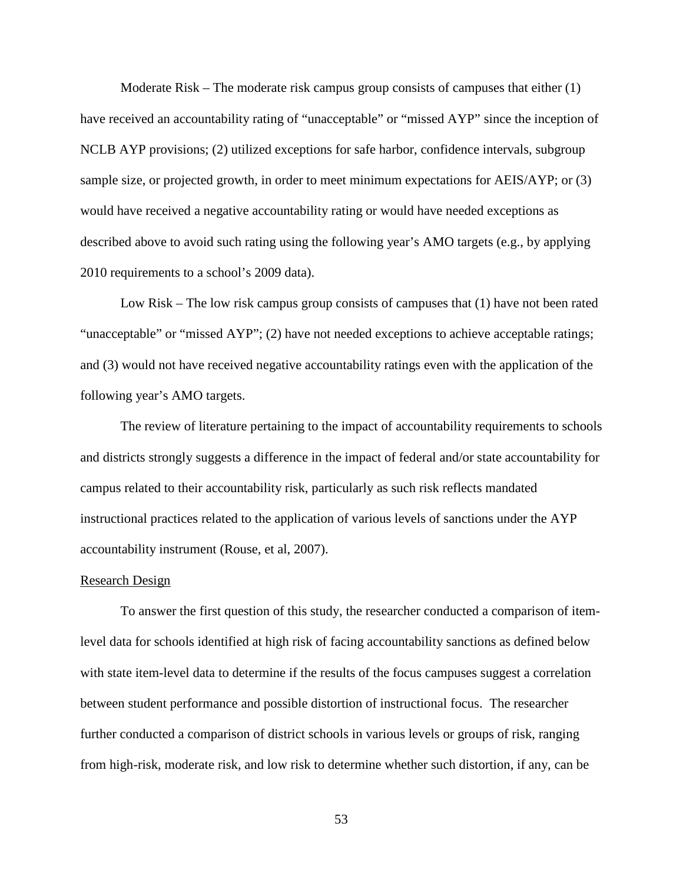Moderate Risk – The moderate risk campus group consists of campuses that either (1) have received an accountability rating of "unacceptable" or "missed AYP" since the inception of NCLB AYP provisions; (2) utilized exceptions for safe harbor, confidence intervals, subgroup sample size, or projected growth, in order to meet minimum expectations for AEIS/AYP; or (3) would have received a negative accountability rating or would have needed exceptions as described above to avoid such rating using the following year's AMO targets (e.g., by applying 2010 requirements to a school's 2009 data).

Low Risk – The low risk campus group consists of campuses that (1) have not been rated "unacceptable" or "missed AYP"; (2) have not needed exceptions to achieve acceptable ratings; and (3) would not have received negative accountability ratings even with the application of the following year's AMO targets.

The review of literature pertaining to the impact of accountability requirements to schools and districts strongly suggests a difference in the impact of federal and/or state accountability for campus related to their accountability risk, particularly as such risk reflects mandated instructional practices related to the application of various levels of sanctions under the AYP accountability instrument (Rouse, et al, 2007).

#### Research Design

To answer the first question of this study, the researcher conducted a comparison of itemlevel data for schools identified at high risk of facing accountability sanctions as defined below with state item-level data to determine if the results of the focus campuses suggest a correlation between student performance and possible distortion of instructional focus. The researcher further conducted a comparison of district schools in various levels or groups of risk, ranging from high-risk, moderate risk, and low risk to determine whether such distortion, if any, can be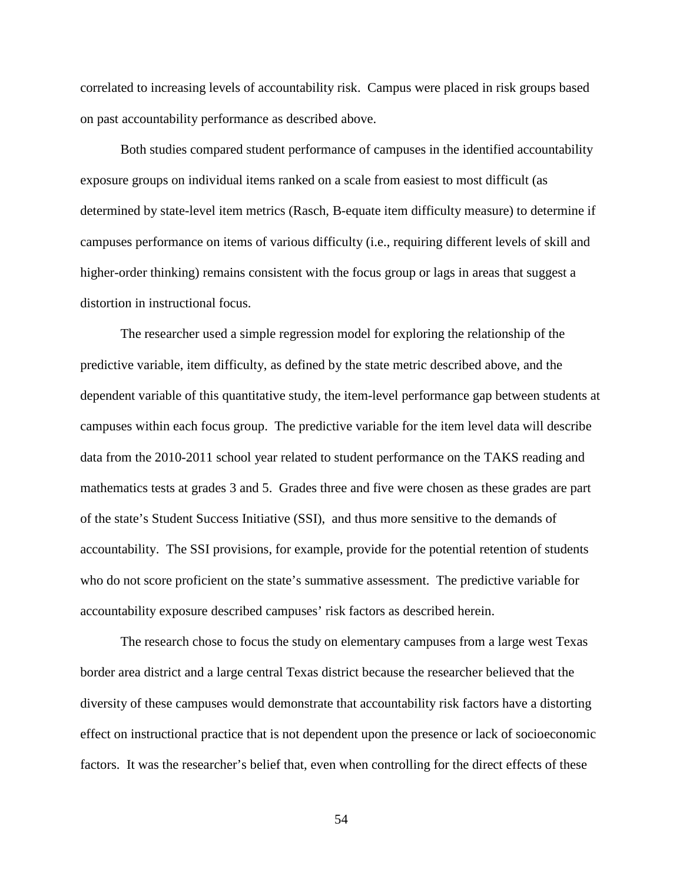correlated to increasing levels of accountability risk. Campus were placed in risk groups based on past accountability performance as described above.

Both studies compared student performance of campuses in the identified accountability exposure groups on individual items ranked on a scale from easiest to most difficult (as determined by state-level item metrics (Rasch, B-equate item difficulty measure) to determine if campuses performance on items of various difficulty (i.e., requiring different levels of skill and higher-order thinking) remains consistent with the focus group or lags in areas that suggest a distortion in instructional focus.

The researcher used a simple regression model for exploring the relationship of the predictive variable, item difficulty, as defined by the state metric described above, and the dependent variable of this quantitative study, the item-level performance gap between students at campuses within each focus group. The predictive variable for the item level data will describe data from the 2010-2011 school year related to student performance on the TAKS reading and mathematics tests at grades 3 and 5. Grades three and five were chosen as these grades are part of the state's Student Success Initiative (SSI), and thus more sensitive to the demands of accountability. The SSI provisions, for example, provide for the potential retention of students who do not score proficient on the state's summative assessment. The predictive variable for accountability exposure described campuses' risk factors as described herein.

The research chose to focus the study on elementary campuses from a large west Texas border area district and a large central Texas district because the researcher believed that the diversity of these campuses would demonstrate that accountability risk factors have a distorting effect on instructional practice that is not dependent upon the presence or lack of socioeconomic factors. It was the researcher's belief that, even when controlling for the direct effects of these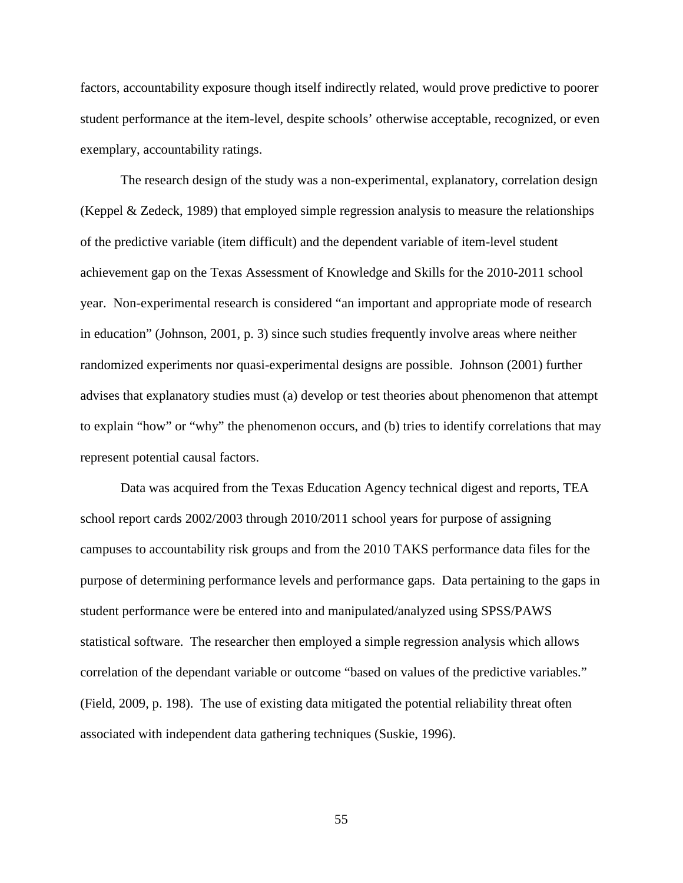factors, accountability exposure though itself indirectly related, would prove predictive to poorer student performance at the item-level, despite schools' otherwise acceptable, recognized, or even exemplary, accountability ratings.

The research design of the study was a non-experimental, explanatory, correlation design (Keppel & Zedeck, 1989) that employed simple regression analysis to measure the relationships of the predictive variable (item difficult) and the dependent variable of item-level student achievement gap on the Texas Assessment of Knowledge and Skills for the 2010-2011 school year. Non-experimental research is considered "an important and appropriate mode of research in education" (Johnson, 2001, p. 3) since such studies frequently involve areas where neither randomized experiments nor quasi-experimental designs are possible. Johnson (2001) further advises that explanatory studies must (a) develop or test theories about phenomenon that attempt to explain "how" or "why" the phenomenon occurs, and (b) tries to identify correlations that may represent potential causal factors.

Data was acquired from the Texas Education Agency technical digest and reports, TEA school report cards 2002/2003 through 2010/2011 school years for purpose of assigning campuses to accountability risk groups and from the 2010 TAKS performance data files for the purpose of determining performance levels and performance gaps. Data pertaining to the gaps in student performance were be entered into and manipulated/analyzed using SPSS/PAWS statistical software. The researcher then employed a simple regression analysis which allows correlation of the dependant variable or outcome "based on values of the predictive variables." (Field, 2009, p. 198). The use of existing data mitigated the potential reliability threat often associated with independent data gathering techniques (Suskie, 1996).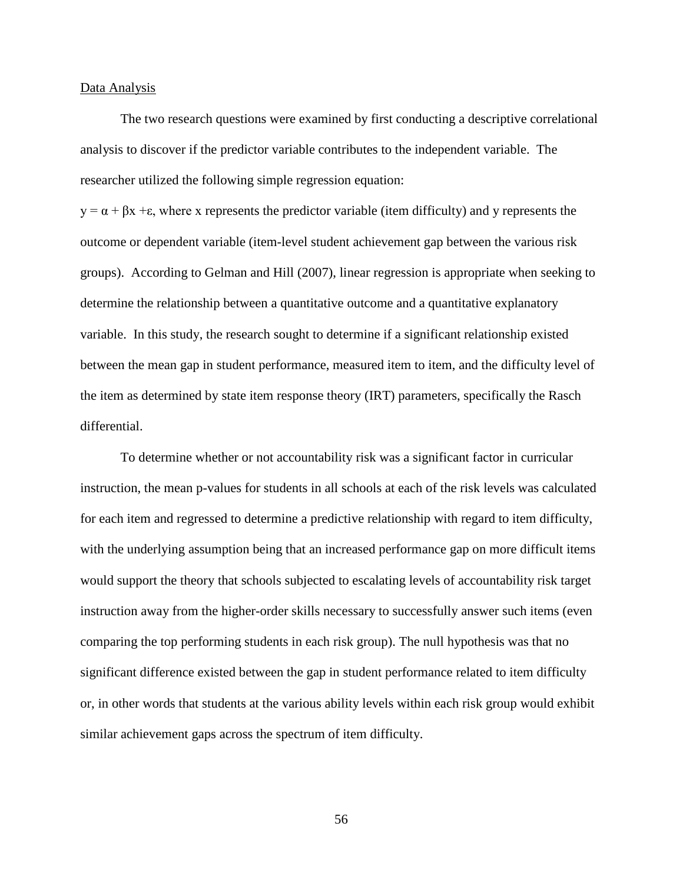### Data Analysis

The two research questions were examined by first conducting a descriptive correlational analysis to discover if the predictor variable contributes to the independent variable. The researcher utilized the following simple regression equation:

 $y = \alpha + \beta x + \epsilon$ , where x represents the predictor variable (item difficulty) and y represents the outcome or dependent variable (item-level student achievement gap between the various risk groups). According to Gelman and Hill (2007), linear regression is appropriate when seeking to determine the relationship between a quantitative outcome and a quantitative explanatory variable. In this study, the research sought to determine if a significant relationship existed between the mean gap in student performance, measured item to item, and the difficulty level of the item as determined by state item response theory (IRT) parameters, specifically the Rasch differential.

To determine whether or not accountability risk was a significant factor in curricular instruction, the mean p-values for students in all schools at each of the risk levels was calculated for each item and regressed to determine a predictive relationship with regard to item difficulty, with the underlying assumption being that an increased performance gap on more difficult items would support the theory that schools subjected to escalating levels of accountability risk target instruction away from the higher-order skills necessary to successfully answer such items (even comparing the top performing students in each risk group). The null hypothesis was that no significant difference existed between the gap in student performance related to item difficulty or, in other words that students at the various ability levels within each risk group would exhibit similar achievement gaps across the spectrum of item difficulty.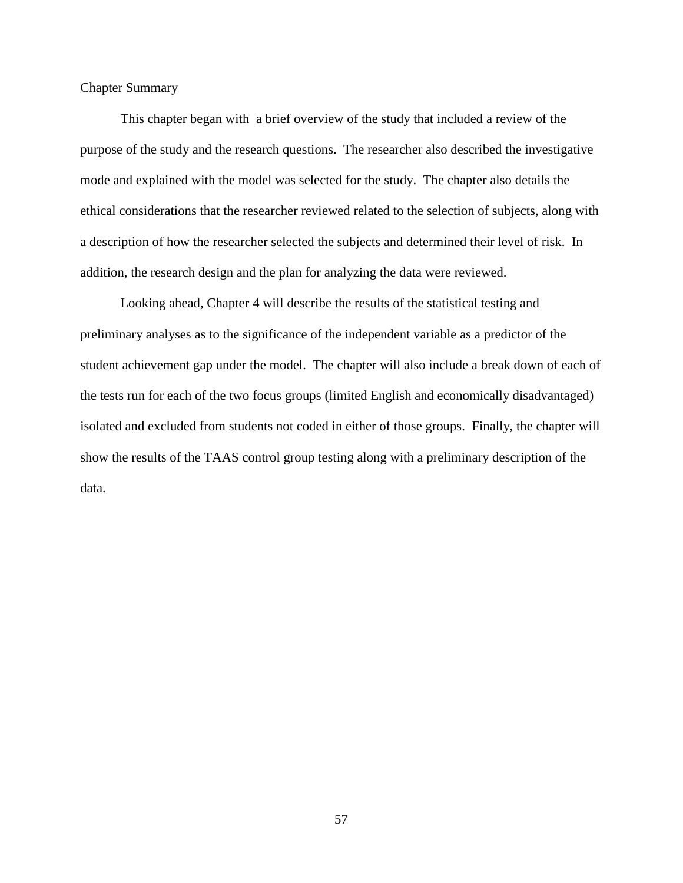## Chapter Summary

This chapter began with a brief overview of the study that included a review of the purpose of the study and the research questions. The researcher also described the investigative mode and explained with the model was selected for the study. The chapter also details the ethical considerations that the researcher reviewed related to the selection of subjects, along with a description of how the researcher selected the subjects and determined their level of risk. In addition, the research design and the plan for analyzing the data were reviewed.

Looking ahead, Chapter 4 will describe the results of the statistical testing and preliminary analyses as to the significance of the independent variable as a predictor of the student achievement gap under the model. The chapter will also include a break down of each of the tests run for each of the two focus groups (limited English and economically disadvantaged) isolated and excluded from students not coded in either of those groups. Finally, the chapter will show the results of the TAAS control group testing along with a preliminary description of the data.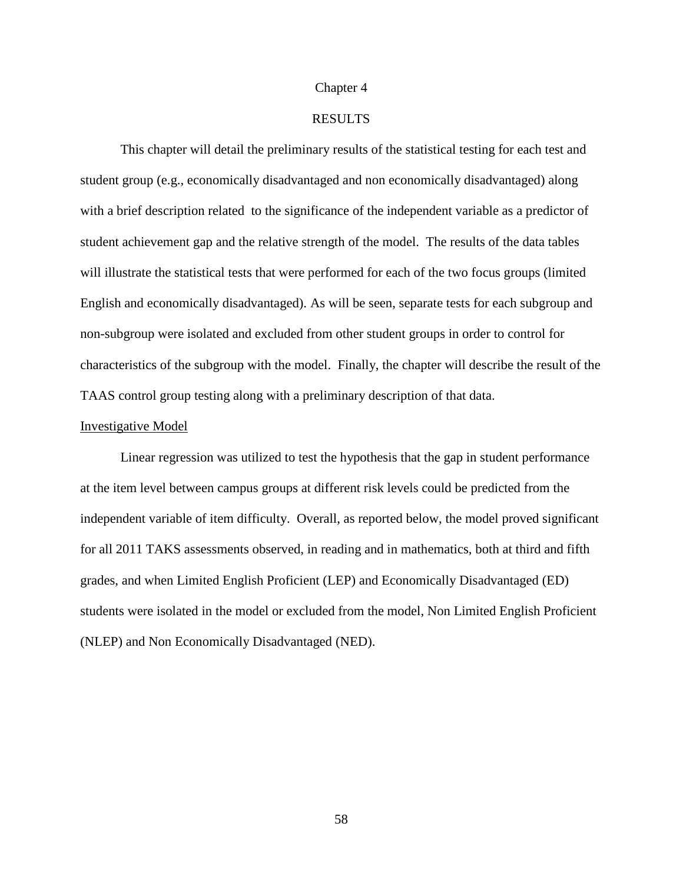### Chapter 4

### RESULTS

This chapter will detail the preliminary results of the statistical testing for each test and student group (e.g., economically disadvantaged and non economically disadvantaged) along with a brief description related to the significance of the independent variable as a predictor of student achievement gap and the relative strength of the model. The results of the data tables will illustrate the statistical tests that were performed for each of the two focus groups (limited English and economically disadvantaged). As will be seen, separate tests for each subgroup and non-subgroup were isolated and excluded from other student groups in order to control for characteristics of the subgroup with the model. Finally, the chapter will describe the result of the TAAS control group testing along with a preliminary description of that data.

### Investigative Model

Linear regression was utilized to test the hypothesis that the gap in student performance at the item level between campus groups at different risk levels could be predicted from the independent variable of item difficulty. Overall, as reported below, the model proved significant for all 2011 TAKS assessments observed, in reading and in mathematics, both at third and fifth grades, and when Limited English Proficient (LEP) and Economically Disadvantaged (ED) students were isolated in the model or excluded from the model, Non Limited English Proficient (NLEP) and Non Economically Disadvantaged (NED).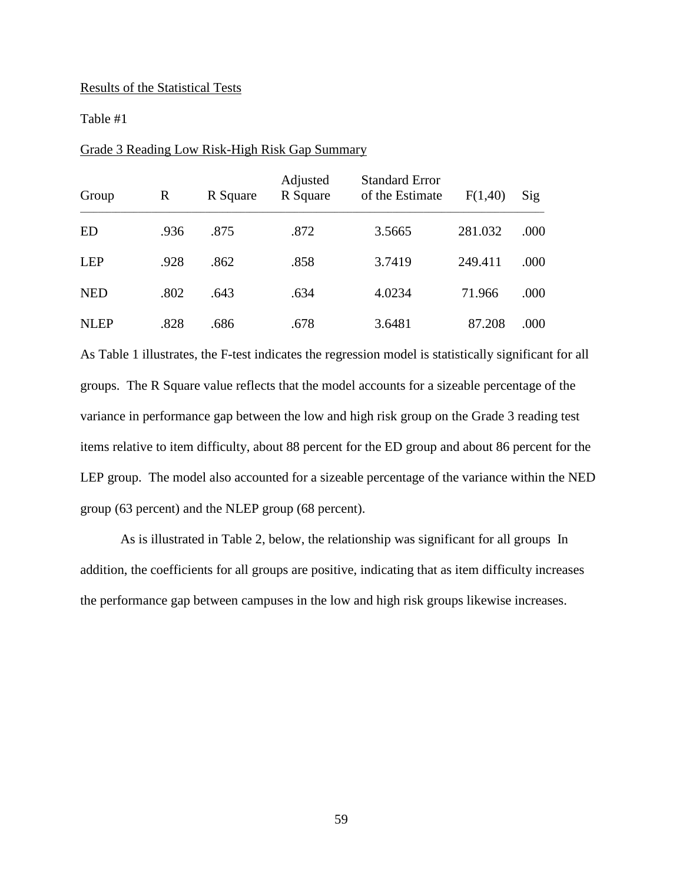### Results of the Statistical Tests

## Table #1

| Group       | R    | R Square | Adjusted<br>R Square | <b>Standard Error</b><br>of the Estimate | F(1,40) | Sig  |
|-------------|------|----------|----------------------|------------------------------------------|---------|------|
| ED          | .936 | .875     | .872                 | 3.5665                                   | 281.032 | .000 |
| <b>LEP</b>  | .928 | .862     | .858                 | 3.7419                                   | 249.411 | .000 |
| <b>NED</b>  | .802 | .643     | .634                 | 4.0234                                   | 71.966  | .000 |
| <b>NLEP</b> | .828 | .686     | .678                 | 3.6481                                   | 87.208  | .000 |

## Grade 3 Reading Low Risk-High Risk Gap Summary

As Table 1 illustrates, the F-test indicates the regression model is statistically significant for all groups. The R Square value reflects that the model accounts for a sizeable percentage of the variance in performance gap between the low and high risk group on the Grade 3 reading test items relative to item difficulty, about 88 percent for the ED group and about 86 percent for the LEP group. The model also accounted for a sizeable percentage of the variance within the NED group (63 percent) and the NLEP group (68 percent).

As is illustrated in Table 2, below, the relationship was significant for all groups In addition, the coefficients for all groups are positive, indicating that as item difficulty increases the performance gap between campuses in the low and high risk groups likewise increases.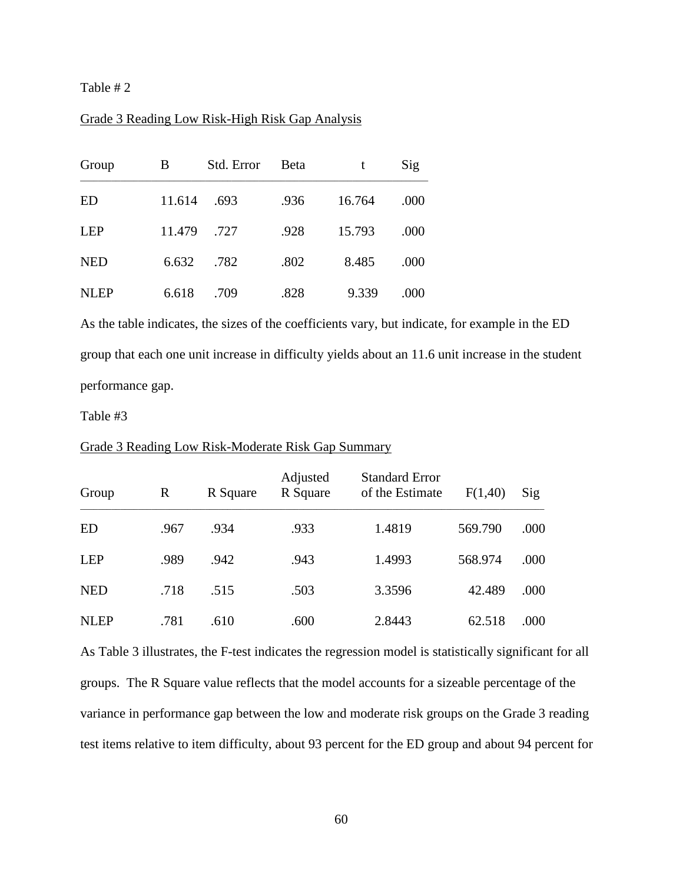Table # 2

## Grade 3 Reading Low Risk-High Risk Gap Analysis

| Group       | B      | Std. Error | <b>B</b> eta |        | Sig  |
|-------------|--------|------------|--------------|--------|------|
| <b>ED</b>   | 11.614 | .693       | .936         | 16.764 | .000 |
| <b>LEP</b>  | 11.479 | .727       | .928         | 15.793 | .000 |
| <b>NED</b>  | 6.632  | .782       | .802         | 8.485  | .000 |
| <b>NLEP</b> | 6.618  | .709       | .828         | 9.339  | .000 |

As the table indicates, the sizes of the coefficients vary, but indicate, for example in the ED group that each one unit increase in difficulty yields about an 11.6 unit increase in the student performance gap.

Table #3

| Group       | R    | R Square | Adjusted<br>R Square | <b>Standard Error</b><br>of the Estimate | F(1,40) | Sig  |
|-------------|------|----------|----------------------|------------------------------------------|---------|------|
| <b>ED</b>   | .967 | .934     | .933                 | 1.4819                                   | 569.790 | .000 |
| <b>LEP</b>  | .989 | .942     | .943                 | 1.4993                                   | 568.974 | .000 |
| <b>NED</b>  | .718 | .515     | .503                 | 3.3596                                   | 42.489  | .000 |
| <b>NLEP</b> | .781 | .610     | .600                 | 2.8443                                   | 62.518  | .000 |

#### Grade 3 Reading Low Risk-Moderate Risk Gap Summary

As Table 3 illustrates, the F-test indicates the regression model is statistically significant for all groups. The R Square value reflects that the model accounts for a sizeable percentage of the variance in performance gap between the low and moderate risk groups on the Grade 3 reading test items relative to item difficulty, about 93 percent for the ED group and about 94 percent for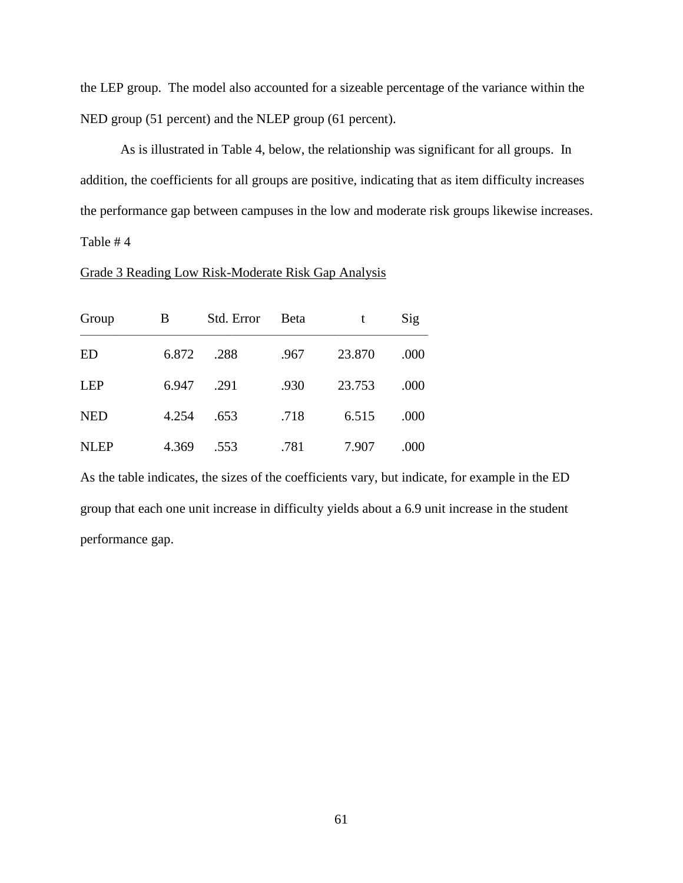the LEP group. The model also accounted for a sizeable percentage of the variance within the NED group (51 percent) and the NLEP group (61 percent).

As is illustrated in Table 4, below, the relationship was significant for all groups. In addition, the coefficients for all groups are positive, indicating that as item difficulty increases the performance gap between campuses in the low and moderate risk groups likewise increases. Table # 4

# Grade 3 Reading Low Risk-Moderate Risk Gap Analysis

| Group       | В     | Std. Error | <b>B</b> eta | t      | Sig  |
|-------------|-------|------------|--------------|--------|------|
| <b>ED</b>   | 6.872 | .288       | .967         | 23.870 | .000 |
| <b>LEP</b>  | 6.947 | .291       | .930         | 23.753 | .000 |
| <b>NED</b>  | 4.254 | .653       | .718         | 6.515  | .000 |
| <b>NLEP</b> | 4.369 | .553       | .781         | 7.907  | .000 |

As the table indicates, the sizes of the coefficients vary, but indicate, for example in the ED group that each one unit increase in difficulty yields about a 6.9 unit increase in the student performance gap.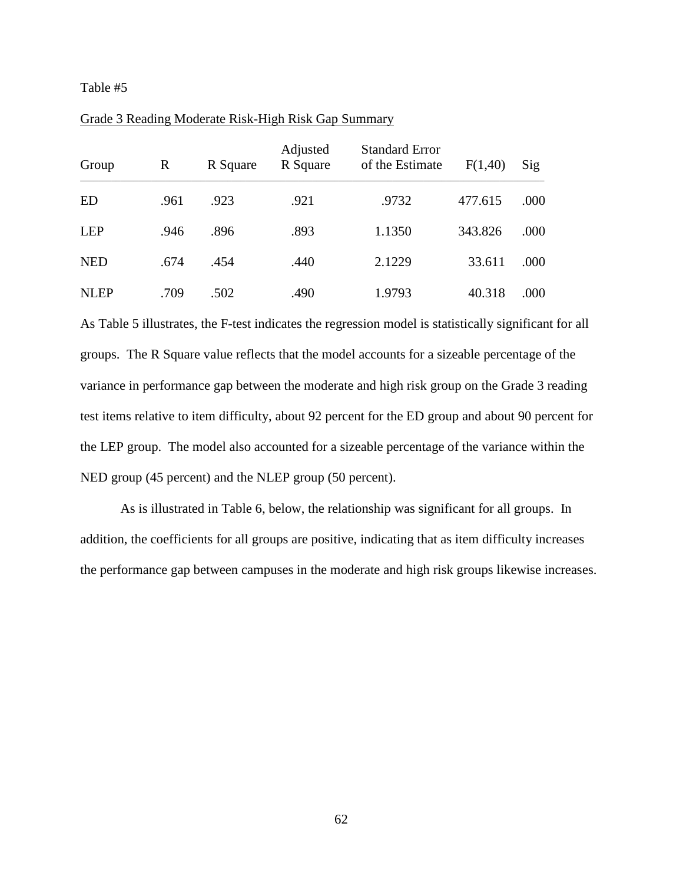| Group       | R    | R Square | Adjusted<br>R Square | <b>Standard Error</b><br>of the Estimate | F(1,40) | Sig  |
|-------------|------|----------|----------------------|------------------------------------------|---------|------|
| ED          | .961 | .923     | .921                 | .9732                                    | 477.615 | .000 |
| LEP         | .946 | .896     | .893                 | 1.1350                                   | 343.826 | .000 |
| <b>NED</b>  | .674 | .454     | .440                 | 2.1229                                   | 33.611  | .000 |
| <b>NLEP</b> | .709 | .502     | .490                 | 1.9793                                   | 40.318  | .000 |

## Grade 3 Reading Moderate Risk-High Risk Gap Summary

As Table 5 illustrates, the F-test indicates the regression model is statistically significant for all groups. The R Square value reflects that the model accounts for a sizeable percentage of the variance in performance gap between the moderate and high risk group on the Grade 3 reading test items relative to item difficulty, about 92 percent for the ED group and about 90 percent for the LEP group. The model also accounted for a sizeable percentage of the variance within the NED group (45 percent) and the NLEP group (50 percent).

As is illustrated in Table 6, below, the relationship was significant for all groups. In addition, the coefficients for all groups are positive, indicating that as item difficulty increases the performance gap between campuses in the moderate and high risk groups likewise increases.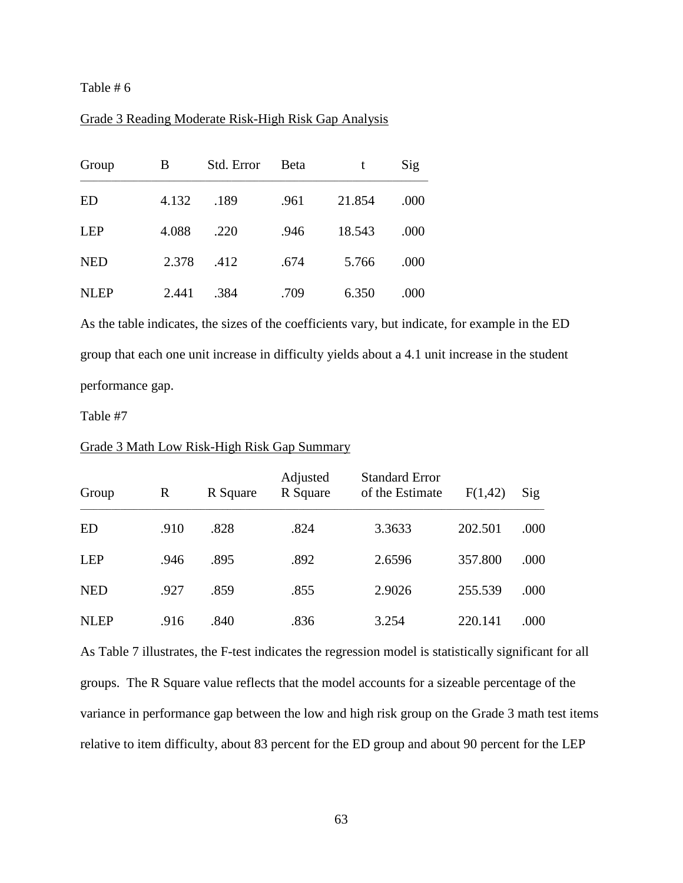## Grade 3 Reading Moderate Risk-High Risk Gap Analysis

| Group       | B     | Std. Error | <b>B</b> eta | t      | Sig  |
|-------------|-------|------------|--------------|--------|------|
| <b>ED</b>   | 4.132 | .189       | .961         | 21.854 | .000 |
| <b>LEP</b>  | 4.088 | .220       | .946         | 18.543 | .000 |
| <b>NED</b>  | 2.378 | .412       | .674         | 5.766  | .000 |
| <b>NLEP</b> | 2.441 | .384       | .709         | 6.350  | .000 |

As the table indicates, the sizes of the coefficients vary, but indicate, for example in the ED group that each one unit increase in difficulty yields about a 4.1 unit increase in the student performance gap.

Table #7

| Group       | R    | R Square | Adjusted<br>R Square | <b>Standard Error</b><br>of the Estimate | F(1,42) | Sig  |
|-------------|------|----------|----------------------|------------------------------------------|---------|------|
| ED          | .910 | .828     | .824                 | 3.3633                                   | 202.501 | .000 |
| <b>LEP</b>  | .946 | .895     | .892                 | 2.6596                                   | 357.800 | .000 |
| <b>NED</b>  | .927 | .859     | .855                 | 2.9026                                   | 255.539 | .000 |
| <b>NLEP</b> | .916 | .840     | .836                 | 3.254                                    | 220.141 | .000 |

#### Grade 3 Math Low Risk-High Risk Gap Summary

As Table 7 illustrates, the F-test indicates the regression model is statistically significant for all groups. The R Square value reflects that the model accounts for a sizeable percentage of the variance in performance gap between the low and high risk group on the Grade 3 math test items relative to item difficulty, about 83 percent for the ED group and about 90 percent for the LEP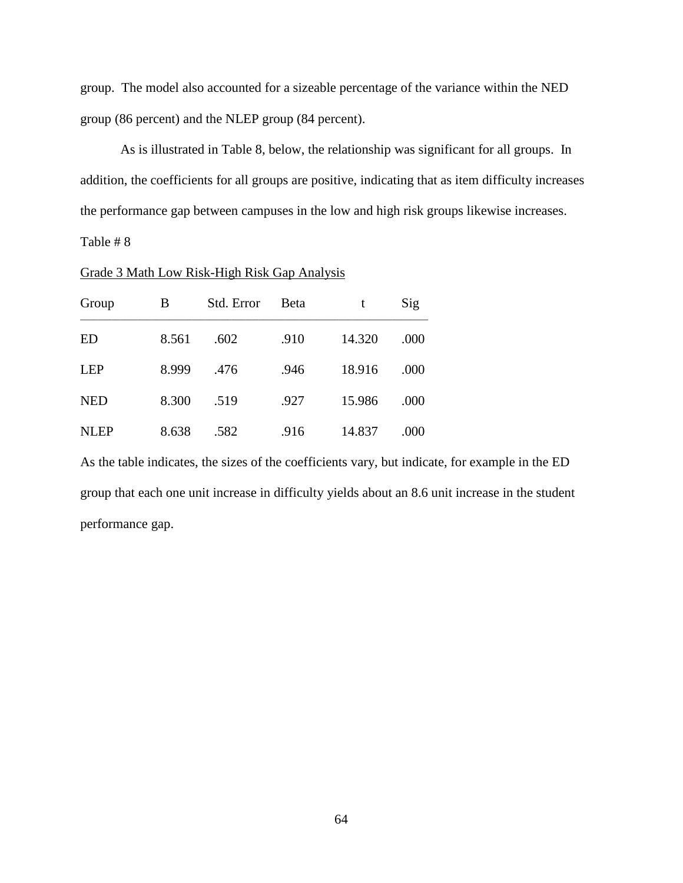group. The model also accounted for a sizeable percentage of the variance within the NED group (86 percent) and the NLEP group (84 percent).

As is illustrated in Table 8, below, the relationship was significant for all groups. In addition, the coefficients for all groups are positive, indicating that as item difficulty increases the performance gap between campuses in the low and high risk groups likewise increases.

Table # 8

| Grade 3 Math Low Risk-High Risk Gap Analysis |  |  |  |  |
|----------------------------------------------|--|--|--|--|
|                                              |  |  |  |  |

| Group       | B     | Std. Error | <b>B</b> eta | t      | Sig  |
|-------------|-------|------------|--------------|--------|------|
| ED          | 8.561 | .602       | .910         | 14.320 | .000 |
| <b>LEP</b>  | 8.999 | .476       | .946         | 18.916 | .000 |
| <b>NED</b>  | 8.300 | .519       | .927         | 15.986 | .000 |
| <b>NLEP</b> | 8.638 | .582       | .916         | 14.837 | .000 |

As the table indicates, the sizes of the coefficients vary, but indicate, for example in the ED group that each one unit increase in difficulty yields about an 8.6 unit increase in the student performance gap.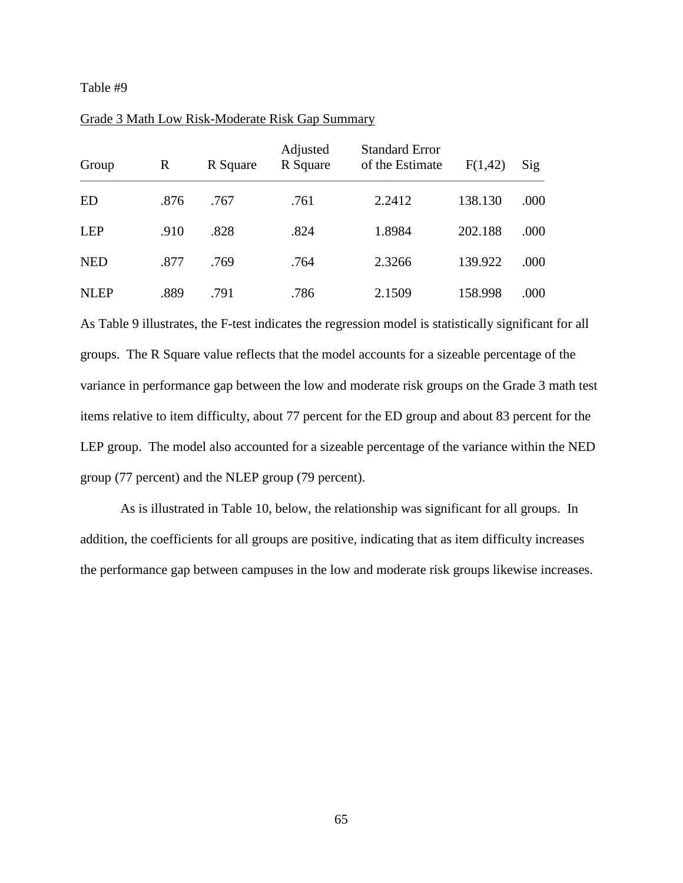| Group       | R    | R Square | Adjusted<br>R Square | <b>Standard Error</b><br>of the Estimate | F(1,42) | Sig  |
|-------------|------|----------|----------------------|------------------------------------------|---------|------|
| ED          | .876 | .767     | .761                 | 2.2412                                   | 138.130 | .000 |
| <b>LEP</b>  | .910 | .828     | .824                 | 1.8984                                   | 202.188 | .000 |
| <b>NED</b>  | .877 | .769     | .764                 | 2.3266                                   | 139.922 | .000 |
| <b>NLEP</b> | .889 | .791     | .786                 | 2.1509                                   | 158.998 | .000 |

## Grade 3 Math Low Risk-Moderate Risk Gap Summary

As Table 9 illustrates, the F-test indicates the regression model is statistically significant for all groups. The R Square value reflects that the model accounts for a sizeable percentage of the variance in performance gap between the low and moderate risk groups on the Grade 3 math test items relative to item difficulty, about 77 percent for the ED group and about 83 percent for the LEP group. The model also accounted for a sizeable percentage of the variance within the NED group (77 percent) and the NLEP group (79 percent).

As is illustrated in Table 10, below, the relationship was significant for all groups. In addition, the coefficients for all groups are positive, indicating that as item difficulty increases the performance gap between campuses in the low and moderate risk groups likewise increases.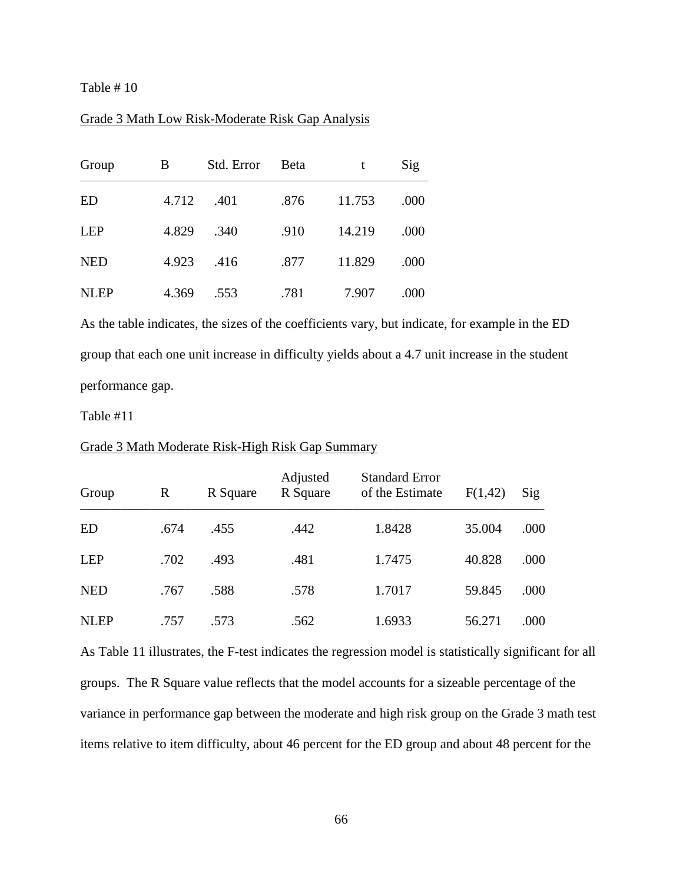## Grade 3 Math Low Risk-Moderate Risk Gap Analysis

| Group       | B     | Std. Error | Beta | t      | Sig  |
|-------------|-------|------------|------|--------|------|
| <b>ED</b>   | 4.712 | .401       | .876 | 11.753 | .000 |
| <b>LEP</b>  | 4.829 | .340       | .910 | 14.219 | .000 |
| <b>NED</b>  | 4.923 | .416       | .877 | 11.829 | .000 |
| <b>NLEP</b> | 4.369 | .553       | .781 | 7.907  | .000 |

As the table indicates, the sizes of the coefficients vary, but indicate, for example in the ED group that each one unit increase in difficulty yields about a 4.7 unit increase in the student performance gap.

Table #11

| Group       | $\mathbb{R}$ | R Square | Adjusted<br>R Square | <b>Standard Error</b><br>of the Estimate | F(1,42) | Sig  |
|-------------|--------------|----------|----------------------|------------------------------------------|---------|------|
| <b>ED</b>   | .674         | .455     | .442                 | 1.8428                                   | 35.004  | .000 |
| <b>LEP</b>  | .702         | .493     | .481                 | 1.7475                                   | 40.828  | .000 |
| <b>NED</b>  | .767         | .588     | .578                 | 1.7017                                   | 59.845  | .000 |
| <b>NLEP</b> | .757         | .573     | .562                 | 1.6933                                   | 56.271  | .000 |

#### Grade 3 Math Moderate Risk-High Risk Gap Summary

As Table 11 illustrates, the F-test indicates the regression model is statistically significant for all groups. The R Square value reflects that the model accounts for a sizeable percentage of the variance in performance gap between the moderate and high risk group on the Grade 3 math test items relative to item difficulty, about 46 percent for the ED group and about 48 percent for the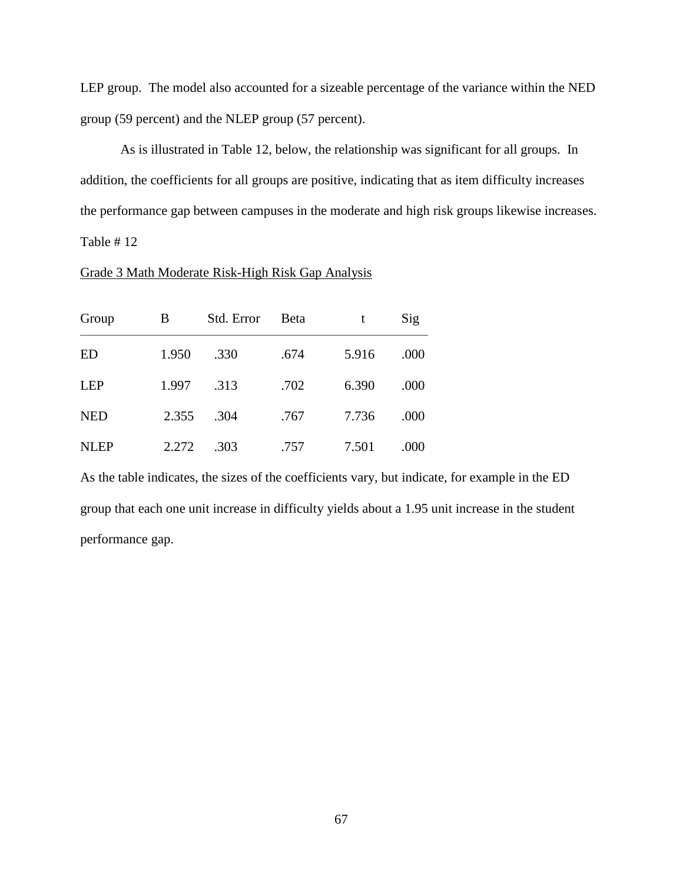LEP group. The model also accounted for a sizeable percentage of the variance within the NED group (59 percent) and the NLEP group (57 percent).

As is illustrated in Table 12, below, the relationship was significant for all groups. In addition, the coefficients for all groups are positive, indicating that as item difficulty increases the performance gap between campuses in the moderate and high risk groups likewise increases. Table # 12

# Grade 3 Math Moderate Risk-High Risk Gap Analysis

| Group       | B     | Std. Error | Beta | t     | Sig  |
|-------------|-------|------------|------|-------|------|
| <b>ED</b>   | 1.950 | .330       | .674 | 5.916 | .000 |
| <b>LEP</b>  | 1.997 | .313       | .702 | 6.390 | .000 |
| <b>NED</b>  | 2.355 | .304       | .767 | 7.736 | .000 |
| <b>NLEP</b> | 2.272 | .303       | .757 | 7.501 | .000 |

As the table indicates, the sizes of the coefficients vary, but indicate, for example in the ED group that each one unit increase in difficulty yields about a 1.95 unit increase in the student performance gap.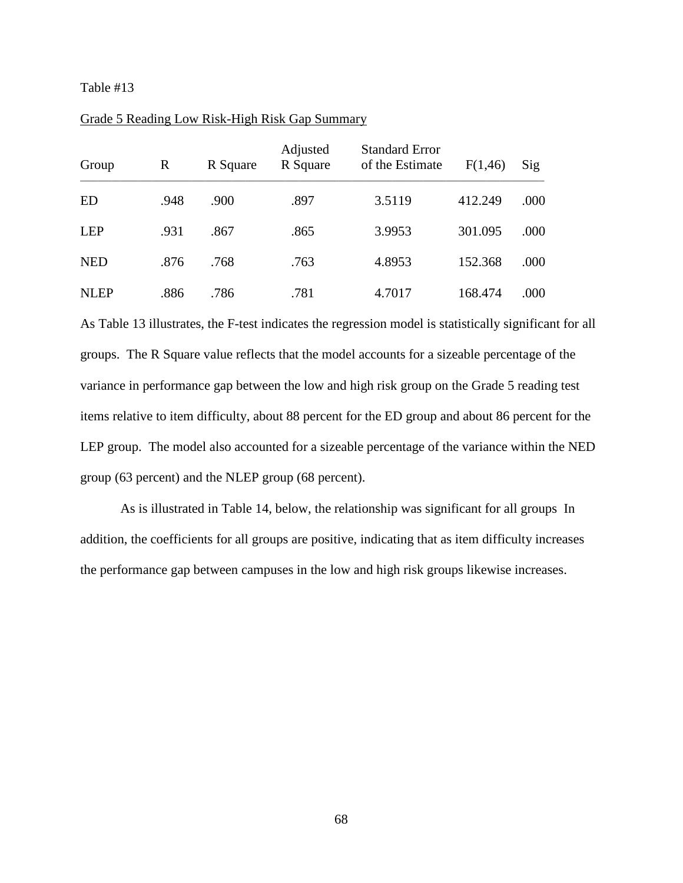| Group       | R    | R Square | Adjusted<br>R Square | <b>Standard Error</b><br>of the Estimate | F(1,46) | Sig  |
|-------------|------|----------|----------------------|------------------------------------------|---------|------|
| ED          | .948 | .900     | .897                 | 3.5119                                   | 412.249 | .000 |
| LEP         | .931 | .867     | .865                 | 3.9953                                   | 301.095 | .000 |
| <b>NED</b>  | .876 | .768     | .763                 | 4.8953                                   | 152.368 | .000 |
| <b>NLEP</b> | .886 | .786     | .781                 | 4.7017                                   | 168.474 | .000 |

#### Grade 5 Reading Low Risk-High Risk Gap Summary

As Table 13 illustrates, the F-test indicates the regression model is statistically significant for all groups. The R Square value reflects that the model accounts for a sizeable percentage of the variance in performance gap between the low and high risk group on the Grade 5 reading test items relative to item difficulty, about 88 percent for the ED group and about 86 percent for the LEP group. The model also accounted for a sizeable percentage of the variance within the NED group (63 percent) and the NLEP group (68 percent).

As is illustrated in Table 14, below, the relationship was significant for all groups In addition, the coefficients for all groups are positive, indicating that as item difficulty increases the performance gap between campuses in the low and high risk groups likewise increases.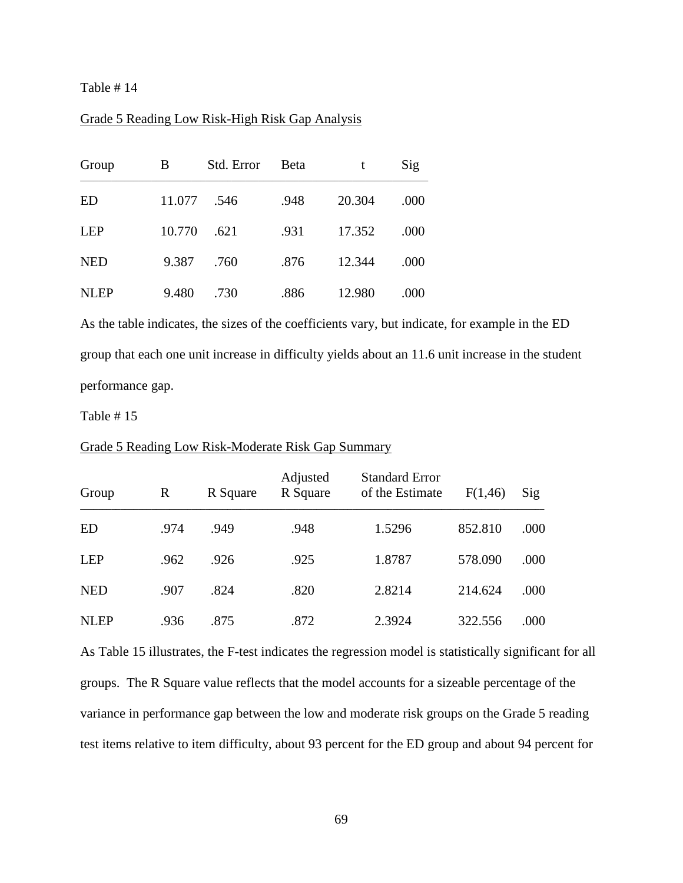Table # 14

## Grade 5 Reading Low Risk-High Risk Gap Analysis

| Group       | B      | Std. Error | Beta | t      | Sig  |
|-------------|--------|------------|------|--------|------|
| <b>ED</b>   | 11.077 | .546       | .948 | 20.304 | .000 |
| <b>LEP</b>  | 10.770 | .621       | .931 | 17.352 | .000 |
| <b>NED</b>  | 9.387  | .760       | .876 | 12.344 | .000 |
| <b>NLEP</b> | 9.480  | .730       | .886 | 12.980 | .000 |

As the table indicates, the sizes of the coefficients vary, but indicate, for example in the ED group that each one unit increase in difficulty yields about an 11.6 unit increase in the student performance gap.

Table # 15

| Group       | R    | R Square | Adjusted<br>R Square | <b>Standard Error</b><br>of the Estimate | F(1,46) | $\mathrm{Sig}$ |
|-------------|------|----------|----------------------|------------------------------------------|---------|----------------|
| <b>ED</b>   | .974 | .949     | .948                 | 1.5296                                   | 852.810 | .000           |
| <b>LEP</b>  | .962 | .926     | .925                 | 1.8787                                   | 578.090 | .000           |
| <b>NED</b>  | .907 | .824     | .820                 | 2.8214                                   | 214.624 | .000           |
| <b>NLEP</b> | .936 | .875     | .872                 | 2.3924                                   | 322.556 | .000           |

#### Grade 5 Reading Low Risk-Moderate Risk Gap Summary

As Table 15 illustrates, the F-test indicates the regression model is statistically significant for all groups. The R Square value reflects that the model accounts for a sizeable percentage of the variance in performance gap between the low and moderate risk groups on the Grade 5 reading test items relative to item difficulty, about 93 percent for the ED group and about 94 percent for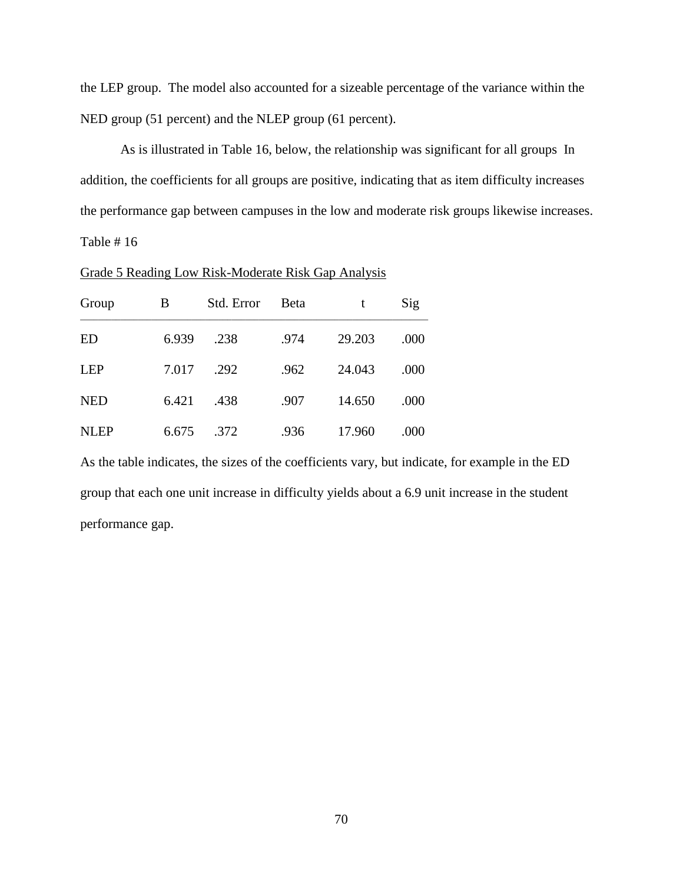the LEP group. The model also accounted for a sizeable percentage of the variance within the NED group (51 percent) and the NLEP group (61 percent).

As is illustrated in Table 16, below, the relationship was significant for all groups In addition, the coefficients for all groups are positive, indicating that as item difficulty increases the performance gap between campuses in the low and moderate risk groups likewise increases. Table # 16

| Grade 5 Reading Low Risk-Moderate Risk Gap Analysis |  |
|-----------------------------------------------------|--|
|                                                     |  |

| Group       | В     | Std. Error | <b>B</b> eta | t      | Sig  |
|-------------|-------|------------|--------------|--------|------|
| <b>ED</b>   | 6.939 | .238       | .974         | 29.203 | .000 |
| <b>LEP</b>  | 7.017 | .292       | .962         | 24.043 | .000 |
| <b>NED</b>  | 6.421 | .438       | .907         | 14.650 | .000 |
| <b>NLEP</b> | 6.675 | .372       | .936         | 17.960 | .000 |

As the table indicates, the sizes of the coefficients vary, but indicate, for example in the ED group that each one unit increase in difficulty yields about a 6.9 unit increase in the student performance gap.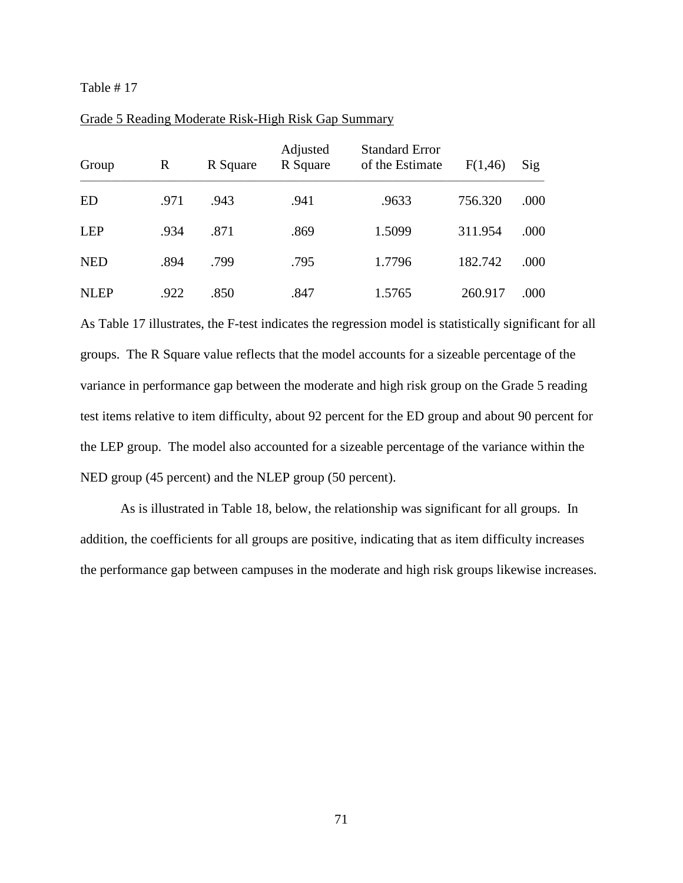| Group       | R    | R Square | Adjusted<br>R Square | <b>Standard Error</b><br>of the Estimate | F(1,46) | Sig  |
|-------------|------|----------|----------------------|------------------------------------------|---------|------|
| ED          | .971 | .943     | .941                 | .9633                                    | 756.320 | .000 |
| LEP         | .934 | .871     | .869                 | 1.5099                                   | 311.954 | .000 |
| <b>NED</b>  | .894 | .799     | .795                 | 1.7796                                   | 182.742 | .000 |
| <b>NLEP</b> | .922 | .850     | .847                 | 1.5765                                   | 260.917 | .000 |

## Grade 5 Reading Moderate Risk-High Risk Gap Summary

As Table 17 illustrates, the F-test indicates the regression model is statistically significant for all groups. The R Square value reflects that the model accounts for a sizeable percentage of the variance in performance gap between the moderate and high risk group on the Grade 5 reading test items relative to item difficulty, about 92 percent for the ED group and about 90 percent for the LEP group. The model also accounted for a sizeable percentage of the variance within the NED group (45 percent) and the NLEP group (50 percent).

As is illustrated in Table 18, below, the relationship was significant for all groups. In addition, the coefficients for all groups are positive, indicating that as item difficulty increases the performance gap between campuses in the moderate and high risk groups likewise increases.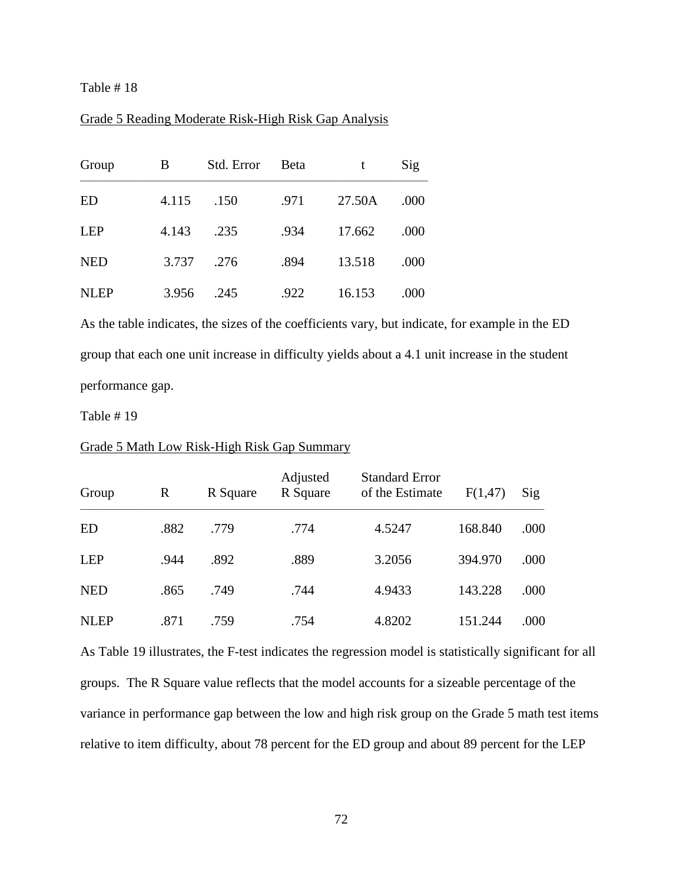Table # 18

## Grade 5 Reading Moderate Risk-High Risk Gap Analysis

| Group       | B     | Std. Error | Beta | t      | Sig  |
|-------------|-------|------------|------|--------|------|
| <b>ED</b>   | 4.115 | .150       | .971 | 27.50A | .000 |
| <b>LEP</b>  | 4.143 | .235       | .934 | 17.662 | .000 |
| <b>NED</b>  | 3.737 | .276       | .894 | 13.518 | .000 |
| <b>NLEP</b> | 3.956 | .245       | .922 | 16.153 | .000 |

As the table indicates, the sizes of the coefficients vary, but indicate, for example in the ED group that each one unit increase in difficulty yields about a 4.1 unit increase in the student performance gap.

Table # 19

| Group       | R    | R Square | Adjusted<br>R Square | <b>Standard Error</b><br>of the Estimate | F(1,47) | Sig  |
|-------------|------|----------|----------------------|------------------------------------------|---------|------|
| ED          | .882 | .779     | .774                 | 4.5247                                   | 168.840 | .000 |
| <b>LEP</b>  | .944 | .892     | .889                 | 3.2056                                   | 394.970 | .000 |
| <b>NED</b>  | .865 | .749     | .744                 | 4.9433                                   | 143.228 | .000 |
| <b>NLEP</b> | .871 | .759     | .754                 | 4.8202                                   | 151.244 | .000 |

#### Grade 5 Math Low Risk-High Risk Gap Summary

As Table 19 illustrates, the F-test indicates the regression model is statistically significant for all groups. The R Square value reflects that the model accounts for a sizeable percentage of the variance in performance gap between the low and high risk group on the Grade 5 math test items relative to item difficulty, about 78 percent for the ED group and about 89 percent for the LEP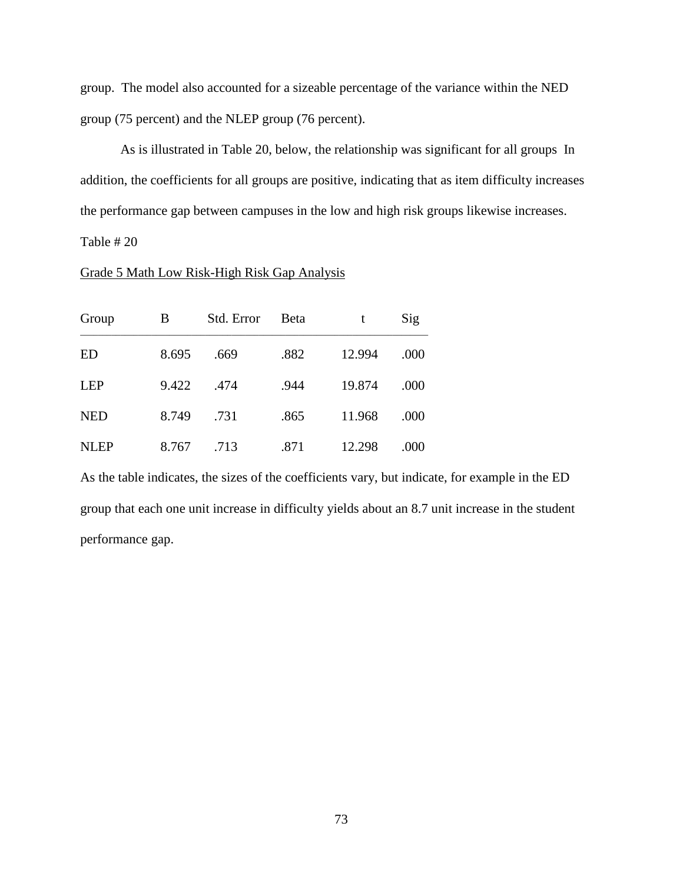group. The model also accounted for a sizeable percentage of the variance within the NED group (75 percent) and the NLEP group (76 percent).

As is illustrated in Table 20, below, the relationship was significant for all groups In addition, the coefficients for all groups are positive, indicating that as item difficulty increases the performance gap between campuses in the low and high risk groups likewise increases.

# Table # 20

# Grade 5 Math Low Risk-High Risk Gap Analysis

| Group       | B     | Std. Error | <b>B</b> eta | t      | Sig  |
|-------------|-------|------------|--------------|--------|------|
| <b>ED</b>   | 8.695 | .669       | .882         | 12.994 | .000 |
| <b>LEP</b>  | 9.422 | .474       | .944         | 19.874 | .000 |
| <b>NED</b>  | 8.749 | .731       | .865         | 11.968 | .000 |
| <b>NLEP</b> | 8.767 | .713       | .871         | 12.298 | .000 |

As the table indicates, the sizes of the coefficients vary, but indicate, for example in the ED group that each one unit increase in difficulty yields about an 8.7 unit increase in the student performance gap.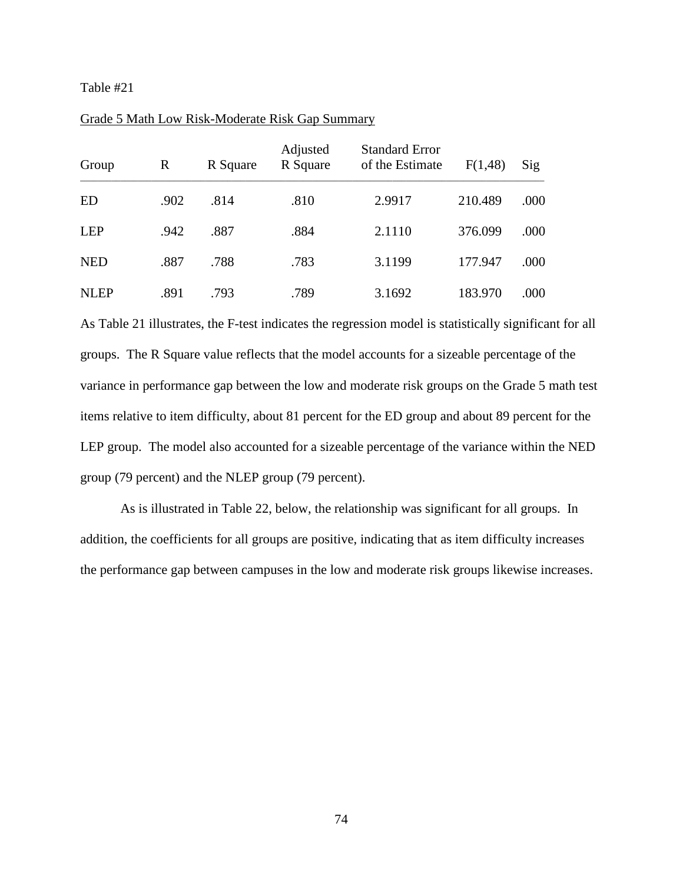| Group       | R    | R Square | Adjusted<br>R Square | <b>Standard Error</b><br>of the Estimate | F(1,48) | $\mathrm{Sig}$ |
|-------------|------|----------|----------------------|------------------------------------------|---------|----------------|
| ED          | .902 | .814     | .810                 | 2.9917                                   | 210.489 | .000           |
| LEP         | .942 | .887     | .884                 | 2.1110                                   | 376.099 | .000           |
| <b>NED</b>  | .887 | .788     | .783                 | 3.1199                                   | 177.947 | .000           |
| <b>NLEP</b> | .891 | .793     | .789                 | 3.1692                                   | 183.970 | .000           |

## Grade 5 Math Low Risk-Moderate Risk Gap Summary

As Table 21 illustrates, the F-test indicates the regression model is statistically significant for all groups. The R Square value reflects that the model accounts for a sizeable percentage of the variance in performance gap between the low and moderate risk groups on the Grade 5 math test items relative to item difficulty, about 81 percent for the ED group and about 89 percent for the LEP group. The model also accounted for a sizeable percentage of the variance within the NED group (79 percent) and the NLEP group (79 percent).

As is illustrated in Table 22, below, the relationship was significant for all groups. In addition, the coefficients for all groups are positive, indicating that as item difficulty increases the performance gap between campuses in the low and moderate risk groups likewise increases.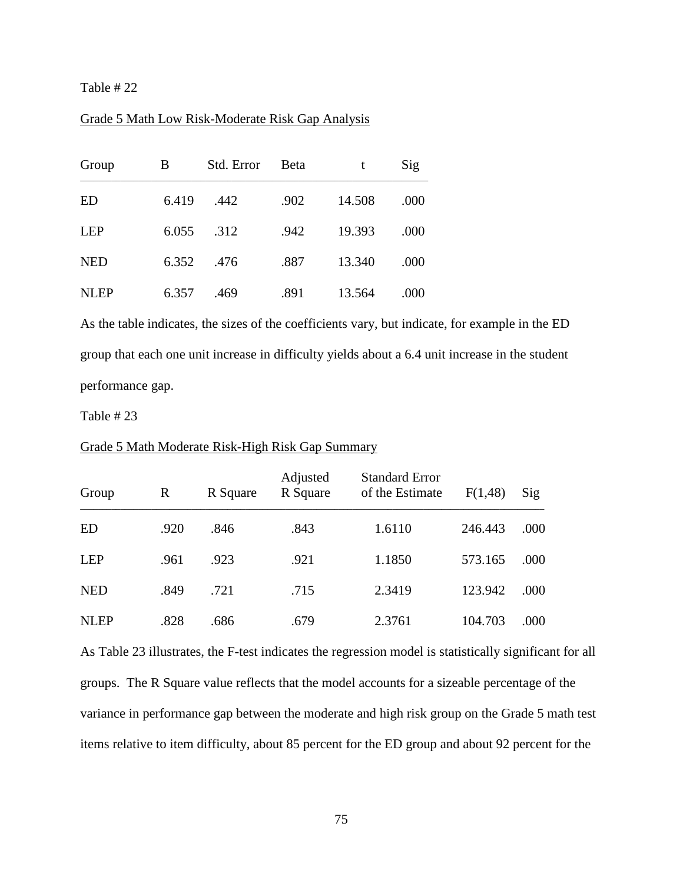Table # 22

## Grade 5 Math Low Risk-Moderate Risk Gap Analysis

| Group       | B     | Std. Error | <b>B</b> eta | t      | Sig  |
|-------------|-------|------------|--------------|--------|------|
| ED          | 6.419 | .442       | .902         | 14.508 | .000 |
| <b>LEP</b>  | 6.055 | .312       | .942         | 19.393 | .000 |
| <b>NED</b>  | 6.352 | .476       | .887         | 13.340 | .000 |
| <b>NLEP</b> | 6.357 | .469       | .891         | 13.564 | .000 |

As the table indicates, the sizes of the coefficients vary, but indicate, for example in the ED group that each one unit increase in difficulty yields about a 6.4 unit increase in the student performance gap.

Table # 23

| Group       | R    | R Square | Adjusted<br>R Square | <b>Standard Error</b><br>of the Estimate | F(1,48) | Sig  |
|-------------|------|----------|----------------------|------------------------------------------|---------|------|
| <b>ED</b>   | .920 | .846     | .843                 | 1.6110                                   | 246.443 | .000 |
| <b>LEP</b>  | .961 | .923     | .921                 | 1.1850                                   | 573.165 | .000 |
| <b>NED</b>  | .849 | .721     | .715                 | 2.3419                                   | 123.942 | .000 |
| <b>NLEP</b> | .828 | .686     | .679                 | 2.3761                                   | 104.703 | .000 |

Grade 5 Math Moderate Risk-High Risk Gap Summary

As Table 23 illustrates, the F-test indicates the regression model is statistically significant for all groups. The R Square value reflects that the model accounts for a sizeable percentage of the variance in performance gap between the moderate and high risk group on the Grade 5 math test items relative to item difficulty, about 85 percent for the ED group and about 92 percent for the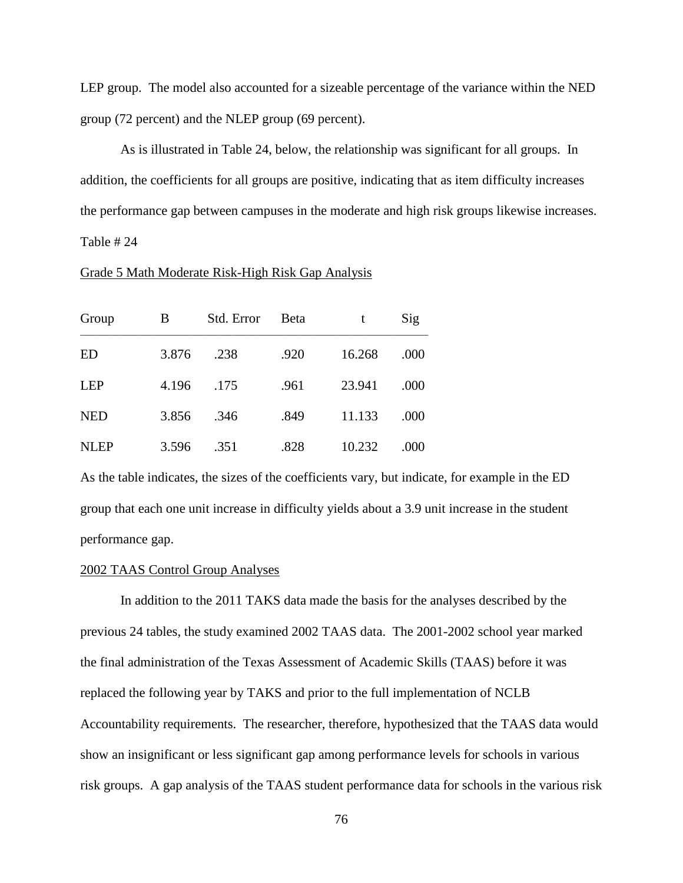LEP group. The model also accounted for a sizeable percentage of the variance within the NED group (72 percent) and the NLEP group (69 percent).

As is illustrated in Table 24, below, the relationship was significant for all groups. In addition, the coefficients for all groups are positive, indicating that as item difficulty increases the performance gap between campuses in the moderate and high risk groups likewise increases. Table # 24

#### Grade 5 Math Moderate Risk-High Risk Gap Analysis

| Group       | B     | Std. Error | <b>B</b> eta | t      | Sig  |
|-------------|-------|------------|--------------|--------|------|
| <b>ED</b>   | 3.876 | .238       | .920         | 16.268 | .000 |
| <b>LEP</b>  | 4.196 | .175       | .961         | 23.941 | .000 |
| <b>NED</b>  | 3.856 | .346       | .849         | 11.133 | .000 |
| <b>NLEP</b> | 3.596 | .351       | .828         | 10.232 | .000 |

As the table indicates, the sizes of the coefficients vary, but indicate, for example in the ED group that each one unit increase in difficulty yields about a 3.9 unit increase in the student performance gap.

#### 2002 TAAS Control Group Analyses

In addition to the 2011 TAKS data made the basis for the analyses described by the previous 24 tables, the study examined 2002 TAAS data. The 2001-2002 school year marked the final administration of the Texas Assessment of Academic Skills (TAAS) before it was replaced the following year by TAKS and prior to the full implementation of NCLB Accountability requirements. The researcher, therefore, hypothesized that the TAAS data would show an insignificant or less significant gap among performance levels for schools in various risk groups. A gap analysis of the TAAS student performance data for schools in the various risk

76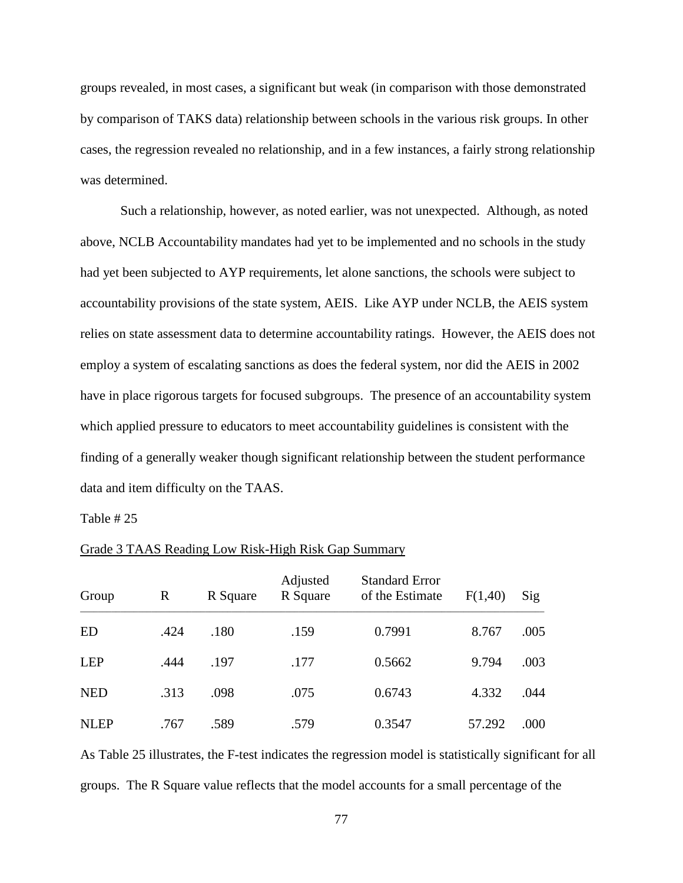groups revealed, in most cases, a significant but weak (in comparison with those demonstrated by comparison of TAKS data) relationship between schools in the various risk groups. In other cases, the regression revealed no relationship, and in a few instances, a fairly strong relationship was determined.

Such a relationship, however, as noted earlier, was not unexpected. Although, as noted above, NCLB Accountability mandates had yet to be implemented and no schools in the study had yet been subjected to AYP requirements, let alone sanctions, the schools were subject to accountability provisions of the state system, AEIS. Like AYP under NCLB, the AEIS system relies on state assessment data to determine accountability ratings. However, the AEIS does not employ a system of escalating sanctions as does the federal system, nor did the AEIS in 2002 have in place rigorous targets for focused subgroups. The presence of an accountability system which applied pressure to educators to meet accountability guidelines is consistent with the finding of a generally weaker though significant relationship between the student performance data and item difficulty on the TAAS.

Table # 25

| Group       | R    | R Square | Adjusted<br>R Square | <b>Standard Error</b><br>of the Estimate | F(1,40) | Sig  |
|-------------|------|----------|----------------------|------------------------------------------|---------|------|
| <b>ED</b>   | .424 | .180     | .159                 | 0.7991                                   | 8.767   | .005 |
| <b>LEP</b>  | .444 | .197     | .177                 | 0.5662                                   | 9.794   | .003 |
| <b>NED</b>  | .313 | .098     | .075                 | 0.6743                                   | 4.332   | .044 |
| <b>NLEP</b> | .767 | .589     | .579                 | 0.3547                                   | 57.292  | .000 |

## Grade 3 TAAS Reading Low Risk-High Risk Gap Summary

As Table 25 illustrates, the F-test indicates the regression model is statistically significant for all groups. The R Square value reflects that the model accounts for a small percentage of the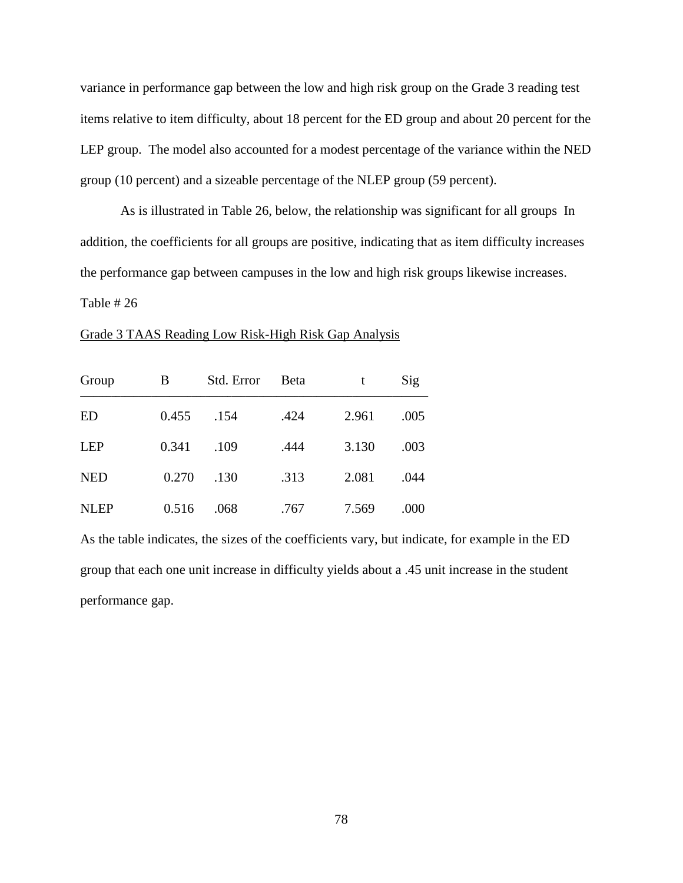variance in performance gap between the low and high risk group on the Grade 3 reading test items relative to item difficulty, about 18 percent for the ED group and about 20 percent for the LEP group. The model also accounted for a modest percentage of the variance within the NED group (10 percent) and a sizeable percentage of the NLEP group (59 percent).

As is illustrated in Table 26, below, the relationship was significant for all groups In addition, the coefficients for all groups are positive, indicating that as item difficulty increases the performance gap between campuses in the low and high risk groups likewise increases.

Table # 26

## Grade 3 TAAS Reading Low Risk-High Risk Gap Analysis

| Group       | B     | Std. Error | <b>B</b> eta | t     | Sig  |
|-------------|-------|------------|--------------|-------|------|
| <b>ED</b>   | 0.455 | .154       | .424         | 2.961 | .005 |
| <b>LEP</b>  | 0.341 | .109       | .444         | 3.130 | .003 |
| <b>NED</b>  | 0.270 | .130       | .313         | 2.081 | .044 |
| <b>NLEP</b> | 0.516 | .068       | .767         | 7.569 | .000 |

As the table indicates, the sizes of the coefficients vary, but indicate, for example in the ED group that each one unit increase in difficulty yields about a .45 unit increase in the student performance gap.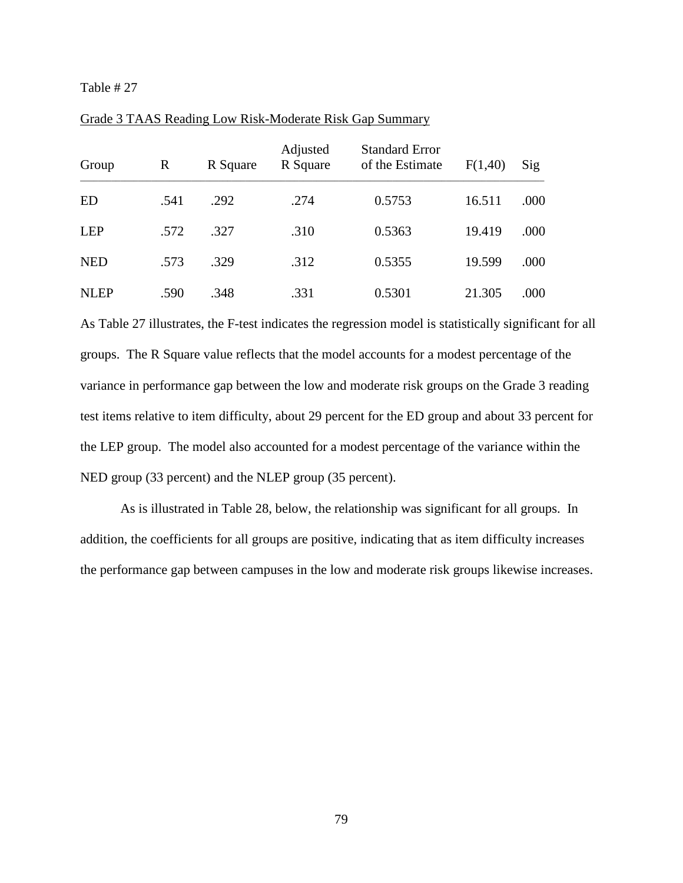| Group       | $\mathbf R$ | R Square | Adjusted<br>R Square | <b>Standard Error</b><br>of the Estimate | F(1,40) | Sig  |
|-------------|-------------|----------|----------------------|------------------------------------------|---------|------|
| ED          | .541        | .292     | .274                 | 0.5753                                   | 16.511  | .000 |
| LEP         | .572        | .327     | .310                 | 0.5363                                   | 19.419  | .000 |
| <b>NED</b>  | .573        | .329     | .312                 | 0.5355                                   | 19.599  | .000 |
| <b>NLEP</b> | .590        | .348     | .331                 | 0.5301                                   | 21.305  | .000 |

Grade 3 TAAS Reading Low Risk-Moderate Risk Gap Summary

As Table 27 illustrates, the F-test indicates the regression model is statistically significant for all groups. The R Square value reflects that the model accounts for a modest percentage of the variance in performance gap between the low and moderate risk groups on the Grade 3 reading test items relative to item difficulty, about 29 percent for the ED group and about 33 percent for the LEP group. The model also accounted for a modest percentage of the variance within the NED group (33 percent) and the NLEP group (35 percent).

As is illustrated in Table 28, below, the relationship was significant for all groups. In addition, the coefficients for all groups are positive, indicating that as item difficulty increases the performance gap between campuses in the low and moderate risk groups likewise increases.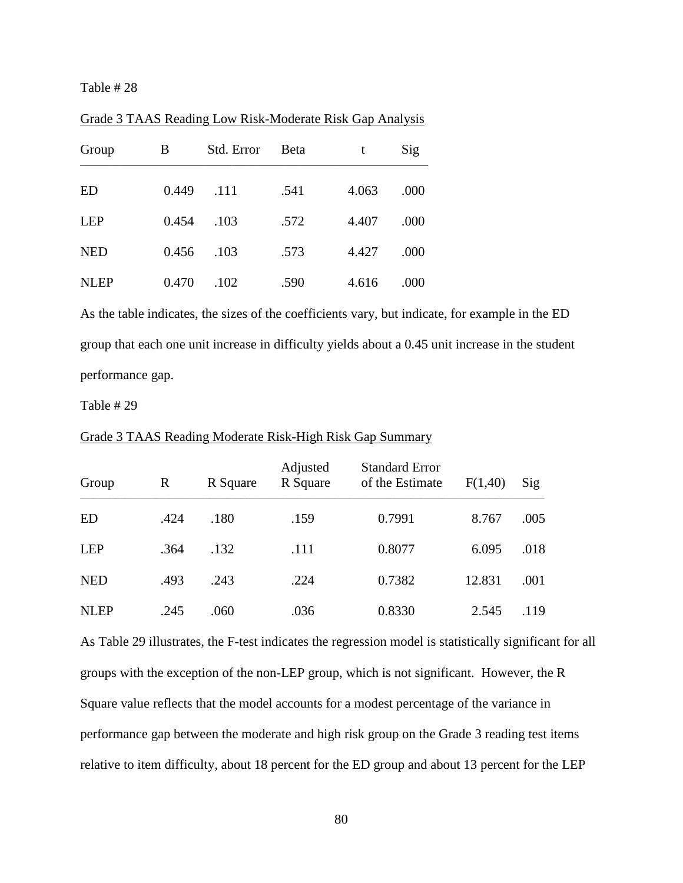| Group       | B     | Std. Error | Beta | t     | Sig  |
|-------------|-------|------------|------|-------|------|
| ED          | 0.449 | .111       | .541 | 4.063 | .000 |
| <b>LEP</b>  | 0.454 | .103       | .572 | 4.407 | .000 |
| <b>NED</b>  | 0.456 | .103       | .573 | 4.427 | .000 |
| <b>NLEP</b> | 0.470 | .102       | .590 | 4.616 | .000 |

Grade 3 TAAS Reading Low Risk-Moderate Risk Gap Analysis

As the table indicates, the sizes of the coefficients vary, but indicate, for example in the ED group that each one unit increase in difficulty yields about a 0.45 unit increase in the student performance gap.

Table # 29

| Group       | $\mathbb{R}$ | R Square | Adjusted<br>R Square | <b>Standard Error</b><br>of the Estimate | F(1,40) | Sig  |
|-------------|--------------|----------|----------------------|------------------------------------------|---------|------|
| <b>ED</b>   | .424         | .180     | .159                 | 0.7991                                   | 8.767   | .005 |
| <b>LEP</b>  | .364         | .132     | .111                 | 0.8077                                   | 6.095   | .018 |
| <b>NED</b>  | .493         | .243     | .224                 | 0.7382                                   | 12.831  | .001 |
| <b>NLEP</b> | .245         | .060     | .036                 | 0.8330                                   | 2.545   | .119 |

Grade 3 TAAS Reading Moderate Risk-High Risk Gap Summary

As Table 29 illustrates, the F-test indicates the regression model is statistically significant for all groups with the exception of the non-LEP group, which is not significant. However, the R Square value reflects that the model accounts for a modest percentage of the variance in performance gap between the moderate and high risk group on the Grade 3 reading test items relative to item difficulty, about 18 percent for the ED group and about 13 percent for the LEP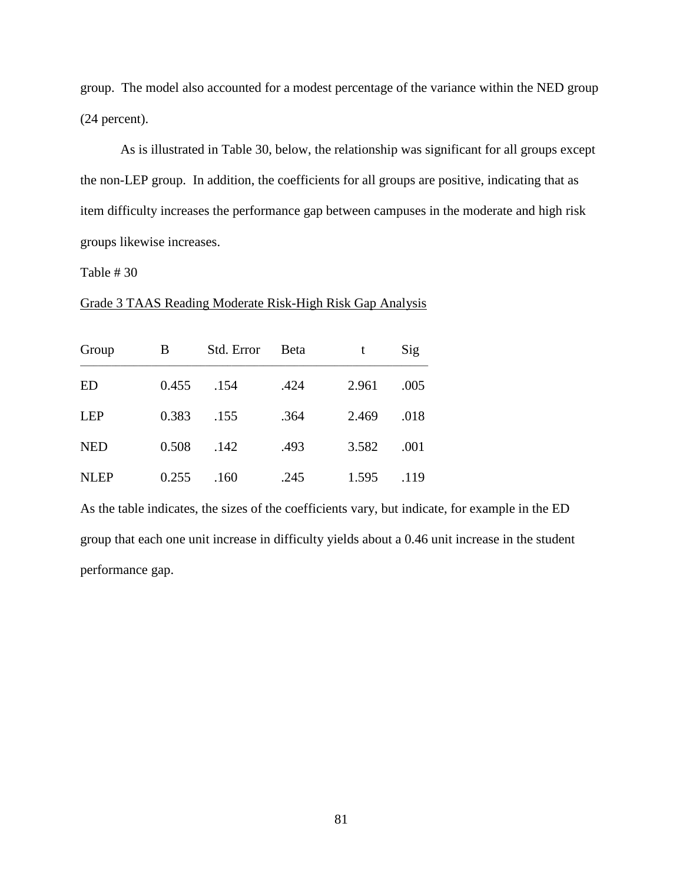group. The model also accounted for a modest percentage of the variance within the NED group (24 percent).

As is illustrated in Table 30, below, the relationship was significant for all groups except the non-LEP group. In addition, the coefficients for all groups are positive, indicating that as item difficulty increases the performance gap between campuses in the moderate and high risk groups likewise increases.

Table # 30

| Group       | В     | Std. Error | <b>B</b> eta | t     | Sig  |
|-------------|-------|------------|--------------|-------|------|
| ED          | 0.455 | .154       | .424         | 2.961 | .005 |
| <b>LEP</b>  | 0.383 | .155       | .364         | 2.469 | .018 |
| <b>NED</b>  | 0.508 | .142       | .493         | 3.582 | .001 |
| <b>NLEP</b> | 0.255 | .160       | .245         | 1.595 | .119 |

Grade 3 TAAS Reading Moderate Risk-High Risk Gap Analysis

As the table indicates, the sizes of the coefficients vary, but indicate, for example in the ED group that each one unit increase in difficulty yields about a 0.46 unit increase in the student performance gap.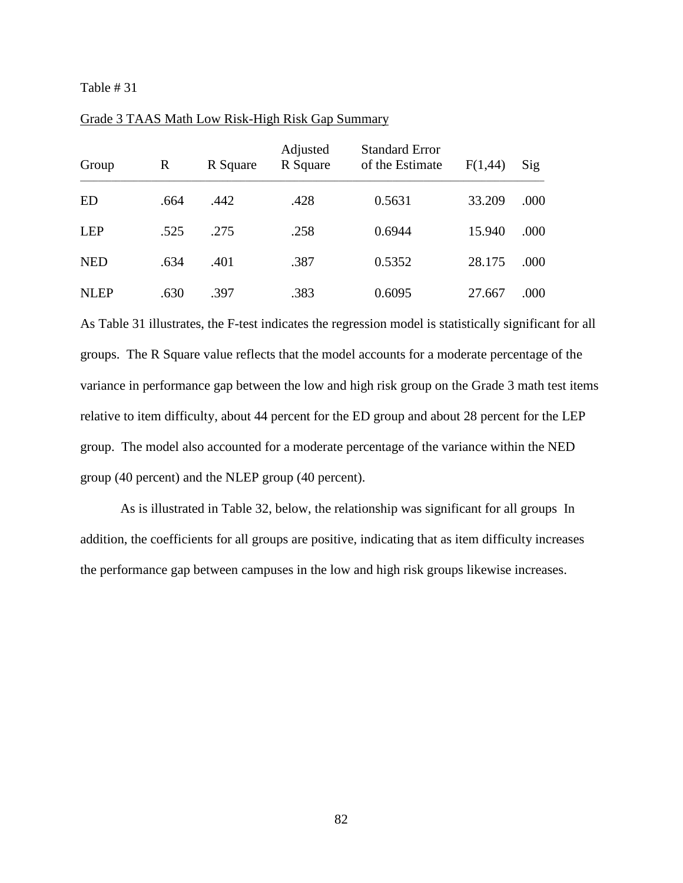| Group       | R    | R Square | Adjusted<br>R Square | <b>Standard Error</b><br>of the Estimate | F(1,44) | Sig  |
|-------------|------|----------|----------------------|------------------------------------------|---------|------|
| ED          | .664 | .442     | .428                 | 0.5631                                   | 33.209  | .000 |
| LEP         | .525 | .275     | .258                 | 0.6944                                   | 15.940  | .000 |
| <b>NED</b>  | .634 | .401     | .387                 | 0.5352                                   | 28.175  | .000 |
| <b>NLEP</b> | .630 | .397     | .383                 | 0.6095                                   | 27.667  | .000 |

#### Grade 3 TAAS Math Low Risk-High Risk Gap Summary

As Table 31 illustrates, the F-test indicates the regression model is statistically significant for all groups. The R Square value reflects that the model accounts for a moderate percentage of the variance in performance gap between the low and high risk group on the Grade 3 math test items relative to item difficulty, about 44 percent for the ED group and about 28 percent for the LEP group. The model also accounted for a moderate percentage of the variance within the NED group (40 percent) and the NLEP group (40 percent).

As is illustrated in Table 32, below, the relationship was significant for all groups In addition, the coefficients for all groups are positive, indicating that as item difficulty increases the performance gap between campuses in the low and high risk groups likewise increases.

82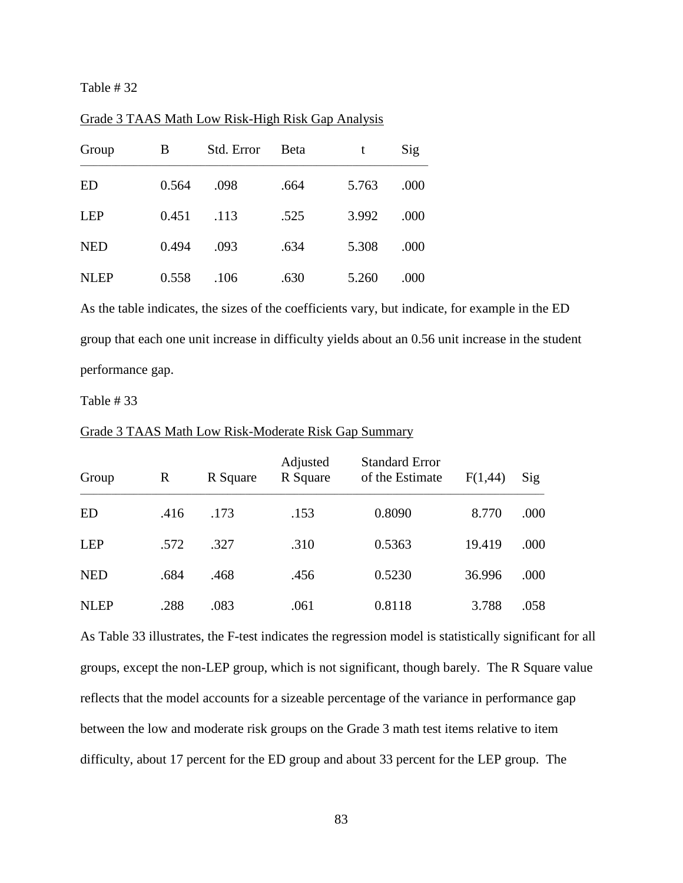| Group       | B     | Std. Error | <b>Beta</b> | t     | Sig  |
|-------------|-------|------------|-------------|-------|------|
| ED          | 0.564 | .098       | .664        | 5.763 | .000 |
| <b>LEP</b>  | 0.451 | .113       | .525        | 3.992 | .000 |
| <b>NED</b>  | 0.494 | .093       | .634        | 5.308 | .000 |
| <b>NLEP</b> | 0.558 | .106       | .630        | 5.260 | .000 |

Grade 3 TAAS Math Low Risk-High Risk Gap Analysis

As the table indicates, the sizes of the coefficients vary, but indicate, for example in the ED group that each one unit increase in difficulty yields about an 0.56 unit increase in the student performance gap.

Table # 33

| Group       | R    | R Square | Adjusted<br>R Square | <b>Standard Error</b><br>of the Estimate | F(1,44) | Sig  |
|-------------|------|----------|----------------------|------------------------------------------|---------|------|
| ED          | .416 | .173     | .153                 | 0.8090                                   | 8.770   | .000 |
| <b>LEP</b>  | .572 | .327     | .310                 | 0.5363                                   | 19.419  | .000 |
| <b>NED</b>  | .684 | .468     | .456                 | 0.5230                                   | 36.996  | .000 |
| <b>NLEP</b> | .288 | .083     | .061                 | 0.8118                                   | 3.788   | .058 |

Grade 3 TAAS Math Low Risk-Moderate Risk Gap Summary

As Table 33 illustrates, the F-test indicates the regression model is statistically significant for all groups, except the non-LEP group, which is not significant, though barely. The R Square value reflects that the model accounts for a sizeable percentage of the variance in performance gap between the low and moderate risk groups on the Grade 3 math test items relative to item difficulty, about 17 percent for the ED group and about 33 percent for the LEP group. The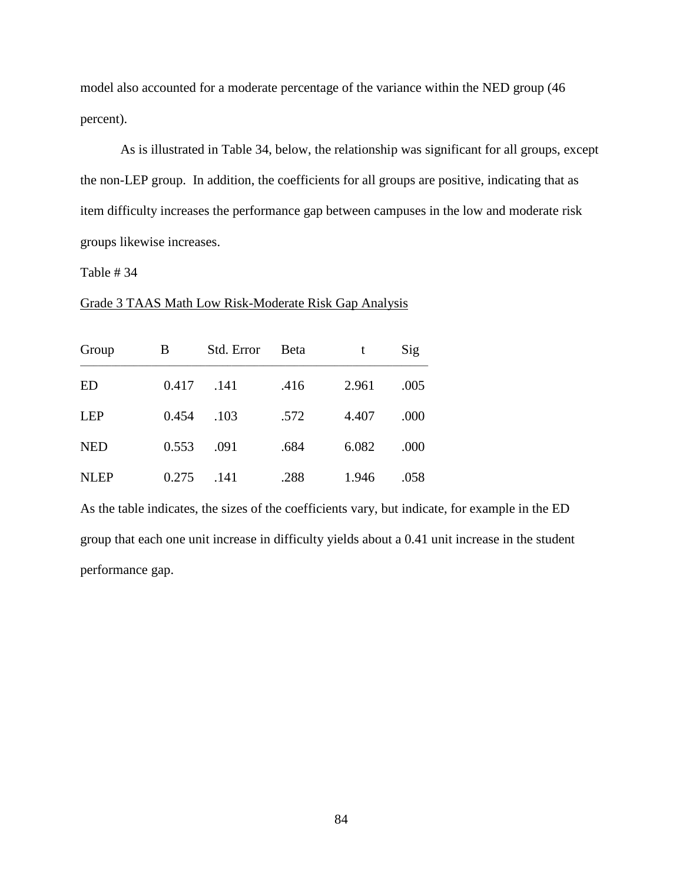model also accounted for a moderate percentage of the variance within the NED group (46 percent).

As is illustrated in Table 34, below, the relationship was significant for all groups, except the non-LEP group. In addition, the coefficients for all groups are positive, indicating that as item difficulty increases the performance gap between campuses in the low and moderate risk groups likewise increases.

Table # 34

#### Grade 3 TAAS Math Low Risk-Moderate Risk Gap Analysis

| Group       | B     | Std. Error | <b>B</b> eta | t     | Sig  |
|-------------|-------|------------|--------------|-------|------|
| <b>ED</b>   | 0.417 | .141       | .416         | 2.961 | .005 |
| <b>LEP</b>  | 0.454 | .103       | .572         | 4.407 | .000 |
| <b>NED</b>  | 0.553 | .091       | .684         | 6.082 | .000 |
| <b>NLEP</b> | 0.275 | .141       | .288         | 1.946 | .058 |

As the table indicates, the sizes of the coefficients vary, but indicate, for example in the ED group that each one unit increase in difficulty yields about a 0.41 unit increase in the student performance gap.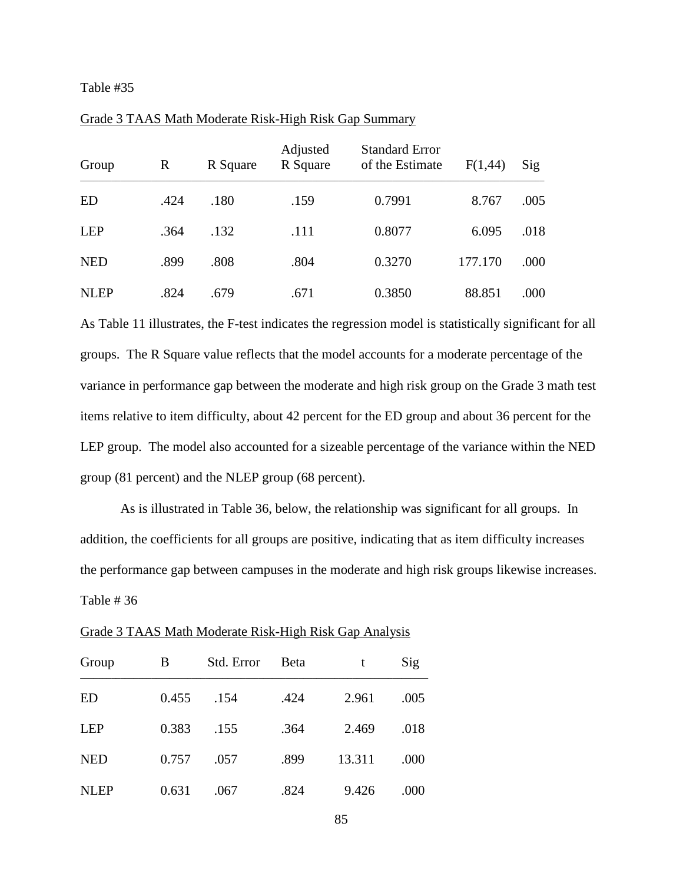| Group       | R    | R Square | Adjusted<br>R Square | <b>Standard Error</b><br>of the Estimate | F(1,44) | Sig  |
|-------------|------|----------|----------------------|------------------------------------------|---------|------|
| ED          | .424 | .180     | .159                 | 0.7991                                   | 8.767   | .005 |
| <b>LEP</b>  | .364 | .132     | .111                 | 0.8077                                   | 6.095   | .018 |
| <b>NED</b>  | .899 | .808     | .804                 | 0.3270                                   | 177.170 | .000 |
| <b>NLEP</b> | .824 | .679     | .671                 | 0.3850                                   | 88.851  | .000 |

## Grade 3 TAAS Math Moderate Risk-High Risk Gap Summary

As Table 11 illustrates, the F-test indicates the regression model is statistically significant for all groups. The R Square value reflects that the model accounts for a moderate percentage of the variance in performance gap between the moderate and high risk group on the Grade 3 math test items relative to item difficulty, about 42 percent for the ED group and about 36 percent for the LEP group. The model also accounted for a sizeable percentage of the variance within the NED group (81 percent) and the NLEP group (68 percent).

As is illustrated in Table 36, below, the relationship was significant for all groups. In addition, the coefficients for all groups are positive, indicating that as item difficulty increases the performance gap between campuses in the moderate and high risk groups likewise increases. Table # 36

| Group       | B     | Std. Error | <b>Beta</b> | t      | Sig  |
|-------------|-------|------------|-------------|--------|------|
| ED          | 0.455 | .154       | .424        | 2.961  | .005 |
| <b>LEP</b>  | 0.383 | .155       | .364        | 2.469  | .018 |
| <b>NED</b>  | 0.757 | .057       | .899        | 13.311 | .000 |
| <b>NLEP</b> | 0.631 | .067       | .824        | 9.426  | .000 |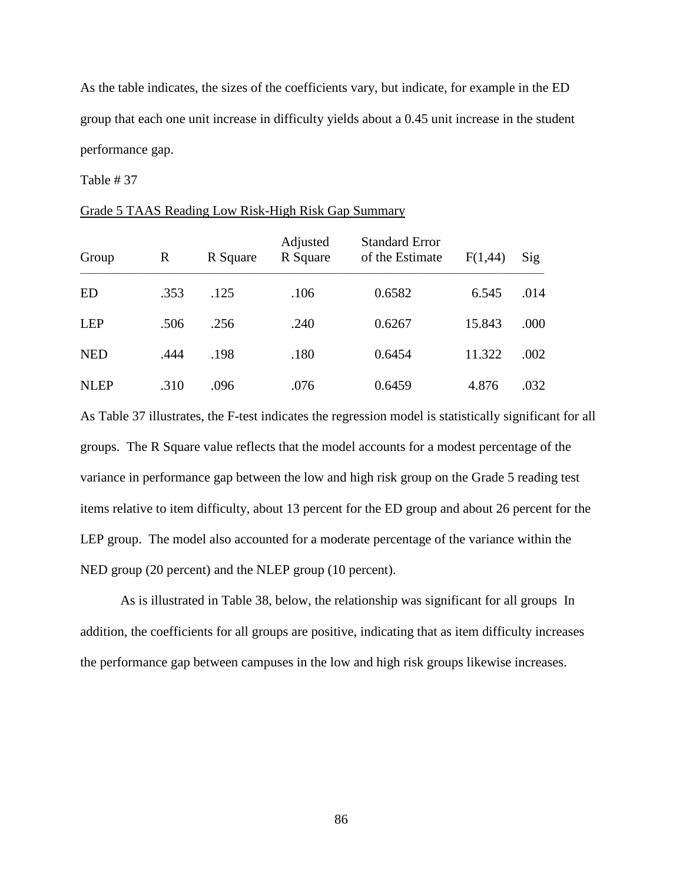As the table indicates, the sizes of the coefficients vary, but indicate, for example in the ED group that each one unit increase in difficulty yields about a 0.45 unit increase in the student performance gap.

Table # 37

#### Grade 5 TAAS Reading Low Risk-High Risk Gap Summary

| Group       | R    | R Square | Adjusted<br>R Square | <b>Standard Error</b><br>of the Estimate | F(1,44) | Sig  |
|-------------|------|----------|----------------------|------------------------------------------|---------|------|
| ED          | .353 | .125     | .106                 | 0.6582                                   | 6.545   | .014 |
| LEP         | .506 | .256     | .240                 | 0.6267                                   | 15.843  | .000 |
| <b>NED</b>  | .444 | .198     | .180                 | 0.6454                                   | 11.322  | .002 |
| <b>NLEP</b> | .310 | .096     | .076                 | 0.6459                                   | 4.876   | .032 |

As Table 37 illustrates, the F-test indicates the regression model is statistically significant for all groups. The R Square value reflects that the model accounts for a modest percentage of the variance in performance gap between the low and high risk group on the Grade 5 reading test items relative to item difficulty, about 13 percent for the ED group and about 26 percent for the LEP group. The model also accounted for a moderate percentage of the variance within the NED group (20 percent) and the NLEP group (10 percent).

As is illustrated in Table 38, below, the relationship was significant for all groups In addition, the coefficients for all groups are positive, indicating that as item difficulty increases the performance gap between campuses in the low and high risk groups likewise increases.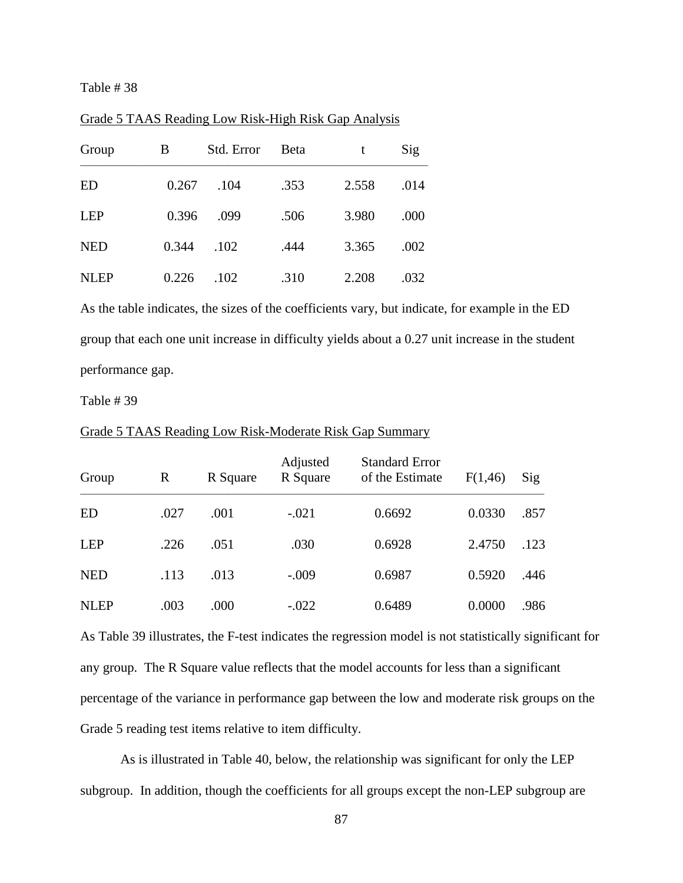| Group       | B     | Std. Error | <b>B</b> eta | t     | Sig  |
|-------------|-------|------------|--------------|-------|------|
| ED          | 0.267 | .104       | .353         | 2.558 | .014 |
| <b>LEP</b>  | 0.396 | .099       | .506         | 3.980 | .000 |
| <b>NED</b>  | 0.344 | .102       | .444         | 3.365 | .002 |
| <b>NLEP</b> | 0.226 | .102       | .310         | 2.208 | .032 |

Grade 5 TAAS Reading Low Risk-High Risk Gap Analysis

As the table indicates, the sizes of the coefficients vary, but indicate, for example in the ED group that each one unit increase in difficulty yields about a 0.27 unit increase in the student performance gap.

Table # 39

| Group       | R    | R Square | Adjusted<br>R Square | <b>Standard Error</b><br>of the Estimate | F(1,46) | Sig  |
|-------------|------|----------|----------------------|------------------------------------------|---------|------|
| ED          | .027 | .001     | $-.021$              | 0.6692                                   | 0.0330  | .857 |
| <b>LEP</b>  | .226 | .051     | .030                 | 0.6928                                   | 2.4750  | .123 |
| <b>NED</b>  | .113 | .013     | $-.009$              | 0.6987                                   | 0.5920  | .446 |
| <b>NLEP</b> | .003 | .000     | $-.022$              | 0.6489                                   | 0.0000  | .986 |

Grade 5 TAAS Reading Low Risk-Moderate Risk Gap Summary

As Table 39 illustrates, the F-test indicates the regression model is not statistically significant for any group. The R Square value reflects that the model accounts for less than a significant percentage of the variance in performance gap between the low and moderate risk groups on the Grade 5 reading test items relative to item difficulty.

As is illustrated in Table 40, below, the relationship was significant for only the LEP subgroup. In addition, though the coefficients for all groups except the non-LEP subgroup are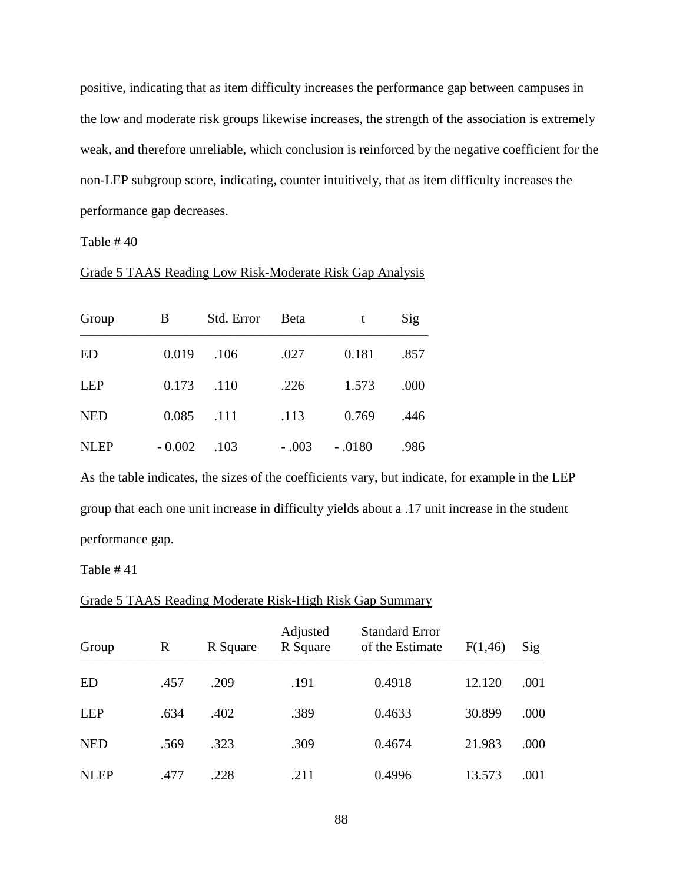positive, indicating that as item difficulty increases the performance gap between campuses in the low and moderate risk groups likewise increases, the strength of the association is extremely weak, and therefore unreliable, which conclusion is reinforced by the negative coefficient for the non-LEP subgroup score, indicating, counter intuitively, that as item difficulty increases the performance gap decreases.

Table # 40

## Grade 5 TAAS Reading Low Risk-Moderate Risk Gap Analysis

| Group       | B        | Std. Error | <b>B</b> eta | t        | Sig  |
|-------------|----------|------------|--------------|----------|------|
| <b>ED</b>   | 0.019    | .106       | .027         | 0.181    | .857 |
| <b>LEP</b>  | 0.173    | .110       | .226         | 1.573    | .000 |
| <b>NED</b>  | 0.085    | .111       | .113         | 0.769    | .446 |
| <b>NLEP</b> | $-0.002$ | .103       | $-.003$      | $-.0180$ | .986 |

As the table indicates, the sizes of the coefficients vary, but indicate, for example in the LEP group that each one unit increase in difficulty yields about a .17 unit increase in the student performance gap.

Table # 41

# Grade 5 TAAS Reading Moderate Risk-High Risk Gap Summary

| Group       | R    | R Square | Adjusted<br>R Square | <b>Standard Error</b><br>of the Estimate | F(1,46) | Sig  |
|-------------|------|----------|----------------------|------------------------------------------|---------|------|
| <b>ED</b>   | .457 | .209     | .191                 | 0.4918                                   | 12.120  | .001 |
| <b>LEP</b>  | .634 | .402     | .389                 | 0.4633                                   | 30.899  | .000 |
| <b>NED</b>  | .569 | .323     | .309                 | 0.4674                                   | 21.983  | .000 |
| <b>NLEP</b> | .477 | .228     | .211                 | 0.4996                                   | 13.573  | .001 |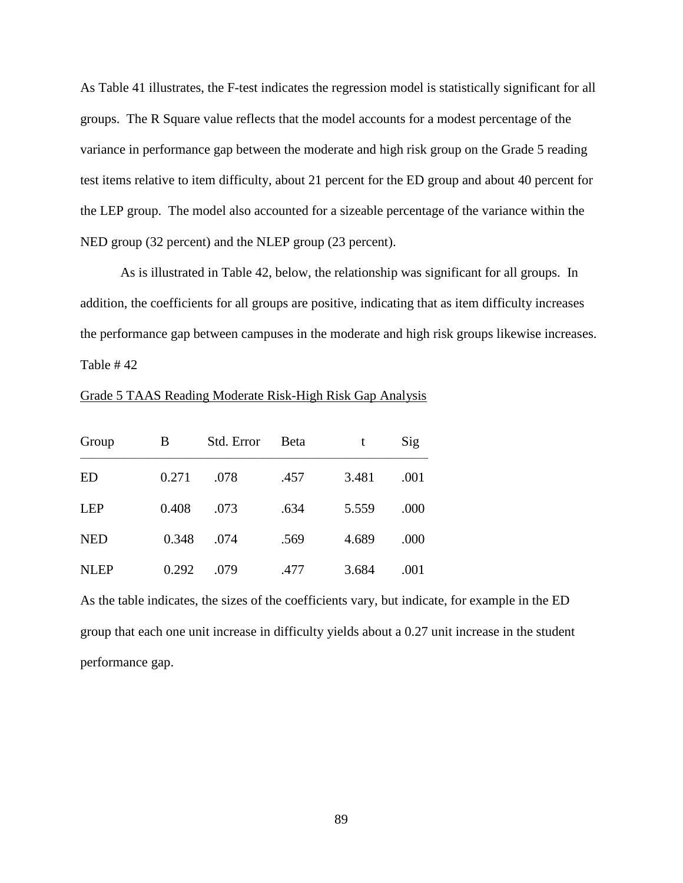As Table 41 illustrates, the F-test indicates the regression model is statistically significant for all groups. The R Square value reflects that the model accounts for a modest percentage of the variance in performance gap between the moderate and high risk group on the Grade 5 reading test items relative to item difficulty, about 21 percent for the ED group and about 40 percent for the LEP group. The model also accounted for a sizeable percentage of the variance within the NED group (32 percent) and the NLEP group (23 percent).

As is illustrated in Table 42, below, the relationship was significant for all groups. In addition, the coefficients for all groups are positive, indicating that as item difficulty increases the performance gap between campuses in the moderate and high risk groups likewise increases. Table # 42

| Group       | B     | Std. Error | <b>B</b> eta |       | Sig  |
|-------------|-------|------------|--------------|-------|------|
| ED          | 0.271 | .078       | .457         | 3.481 | .001 |
| <b>LEP</b>  | 0.408 | .073       | .634         | 5.559 | .000 |
| <b>NED</b>  | 0.348 | .074       | .569         | 4.689 | .000 |
| <b>NLEP</b> | 0.292 | .079       | .477         | 3.684 | .001 |

Grade 5 TAAS Reading Moderate Risk-High Risk Gap Analysis

As the table indicates, the sizes of the coefficients vary, but indicate, for example in the ED group that each one unit increase in difficulty yields about a 0.27 unit increase in the student performance gap.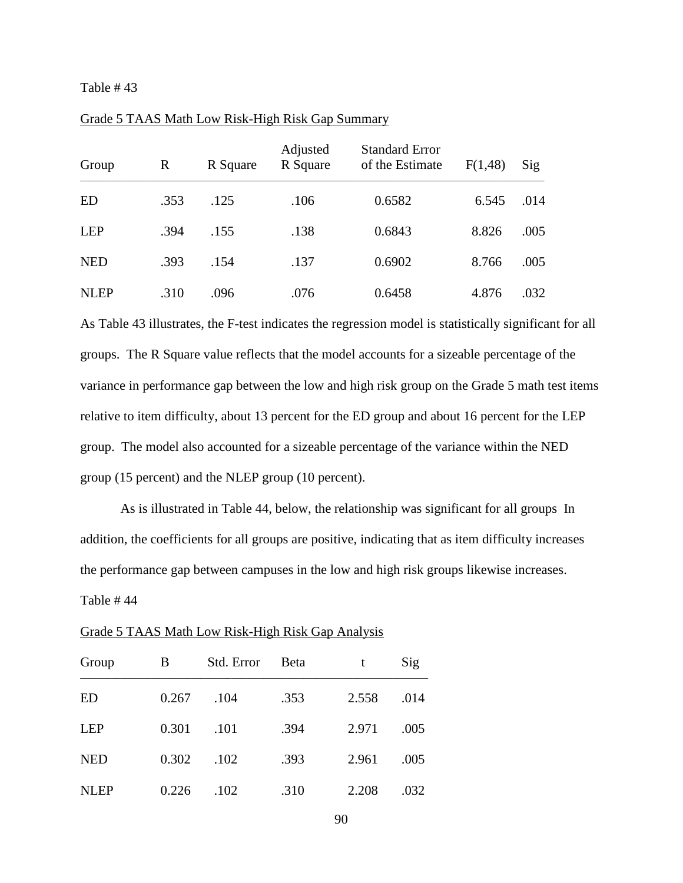| Group       | $\mathbb{R}$ | R Square | Adjusted<br>R Square | <b>Standard Error</b><br>of the Estimate | F(1,48) | Sig  |
|-------------|--------------|----------|----------------------|------------------------------------------|---------|------|
| ED          | .353         | .125     | .106                 | 0.6582                                   | 6.545   | .014 |
| <b>LEP</b>  | .394         | .155     | .138                 | 0.6843                                   | 8.826   | .005 |
| <b>NED</b>  | .393         | .154     | .137                 | 0.6902                                   | 8.766   | .005 |
| <b>NLEP</b> | .310         | .096     | .076                 | 0.6458                                   | 4.876   | .032 |

### Grade 5 TAAS Math Low Risk-High Risk Gap Summary

As Table 43 illustrates, the F-test indicates the regression model is statistically significant for all groups. The R Square value reflects that the model accounts for a sizeable percentage of the variance in performance gap between the low and high risk group on the Grade 5 math test items relative to item difficulty, about 13 percent for the ED group and about 16 percent for the LEP group. The model also accounted for a sizeable percentage of the variance within the NED group (15 percent) and the NLEP group (10 percent).

As is illustrated in Table 44, below, the relationship was significant for all groups In addition, the coefficients for all groups are positive, indicating that as item difficulty increases the performance gap between campuses in the low and high risk groups likewise increases. Table # 44

| Group       | В     | Std. Error | <b>Beta</b> | t     | Sig  |
|-------------|-------|------------|-------------|-------|------|
| ED          | 0.267 | .104       | .353        | 2.558 | .014 |
| <b>LEP</b>  | 0.301 | .101       | .394        | 2.971 | .005 |
| <b>NED</b>  | 0.302 | .102       | .393        | 2.961 | .005 |
| <b>NLEP</b> | 0.226 | .102       | .310        | 2.208 | .032 |

|--|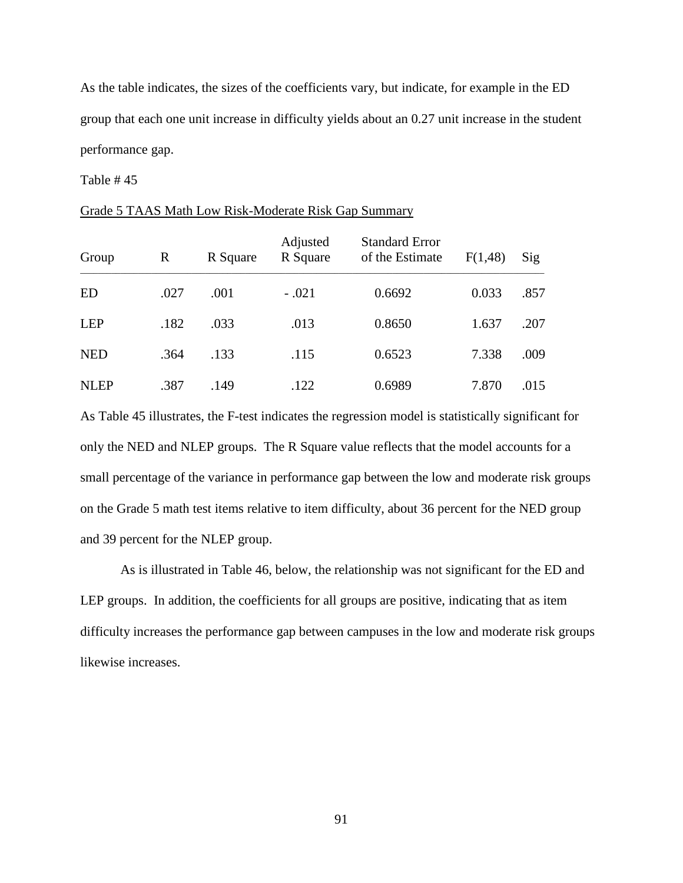As the table indicates, the sizes of the coefficients vary, but indicate, for example in the ED group that each one unit increase in difficulty yields about an 0.27 unit increase in the student performance gap.

Table # 45

|--|

| Group       | R<br>R Square |      | Adjusted<br>R Square | <b>Standard Error</b><br>of the Estimate | F(1,48) | Sig  |  |
|-------------|---------------|------|----------------------|------------------------------------------|---------|------|--|
| ED          | .027          | .001 | $-.021$              | 0.6692                                   | 0.033   | .857 |  |
| LEP         | .182          | .033 | .013                 | 0.8650                                   | 1.637   | .207 |  |
| <b>NED</b>  | .364          | .133 | .115                 | 0.6523                                   | 7.338   | .009 |  |
| <b>NLEP</b> | .387          | .149 | .122                 | 0.6989                                   | 7.870   | .015 |  |

As Table 45 illustrates, the F-test indicates the regression model is statistically significant for only the NED and NLEP groups. The R Square value reflects that the model accounts for a small percentage of the variance in performance gap between the low and moderate risk groups on the Grade 5 math test items relative to item difficulty, about 36 percent for the NED group and 39 percent for the NLEP group.

As is illustrated in Table 46, below, the relationship was not significant for the ED and LEP groups. In addition, the coefficients for all groups are positive, indicating that as item difficulty increases the performance gap between campuses in the low and moderate risk groups likewise increases.

91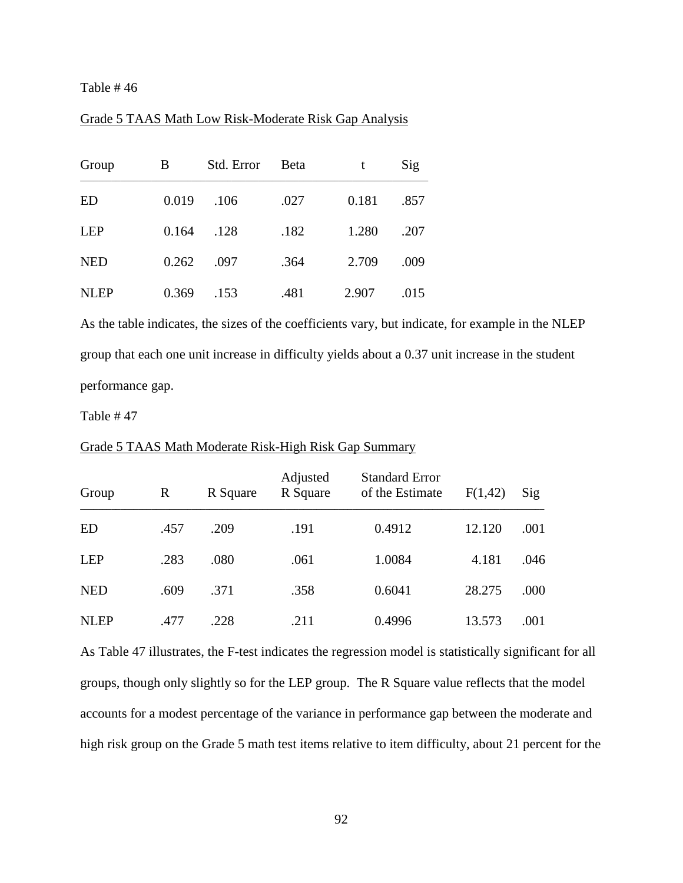## Grade 5 TAAS Math Low Risk-Moderate Risk Gap Analysis

| Group       | B     | Std. Error | Beta | t     | Sig  |
|-------------|-------|------------|------|-------|------|
| ED          | 0.019 | .106       | .027 | 0.181 | .857 |
| <b>LEP</b>  | 0.164 | .128       | .182 | 1.280 | .207 |
| <b>NED</b>  | 0.262 | .097       | .364 | 2.709 | .009 |
| <b>NLEP</b> | 0.369 | .153       | .481 | 2.907 | .015 |

As the table indicates, the sizes of the coefficients vary, but indicate, for example in the NLEP group that each one unit increase in difficulty yields about a 0.37 unit increase in the student performance gap.

Table # 47

#### Grade 5 TAAS Math Moderate Risk-High Risk Gap Summary

| Group       | R    | R Square | Adjusted<br>R Square | <b>Standard Error</b><br>of the Estimate | F(1,42) | $\mathrm{Sig}$ |
|-------------|------|----------|----------------------|------------------------------------------|---------|----------------|
| <b>ED</b>   | .457 | .209     | .191                 | 0.4912                                   | 12.120  | .001           |
| <b>LEP</b>  | .283 | .080     | .061                 | 1.0084                                   | 4.181   | .046           |
| <b>NED</b>  | .609 | .371     | .358                 | 0.6041                                   | 28.275  | .000           |
| <b>NLEP</b> | .477 | .228     | .211                 | 0.4996                                   | 13.573  | .001           |

As Table 47 illustrates, the F-test indicates the regression model is statistically significant for all groups, though only slightly so for the LEP group. The R Square value reflects that the model accounts for a modest percentage of the variance in performance gap between the moderate and high risk group on the Grade 5 math test items relative to item difficulty, about 21 percent for the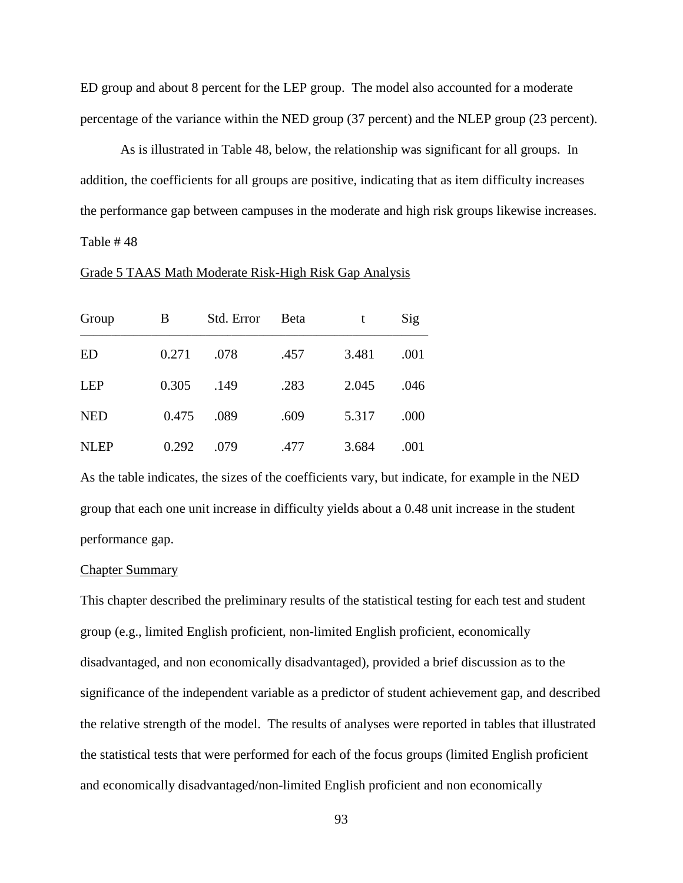ED group and about 8 percent for the LEP group. The model also accounted for a moderate percentage of the variance within the NED group (37 percent) and the NLEP group (23 percent).

As is illustrated in Table 48, below, the relationship was significant for all groups. In addition, the coefficients for all groups are positive, indicating that as item difficulty increases the performance gap between campuses in the moderate and high risk groups likewise increases. Table # 48

#### Grade 5 TAAS Math Moderate Risk-High Risk Gap Analysis

| Group       | B     | Std. Error | <b>B</b> eta | t     | Sig  |
|-------------|-------|------------|--------------|-------|------|
| <b>ED</b>   | 0.271 | .078       | .457         | 3.481 | .001 |
| <b>LEP</b>  | 0.305 | .149       | .283         | 2.045 | .046 |
| <b>NED</b>  | 0.475 | .089       | .609         | 5.317 | .000 |
| <b>NLEP</b> | 0.292 | .079       | .477         | 3.684 | .001 |

As the table indicates, the sizes of the coefficients vary, but indicate, for example in the NED group that each one unit increase in difficulty yields about a 0.48 unit increase in the student performance gap.

#### Chapter Summary

This chapter described the preliminary results of the statistical testing for each test and student group (e.g., limited English proficient, non-limited English proficient, economically disadvantaged, and non economically disadvantaged), provided a brief discussion as to the significance of the independent variable as a predictor of student achievement gap, and described the relative strength of the model. The results of analyses were reported in tables that illustrated the statistical tests that were performed for each of the focus groups (limited English proficient and economically disadvantaged/non-limited English proficient and non economically

93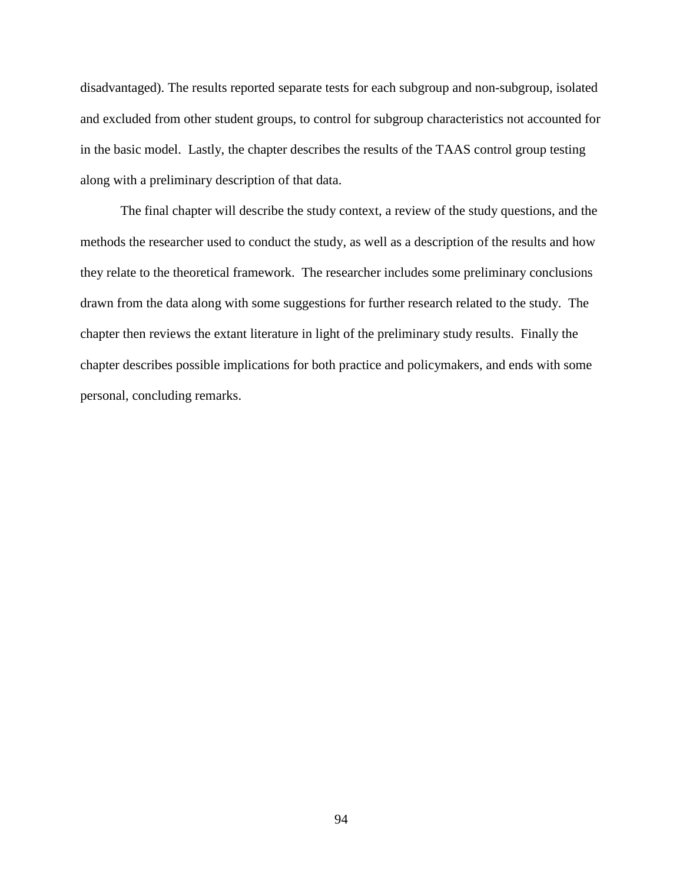disadvantaged). The results reported separate tests for each subgroup and non-subgroup, isolated and excluded from other student groups, to control for subgroup characteristics not accounted for in the basic model. Lastly, the chapter describes the results of the TAAS control group testing along with a preliminary description of that data.

The final chapter will describe the study context, a review of the study questions, and the methods the researcher used to conduct the study, as well as a description of the results and how they relate to the theoretical framework. The researcher includes some preliminary conclusions drawn from the data along with some suggestions for further research related to the study. The chapter then reviews the extant literature in light of the preliminary study results. Finally the chapter describes possible implications for both practice and policymakers, and ends with some personal, concluding remarks.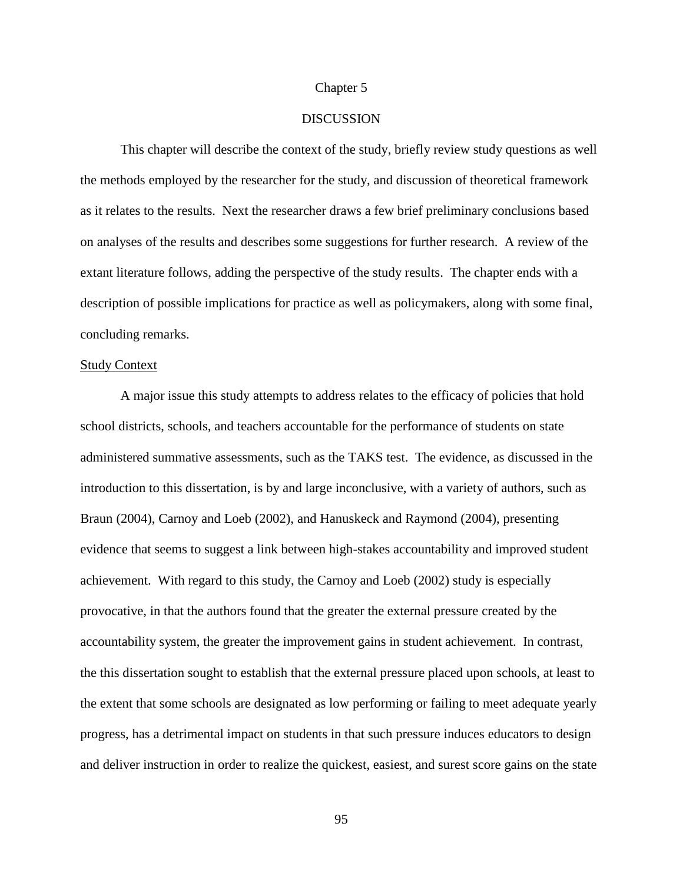## Chapter 5

#### **DISCUSSION**

This chapter will describe the context of the study, briefly review study questions as well the methods employed by the researcher for the study, and discussion of theoretical framework as it relates to the results. Next the researcher draws a few brief preliminary conclusions based on analyses of the results and describes some suggestions for further research. A review of the extant literature follows, adding the perspective of the study results. The chapter ends with a description of possible implications for practice as well as policymakers, along with some final, concluding remarks.

#### Study Context

A major issue this study attempts to address relates to the efficacy of policies that hold school districts, schools, and teachers accountable for the performance of students on state administered summative assessments, such as the TAKS test. The evidence, as discussed in the introduction to this dissertation, is by and large inconclusive, with a variety of authors, such as Braun (2004), Carnoy and Loeb (2002), and Hanuskeck and Raymond (2004), presenting evidence that seems to suggest a link between high-stakes accountability and improved student achievement. With regard to this study, the Carnoy and Loeb (2002) study is especially provocative, in that the authors found that the greater the external pressure created by the accountability system, the greater the improvement gains in student achievement. In contrast, the this dissertation sought to establish that the external pressure placed upon schools, at least to the extent that some schools are designated as low performing or failing to meet adequate yearly progress, has a detrimental impact on students in that such pressure induces educators to design and deliver instruction in order to realize the quickest, easiest, and surest score gains on the state

95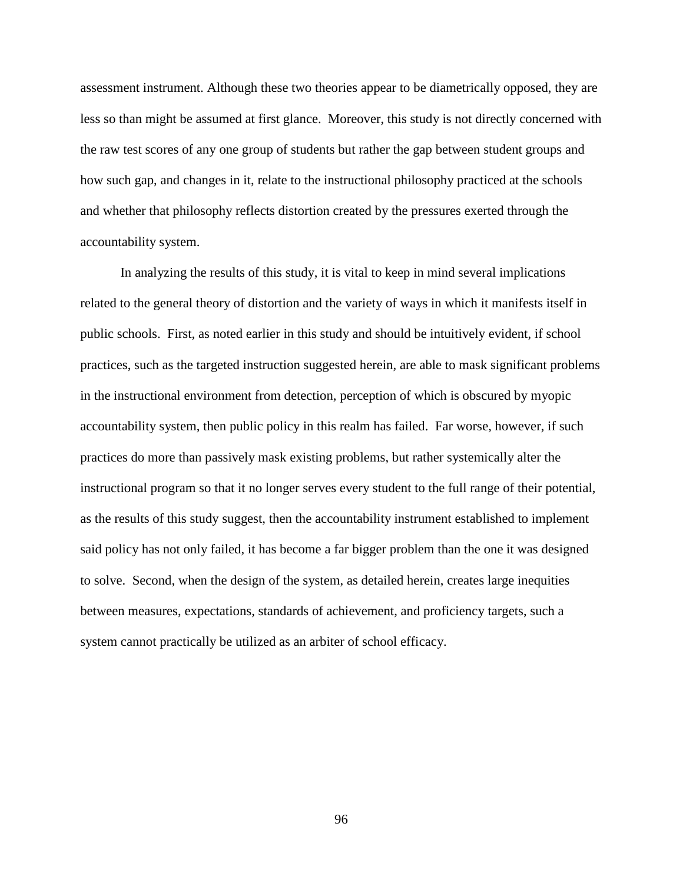assessment instrument. Although these two theories appear to be diametrically opposed, they are less so than might be assumed at first glance. Moreover, this study is not directly concerned with the raw test scores of any one group of students but rather the gap between student groups and how such gap, and changes in it, relate to the instructional philosophy practiced at the schools and whether that philosophy reflects distortion created by the pressures exerted through the accountability system.

In analyzing the results of this study, it is vital to keep in mind several implications related to the general theory of distortion and the variety of ways in which it manifests itself in public schools. First, as noted earlier in this study and should be intuitively evident, if school practices, such as the targeted instruction suggested herein, are able to mask significant problems in the instructional environment from detection, perception of which is obscured by myopic accountability system, then public policy in this realm has failed. Far worse, however, if such practices do more than passively mask existing problems, but rather systemically alter the instructional program so that it no longer serves every student to the full range of their potential, as the results of this study suggest, then the accountability instrument established to implement said policy has not only failed, it has become a far bigger problem than the one it was designed to solve. Second, when the design of the system, as detailed herein, creates large inequities between measures, expectations, standards of achievement, and proficiency targets, such a system cannot practically be utilized as an arbiter of school efficacy.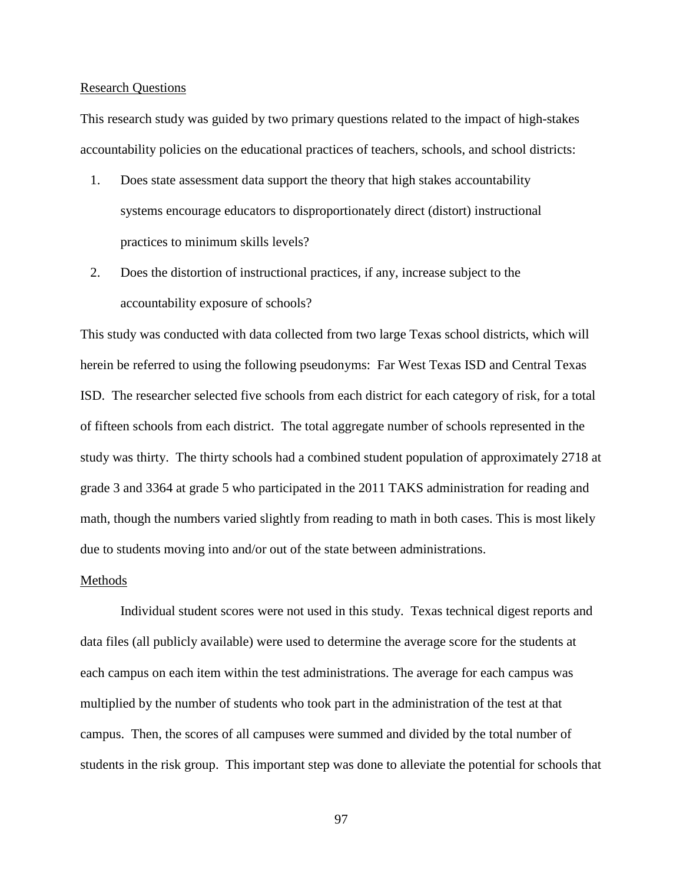### Research Questions

This research study was guided by two primary questions related to the impact of high-stakes accountability policies on the educational practices of teachers, schools, and school districts:

- 1. Does state assessment data support the theory that high stakes accountability systems encourage educators to disproportionately direct (distort) instructional practices to minimum skills levels?
- 2. Does the distortion of instructional practices, if any, increase subject to the accountability exposure of schools?

This study was conducted with data collected from two large Texas school districts, which will herein be referred to using the following pseudonyms: Far West Texas ISD and Central Texas ISD. The researcher selected five schools from each district for each category of risk, for a total of fifteen schools from each district. The total aggregate number of schools represented in the study was thirty. The thirty schools had a combined student population of approximately 2718 at grade 3 and 3364 at grade 5 who participated in the 2011 TAKS administration for reading and math, though the numbers varied slightly from reading to math in both cases. This is most likely due to students moving into and/or out of the state between administrations.

#### Methods

Individual student scores were not used in this study. Texas technical digest reports and data files (all publicly available) were used to determine the average score for the students at each campus on each item within the test administrations. The average for each campus was multiplied by the number of students who took part in the administration of the test at that campus. Then, the scores of all campuses were summed and divided by the total number of students in the risk group. This important step was done to alleviate the potential for schools that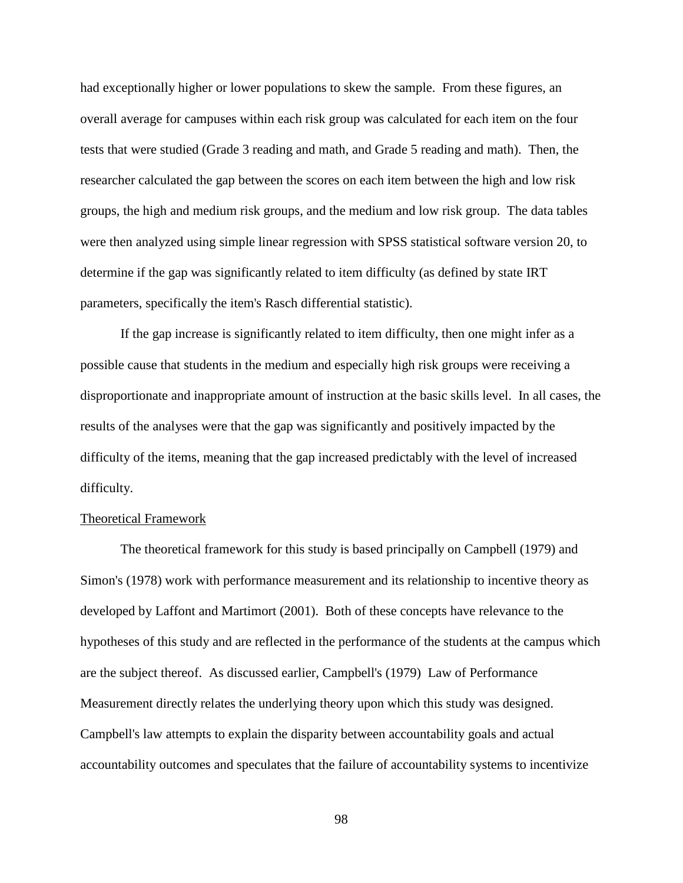had exceptionally higher or lower populations to skew the sample. From these figures, an overall average for campuses within each risk group was calculated for each item on the four tests that were studied (Grade 3 reading and math, and Grade 5 reading and math). Then, the researcher calculated the gap between the scores on each item between the high and low risk groups, the high and medium risk groups, and the medium and low risk group. The data tables were then analyzed using simple linear regression with SPSS statistical software version 20, to determine if the gap was significantly related to item difficulty (as defined by state IRT parameters, specifically the item's Rasch differential statistic).

If the gap increase is significantly related to item difficulty, then one might infer as a possible cause that students in the medium and especially high risk groups were receiving a disproportionate and inappropriate amount of instruction at the basic skills level. In all cases, the results of the analyses were that the gap was significantly and positively impacted by the difficulty of the items, meaning that the gap increased predictably with the level of increased difficulty.

## Theoretical Framework

The theoretical framework for this study is based principally on Campbell (1979) and Simon's (1978) work with performance measurement and its relationship to incentive theory as developed by Laffont and Martimort (2001). Both of these concepts have relevance to the hypotheses of this study and are reflected in the performance of the students at the campus which are the subject thereof. As discussed earlier, Campbell's (1979) Law of Performance Measurement directly relates the underlying theory upon which this study was designed. Campbell's law attempts to explain the disparity between accountability goals and actual accountability outcomes and speculates that the failure of accountability systems to incentivize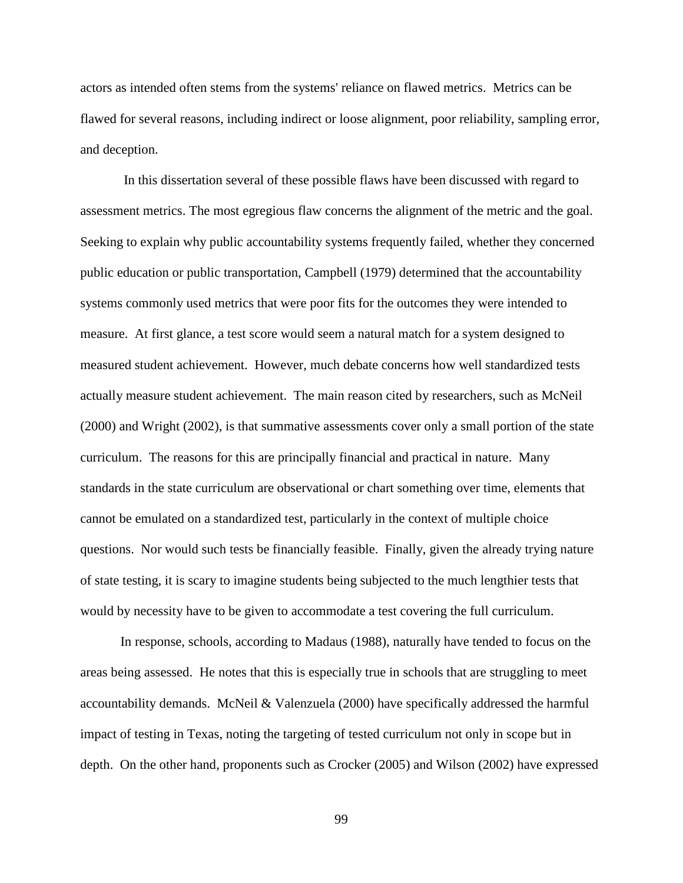actors as intended often stems from the systems' reliance on flawed metrics. Metrics can be flawed for several reasons, including indirect or loose alignment, poor reliability, sampling error, and deception.

In this dissertation several of these possible flaws have been discussed with regard to assessment metrics. The most egregious flaw concerns the alignment of the metric and the goal. Seeking to explain why public accountability systems frequently failed, whether they concerned public education or public transportation, Campbell (1979) determined that the accountability systems commonly used metrics that were poor fits for the outcomes they were intended to measure. At first glance, a test score would seem a natural match for a system designed to measured student achievement. However, much debate concerns how well standardized tests actually measure student achievement. The main reason cited by researchers, such as McNeil (2000) and Wright (2002), is that summative assessments cover only a small portion of the state curriculum. The reasons for this are principally financial and practical in nature. Many standards in the state curriculum are observational or chart something over time, elements that cannot be emulated on a standardized test, particularly in the context of multiple choice questions. Nor would such tests be financially feasible. Finally, given the already trying nature of state testing, it is scary to imagine students being subjected to the much lengthier tests that would by necessity have to be given to accommodate a test covering the full curriculum.

In response, schools, according to Madaus (1988), naturally have tended to focus on the areas being assessed. He notes that this is especially true in schools that are struggling to meet accountability demands. McNeil & Valenzuela (2000) have specifically addressed the harmful impact of testing in Texas, noting the targeting of tested curriculum not only in scope but in depth. On the other hand, proponents such as Crocker (2005) and Wilson (2002) have expressed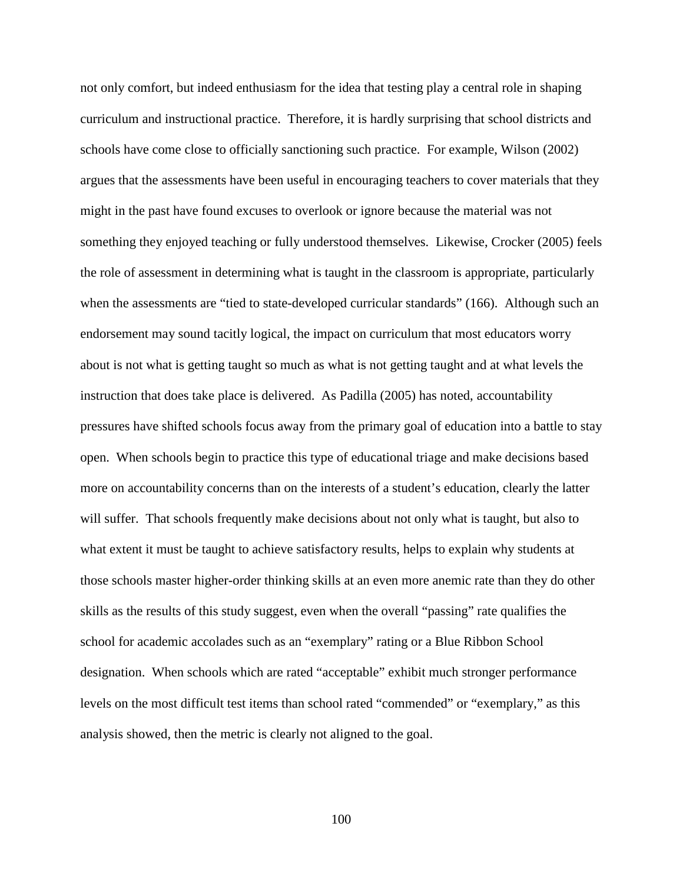not only comfort, but indeed enthusiasm for the idea that testing play a central role in shaping curriculum and instructional practice. Therefore, it is hardly surprising that school districts and schools have come close to officially sanctioning such practice. For example, Wilson (2002) argues that the assessments have been useful in encouraging teachers to cover materials that they might in the past have found excuses to overlook or ignore because the material was not something they enjoyed teaching or fully understood themselves. Likewise, Crocker (2005) feels the role of assessment in determining what is taught in the classroom is appropriate, particularly when the assessments are "tied to state-developed curricular standards" (166). Although such an endorsement may sound tacitly logical, the impact on curriculum that most educators worry about is not what is getting taught so much as what is not getting taught and at what levels the instruction that does take place is delivered. As Padilla (2005) has noted, accountability pressures have shifted schools focus away from the primary goal of education into a battle to stay open. When schools begin to practice this type of educational triage and make decisions based more on accountability concerns than on the interests of a student's education, clearly the latter will suffer. That schools frequently make decisions about not only what is taught, but also to what extent it must be taught to achieve satisfactory results, helps to explain why students at those schools master higher-order thinking skills at an even more anemic rate than they do other skills as the results of this study suggest, even when the overall "passing" rate qualifies the school for academic accolades such as an "exemplary" rating or a Blue Ribbon School designation. When schools which are rated "acceptable" exhibit much stronger performance levels on the most difficult test items than school rated "commended" or "exemplary," as this analysis showed, then the metric is clearly not aligned to the goal.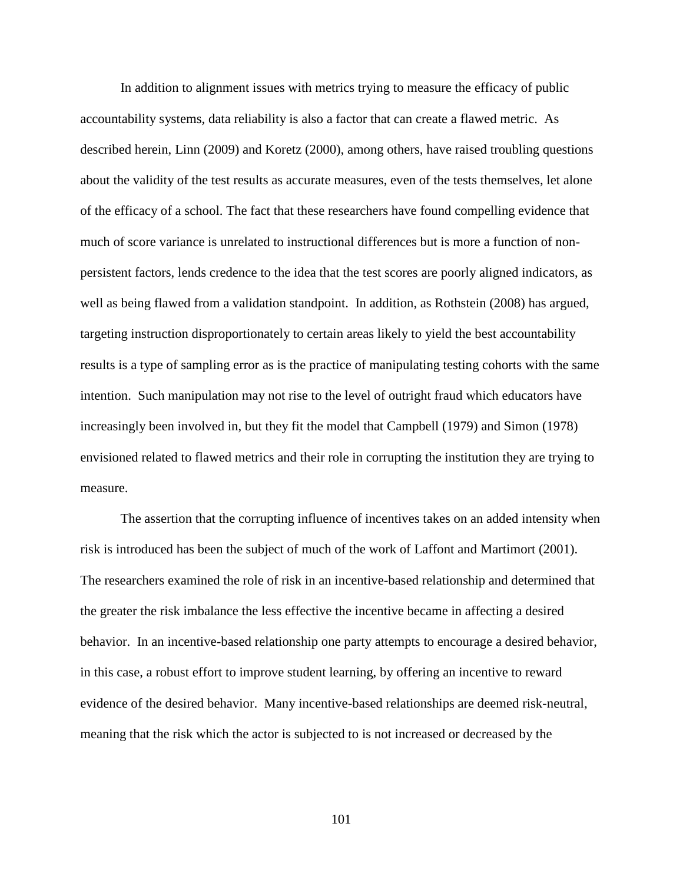In addition to alignment issues with metrics trying to measure the efficacy of public accountability systems, data reliability is also a factor that can create a flawed metric. As described herein, Linn (2009) and Koretz (2000), among others, have raised troubling questions about the validity of the test results as accurate measures, even of the tests themselves, let alone of the efficacy of a school. The fact that these researchers have found compelling evidence that much of score variance is unrelated to instructional differences but is more a function of nonpersistent factors, lends credence to the idea that the test scores are poorly aligned indicators, as well as being flawed from a validation standpoint. In addition, as Rothstein (2008) has argued, targeting instruction disproportionately to certain areas likely to yield the best accountability results is a type of sampling error as is the practice of manipulating testing cohorts with the same intention. Such manipulation may not rise to the level of outright fraud which educators have increasingly been involved in, but they fit the model that Campbell (1979) and Simon (1978) envisioned related to flawed metrics and their role in corrupting the institution they are trying to measure.

The assertion that the corrupting influence of incentives takes on an added intensity when risk is introduced has been the subject of much of the work of Laffont and Martimort (2001). The researchers examined the role of risk in an incentive-based relationship and determined that the greater the risk imbalance the less effective the incentive became in affecting a desired behavior. In an incentive-based relationship one party attempts to encourage a desired behavior, in this case, a robust effort to improve student learning, by offering an incentive to reward evidence of the desired behavior. Many incentive-based relationships are deemed risk-neutral, meaning that the risk which the actor is subjected to is not increased or decreased by the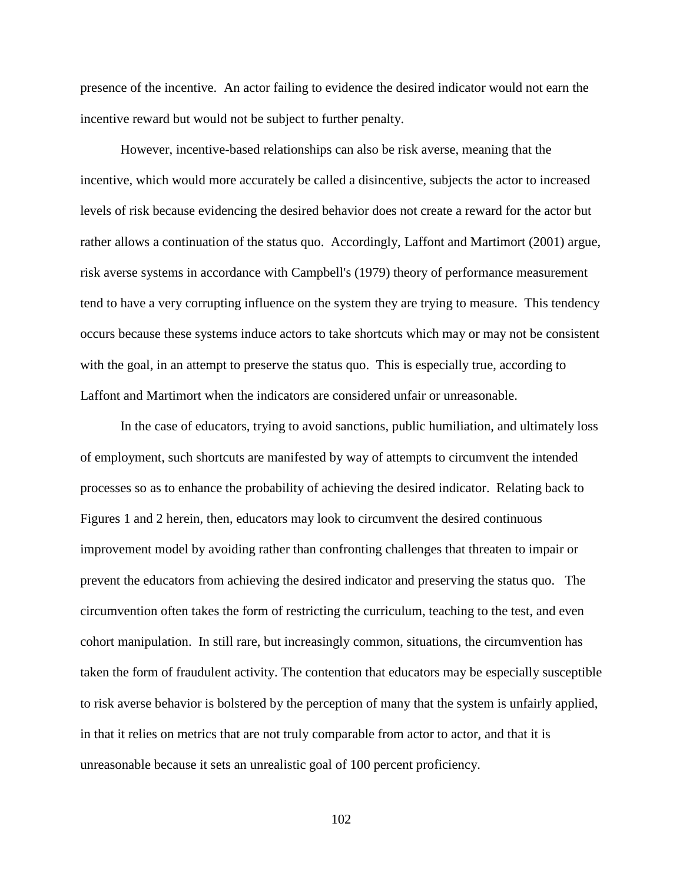presence of the incentive. An actor failing to evidence the desired indicator would not earn the incentive reward but would not be subject to further penalty.

However, incentive-based relationships can also be risk averse, meaning that the incentive, which would more accurately be called a disincentive, subjects the actor to increased levels of risk because evidencing the desired behavior does not create a reward for the actor but rather allows a continuation of the status quo. Accordingly, Laffont and Martimort (2001) argue, risk averse systems in accordance with Campbell's (1979) theory of performance measurement tend to have a very corrupting influence on the system they are trying to measure. This tendency occurs because these systems induce actors to take shortcuts which may or may not be consistent with the goal, in an attempt to preserve the status quo. This is especially true, according to Laffont and Martimort when the indicators are considered unfair or unreasonable.

In the case of educators, trying to avoid sanctions, public humiliation, and ultimately loss of employment, such shortcuts are manifested by way of attempts to circumvent the intended processes so as to enhance the probability of achieving the desired indicator. Relating back to Figures 1 and 2 herein, then, educators may look to circumvent the desired continuous improvement model by avoiding rather than confronting challenges that threaten to impair or prevent the educators from achieving the desired indicator and preserving the status quo. The circumvention often takes the form of restricting the curriculum, teaching to the test, and even cohort manipulation. In still rare, but increasingly common, situations, the circumvention has taken the form of fraudulent activity. The contention that educators may be especially susceptible to risk averse behavior is bolstered by the perception of many that the system is unfairly applied, in that it relies on metrics that are not truly comparable from actor to actor, and that it is unreasonable because it sets an unrealistic goal of 100 percent proficiency.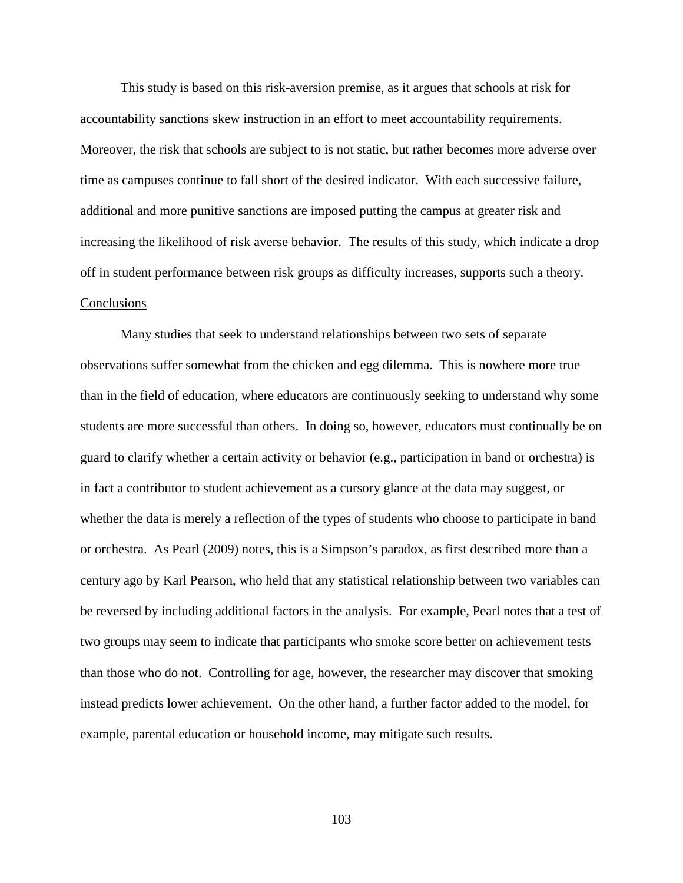This study is based on this risk-aversion premise, as it argues that schools at risk for accountability sanctions skew instruction in an effort to meet accountability requirements. Moreover, the risk that schools are subject to is not static, but rather becomes more adverse over time as campuses continue to fall short of the desired indicator. With each successive failure, additional and more punitive sanctions are imposed putting the campus at greater risk and increasing the likelihood of risk averse behavior. The results of this study, which indicate a drop off in student performance between risk groups as difficulty increases, supports such a theory. **Conclusions** 

Many studies that seek to understand relationships between two sets of separate observations suffer somewhat from the chicken and egg dilemma. This is nowhere more true than in the field of education, where educators are continuously seeking to understand why some students are more successful than others. In doing so, however, educators must continually be on guard to clarify whether a certain activity or behavior (e.g., participation in band or orchestra) is in fact a contributor to student achievement as a cursory glance at the data may suggest, or whether the data is merely a reflection of the types of students who choose to participate in band or orchestra. As Pearl (2009) notes, this is a Simpson's paradox, as first described more than a century ago by Karl Pearson, who held that any statistical relationship between two variables can be reversed by including additional factors in the analysis. For example, Pearl notes that a test of two groups may seem to indicate that participants who smoke score better on achievement tests than those who do not. Controlling for age, however, the researcher may discover that smoking instead predicts lower achievement. On the other hand, a further factor added to the model, for example, parental education or household income, may mitigate such results.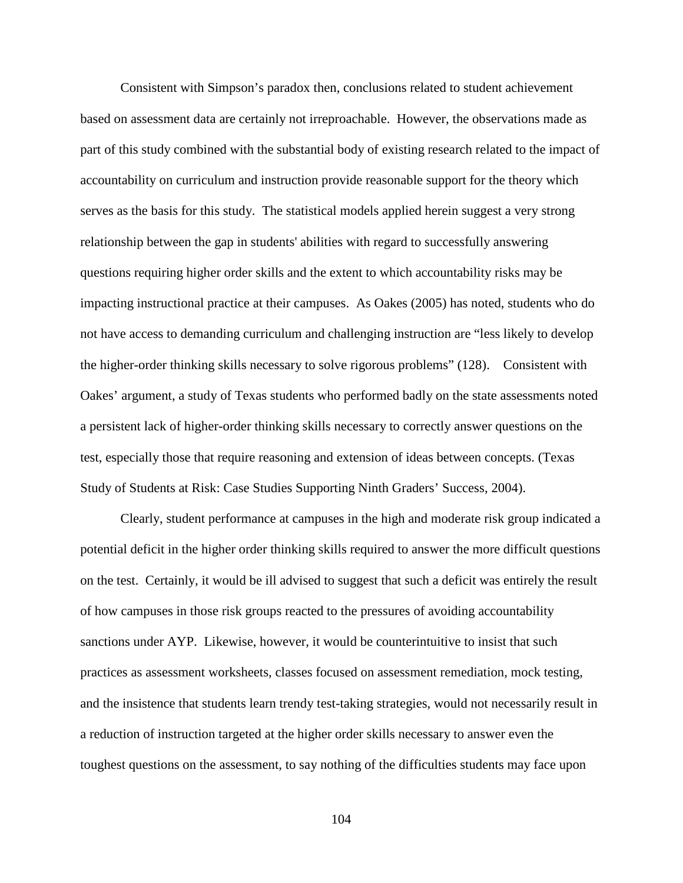Consistent with Simpson's paradox then, conclusions related to student achievement based on assessment data are certainly not irreproachable. However, the observations made as part of this study combined with the substantial body of existing research related to the impact of accountability on curriculum and instruction provide reasonable support for the theory which serves as the basis for this study. The statistical models applied herein suggest a very strong relationship between the gap in students' abilities with regard to successfully answering questions requiring higher order skills and the extent to which accountability risks may be impacting instructional practice at their campuses. As Oakes (2005) has noted, students who do not have access to demanding curriculum and challenging instruction are "less likely to develop the higher-order thinking skills necessary to solve rigorous problems" (128). Consistent with Oakes' argument, a study of Texas students who performed badly on the state assessments noted a persistent lack of higher-order thinking skills necessary to correctly answer questions on the test, especially those that require reasoning and extension of ideas between concepts. (Texas Study of Students at Risk: Case Studies Supporting Ninth Graders' Success, 2004).

Clearly, student performance at campuses in the high and moderate risk group indicated a potential deficit in the higher order thinking skills required to answer the more difficult questions on the test. Certainly, it would be ill advised to suggest that such a deficit was entirely the result of how campuses in those risk groups reacted to the pressures of avoiding accountability sanctions under AYP. Likewise, however, it would be counterintuitive to insist that such practices as assessment worksheets, classes focused on assessment remediation, mock testing, and the insistence that students learn trendy test-taking strategies, would not necessarily result in a reduction of instruction targeted at the higher order skills necessary to answer even the toughest questions on the assessment, to say nothing of the difficulties students may face upon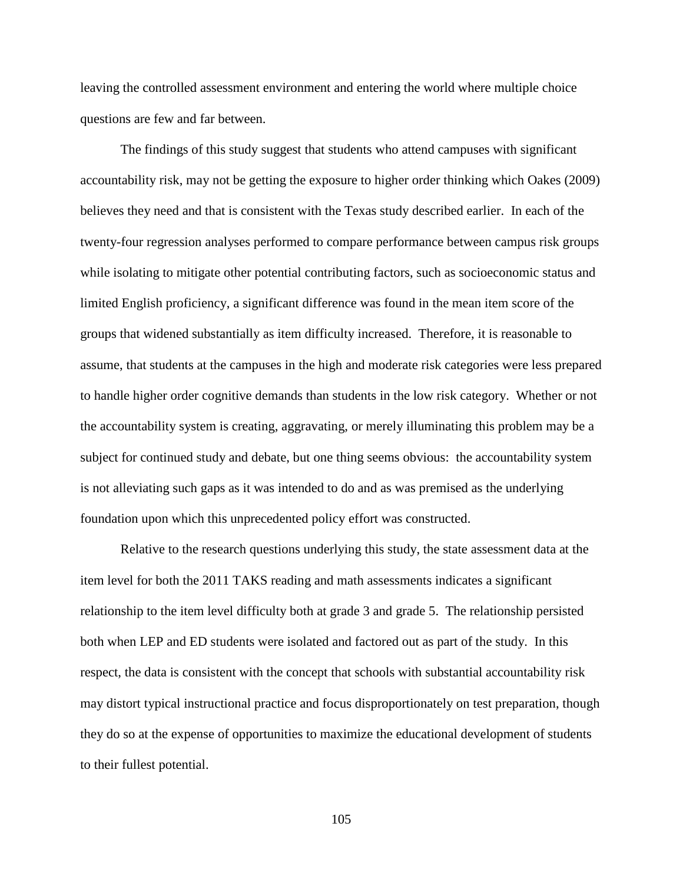leaving the controlled assessment environment and entering the world where multiple choice questions are few and far between.

The findings of this study suggest that students who attend campuses with significant accountability risk, may not be getting the exposure to higher order thinking which Oakes (2009) believes they need and that is consistent with the Texas study described earlier. In each of the twenty-four regression analyses performed to compare performance between campus risk groups while isolating to mitigate other potential contributing factors, such as socioeconomic status and limited English proficiency, a significant difference was found in the mean item score of the groups that widened substantially as item difficulty increased. Therefore, it is reasonable to assume, that students at the campuses in the high and moderate risk categories were less prepared to handle higher order cognitive demands than students in the low risk category. Whether or not the accountability system is creating, aggravating, or merely illuminating this problem may be a subject for continued study and debate, but one thing seems obvious: the accountability system is not alleviating such gaps as it was intended to do and as was premised as the underlying foundation upon which this unprecedented policy effort was constructed.

Relative to the research questions underlying this study, the state assessment data at the item level for both the 2011 TAKS reading and math assessments indicates a significant relationship to the item level difficulty both at grade 3 and grade 5. The relationship persisted both when LEP and ED students were isolated and factored out as part of the study. In this respect, the data is consistent with the concept that schools with substantial accountability risk may distort typical instructional practice and focus disproportionately on test preparation, though they do so at the expense of opportunities to maximize the educational development of students to their fullest potential.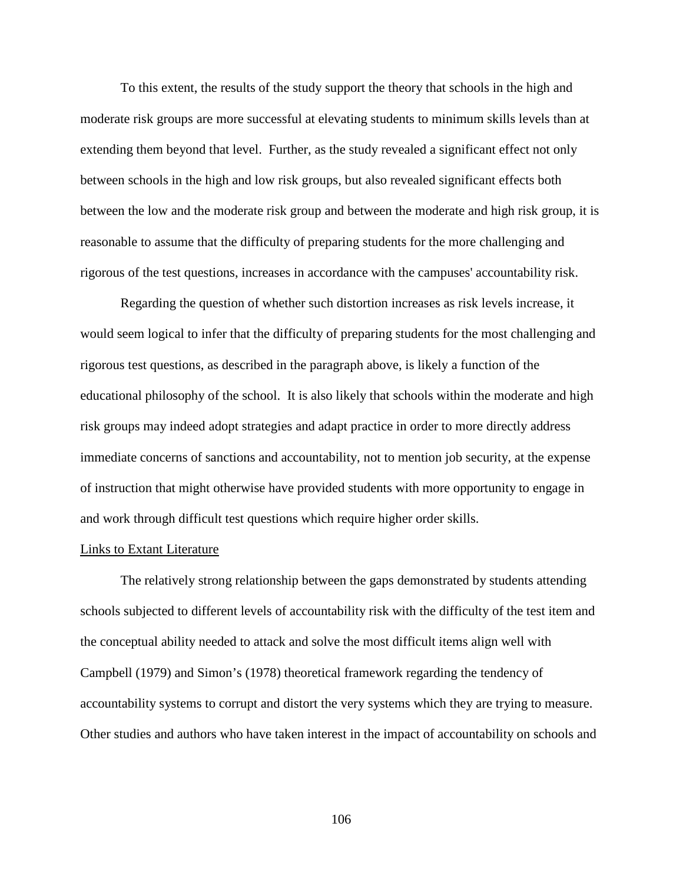To this extent, the results of the study support the theory that schools in the high and moderate risk groups are more successful at elevating students to minimum skills levels than at extending them beyond that level. Further, as the study revealed a significant effect not only between schools in the high and low risk groups, but also revealed significant effects both between the low and the moderate risk group and between the moderate and high risk group, it is reasonable to assume that the difficulty of preparing students for the more challenging and rigorous of the test questions, increases in accordance with the campuses' accountability risk.

Regarding the question of whether such distortion increases as risk levels increase, it would seem logical to infer that the difficulty of preparing students for the most challenging and rigorous test questions, as described in the paragraph above, is likely a function of the educational philosophy of the school. It is also likely that schools within the moderate and high risk groups may indeed adopt strategies and adapt practice in order to more directly address immediate concerns of sanctions and accountability, not to mention job security, at the expense of instruction that might otherwise have provided students with more opportunity to engage in and work through difficult test questions which require higher order skills.

## Links to Extant Literature

The relatively strong relationship between the gaps demonstrated by students attending schools subjected to different levels of accountability risk with the difficulty of the test item and the conceptual ability needed to attack and solve the most difficult items align well with Campbell (1979) and Simon's (1978) theoretical framework regarding the tendency of accountability systems to corrupt and distort the very systems which they are trying to measure. Other studies and authors who have taken interest in the impact of accountability on schools and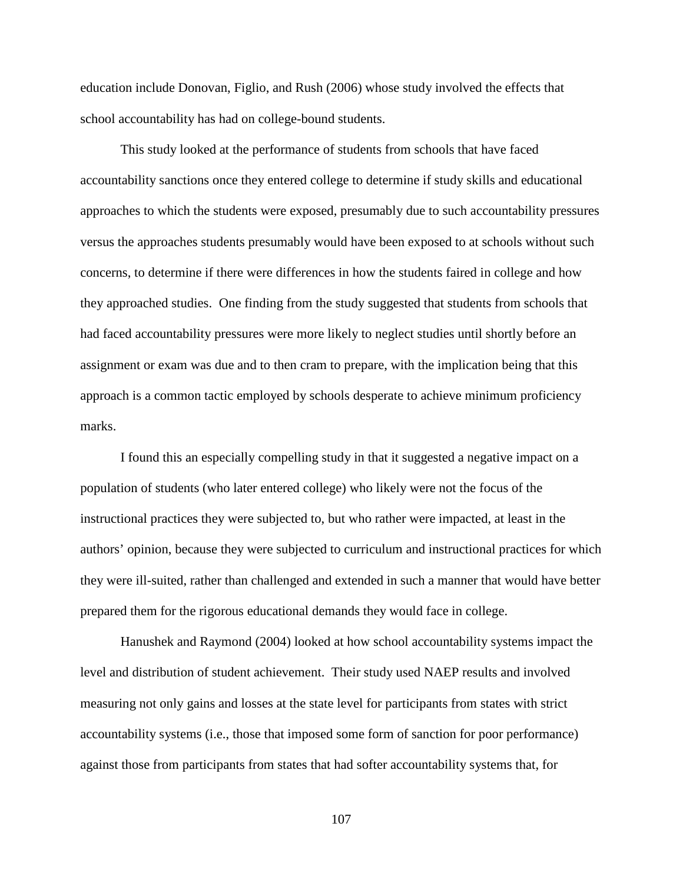education include Donovan, Figlio, and Rush (2006) whose study involved the effects that school accountability has had on college-bound students.

This study looked at the performance of students from schools that have faced accountability sanctions once they entered college to determine if study skills and educational approaches to which the students were exposed, presumably due to such accountability pressures versus the approaches students presumably would have been exposed to at schools without such concerns, to determine if there were differences in how the students faired in college and how they approached studies. One finding from the study suggested that students from schools that had faced accountability pressures were more likely to neglect studies until shortly before an assignment or exam was due and to then cram to prepare, with the implication being that this approach is a common tactic employed by schools desperate to achieve minimum proficiency marks.

I found this an especially compelling study in that it suggested a negative impact on a population of students (who later entered college) who likely were not the focus of the instructional practices they were subjected to, but who rather were impacted, at least in the authors' opinion, because they were subjected to curriculum and instructional practices for which they were ill-suited, rather than challenged and extended in such a manner that would have better prepared them for the rigorous educational demands they would face in college.

Hanushek and Raymond (2004) looked at how school accountability systems impact the level and distribution of student achievement. Their study used NAEP results and involved measuring not only gains and losses at the state level for participants from states with strict accountability systems (i.e., those that imposed some form of sanction for poor performance) against those from participants from states that had softer accountability systems that, for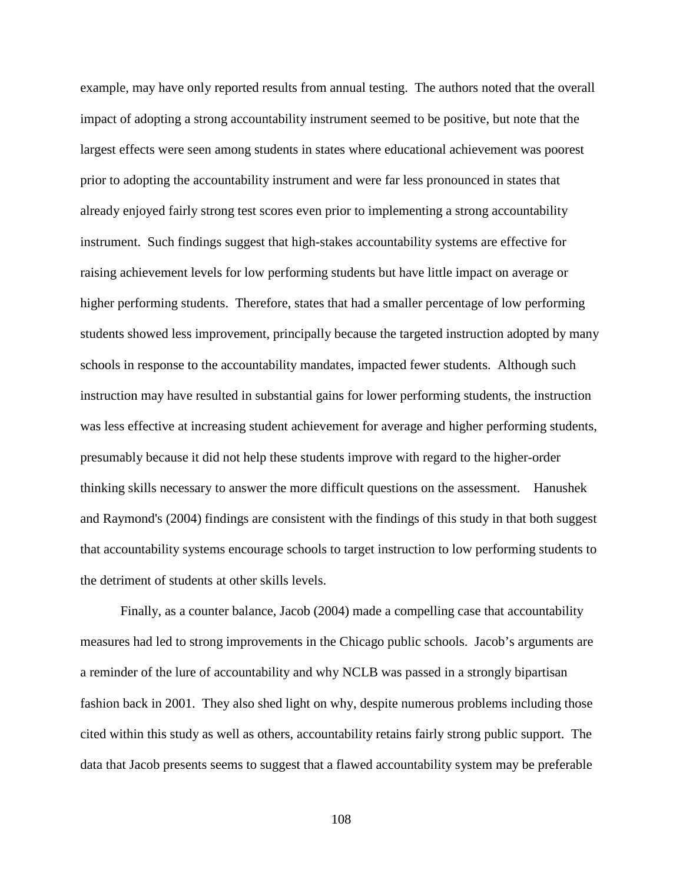example, may have only reported results from annual testing. The authors noted that the overall impact of adopting a strong accountability instrument seemed to be positive, but note that the largest effects were seen among students in states where educational achievement was poorest prior to adopting the accountability instrument and were far less pronounced in states that already enjoyed fairly strong test scores even prior to implementing a strong accountability instrument. Such findings suggest that high-stakes accountability systems are effective for raising achievement levels for low performing students but have little impact on average or higher performing students. Therefore, states that had a smaller percentage of low performing students showed less improvement, principally because the targeted instruction adopted by many schools in response to the accountability mandates, impacted fewer students. Although such instruction may have resulted in substantial gains for lower performing students, the instruction was less effective at increasing student achievement for average and higher performing students, presumably because it did not help these students improve with regard to the higher-order thinking skills necessary to answer the more difficult questions on the assessment. Hanushek and Raymond's (2004) findings are consistent with the findings of this study in that both suggest that accountability systems encourage schools to target instruction to low performing students to the detriment of students at other skills levels.

Finally, as a counter balance, Jacob (2004) made a compelling case that accountability measures had led to strong improvements in the Chicago public schools. Jacob's arguments are a reminder of the lure of accountability and why NCLB was passed in a strongly bipartisan fashion back in 2001. They also shed light on why, despite numerous problems including those cited within this study as well as others, accountability retains fairly strong public support. The data that Jacob presents seems to suggest that a flawed accountability system may be preferable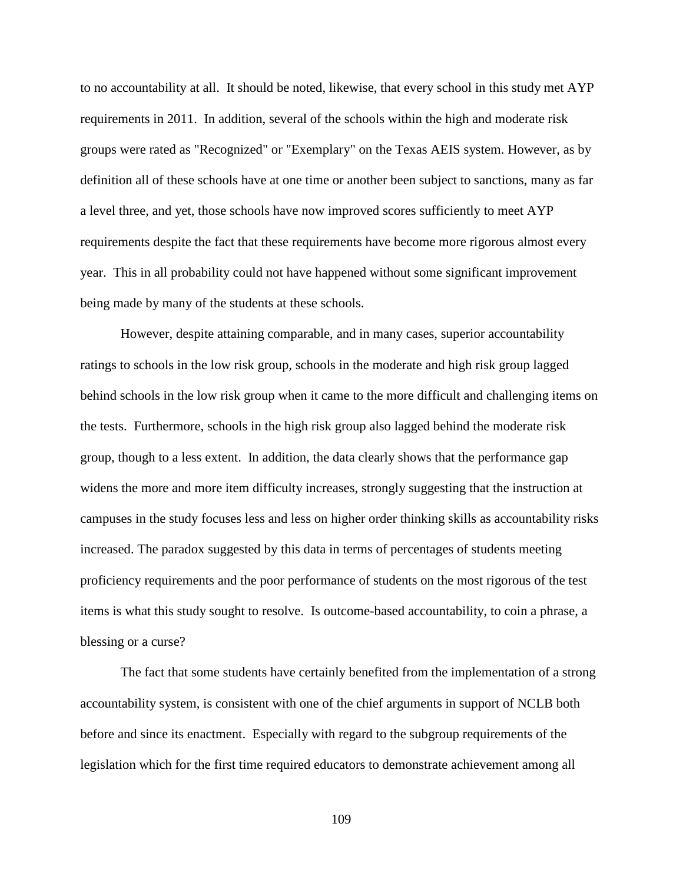to no accountability at all. It should be noted, likewise, that every school in this study met AYP requirements in 2011. In addition, several of the schools within the high and moderate risk groups were rated as "Recognized" or "Exemplary" on the Texas AEIS system. However, as by definition all of these schools have at one time or another been subject to sanctions, many as far a level three, and yet, those schools have now improved scores sufficiently to meet AYP requirements despite the fact that these requirements have become more rigorous almost every year. This in all probability could not have happened without some significant improvement being made by many of the students at these schools.

However, despite attaining comparable, and in many cases, superior accountability ratings to schools in the low risk group, schools in the moderate and high risk group lagged behind schools in the low risk group when it came to the more difficult and challenging items on the tests. Furthermore, schools in the high risk group also lagged behind the moderate risk group, though to a less extent. In addition, the data clearly shows that the performance gap widens the more and more item difficulty increases, strongly suggesting that the instruction at campuses in the study focuses less and less on higher order thinking skills as accountability risks increased. The paradox suggested by this data in terms of percentages of students meeting proficiency requirements and the poor performance of students on the most rigorous of the test items is what this study sought to resolve. Is outcome-based accountability, to coin a phrase, a blessing or a curse?

The fact that some students have certainly benefited from the implementation of a strong accountability system, is consistent with one of the chief arguments in support of NCLB both before and since its enactment. Especially with regard to the subgroup requirements of the legislation which for the first time required educators to demonstrate achievement among all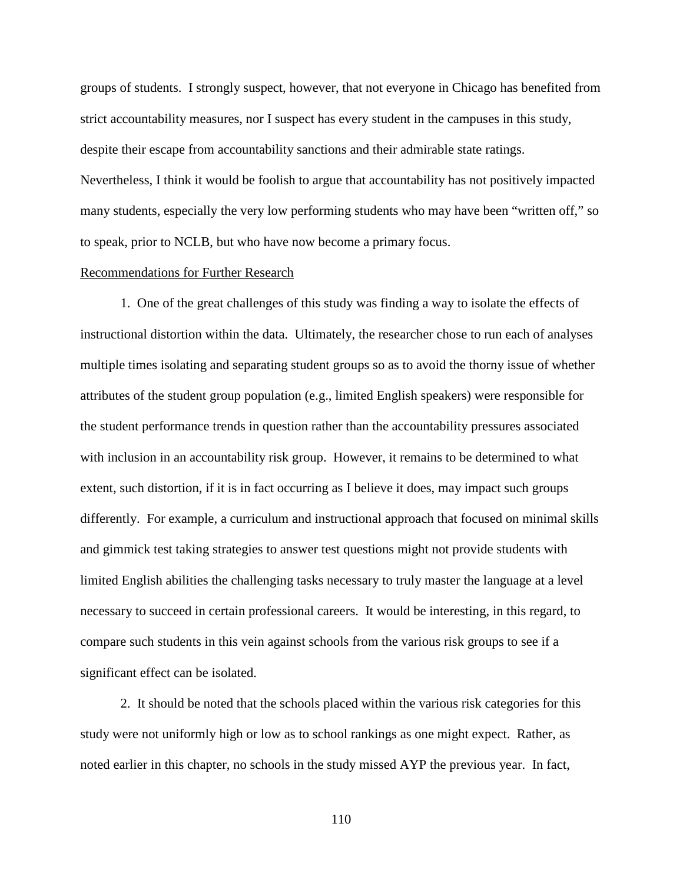groups of students. I strongly suspect, however, that not everyone in Chicago has benefited from strict accountability measures, nor I suspect has every student in the campuses in this study, despite their escape from accountability sanctions and their admirable state ratings. Nevertheless, I think it would be foolish to argue that accountability has not positively impacted many students, especially the very low performing students who may have been "written off," so to speak, prior to NCLB, but who have now become a primary focus.

# Recommendations for Further Research

1. One of the great challenges of this study was finding a way to isolate the effects of instructional distortion within the data. Ultimately, the researcher chose to run each of analyses multiple times isolating and separating student groups so as to avoid the thorny issue of whether attributes of the student group population (e.g., limited English speakers) were responsible for the student performance trends in question rather than the accountability pressures associated with inclusion in an accountability risk group. However, it remains to be determined to what extent, such distortion, if it is in fact occurring as I believe it does, may impact such groups differently. For example, a curriculum and instructional approach that focused on minimal skills and gimmick test taking strategies to answer test questions might not provide students with limited English abilities the challenging tasks necessary to truly master the language at a level necessary to succeed in certain professional careers. It would be interesting, in this regard, to compare such students in this vein against schools from the various risk groups to see if a significant effect can be isolated.

2. It should be noted that the schools placed within the various risk categories for this study were not uniformly high or low as to school rankings as one might expect. Rather, as noted earlier in this chapter, no schools in the study missed AYP the previous year. In fact,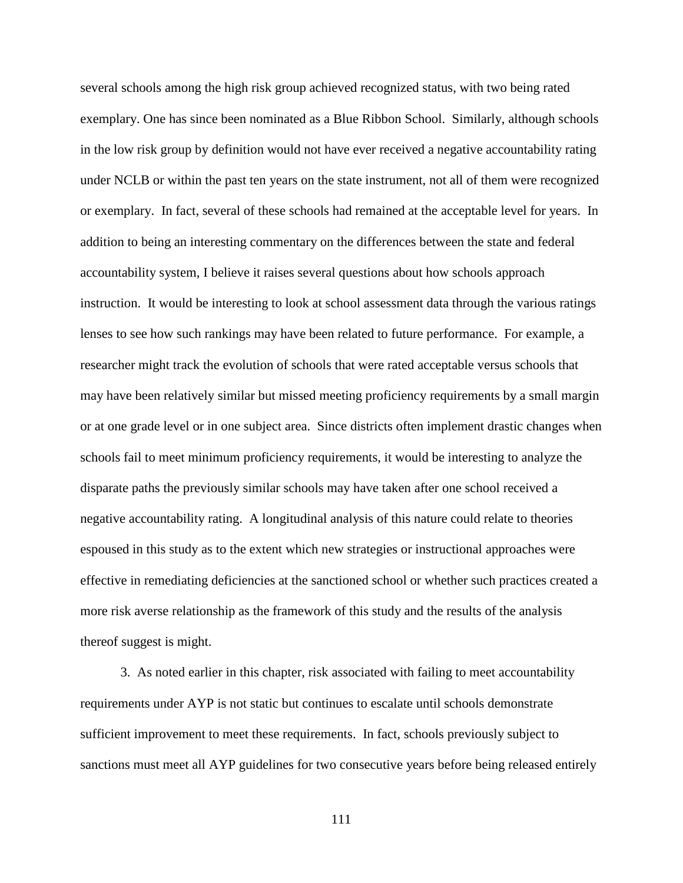several schools among the high risk group achieved recognized status, with two being rated exemplary. One has since been nominated as a Blue Ribbon School. Similarly, although schools in the low risk group by definition would not have ever received a negative accountability rating under NCLB or within the past ten years on the state instrument, not all of them were recognized or exemplary. In fact, several of these schools had remained at the acceptable level for years. In addition to being an interesting commentary on the differences between the state and federal accountability system, I believe it raises several questions about how schools approach instruction. It would be interesting to look at school assessment data through the various ratings lenses to see how such rankings may have been related to future performance. For example, a researcher might track the evolution of schools that were rated acceptable versus schools that may have been relatively similar but missed meeting proficiency requirements by a small margin or at one grade level or in one subject area. Since districts often implement drastic changes when schools fail to meet minimum proficiency requirements, it would be interesting to analyze the disparate paths the previously similar schools may have taken after one school received a negative accountability rating. A longitudinal analysis of this nature could relate to theories espoused in this study as to the extent which new strategies or instructional approaches were effective in remediating deficiencies at the sanctioned school or whether such practices created a more risk averse relationship as the framework of this study and the results of the analysis thereof suggest is might.

3. As noted earlier in this chapter, risk associated with failing to meet accountability requirements under AYP is not static but continues to escalate until schools demonstrate sufficient improvement to meet these requirements. In fact, schools previously subject to sanctions must meet all AYP guidelines for two consecutive years before being released entirely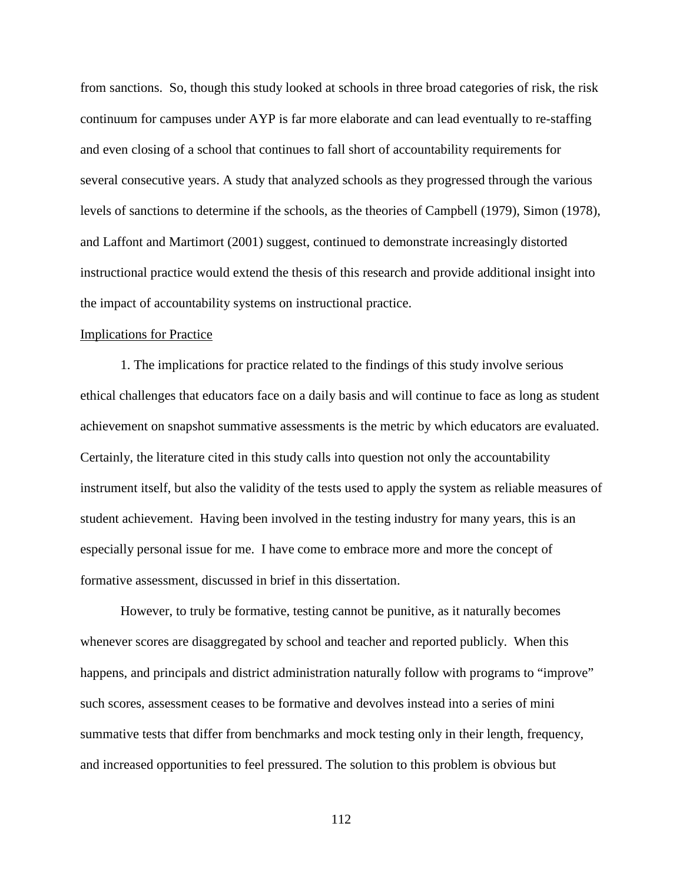from sanctions. So, though this study looked at schools in three broad categories of risk, the risk continuum for campuses under AYP is far more elaborate and can lead eventually to re-staffing and even closing of a school that continues to fall short of accountability requirements for several consecutive years. A study that analyzed schools as they progressed through the various levels of sanctions to determine if the schools, as the theories of Campbell (1979), Simon (1978), and Laffont and Martimort (2001) suggest, continued to demonstrate increasingly distorted instructional practice would extend the thesis of this research and provide additional insight into the impact of accountability systems on instructional practice.

## Implications for Practice

1. The implications for practice related to the findings of this study involve serious ethical challenges that educators face on a daily basis and will continue to face as long as student achievement on snapshot summative assessments is the metric by which educators are evaluated. Certainly, the literature cited in this study calls into question not only the accountability instrument itself, but also the validity of the tests used to apply the system as reliable measures of student achievement. Having been involved in the testing industry for many years, this is an especially personal issue for me. I have come to embrace more and more the concept of formative assessment, discussed in brief in this dissertation.

However, to truly be formative, testing cannot be punitive, as it naturally becomes whenever scores are disaggregated by school and teacher and reported publicly. When this happens, and principals and district administration naturally follow with programs to "improve" such scores, assessment ceases to be formative and devolves instead into a series of mini summative tests that differ from benchmarks and mock testing only in their length, frequency, and increased opportunities to feel pressured. The solution to this problem is obvious but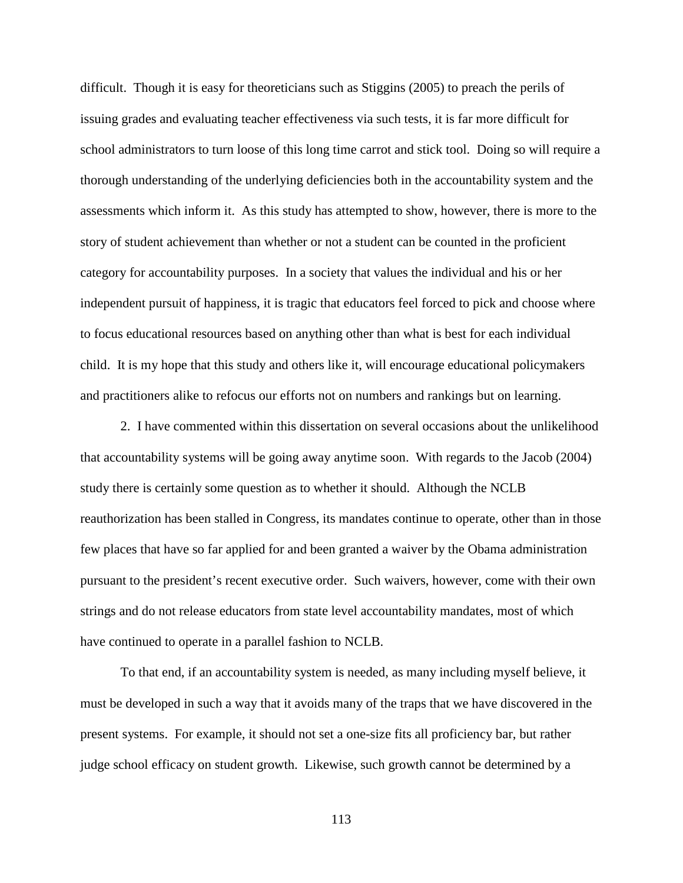difficult. Though it is easy for theoreticians such as Stiggins (2005) to preach the perils of issuing grades and evaluating teacher effectiveness via such tests, it is far more difficult for school administrators to turn loose of this long time carrot and stick tool. Doing so will require a thorough understanding of the underlying deficiencies both in the accountability system and the assessments which inform it. As this study has attempted to show, however, there is more to the story of student achievement than whether or not a student can be counted in the proficient category for accountability purposes. In a society that values the individual and his or her independent pursuit of happiness, it is tragic that educators feel forced to pick and choose where to focus educational resources based on anything other than what is best for each individual child. It is my hope that this study and others like it, will encourage educational policymakers and practitioners alike to refocus our efforts not on numbers and rankings but on learning.

2. I have commented within this dissertation on several occasions about the unlikelihood that accountability systems will be going away anytime soon. With regards to the Jacob (2004) study there is certainly some question as to whether it should. Although the NCLB reauthorization has been stalled in Congress, its mandates continue to operate, other than in those few places that have so far applied for and been granted a waiver by the Obama administration pursuant to the president's recent executive order. Such waivers, however, come with their own strings and do not release educators from state level accountability mandates, most of which have continued to operate in a parallel fashion to NCLB.

To that end, if an accountability system is needed, as many including myself believe, it must be developed in such a way that it avoids many of the traps that we have discovered in the present systems. For example, it should not set a one-size fits all proficiency bar, but rather judge school efficacy on student growth. Likewise, such growth cannot be determined by a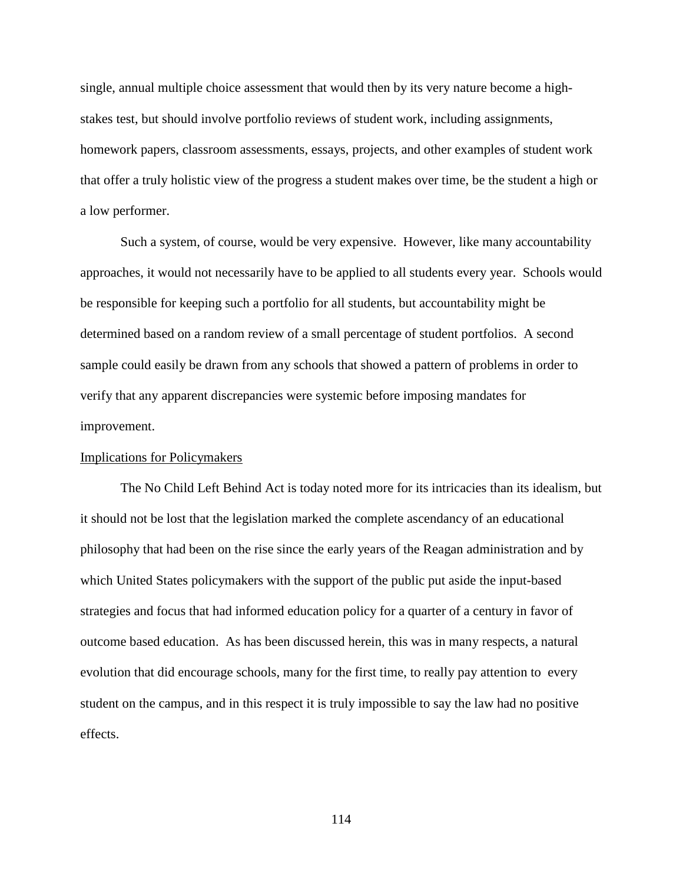single, annual multiple choice assessment that would then by its very nature become a highstakes test, but should involve portfolio reviews of student work, including assignments, homework papers, classroom assessments, essays, projects, and other examples of student work that offer a truly holistic view of the progress a student makes over time, be the student a high or a low performer.

Such a system, of course, would be very expensive. However, like many accountability approaches, it would not necessarily have to be applied to all students every year. Schools would be responsible for keeping such a portfolio for all students, but accountability might be determined based on a random review of a small percentage of student portfolios. A second sample could easily be drawn from any schools that showed a pattern of problems in order to verify that any apparent discrepancies were systemic before imposing mandates for improvement.

## Implications for Policymakers

The No Child Left Behind Act is today noted more for its intricacies than its idealism, but it should not be lost that the legislation marked the complete ascendancy of an educational philosophy that had been on the rise since the early years of the Reagan administration and by which United States policymakers with the support of the public put aside the input-based strategies and focus that had informed education policy for a quarter of a century in favor of outcome based education. As has been discussed herein, this was in many respects, a natural evolution that did encourage schools, many for the first time, to really pay attention to every student on the campus, and in this respect it is truly impossible to say the law had no positive effects.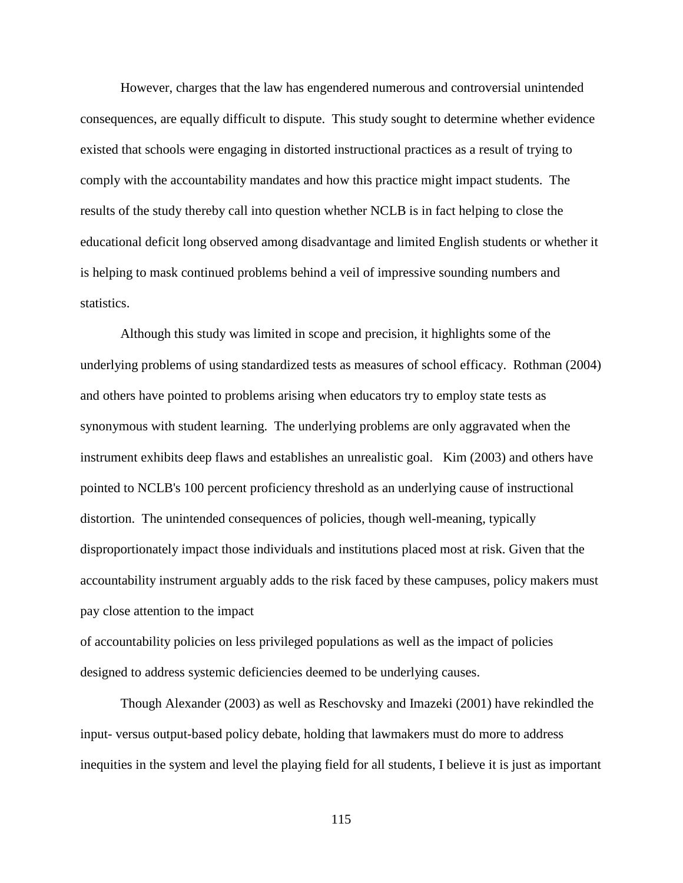However, charges that the law has engendered numerous and controversial unintended consequences, are equally difficult to dispute. This study sought to determine whether evidence existed that schools were engaging in distorted instructional practices as a result of trying to comply with the accountability mandates and how this practice might impact students. The results of the study thereby call into question whether NCLB is in fact helping to close the educational deficit long observed among disadvantage and limited English students or whether it is helping to mask continued problems behind a veil of impressive sounding numbers and statistics.

Although this study was limited in scope and precision, it highlights some of the underlying problems of using standardized tests as measures of school efficacy. Rothman (2004) and others have pointed to problems arising when educators try to employ state tests as synonymous with student learning. The underlying problems are only aggravated when the instrument exhibits deep flaws and establishes an unrealistic goal. Kim (2003) and others have pointed to NCLB's 100 percent proficiency threshold as an underlying cause of instructional distortion. The unintended consequences of policies, though well-meaning, typically disproportionately impact those individuals and institutions placed most at risk. Given that the accountability instrument arguably adds to the risk faced by these campuses, policy makers must pay close attention to the impact

of accountability policies on less privileged populations as well as the impact of policies designed to address systemic deficiencies deemed to be underlying causes.

Though Alexander (2003) as well as Reschovsky and Imazeki (2001) have rekindled the input- versus output-based policy debate, holding that lawmakers must do more to address inequities in the system and level the playing field for all students, I believe it is just as important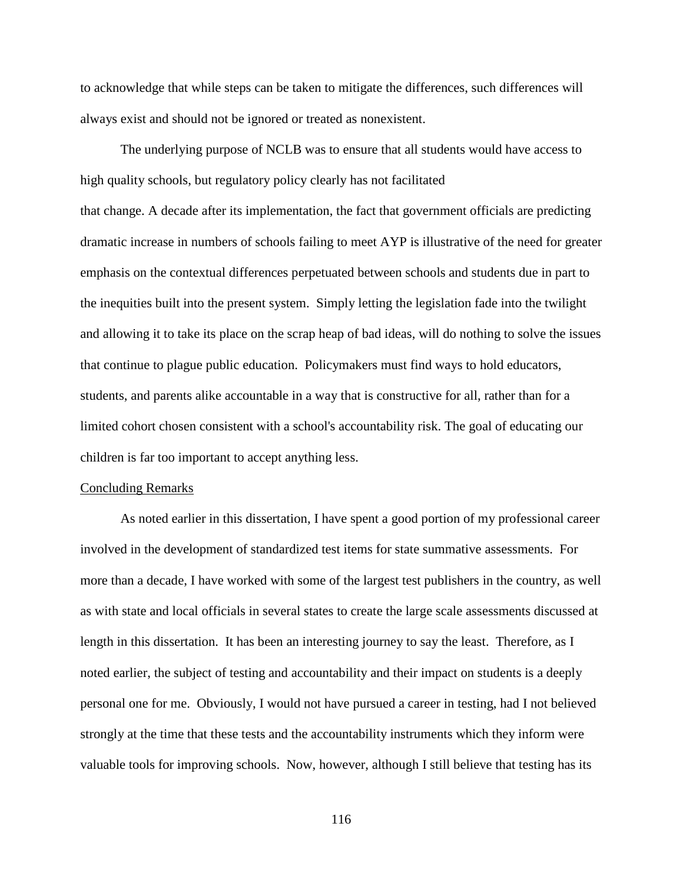to acknowledge that while steps can be taken to mitigate the differences, such differences will always exist and should not be ignored or treated as nonexistent.

The underlying purpose of NCLB was to ensure that all students would have access to high quality schools, but regulatory policy clearly has not facilitated that change. A decade after its implementation, the fact that government officials are predicting dramatic increase in numbers of schools failing to meet AYP is illustrative of the need for greater emphasis on the contextual differences perpetuated between schools and students due in part to the inequities built into the present system. Simply letting the legislation fade into the twilight and allowing it to take its place on the scrap heap of bad ideas, will do nothing to solve the issues that continue to plague public education. Policymakers must find ways to hold educators, students, and parents alike accountable in a way that is constructive for all, rather than for a limited cohort chosen consistent with a school's accountability risk. The goal of educating our children is far too important to accept anything less.

### Concluding Remarks

As noted earlier in this dissertation, I have spent a good portion of my professional career involved in the development of standardized test items for state summative assessments. For more than a decade, I have worked with some of the largest test publishers in the country, as well as with state and local officials in several states to create the large scale assessments discussed at length in this dissertation. It has been an interesting journey to say the least. Therefore, as I noted earlier, the subject of testing and accountability and their impact on students is a deeply personal one for me. Obviously, I would not have pursued a career in testing, had I not believed strongly at the time that these tests and the accountability instruments which they inform were valuable tools for improving schools. Now, however, although I still believe that testing has its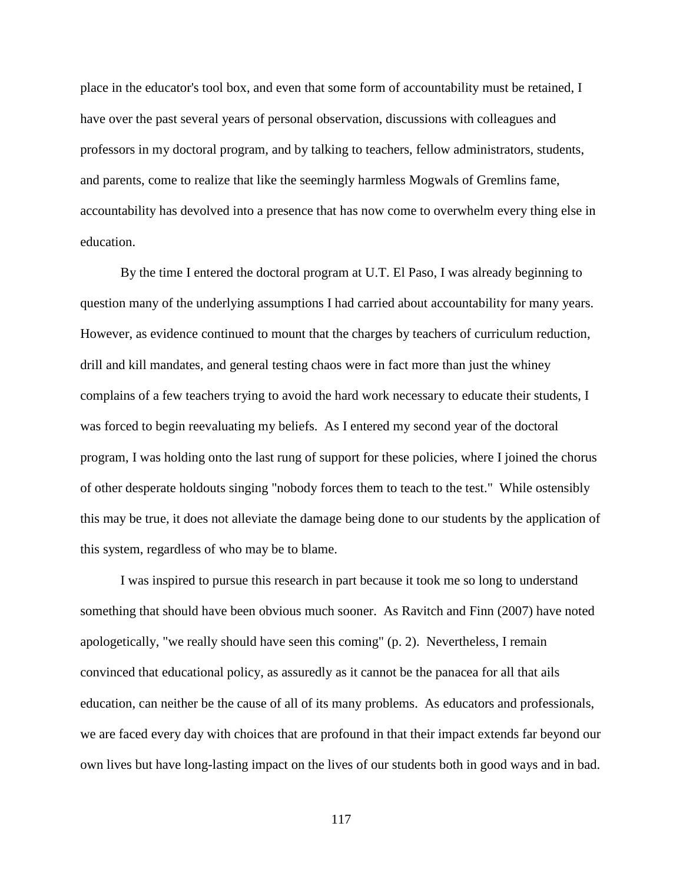place in the educator's tool box, and even that some form of accountability must be retained, I have over the past several years of personal observation, discussions with colleagues and professors in my doctoral program, and by talking to teachers, fellow administrators, students, and parents, come to realize that like the seemingly harmless Mogwals of Gremlins fame, accountability has devolved into a presence that has now come to overwhelm every thing else in education.

By the time I entered the doctoral program at U.T. El Paso, I was already beginning to question many of the underlying assumptions I had carried about accountability for many years. However, as evidence continued to mount that the charges by teachers of curriculum reduction, drill and kill mandates, and general testing chaos were in fact more than just the whiney complains of a few teachers trying to avoid the hard work necessary to educate their students, I was forced to begin reevaluating my beliefs. As I entered my second year of the doctoral program, I was holding onto the last rung of support for these policies, where I joined the chorus of other desperate holdouts singing "nobody forces them to teach to the test." While ostensibly this may be true, it does not alleviate the damage being done to our students by the application of this system, regardless of who may be to blame.

I was inspired to pursue this research in part because it took me so long to understand something that should have been obvious much sooner. As Ravitch and Finn (2007) have noted apologetically, "we really should have seen this coming" (p. 2). Nevertheless, I remain convinced that educational policy, as assuredly as it cannot be the panacea for all that ails education, can neither be the cause of all of its many problems. As educators and professionals, we are faced every day with choices that are profound in that their impact extends far beyond our own lives but have long-lasting impact on the lives of our students both in good ways and in bad.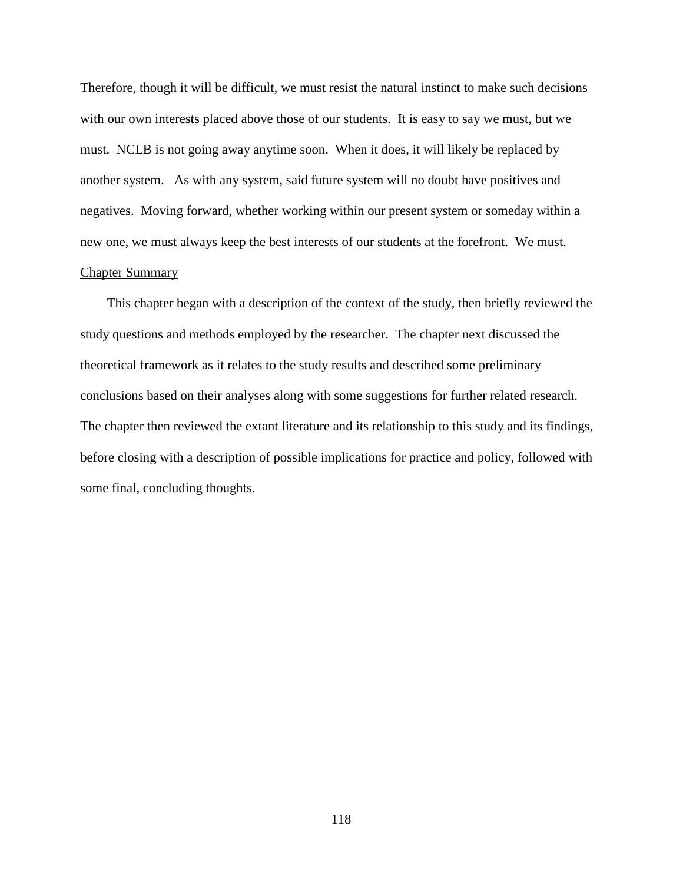Therefore, though it will be difficult, we must resist the natural instinct to make such decisions with our own interests placed above those of our students. It is easy to say we must, but we must. NCLB is not going away anytime soon. When it does, it will likely be replaced by another system. As with any system, said future system will no doubt have positives and negatives. Moving forward, whether working within our present system or someday within a new one, we must always keep the best interests of our students at the forefront. We must.

# Chapter Summary

 This chapter began with a description of the context of the study, then briefly reviewed the study questions and methods employed by the researcher. The chapter next discussed the theoretical framework as it relates to the study results and described some preliminary conclusions based on their analyses along with some suggestions for further related research. The chapter then reviewed the extant literature and its relationship to this study and its findings, before closing with a description of possible implications for practice and policy, followed with some final, concluding thoughts.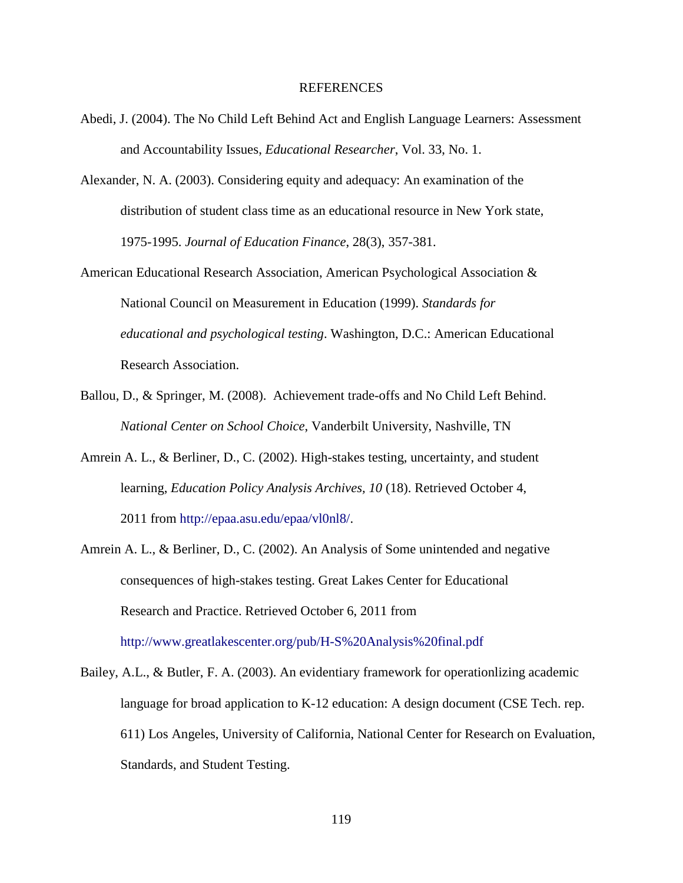### REFERENCES

- Abedi, J. (2004). The No Child Left Behind Act and English Language Learners: Assessment and Accountability Issues, *Educational Researcher*, Vol. 33, No. 1.
- Alexander, N. A. (2003). Considering equity and adequacy: An examination of the distribution of student class time as an educational resource in New York state, 1975-1995. *Journal of Education Finance*, 28(3), 357-381.
- American Educational Research Association, American Psychological Association & National Council on Measurement in Education (1999). *Standards for educational and psychological testing*. Washington, D.C.: American Educational Research Association.
- Ballou, D., & Springer, M. (2008). Achievement trade-offs and No Child Left Behind. *National Center on School Choice*, Vanderbilt University, Nashville, TN
- Amrein A. L., & Berliner, D., C. (2002). High-stakes testing, uncertainty, and student learning, *Education Policy Analysis Archives, 10* (18). Retrieved October 4, 2011 from http://epaa.asu.edu/epaa/vl0nl8/.
- Amrein A. L., & Berliner, D., C. (2002). An Analysis of Some unintended and negative consequences of high-stakes testing. Great Lakes Center for Educational Research and Practice. Retrieved October 6, 2011 from http://www.greatlakescenter.org/pub/H-S%20Analysis%20final.pdf
- Bailey, A.L., & Butler, F. A. (2003). An evidentiary framework for operationlizing academic language for broad application to K-12 education: A design document (CSE Tech. rep. 611) Los Angeles, University of California, National Center for Research on Evaluation, Standards, and Student Testing.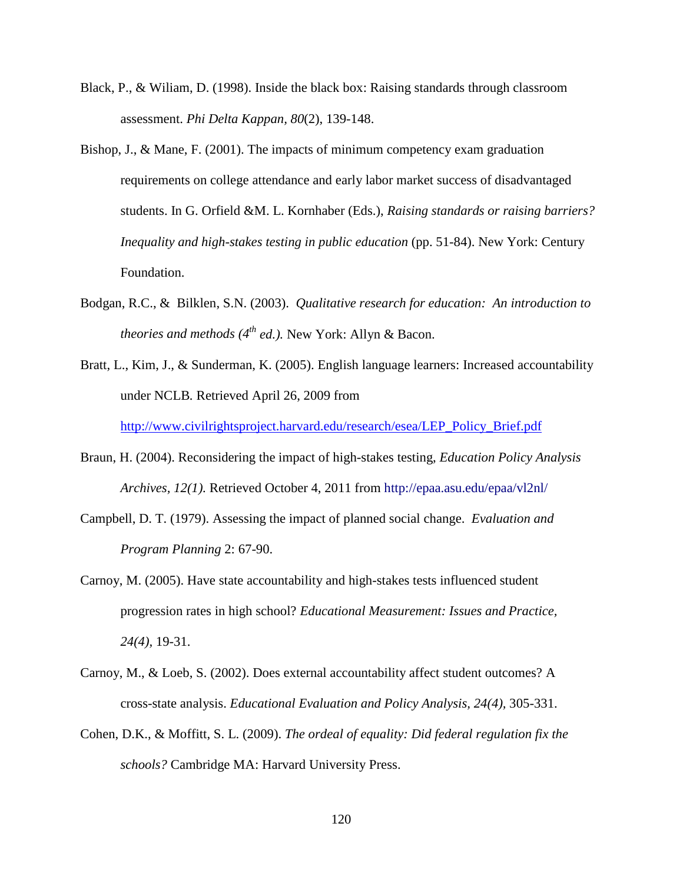- Black, P., & Wiliam, D. (1998). Inside the black box: Raising standards through classroom assessment. *Phi Delta Kappan, 80*(2), 139-148.
- Bishop, J., & Mane, F. (2001). The impacts of minimum competency exam graduation requirements on college attendance and early labor market success of disadvantaged students. In G. Orfield &M. L. Kornhaber (Eds.), *Raising standards or raising barriers? Inequality and high-stakes testing in public education* (pp. 51-84). New York: Century Foundation.
- Bodgan, R.C., & Bilklen, S.N. (2003). *Qualitative research for education: An introduction to theories and methods (4th ed.).* New York: Allyn & Bacon.
- Bratt, L., Kim, J., & Sunderman, K. (2005). English language learners: Increased accountability under NCLB*.* Retrieved April 26, 2009 from

[http://www.civilrightsproject.harvard.edu/research/esea/LEP\\_Policy\\_Brief.pdf](http://www.civilrightsproject.harvard.edu/research/esea/LEP_Policy_Brief.pdf)

- Braun, H. (2004). Reconsidering the impact of high-stakes testing, *Education Policy Analysis Archives, 12(1).* Retrieved October 4, 2011 from http://epaa.asu.edu/epaa/vl2nl/
- Campbell, D. T. (1979). Assessing the impact of planned social change. *Evaluation and Program Planning* 2: 67-90.
- Carnoy, M. (2005). Have state accountability and high-stakes tests influenced student progression rates in high school? *Educational Measurement: Issues and Practice, 24(4),* 19-31.
- Carnoy, M., & Loeb, S. (2002). Does external accountability affect student outcomes? A cross-state analysis. *Educational Evaluation and Policy Analysis, 24(4),* 305-331.
- Cohen, D.K., & Moffitt, S. L. (2009). *The ordeal of equality: Did federal regulation fix the schools?* Cambridge MA: Harvard University Press.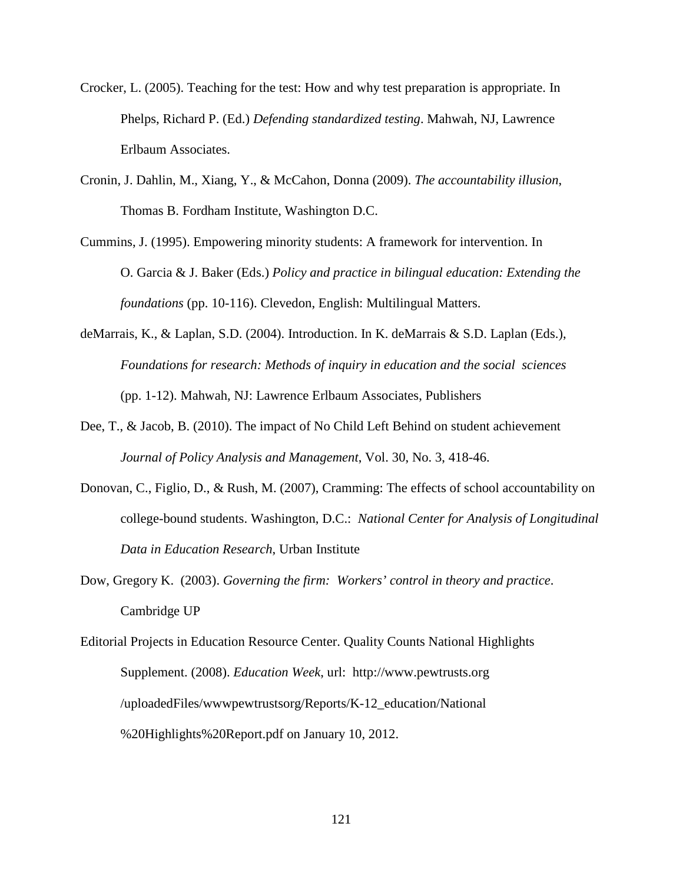- Crocker, L. (2005). Teaching for the test: How and why test preparation is appropriate. In Phelps, Richard P. (Ed.) *Defending standardized testing*. Mahwah, NJ, Lawrence Erlbaum Associates.
- Cronin, J. Dahlin, M., Xiang, Y., & McCahon, Donna (2009). *The accountability illusion*, Thomas B. Fordham Institute, Washington D.C.
- Cummins, J. (1995). Empowering minority students: A framework for intervention. In O. Garcia & J. Baker (Eds.) *Policy and practice in bilingual education: Extending the foundations* (pp. 10-116). Clevedon, English: Multilingual Matters.
- deMarrais, K., & Laplan, S.D. (2004). Introduction. In K. deMarrais & S.D. Laplan (Eds.), *Foundations for research: Methods of inquiry in education and the social sciences*  (pp. 1-12). Mahwah, NJ: Lawrence Erlbaum Associates, Publishers
- Dee, T., & Jacob, B. (2010). The impact of No Child Left Behind on student achievement *Journal of Policy Analysis and Management*, Vol. 30, No. 3, 418-46.
- Donovan, C., Figlio, D., & Rush, M. (2007), Cramming: The effects of school accountability on college-bound students. Washington, D.C.: *National Center for Analysis of Longitudinal Data in Education Research*, Urban Institute
- Dow, Gregory K. (2003). *Governing the firm: Workers' control in theory and practice*. Cambridge UP
- Editorial Projects in Education Resource Center. Quality Counts National Highlights Supplement. (2008). *Education Week*, url: http://www.pewtrusts.org /uploadedFiles/wwwpewtrustsorg/Reports/K-12\_education/National %20Highlights%20Report.pdf on January 10, 2012.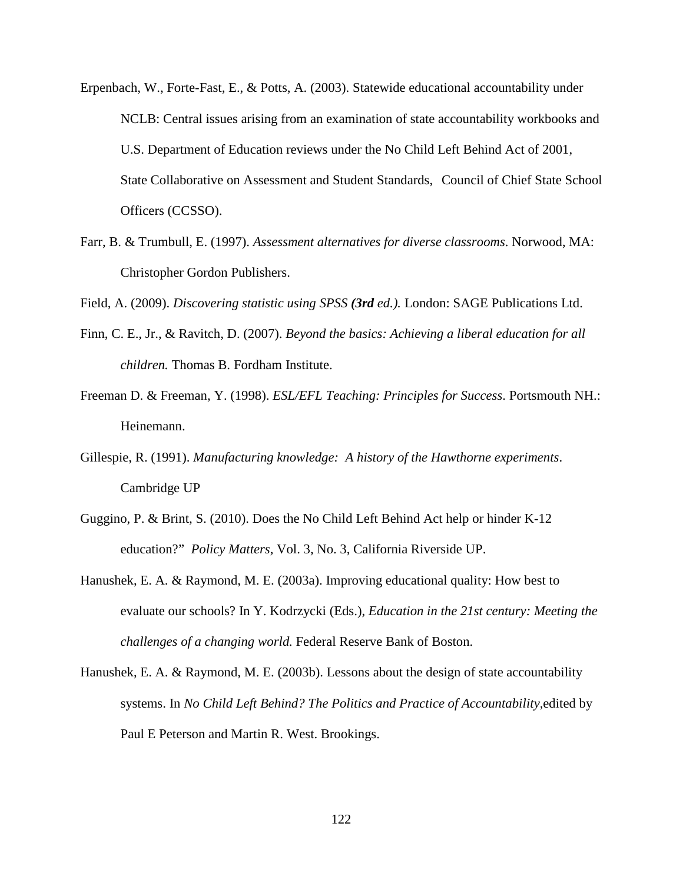- Erpenbach, W., Forte-Fast, E., & Potts, A. (2003). Statewide educational accountability under NCLB: Central issues arising from an examination of state accountability workbooks and U.S. Department of Education reviews under the No Child Left Behind Act of 2001, State Collaborative on Assessment and Student Standards, Council of Chief State School Officers (CCSSO).
- Farr, B. & Trumbull, E. (1997). *Assessment alternatives for diverse classrooms*. Norwood, MA: Christopher Gordon Publishers.

Field, A. (2009). *Discovering statistic using SPSS (3rd ed.).* London: SAGE Publications Ltd.

- Finn, C. E., Jr., & Ravitch, D. (2007). *Beyond the basics: Achieving a liberal education for all children.* Thomas B. Fordham Institute.
- Freeman D. & Freeman, Y. (1998). *ESL/EFL Teaching: Principles for Success*. Portsmouth NH.: Heinemann.
- Gillespie, R. (1991). *Manufacturing knowledge: A history of the Hawthorne experiments*. Cambridge UP
- Guggino, P. & Brint, S. (2010). Does the No Child Left Behind Act help or hinder K-12 education?" *Policy Matters*, Vol. 3, No. 3, California Riverside UP.
- Hanushek, E. A. & Raymond, M. E. (2003a). Improving educational quality: How best to evaluate our schools? In Y. Kodrzycki (Eds.), *Education in the 21st century: Meeting the challenges of a changing world.* Federal Reserve Bank of Boston.
- Hanushek, E. A. & Raymond, M. E. (2003b). Lessons about the design of state accountability systems. In *No Child Left Behind? The Politics and Practice of Accountability,*edited by Paul E Peterson and Martin R. West. Brookings.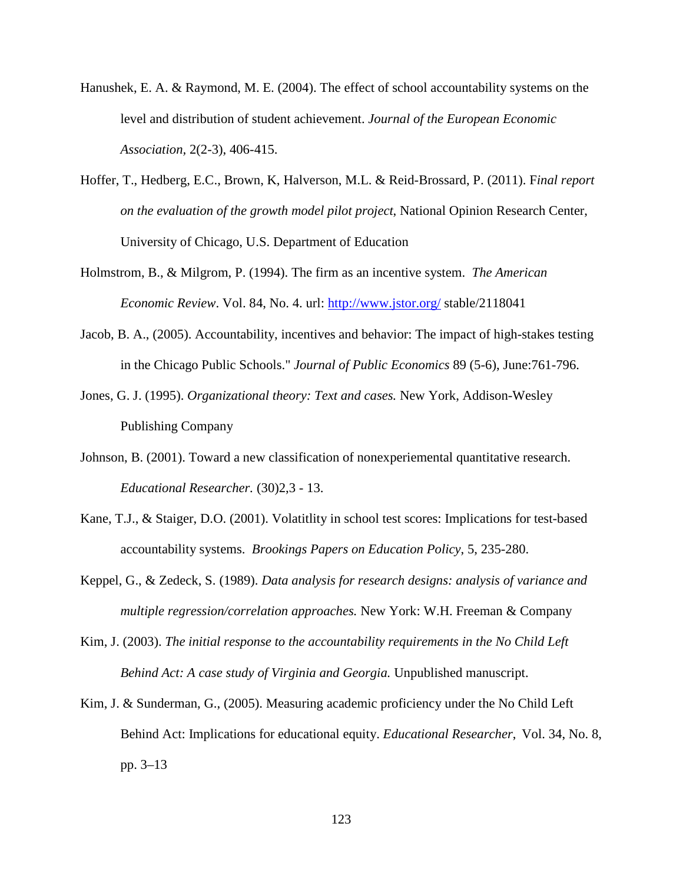- Hanushek, E. A. & Raymond, M. E. (2004). The effect of school accountability systems on the level and distribution of student achievement. *Journal of the European Economic Association,* 2(2-3), 406-415.
- Hoffer, T., Hedberg, E.C., Brown, K, Halverson, M.L. & Reid-Brossard, P. (2011). F*inal report on the evaluation of the growth model pilot project*, National Opinion Research Center, University of Chicago, U.S. Department of Education
- Holmstrom, B., & Milgrom, P. (1994). The firm as an incentive system. *The American Economic Review*. Vol. 84, No. 4. url:<http://www.jstor.org/> stable/2118041
- Jacob, B. A., (2005). Accountability, incentives and behavior: The impact of high-stakes testing in the Chicago Public Schools." *Journal of Public Economics* 89 (5-6), June:761-796.
- Jones, G. J. (1995). *Organizational theory: Text and cases.* New York, Addison-Wesley Publishing Company
- Johnson, B. (2001). Toward a new classification of nonexperiemental quantitative research. *Educational Researcher.* (30)2,3 - 13.
- Kane, T.J., & Staiger, D.O. (2001). Volatitlity in school test scores: Implications for test-based accountability systems. *Brookings Papers on Education Policy*, 5, 235-280.
- Keppel, G., & Zedeck, S. (1989). *Data analysis for research designs: analysis of variance and multiple regression/correlation approaches.* New York: W.H. Freeman & Company
- Kim, J. (2003). *The initial response to the accountability requirements in the No Child Left Behind Act: A case study of Virginia and Georgia.* Unpublished manuscript.
- Kim, J. & Sunderman, G., (2005). Measuring academic proficiency under the No Child Left Behind Act: Implications for educational equity. *Educational Researcher*, Vol. 34, No. 8, pp. 3–13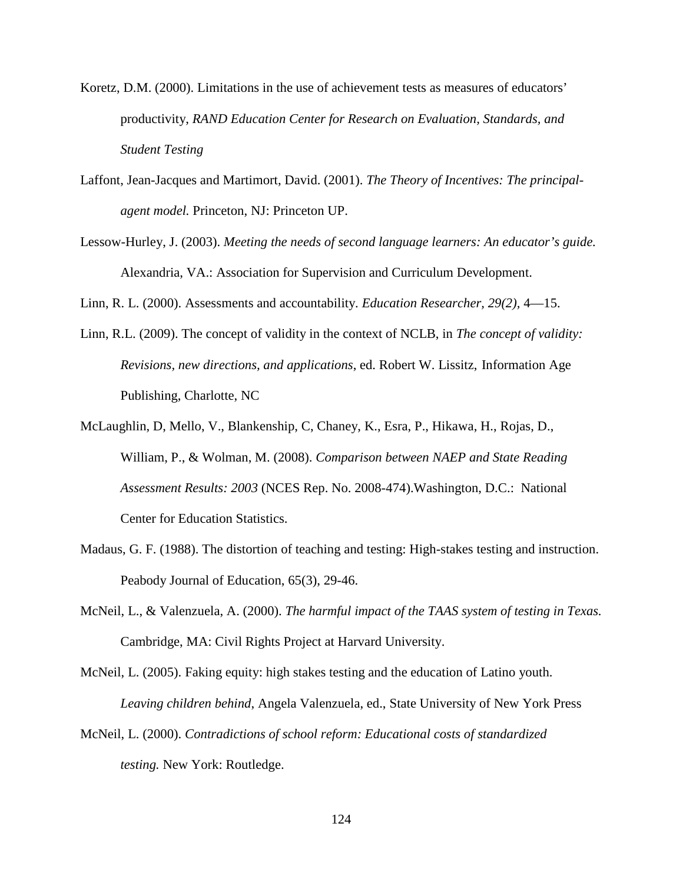- Koretz, D.M. (2000). Limitations in the use of achievement tests as measures of educators' productivity, *RAND Education Center for Research on Evaluation, Standards, and Student Testing*
- Laffont, Jean-Jacques and Martimort, David. (2001). *The Theory of Incentives: The principalagent model.* Princeton, NJ: Princeton UP.
- Lessow-Hurley, J. (2003). *Meeting the needs of second language learners: An educator's guide.*  Alexandria, VA.: Association for Supervision and Curriculum Development.

Linn, R. L. (2000). Assessments and accountability. *Education Researcher, 29(2),* 4—15.

- Linn, R.L. (2009). The concept of validity in the context of NCLB, in *The concept of validity: Revisions, new directions, and applications*, ed. Robert W. Lissitz, Information Age Publishing, Charlotte, NC
- McLaughlin, D, Mello, V., Blankenship, C, Chaney, K., Esra, P., Hikawa, H., Rojas, D., William, P., & Wolman, M. (2008). *Comparison between NAEP and State Reading Assessment Results: 2003* (NCES Rep. No. 2008-474).Washington, D.C.:National Center for Education Statistics.
- Madaus, G. F. (1988). The distortion of teaching and testing: High-stakes testing and instruction. Peabody Journal of Education, 65(3), 29-46.
- McNeil, L., & Valenzuela, A. (2000). *The harmful impact of the TAAS system of testing in Texas.*  Cambridge, MA: Civil Rights Project at Harvard University.

McNeil, L. (2005). Faking equity: high stakes testing and the education of Latino youth. *Leaving children behind*, Angela Valenzuela, ed., State University of New York Press

McNeil, L. (2000). *Contradictions of school reform: Educational costs of standardized testing.* New York: Routledge.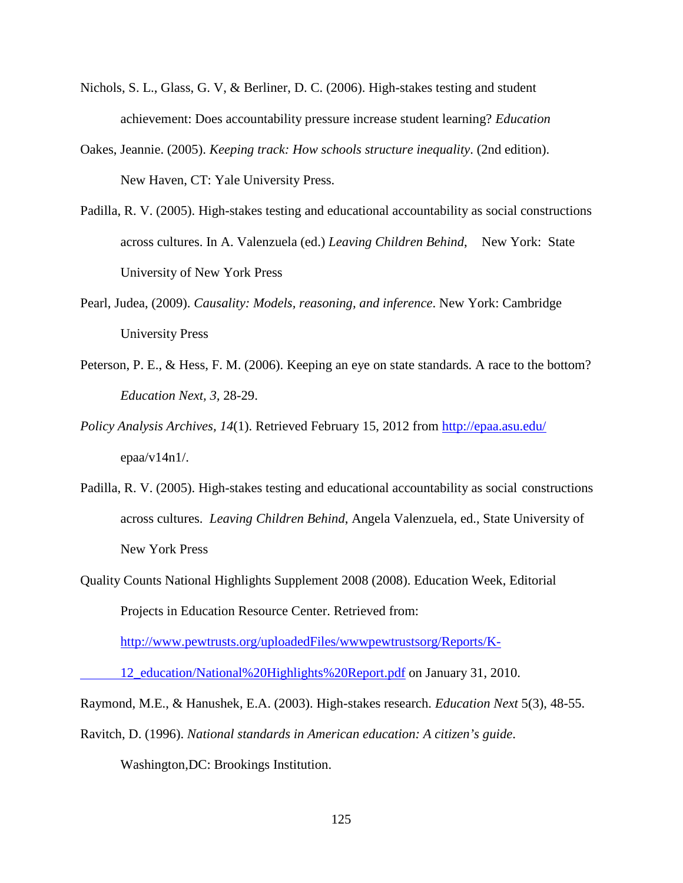- Nichols, S. L., Glass, G. V, & Berliner, D. C. (2006). High-stakes testing and student achievement: Does accountability pressure increase student learning? *Education*
- Oakes, Jeannie. (2005). *Keeping track: How schools structure inequality*. (2nd edition). New Haven, CT: Yale University Press.
- Padilla, R. V. (2005). High-stakes testing and educational accountability as social constructions across cultures. In A. Valenzuela (ed.) *Leaving Children Behind*, New York: State University of New York Press
- Pearl, Judea, (2009). *Causality: Models, reasoning, and inference*. New York: Cambridge University Press
- Peterson, P. E., & Hess, F. M. (2006). Keeping an eye on state standards. A race to the bottom? *Education Next, 3,* 28-29.
- *Policy Analysis Archives, 14*(1). Retrieved February 15, 2012 from<http://epaa.asu.edu/> epaa/v14n1/.
- Padilla, R. V. (2005). High-stakes testing and educational accountability as social constructions across cultures. *Leaving Children Behind*, Angela Valenzuela, ed., State University of New York Press
- Quality Counts National Highlights Supplement 2008 (2008). Education Week, Editorial Projects in Education Resource Center. Retrieved from:

[http://www.pewtrusts.org/uploadedFiles/wwwpewtrustsorg/Reports/K-](http://www.pewtrusts.org/uploadedFiles/wwwpewtrustsorg/Reports/K-12_education/National%20Highlights%20Report.pdf)

[12\\_education/National%20Highlights%20Report.pdf](http://www.pewtrusts.org/uploadedFiles/wwwpewtrustsorg/Reports/K-12_education/National%20Highlights%20Report.pdf) on January 31, 2010.

Raymond, M.E., & Hanushek, E.A. (2003). High-stakes research. *Education Next* 5(3), 48-55.

Ravitch, D. (1996). *National standards in American education: A citizen's guide*.

Washington,DC: Brookings Institution.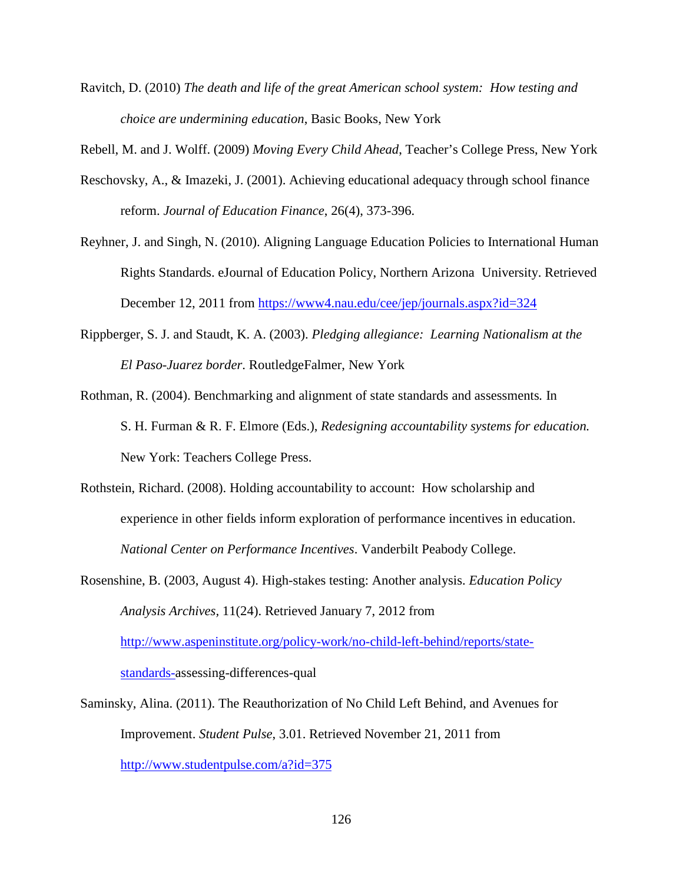Ravitch, D. (2010) *The death and life of the great American school system: How testing and choice are undermining education*, Basic Books, New York

Rebell, M. and J. Wolff. (2009) *Moving Every Child Ahead*, Teacher's College Press, New York

- Reschovsky, A., & Imazeki, J. (2001). Achieving educational adequacy through school finance reform. *Journal of Education Finance*, 26(4), 373-396.
- Reyhner, J. and Singh, N. (2010). Aligning Language Education Policies to International Human Rights Standards. eJournal of Education Policy, Northern Arizona University. Retrieved December 12, 2011 from<https://www4.nau.edu/cee/jep/journals.aspx?id=324>
- Rippberger, S. J. and Staudt, K. A. (2003). *Pledging allegiance: Learning Nationalism at the El Paso-Juarez border*. RoutledgeFalmer, New York
- Rothman, R. (2004). Benchmarking and alignment of state standards and assessments*.* In S. H. Furman & R. F. Elmore (Eds.), *Redesigning accountability systems for education.* New York: Teachers College Press.
- Rothstein, Richard. (2008). Holding accountability to account: How scholarship and experience in other fields inform exploration of performance incentives in education. *National Center on Performance Incentives*. Vanderbilt Peabody College.
- Rosenshine, B. (2003, August 4). High-stakes testing: Another analysis. *Education Policy Analysis Archives,* 11(24). Retrieved January 7, 2012 from [http://www.aspeninstitute.org/policy-work/no-child-left-behind/reports/state-](http://www.aspeninstitute.org/policy-work/no-child-left-behind/reports/state-standards-)

[standards-a](http://www.aspeninstitute.org/policy-work/no-child-left-behind/reports/state-standards-)ssessing-differences-qual

Saminsky, Alina. (2011). The Reauthorization of No Child Left Behind, and Avenues for Improvement. *Student Pulse*, 3.01. Retrieved November 21, 2011 from <http://www.studentpulse.com/a?id=375>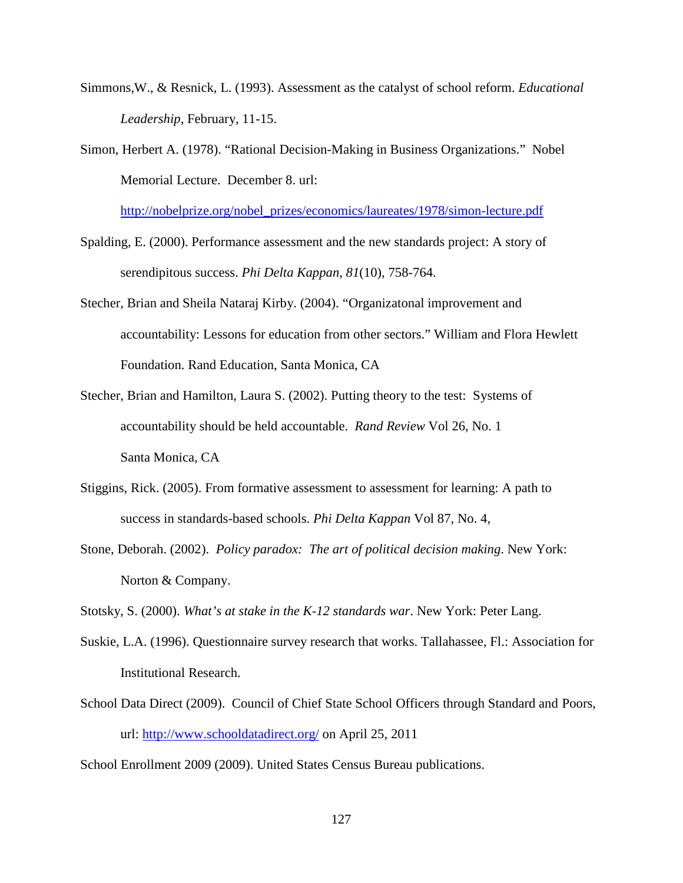- Simmons,W., & Resnick, L. (1993). Assessment as the catalyst of school reform. *Educational Leadership*, February, 11-15.
- Simon, Herbert A. (1978). "Rational Decision-Making in Business Organizations." Nobel Memorial Lecture. December 8. url:

[http://nobelprize.org/nobel\\_prizes/economics/laureates/1978/simon-lecture.pdf](http://nobelprize.org/nobel_prizes/economics/laureates/1978/simon-lecture.pdf)

- Spalding, E. (2000). Performance assessment and the new standards project: A story of serendipitous success. *Phi Delta Kappan*, *81*(10), 758-764.
- Stecher, Brian and Sheila Nataraj Kirby. (2004). "Organizatonal improvement and accountability: Lessons for education from other sectors." William and Flora Hewlett Foundation. Rand Education, Santa Monica, CA
- Stecher, Brian and Hamilton, Laura S. (2002). Putting theory to the test: Systems of accountability should be held accountable. *Rand Review* Vol 26, No. 1 Santa Monica, CA
- Stiggins, Rick. (2005). From formative assessment to assessment for learning: A path to success in standards-based schools. *Phi Delta Kappan* Vol 87, No. 4,
- Stone, Deborah. (2002). *Policy paradox: The art of political decision making*. New York: Norton & Company.

Stotsky, S. (2000). *What's at stake in the K-12 standards war*. New York: Peter Lang.

- Suskie, L.A. (1996). Questionnaire survey research that works. Tallahassee, Fl.: Association for Institutional Research.
- School Data Direct (2009). Council of Chief State School Officers through Standard and Poors, url:<http://www.schooldatadirect.org/> on April 25, 2011

School Enrollment 2009 (2009). United States Census Bureau publications.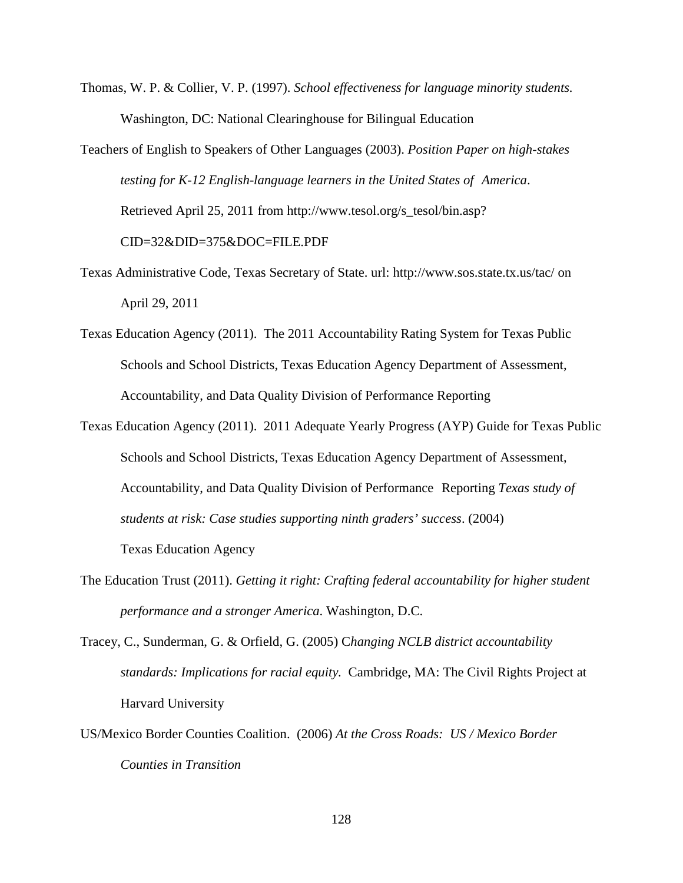Thomas, W. P. & Collier, V. P. (1997). *School effectiveness for language minority students.*  Washington, DC: National Clearinghouse for Bilingual Education

Teachers of English to Speakers of Other Languages (2003). *Position Paper on high-stakes testing for K-12 English-language learners in the United States of America*. Retrieved April 25, 2011 from http://www.tesol.org/s\_tesol/bin.asp? CID=32&DID=375&DOC=FILE.PDF

- Texas Administrative Code, Texas Secretary of State. url: http://www.sos.state.tx.us/tac/ on April 29, 2011
- Texas Education Agency (2011). The 2011 Accountability Rating System for Texas Public Schools and School Districts, Texas Education Agency Department of Assessment, Accountability, and Data Quality Division of Performance Reporting
- Texas Education Agency (2011). 2011 Adequate Yearly Progress (AYP) Guide for Texas Public Schools and School Districts, Texas Education Agency Department of Assessment, Accountability, and Data Quality Division of Performance Reporting *Texas study of students at risk: Case studies supporting ninth graders' success*. (2004) Texas Education Agency
- The Education Trust (2011). *Getting it right: Crafting federal accountability for higher student performance and a stronger America*. Washington, D.C.
- Tracey, C., Sunderman, G. & Orfield, G. (2005) C*hanging NCLB district accountability standards: Implications for racial equity.* Cambridge, MA: The Civil Rights Project at Harvard University
- US/Mexico Border Counties Coalition. (2006) *At the Cross Roads: US / Mexico Border Counties in Transition*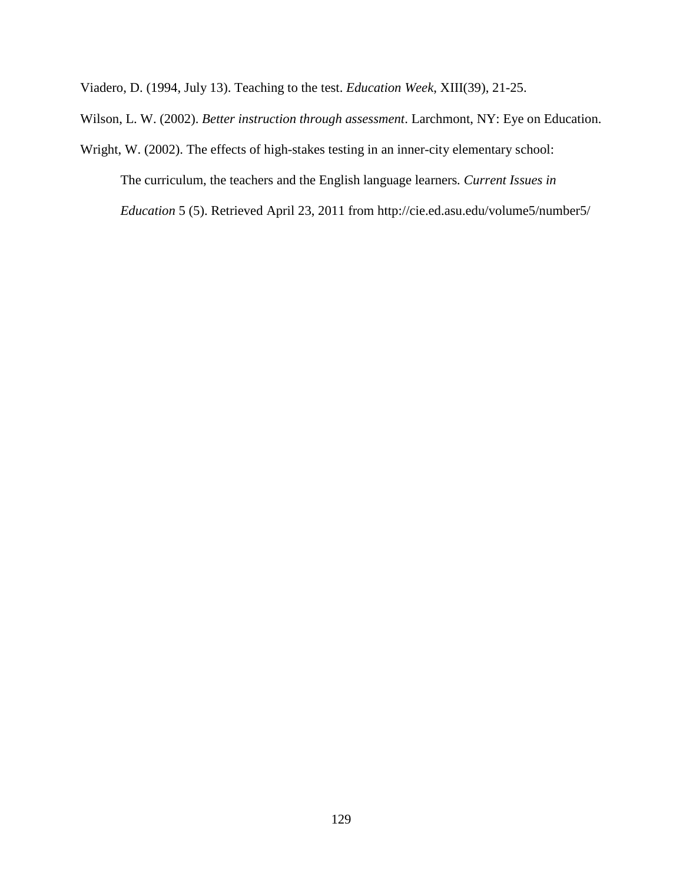Viadero, D. (1994, July 13). Teaching to the test. *Education Week*, XIII(39), 21-25.

Wilson, L. W. (2002). *Better instruction through assessment*. Larchmont, NY: Eye on Education.

Wright, W. (2002). The effects of high-stakes testing in an inner-city elementary school: The curriculum, the teachers and the English language learners*. Current Issues in Education* 5 (5). Retrieved April 23, 2011 from http://cie.ed.asu.edu/volume5/number5/